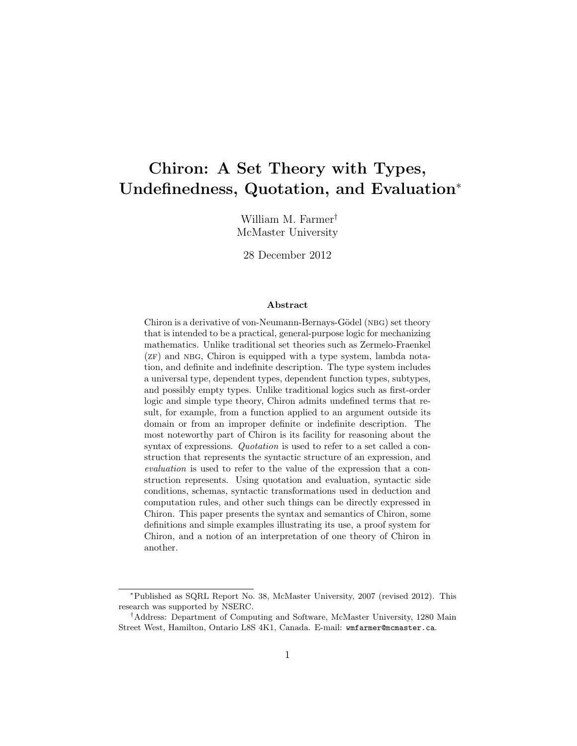# Chiron: A Set Theory with Types, Undefinedness, Quotation, and Evaluation<sup>∗</sup>

William M. Farmer† McMaster University

28 December 2012

#### Abstract

Chiron is a derivative of von-Neumann-Bernays-Gödel (NBG) set theory that is intended to be a practical, general-purpose logic for mechanizing mathematics. Unlike traditional set theories such as Zermelo-Fraenkel  $(ZF)$  and NBG, Chiron is equipped with a type system, lambda notation, and definite and indefinite description. The type system includes a universal type, dependent types, dependent function types, subtypes, and possibly empty types. Unlike traditional logics such as first-order logic and simple type theory, Chiron admits undefined terms that result, for example, from a function applied to an argument outside its domain or from an improper definite or indefinite description. The most noteworthy part of Chiron is its facility for reasoning about the syntax of expressions. Quotation is used to refer to a set called a construction that represents the syntactic structure of an expression, and evaluation is used to refer to the value of the expression that a construction represents. Using quotation and evaluation, syntactic side conditions, schemas, syntactic transformations used in deduction and computation rules, and other such things can be directly expressed in Chiron. This paper presents the syntax and semantics of Chiron, some definitions and simple examples illustrating its use, a proof system for Chiron, and a notion of an interpretation of one theory of Chiron in another.

<sup>∗</sup>Published as SQRL Report No. 38, McMaster University, 2007 (revised 2012). This research was supported by NSERC.

<sup>†</sup>Address: Department of Computing and Software, McMaster University, 1280 Main Street West, Hamilton, Ontario L8S 4K1, Canada. E-mail: wmfarmer@mcmaster.ca.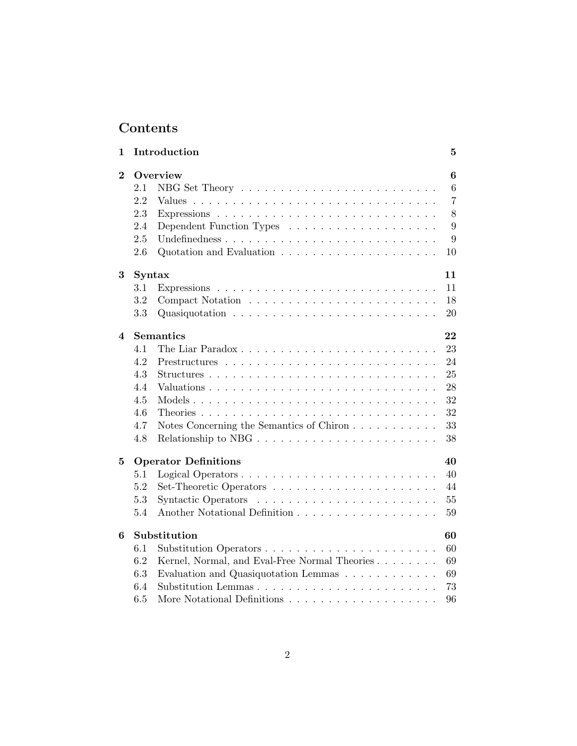# Contents

| 1                       |               | Introduction                                                                 | $\bf{5}$       |
|-------------------------|---------------|------------------------------------------------------------------------------|----------------|
| $\overline{2}$          |               | Overview                                                                     | 6              |
|                         | 2.1           | NBG Set Theory $\dots \dots \dots \dots \dots \dots \dots \dots \dots \dots$ | 6              |
|                         | 2.2           |                                                                              | $\overline{7}$ |
|                         | 2.3           |                                                                              | 8              |
|                         | 2.4           |                                                                              | 9              |
|                         | 2.5           |                                                                              | 9              |
|                         | 2.6           |                                                                              | 10             |
| 3                       | <b>Syntax</b> |                                                                              | 11             |
|                         | 3.1           |                                                                              | 11             |
|                         | 3.2           |                                                                              | 18             |
|                         | 3.3           |                                                                              | 20             |
| $\overline{\mathbf{4}}$ |               | <b>Semantics</b>                                                             | 22             |
|                         | 4.1           |                                                                              | 23             |
|                         | 4.2           |                                                                              | 24             |
|                         | 4.3           |                                                                              | 25             |
|                         | 4.4           |                                                                              | 28             |
|                         | 4.5           |                                                                              | 32             |
|                         | 4.6           |                                                                              | 32             |
|                         | 4.7           | Notes Concerning the Semantics of Chiron                                     | 33             |
|                         | 4.8           |                                                                              | 38             |
| $\bf{5}$                |               | <b>Operator Definitions</b>                                                  | 40             |
|                         | 5.1           |                                                                              | 40             |
|                         | 5.2           |                                                                              | 44             |
|                         | 5.3           |                                                                              | 55             |
|                         | 5.4           |                                                                              | 59             |
| 6                       |               | Substitution                                                                 | 60             |
|                         | 6.1           |                                                                              | 60             |
|                         | 6.2           | Kernel, Normal, and Eval-Free Normal Theories                                | 69             |
|                         | 6.3           | Evaluation and Quasiquotation Lemmas                                         | 69             |
|                         | 6.4           |                                                                              | 73             |
|                         | 6.5           | More Notational Definitions $\ldots \ldots \ldots \ldots \ldots \ldots$      | 96             |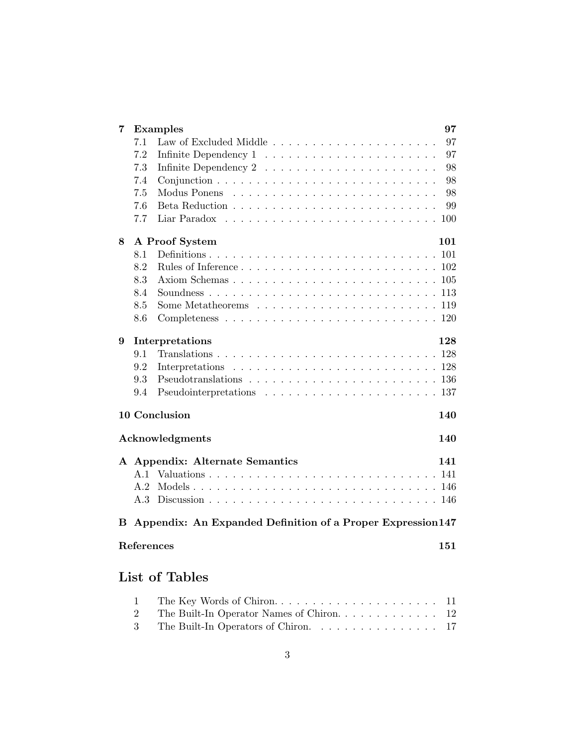| 7 |     | 97<br><b>Examples</b>                                                                                                                                                                                                                                                                                                                                                                                                                                                                |
|---|-----|--------------------------------------------------------------------------------------------------------------------------------------------------------------------------------------------------------------------------------------------------------------------------------------------------------------------------------------------------------------------------------------------------------------------------------------------------------------------------------------|
|   | 7.1 | 97                                                                                                                                                                                                                                                                                                                                                                                                                                                                                   |
|   | 7.2 | 97                                                                                                                                                                                                                                                                                                                                                                                                                                                                                   |
|   | 7.3 | 98<br>Infinite Dependency $2 \ldots \ldots \ldots \ldots \ldots \ldots \ldots$                                                                                                                                                                                                                                                                                                                                                                                                       |
|   | 7.4 | 98                                                                                                                                                                                                                                                                                                                                                                                                                                                                                   |
|   | 7.5 | 98                                                                                                                                                                                                                                                                                                                                                                                                                                                                                   |
|   | 7.6 | 99                                                                                                                                                                                                                                                                                                                                                                                                                                                                                   |
|   | 7.7 | Liar Paradox<br>100<br>$\mathcal{L}_{\mathcal{A}}(\mathcal{A},\mathcal{A},\mathcal{A},\mathcal{A},\mathcal{A},\mathcal{A},\mathcal{A},\mathcal{A},\mathcal{A},\mathcal{A},\mathcal{A},\mathcal{A},\mathcal{A},\mathcal{A},\mathcal{A},\mathcal{A},\mathcal{A},\mathcal{A},\mathcal{A},\mathcal{A},\mathcal{A},\mathcal{A},\mathcal{A},\mathcal{A},\mathcal{A},\mathcal{A},\mathcal{A},\mathcal{A},\mathcal{A},\mathcal{A},\mathcal{A},\mathcal{A},\mathcal{A},\mathcal{A},\mathcal{$ |
| 8 |     | A Proof System<br>101                                                                                                                                                                                                                                                                                                                                                                                                                                                                |
|   | 8.1 | 101                                                                                                                                                                                                                                                                                                                                                                                                                                                                                  |
|   | 8.2 | 102                                                                                                                                                                                                                                                                                                                                                                                                                                                                                  |
|   | 8.3 |                                                                                                                                                                                                                                                                                                                                                                                                                                                                                      |
|   | 8.4 |                                                                                                                                                                                                                                                                                                                                                                                                                                                                                      |
|   | 8.5 |                                                                                                                                                                                                                                                                                                                                                                                                                                                                                      |
|   | 8.6 |                                                                                                                                                                                                                                                                                                                                                                                                                                                                                      |
| 9 |     | Interpretations<br>128                                                                                                                                                                                                                                                                                                                                                                                                                                                               |
|   | 9.1 | 128                                                                                                                                                                                                                                                                                                                                                                                                                                                                                  |
|   | 9.2 | 128                                                                                                                                                                                                                                                                                                                                                                                                                                                                                  |
|   | 9.3 |                                                                                                                                                                                                                                                                                                                                                                                                                                                                                      |
|   | 9.4 |                                                                                                                                                                                                                                                                                                                                                                                                                                                                                      |
|   |     | 10 Conclusion<br>140                                                                                                                                                                                                                                                                                                                                                                                                                                                                 |
|   |     | Acknowledgments<br>140                                                                                                                                                                                                                                                                                                                                                                                                                                                               |
|   |     | A Appendix: Alternate Semantics<br>141                                                                                                                                                                                                                                                                                                                                                                                                                                               |
|   | A.1 | 141                                                                                                                                                                                                                                                                                                                                                                                                                                                                                  |
|   | A.2 |                                                                                                                                                                                                                                                                                                                                                                                                                                                                                      |
|   | A.3 |                                                                                                                                                                                                                                                                                                                                                                                                                                                                                      |
| В |     | Appendix: An Expanded Definition of a Proper Expression 147                                                                                                                                                                                                                                                                                                                                                                                                                          |
|   |     | References<br>151                                                                                                                                                                                                                                                                                                                                                                                                                                                                    |
|   |     | <b>List of Tables</b>                                                                                                                                                                                                                                                                                                                                                                                                                                                                |

| The Built-In Operators of Chiron. 17 |  |
|--------------------------------------|--|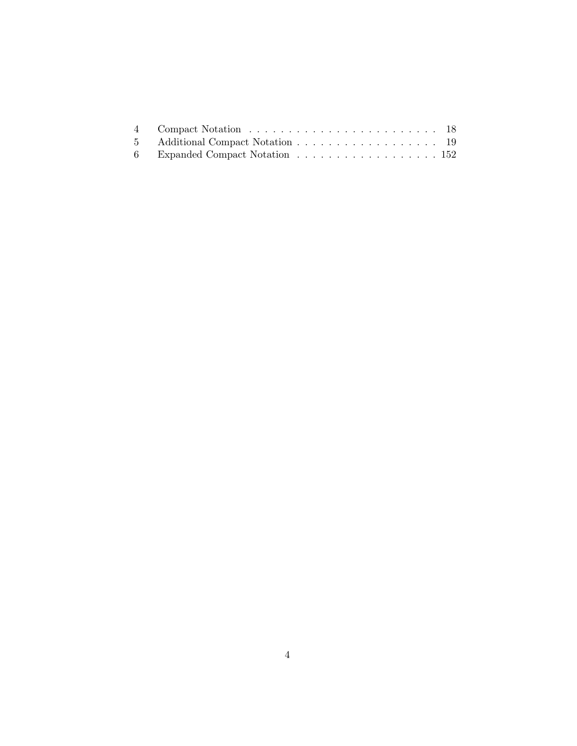| 5 Additional Compact Notation 19 |  |  |  |  |  |  |  |  |  |  |
|----------------------------------|--|--|--|--|--|--|--|--|--|--|
| 6 Expanded Compact Notation 152  |  |  |  |  |  |  |  |  |  |  |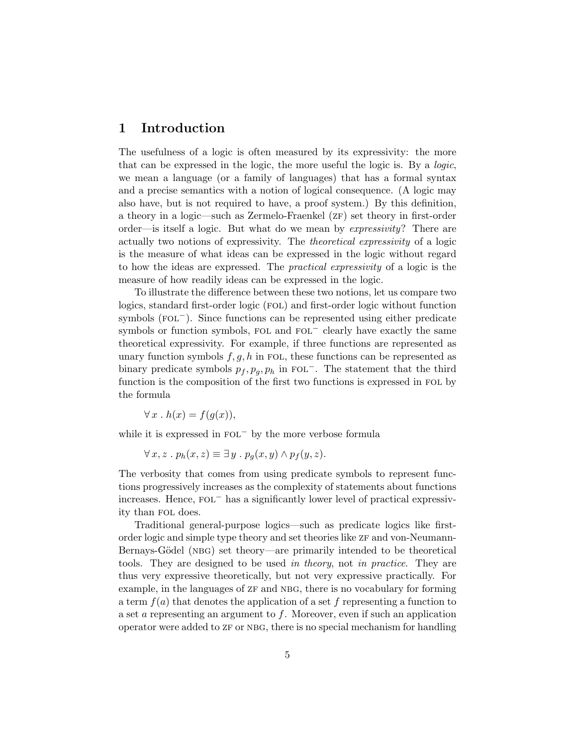# 1 Introduction

The usefulness of a logic is often measured by its expressivity: the more that can be expressed in the logic, the more useful the logic is. By a logic, we mean a language (or a family of languages) that has a formal syntax and a precise semantics with a notion of logical consequence. (A logic may also have, but is not required to have, a proof system.) By this definition, a theory in a logic—such as Zermelo-Fraenkel (ZF) set theory in first-order order—is itself a logic. But what do we mean by expressivity? There are actually two notions of expressivity. The theoretical expressivity of a logic is the measure of what ideas can be expressed in the logic without regard to how the ideas are expressed. The practical expressivity of a logic is the measure of how readily ideas can be expressed in the logic.

To illustrate the difference between these two notions, let us compare two logics, standard first-order logic (fol) and first-order logic without function symbols (FOL<sup>−</sup>). Since functions can be represented using either predicate symbols or function symbols, FOL and FOL<sup>−</sup> clearly have exactly the same theoretical expressivity. For example, if three functions are represented as unary function symbols  $f, g, h$  in FOL, these functions can be represented as binary predicate symbols  $p_f, p_q, p_h$  in FOL<sup>-</sup>. The statement that the third function is the composition of the first two functions is expressed in FOL by the formula

 $\forall x \, . \, h(x) = f(q(x)),$ 

while it is expressed in  $FOL<sup>-</sup>$  by the more verbose formula

$$
\forall x, z \,.\, p_h(x, z) \equiv \exists y \,.\, p_g(x, y) \wedge p_f(y, z).
$$

The verbosity that comes from using predicate symbols to represent functions progressively increases as the complexity of statements about functions increases. Hence, fol<sup>−</sup> has a significantly lower level of practical expressivity than fol does.

Traditional general-purpose logics—such as predicate logics like firstorder logic and simple type theory and set theories like  $zF$  and von-Neumann-Bernays-Gödel (NBG) set theory—are primarily intended to be theoretical tools. They are designed to be used in theory, not in practice. They are thus very expressive theoretically, but not very expressive practically. For example, in the languages of  $ZF$  and NBG, there is no vocabulary for forming a term  $f(a)$  that denotes the application of a set f representing a function to a set a representing an argument to f. Moreover, even if such an application operator were added to ZF or NBG, there is no special mechanism for handling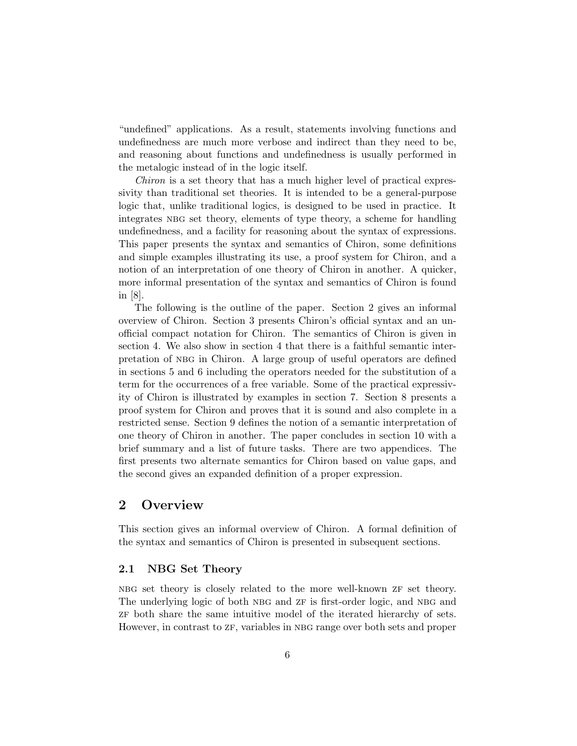"undefined" applications. As a result, statements involving functions and undefinedness are much more verbose and indirect than they need to be, and reasoning about functions and undefinedness is usually performed in the metalogic instead of in the logic itself.

Chiron is a set theory that has a much higher level of practical expressivity than traditional set theories. It is intended to be a general-purpose logic that, unlike traditional logics, is designed to be used in practice. It integrates nbg set theory, elements of type theory, a scheme for handling undefinedness, and a facility for reasoning about the syntax of expressions. This paper presents the syntax and semantics of Chiron, some definitions and simple examples illustrating its use, a proof system for Chiron, and a notion of an interpretation of one theory of Chiron in another. A quicker, more informal presentation of the syntax and semantics of Chiron is found in [8].

The following is the outline of the paper. Section 2 gives an informal overview of Chiron. Section 3 presents Chiron's official syntax and an unofficial compact notation for Chiron. The semantics of Chiron is given in section 4. We also show in section 4 that there is a faithful semantic interpretation of nbg in Chiron. A large group of useful operators are defined in sections 5 and 6 including the operators needed for the substitution of a term for the occurrences of a free variable. Some of the practical expressivity of Chiron is illustrated by examples in section 7. Section 8 presents a proof system for Chiron and proves that it is sound and also complete in a restricted sense. Section 9 defines the notion of a semantic interpretation of one theory of Chiron in another. The paper concludes in section 10 with a brief summary and a list of future tasks. There are two appendices. The first presents two alternate semantics for Chiron based on value gaps, and the second gives an expanded definition of a proper expression.

# 2 Overview

This section gives an informal overview of Chiron. A formal definition of the syntax and semantics of Chiron is presented in subsequent sections.

## 2.1 NBG Set Theory

nbg set theory is closely related to the more well-known zf set theory. The underlying logic of both NBG and ZF is first-order logic, and NBG and zf both share the same intuitive model of the iterated hierarchy of sets. However, in contrast to  $ZF$ , variables in NBG range over both sets and proper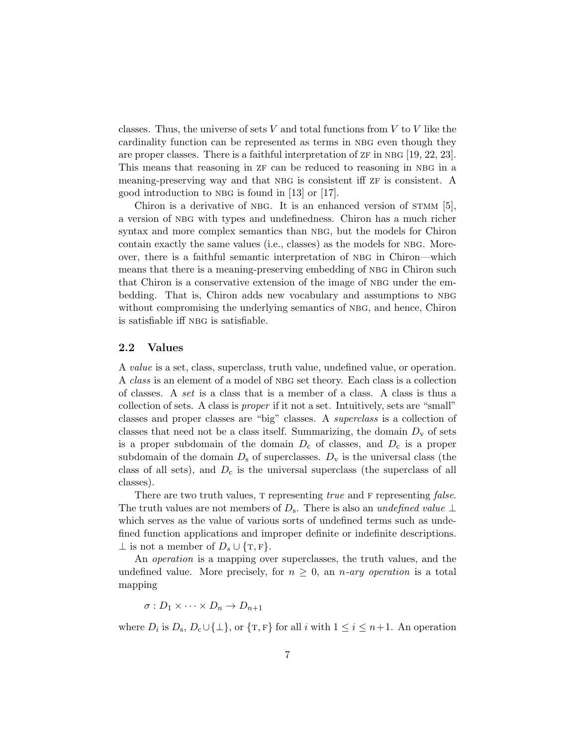classes. Thus, the universe of sets  $V$  and total functions from  $V$  to  $V$  like the cardinality function can be represented as terms in NBG even though they are proper classes. There is a faithful interpretation of  $z_F$  in NBG [19, 22, 23]. This means that reasoning in  $ZF$  can be reduced to reasoning in NBG in a meaning-preserving way and that NBG is consistent iff  $zF$  is consistent. A good introduction to NBG is found in  $[13]$  or  $[17]$ .

Chiron is a derivative of NBG. It is an enhanced version of  $STMM$  [5], a version of nbg with types and undefinedness. Chiron has a much richer syntax and more complex semantics than NBG, but the models for Chiron contain exactly the same values (i.e., classes) as the models for NBG. Moreover, there is a faithful semantic interpretation of nbg in Chiron—which means that there is a meaning-preserving embedding of NBG in Chiron such that Chiron is a conservative extension of the image of NBG under the embedding. That is, Chiron adds new vocabulary and assumptions to nbg without compromising the underlying semantics of NBG, and hence, Chiron is satisfiable iff nbg is satisfiable.

## 2.2 Values

A value is a set, class, superclass, truth value, undefined value, or operation. A *class* is an element of a model of NBG set theory. Each class is a collection of classes. A set is a class that is a member of a class. A class is thus a collection of sets. A class is proper if it not a set. Intuitively, sets are "small" classes and proper classes are "big" classes. A superclass is a collection of classes that need not be a class itself. Summarizing, the domain  $D_{\rm v}$  of sets is a proper subdomain of the domain  $D_c$  of classes, and  $D_c$  is a proper subdomain of the domain  $D_s$  of superclasses.  $D_v$  is the universal class (the class of all sets), and  $D_c$  is the universal superclass (the superclass of all classes).

There are two truth values, T representing *true* and F representing *false*. The truth values are not members of  $D_s$ . There is also an undefined value ⊥ which serves as the value of various sorts of undefined terms such as undefined function applications and improper definite or indefinite descriptions.  $\perp$  is not a member of  $D_s \cup \{T, F\}.$ 

An operation is a mapping over superclasses, the truth values, and the undefined value. More precisely, for  $n \geq 0$ , an *n*-ary operation is a total mapping

 $\sigma: D_1 \times \cdots \times D_n \to D_{n+1}$ 

where  $D_i$  is  $D_s$ ,  $D_c \cup \{\perp\}$ , or  $\{\texttt{T}, \texttt{F}\}\$  for all i with  $1 \leq i \leq n+1$ . An operation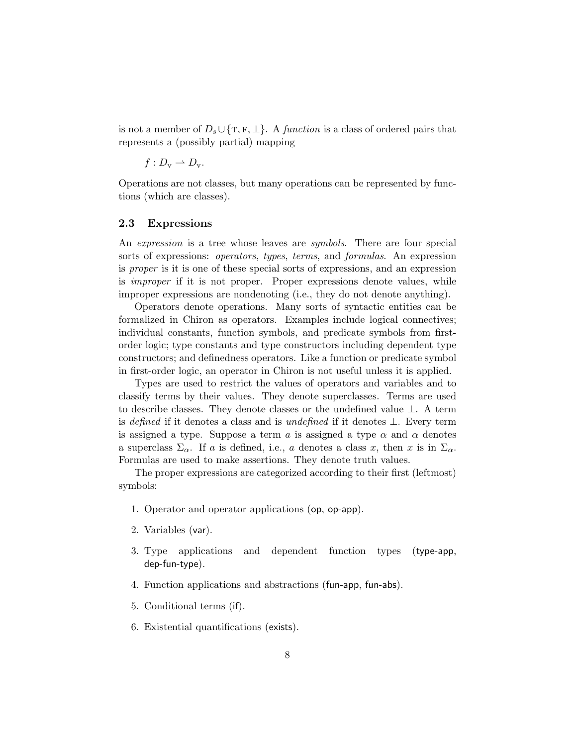is not a member of  $D_s \cup \{T, F, \perp\}$ . A *function* is a class of ordered pairs that represents a (possibly partial) mapping

$$
f:D_{\mathrm{v}}\rightharpoonup D_{\mathrm{v}}.
$$

Operations are not classes, but many operations can be represented by functions (which are classes).

## 2.3 Expressions

An *expression* is a tree whose leaves are *symbols*. There are four special sorts of expressions: operators, types, terms, and formulas. An expression is proper is it is one of these special sorts of expressions, and an expression is improper if it is not proper. Proper expressions denote values, while improper expressions are nondenoting (i.e., they do not denote anything).

Operators denote operations. Many sorts of syntactic entities can be formalized in Chiron as operators. Examples include logical connectives; individual constants, function symbols, and predicate symbols from firstorder logic; type constants and type constructors including dependent type constructors; and definedness operators. Like a function or predicate symbol in first-order logic, an operator in Chiron is not useful unless it is applied.

Types are used to restrict the values of operators and variables and to classify terms by their values. They denote superclasses. Terms are used to describe classes. They denote classes or the undefined value ⊥. A term is defined if it denotes a class and is undefined if it denotes  $\perp$ . Every term is assigned a type. Suppose a term a is assigned a type  $\alpha$  and  $\alpha$  denotes a superclass  $\Sigma_{\alpha}$ . If a is defined, i.e., a denotes a class x, then x is in  $\Sigma_{\alpha}$ . Formulas are used to make assertions. They denote truth values.

The proper expressions are categorized according to their first (leftmost) symbols:

- 1. Operator and operator applications (op, op-app).
- 2. Variables (var).
- 3. Type applications and dependent function types (type-app, dep-fun-type).
- 4. Function applications and abstractions (fun-app, fun-abs).
- 5. Conditional terms (if).
- 6. Existential quantifications (exists).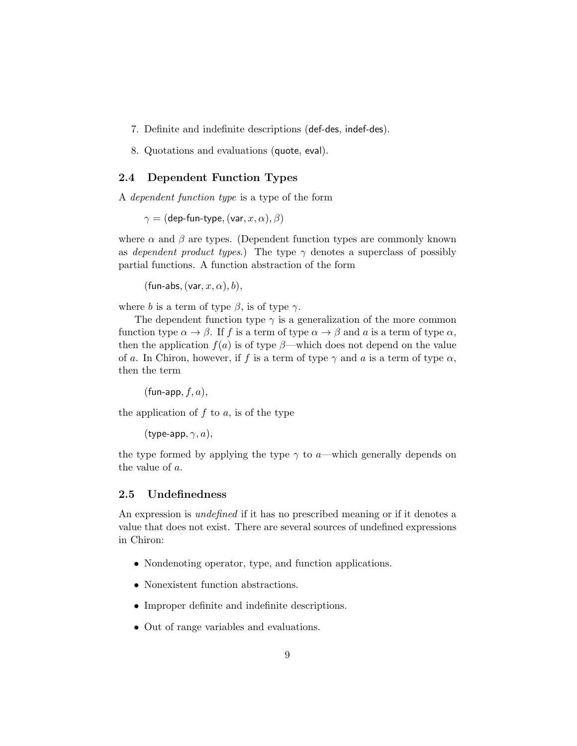- 7. Definite and indefinite descriptions (def-des, indef-des).
- 8. Quotations and evaluations (quote, eval).

## 2.4 Dependent Function Types

A dependent function type is a type of the form

 $\gamma =$  (dep-fun-type, (var,  $x, \alpha$ ),  $\beta$ )

where  $\alpha$  and  $\beta$  are types. (Dependent function types are commonly known as dependent product types.) The type  $\gamma$  denotes a superclass of possibly partial functions. A function abstraction of the form

(fun-abs,  $(var, x, \alpha)$ , b),

where b is a term of type  $\beta$ , is of type  $\gamma$ .

The dependent function type  $\gamma$  is a generalization of the more common function type  $\alpha \to \beta$ . If f is a term of type  $\alpha \to \beta$  and a is a term of type  $\alpha$ , then the application  $f(a)$  is of type  $\beta$ —which does not depend on the value of a. In Chiron, however, if f is a term of type  $\gamma$  and a is a term of type  $\alpha$ , then the term

 $(\text{fun-app}, f, a),$ 

the application of  $f$  to  $a$ , is of the type

(type-app,  $\gamma$ , a),

the type formed by applying the type  $\gamma$  to a—which generally depends on the value of a.

## 2.5 Undefinedness

An expression is *undefined* if it has no prescribed meaning or if it denotes a value that does not exist. There are several sources of undefined expressions in Chiron:

- Nondenoting operator, type, and function applications.
- Nonexistent function abstractions.
- Improper definite and indefinite descriptions.
- Out of range variables and evaluations.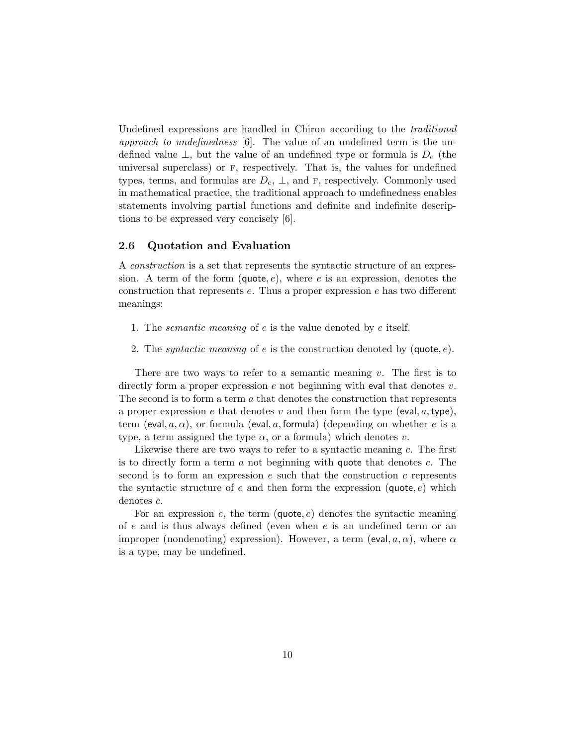Undefined expressions are handled in Chiron according to the traditional approach to undefinedness  $[6]$ . The value of an undefined term is the undefined value  $\perp$ , but the value of an undefined type or formula is  $D_c$  (the universal superclass) or f, respectively. That is, the values for undefined types, terms, and formulas are  $D_c$ ,  $\perp$ , and F, respectively. Commonly used in mathematical practice, the traditional approach to undefinedness enables statements involving partial functions and definite and indefinite descriptions to be expressed very concisely [6].

## 2.6 Quotation and Evaluation

A construction is a set that represents the syntactic structure of an expression. A term of the form  $(\text{quote}, e)$ , where e is an expression, denotes the construction that represents  $e$ . Thus a proper expression  $e$  has two different meanings:

- 1. The semantic meaning of e is the value denoted by e itself.
- 2. The *syntactic meaning* of e is the construction denoted by  $(\text{quote}, e)$ .

There are two ways to refer to a semantic meaning  $v$ . The first is to directly form a proper expression  $e$  not beginning with eval that denotes  $v$ . The second is to form a term  $a$  that denotes the construction that represents a proper expression e that denotes v and then form the type (eval,  $a, \text{type}$ ), term (eval,  $a, \alpha$ ), or formula (eval, a, formula) (depending on whether e is a type, a term assigned the type  $\alpha$ , or a formula) which denotes v.

Likewise there are two ways to refer to a syntactic meaning c. The first is to directly form a term  $\alpha$  not beginning with quote that denotes  $c$ . The second is to form an expression  $e$  such that the construction  $c$  represents the syntactic structure of e and then form the expression (quote,  $e$ ) which denotes c.

For an expression  $e$ , the term (quote,  $e$ ) denotes the syntactic meaning of e and is thus always defined (even when  $e$  is an undefined term or an improper (nondenoting) expression). However, a term (eval,  $a, \alpha$ ), where  $\alpha$ is a type, may be undefined.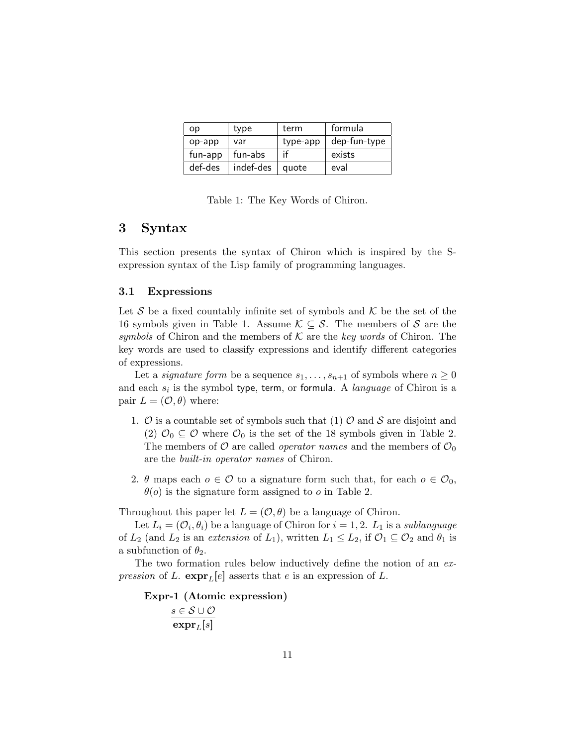| op      | type      | term     | formula      |
|---------|-----------|----------|--------------|
| op-app  | var       | type-app | dep-fun-type |
| fun-app | fun-abs   | -if      | exists       |
| def-des | indef-des | quote    | eval         |

Table 1: The Key Words of Chiron.

## 3 Syntax

This section presents the syntax of Chiron which is inspired by the Sexpression syntax of the Lisp family of programming languages.

#### 3.1 Expressions

Let  $S$  be a fixed countably infinite set of symbols and  $K$  be the set of the 16 symbols given in Table 1. Assume  $\mathcal{K} \subseteq \mathcal{S}$ . The members of S are the symbols of Chiron and the members of  $K$  are the key words of Chiron. The key words are used to classify expressions and identify different categories of expressions.

Let a *signature form* be a sequence  $s_1, \ldots, s_{n+1}$  of symbols where  $n \geq 0$ and each  $s_i$  is the symbol type, term, or formula. A language of Chiron is a pair  $L = (\mathcal{O}, \theta)$  where:

- 1.  $\mathcal O$  is a countable set of symbols such that (1)  $\mathcal O$  and  $\mathcal S$  are disjoint and (2)  $\mathcal{O}_0 \subseteq \mathcal{O}$  where  $\mathcal{O}_0$  is the set of the 18 symbols given in Table 2. The members of O are called *operator names* and the members of  $\mathcal{O}_0$ are the built-in operator names of Chiron.
- 2.  $\theta$  maps each  $o \in \mathcal{O}$  to a signature form such that, for each  $o \in \mathcal{O}_0$ ,  $\theta$ (o) is the signature form assigned to o in Table 2.

Throughout this paper let  $L = (O, \theta)$  be a language of Chiron.

Let  $L_i = (\mathcal{O}_i, \theta_i)$  be a language of Chiron for  $i = 1, 2$ .  $L_1$  is a *sublanguage* of  $L_2$  (and  $L_2$  is an extension of  $L_1$ ), written  $L_1 \leq L_2$ , if  $\mathcal{O}_1 \subseteq \mathcal{O}_2$  and  $\theta_1$  is a subfunction of  $\theta_2$ .

The two formation rules below inductively define the notion of an expression of L.  $\exp\mathbf{r}_L[e]$  asserts that e is an expression of L.

Expr-1 (Atomic expression)  $s \in \mathcal{S} \cup \mathcal{O}$  $\mathrm{expr}_L[s]$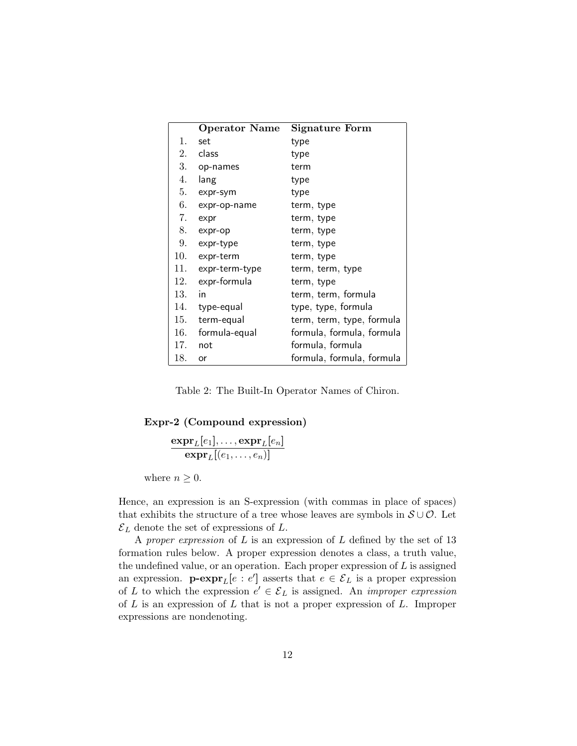|     | <b>Operator Name</b> | Signature Form            |
|-----|----------------------|---------------------------|
| 1.  | set                  | type                      |
| 2.  | class                | type                      |
| 3.  | op-names             | term                      |
| 4.  | lang                 | type                      |
| 5.  | expr-sym             | type                      |
| 6.  | expr-op-name         | term, type                |
| 7.  | expr                 | term, type                |
| 8.  | expr-op              | term, type                |
| 9.  | expr-type            | term, type                |
| 10. | expr-term            | term, type                |
| 11. | expr-term-type       | term, term, type          |
| 12. | expr-formula         | term, type                |
| 13. | in                   | term, term, formula       |
| 14. | type-equal           | type, type, formula       |
| 15. | term-equal           | term, term, type, formula |
| 16. | formula-equal        | formula, formula, formula |
| 17. | not                  | formula, formula          |
| 18. | or                   | formula, formula, formula |

Table 2: The Built-In Operator Names of Chiron.

## Expr-2 (Compound expression)

$$
\frac{\mathbf{expr}_L[e_1], \ldots, \mathbf{expr}_L[e_n]}{\mathbf{expr}_L[(e_1, \ldots, e_n)]}
$$

where  $n \geq 0$ .

Hence, an expression is an S-expression (with commas in place of spaces) that exhibits the structure of a tree whose leaves are symbols in  $S \cup \mathcal{O}$ . Let  $\mathcal{E}_L$  denote the set of expressions of  $L$ .

A proper expression of  $L$  is an expression of  $L$  defined by the set of 13 formation rules below. A proper expression denotes a class, a truth value, the undefined value, or an operation. Each proper expression of  $L$  is assigned an expression.  $\mathbf{p}\text{-}\mathbf{expr}_L[e : e']$  asserts that  $e \in \mathcal{E}_L$  is a proper expression of L to which the expression  $e' \in \mathcal{E}_L$  is assigned. An *improper expression* of  $L$  is an expression of  $L$  that is not a proper expression of  $L$ . Improper expressions are nondenoting.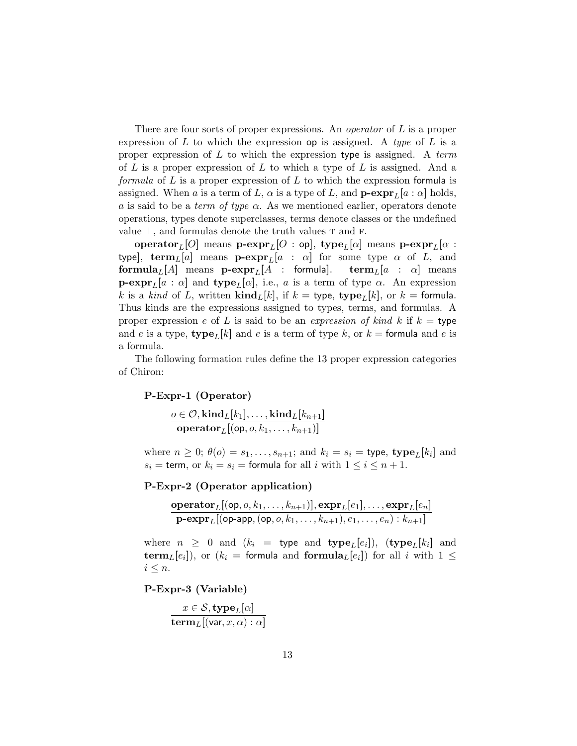There are four sorts of proper expressions. An *operator* of L is a proper expression of L to which the expression op is assigned. A type of L is a proper expression of  $L$  to which the expression type is assigned. A term of  $L$  is a proper expression of  $L$  to which a type of  $L$  is assigned. And a formula of  $L$  is a proper expression of  $L$  to which the expression formula is assigned. When a is a term of L,  $\alpha$  is a type of L, and  $\mathbf{p}\text{-}\mathrm{expr}_L[a : \alpha]$  holds, a is said to be a *term of type*  $\alpha$ . As we mentioned earlier, operators denote operations, types denote superclasses, terms denote classes or the undefined value  $\perp$ , and formulas denote the truth values T and F.

operator<sub>L</sub>[O] means **p-expr**<sub>L</sub>[O : op], type<sub>L</sub>[ $\alpha$ ] means **p-expr**<sub>L</sub>[ $\alpha$  : type], term<sub>L</sub>[a] means **p-expr**<sub>L</sub>[a :  $\alpha$ ] for some type  $\alpha$  of L, and formula<sub>L</sub>[A] means  $\mathbf{p}\text{-}\mathrm{expr}_L[A$  : formula]. term<sub>L</sub>[a :  $\alpha$ ] means  $\mathbf{p}\text{-}\mathrm{expr}_L[a : \alpha]$  and  $\text{type}_L[\alpha]$ , i.e., a is a term of type  $\alpha$ . An expression k is a kind of L, written  $\text{kind}_{L}[k]$ , if  $k = \text{type}, \text{ type}_{L}[k]$ , or  $k = \text{formula}$ . Thus kinds are the expressions assigned to types, terms, and formulas. A proper expression e of L is said to be an expression of kind k if  $k =$  type and e is a type,  $\text{type}_L[k]$  and e is a term of type k, or  $k = \text{formula}$  and e is a formula.

The following formation rules define the 13 proper expression categories of Chiron:

#### P-Expr-1 (Operator)

$$
\frac{o \in \mathcal{O}, \text{kind}_{L}[k_1], \dots, \text{kind}_{L}[k_{n+1}]}{\text{operator}_{L}[(\text{op}, o, k_1, \dots, k_{n+1})]}
$$

where  $n \geq 0$ ;  $\theta(o) = s_1, \ldots, s_{n+1}$ ; and  $k_i = s_i = \text{type}, \text{type}_L[k_i]$  and  $s_i =$  term, or  $k_i = s_i =$  formula for all i with  $1 \leq i \leq n+1$ .

## P-Expr-2 (Operator application)

$$
\frac{\textbf{operator}_L[({\sf op},o,k_1,\ldots,k_{n+1})],\textbf{expr}_L[e_1],\ldots,\textbf{expr}_L[e_n]}{\textbf{p-expr}_L[({\sf op}\text{-}\texttt{app},({\sf op},o,k_1,\ldots,k_{n+1}),e_1,\ldots,e_n):k_{n+1}]}
$$

where  $n \geq 0$  and  $(k_i =$  type and type<sub>L</sub>[e<sub>i</sub>]), (type<sub>L</sub>[k<sub>i</sub>] and term<sub>L</sub>[e<sub>i</sub>]), or ( $k_i$  = formula and formula<sub>L</sub>[e<sub>i</sub>]) for all i with  $1 \leq$  $i \leq n$ .

P-Expr-3 (Variable)

$$
\frac{x \in \mathcal{S}, \mathbf{type}_L[\alpha]}{\mathbf{term}_L[(\mathsf{var}, x, \alpha) : \alpha]}
$$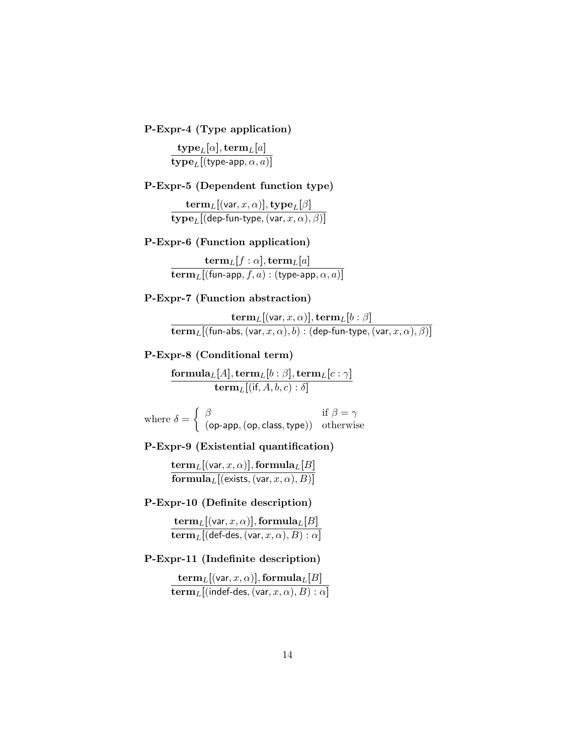P-Expr-4 (Type application)

 $\mathrm{type}_L[\alpha], \mathrm{term}_L[a]$  $\textbf{type}_L[(\texttt{type-app},\alpha,a)]$ 

## P-Expr-5 (Dependent function type)

 ${\bf term}_L[({\sf var}, x, \alpha)], {\bf type}_L[\beta]$  $\textbf{type}_L[(\textsf{dep-fun-type},(\textsf{var}, x, \alpha), \beta)]$ 

## P-Expr-6 (Function application)

 ${\bf term}_L[f:\alpha],{\bf term}_L[a]$  $\mathbf{term}_L[(\mathsf{fun}\text{-}\mathsf{app}, f, a):(\mathsf{type}\text{-}\mathsf{app}, \alpha, a)]$ 

## P-Expr-7 (Function abstraction)

 $\mathbf{term}_L[(\mathsf{var},x,\alpha)],\mathbf{term}_L[b:\beta]$  $\mathbf{term}_L[(\mathsf{fun}\text{-}\mathsf{abs},(\mathsf{var}, x, \alpha), b) : (\mathsf{dep}\text{-}\mathsf{fun}\text{-}\mathsf{type},(\mathsf{var}, x, \alpha), \beta)]$ 

## P-Expr-8 (Conditional term)

 $\mathbf{formula}_L[A], \mathbf{term}_L[b:\beta], \mathbf{term}_L[c:\gamma]$  $\mathbf{term}_L[(\mathsf{if}, A, b, c) : \delta]$ 

where  $\delta = \begin{cases} \beta & \text{if } \beta = \gamma \\ \beta & \text{otherwise} \end{cases}$ (op-app,(op, class,type)) otherwise

P-Expr-9 (Existential quantification)

 ${\bf term}_L[({\sf var}, x, \alpha)], {\bf formula}_L[B]$  ${\bf formula}_L[$ (exists,  $({\sf var}, x, \alpha), B)]$ 

## P-Expr-10 (Definite description)

 ${\bf term}_L[({\sf var}, x, \alpha)], {\bf formula}_L[B]$  $\mathbf{term}_L[(\mathsf{def-des},(\mathsf{var},x,\alpha),B):\alpha]$ 

## P-Expr-11 (Indefinite description)

 ${\bf term}_L[({\sf var}, x, \alpha)], {\bf formula}_L[B]$  $\mathbf{term}_L[$ (indef-des, (var,  $x, \alpha), B) : \alpha]$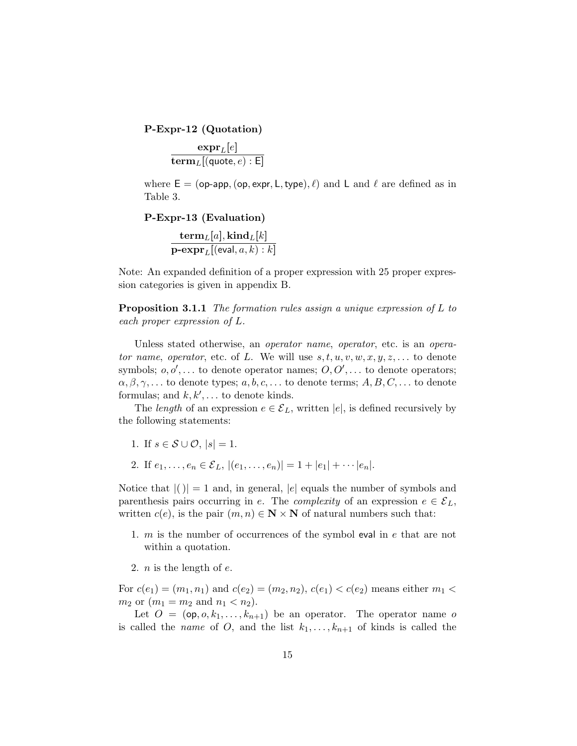P-Expr-12 (Quotation)

 $\mathrm{expr}_L[e]$  ${\bf term}_L[({\sf quote},e) : {\sf E}]$ 

where  $E = (op-app, (op, expr, L, type), \ell)$  and L and  $\ell$  are defined as in Table 3.

P-Expr-13 (Evaluation)

 ${\bf term}_L[a], {\bf kind}_L[k]$  $\textbf{p-expr}_L[(\textsf{eval}, a, k) : k]$ 

Note: An expanded definition of a proper expression with 25 proper expression categories is given in appendix B.

Proposition 3.1.1 The formation rules assign a unique expression of L to each proper expression of L.

Unless stated otherwise, an operator name, operator, etc. is an operator name, operator, etc. of L. We will use  $s, t, u, v, w, x, y, z, \ldots$  to denote symbols;  $o, o', \ldots$  to denote operator names;  $O, O', \ldots$  to denote operators;  $\alpha, \beta, \gamma, \ldots$  to denote types;  $a, b, c, \ldots$  to denote terms;  $A, B, C, \ldots$  to denote formulas; and  $k, k', \ldots$  to denote kinds.

The length of an expression  $e \in \mathcal{E}_L$ , written |e|, is defined recursively by the following statements:

- 1. If  $s \in \mathcal{S} \cup \mathcal{O}, |s| = 1$ .
- 2. If  $e_1, \ldots, e_n \in \mathcal{E}_L$ ,  $|(e_1, \ldots, e_n)| = 1 + |e_1| + \cdots + |e_n|$ .

Notice that  $|()|=1$  and, in general,  $|e|$  equals the number of symbols and parenthesis pairs occurring in e. The complexity of an expression  $e \in \mathcal{E}_L$ , written  $c(e)$ , is the pair  $(m, n) \in \mathbb{N} \times \mathbb{N}$  of natural numbers such that:

- 1. m is the number of occurrences of the symbol eval in e that are not within a quotation.
- 2. *n* is the length of  $e$ .

For  $c(e_1) = (m_1, n_1)$  and  $c(e_2) = (m_2, n_2), c(e_1) < c(e_2)$  means either  $m_1$  $m_2$  or  $(m_1 = m_2 \text{ and } n_1 < n_2).$ 

Let  $O = (\mathsf{op}, o, k_1, \ldots, k_{n+1})$  be an operator. The operator name o is called the *name* of O, and the list  $k_1, \ldots, k_{n+1}$  of kinds is called the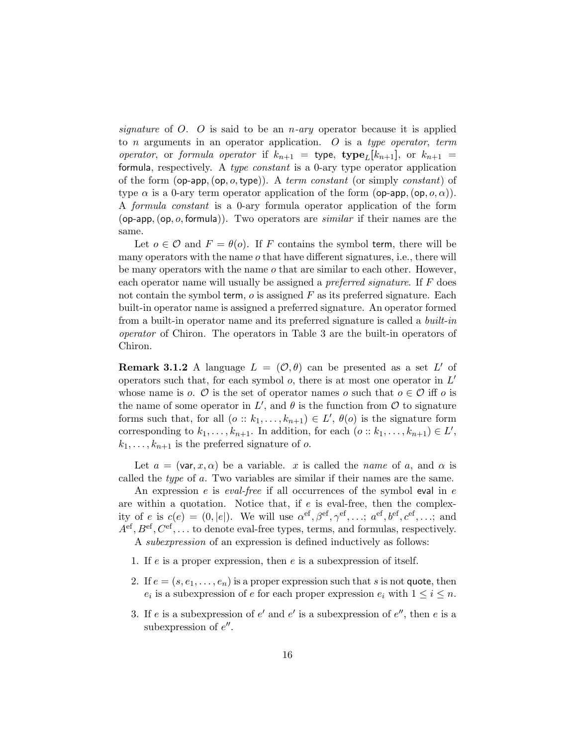signature of O. O is said to be an *n*-ary operator because it is applied to *n* arguments in an operator application. O is a type operator, term operator, or formula operator if  $k_{n+1}$  = type, type<sub>L</sub>[k<sub>n+1</sub>], or  $k_{n+1}$  = formula, respectively. A type constant is a 0-ary type operator application of the form  $(op\text{-}app, (op, o, type))$ . A term constant (or simply constant) of type  $\alpha$  is a 0-ary term operator application of the form (op-app,  $(\textsf{op}, o, \alpha)$ ). A formula constant is a 0-ary formula operator application of the form (op-app,  $(op, o, formula)$ ). Two operators are *similar* if their names are the same.

Let  $o \in \mathcal{O}$  and  $F = \theta(o)$ . If F contains the symbol term, there will be many operators with the name  $o$  that have different signatures, i.e., there will be many operators with the name o that are similar to each other. However, each operator name will usually be assigned a preferred signature. If F does not contain the symbol term,  $o$  is assigned  $F$  as its preferred signature. Each built-in operator name is assigned a preferred signature. An operator formed from a built-in operator name and its preferred signature is called a *built-in* operator of Chiron. The operators in Table 3 are the built-in operators of Chiron.

**Remark 3.1.2** A language  $L = (\mathcal{O}, \theta)$  can be presented as a set L' of operators such that, for each symbol  $o$ , there is at most one operator in  $L'$ whose name is o.  $\mathcal O$  is the set of operator names o such that  $o \in \mathcal O$  iff o is the name of some operator in  $L'$ , and  $\theta$  is the function from  $\mathcal O$  to signature forms such that, for all  $(o:: k_1, \ldots, k_{n+1}) \in L'$ ,  $\theta(o)$  is the signature form corresponding to  $k_1, \ldots, k_{n+1}$ . In addition, for each  $(o:: k_1, \ldots, k_{n+1}) \in L'$ ,  $k_1, \ldots, k_{n+1}$  is the preferred signature of o.

Let  $a = (\text{var}, x, \alpha)$  be a variable. x is called the name of a, and  $\alpha$  is called the type of a. Two variables are similar if their names are the same.

An expression  $e$  is *eval-free* if all occurrences of the symbol eval in  $e$ are within a quotation. Notice that, if  $e$  is eval-free, then the complexity of e is  $c(e) = (0, |e|)$ . We will use  $\alpha^{\text{ef}}, \beta^{\text{ef}}, \gamma^{\text{ef}}, \ldots; \alpha^{\text{ef}}, b^{\text{ef}}, c^{\text{ef}}, \ldots;$  and  $A<sup>ef</sup>, B<sup>ef</sup>, C<sup>ef</sup>, \ldots$  to denote eval-free types, terms, and formulas, respectively. A subexpression of an expression is defined inductively as follows:

- 1. If e is a proper expression, then e is a subexpression of itself.
- 2. If  $e = (s, e_1, \ldots, e_n)$  is a proper expression such that s is not quote, then  $e_i$  is a subexpression of e for each proper expression  $e_i$  with  $1 \leq i \leq n$ .
- 3. If e is a subexpression of  $e'$  and  $e'$  is a subexpression of  $e''$ , then e is a subexpression of  $e''$ .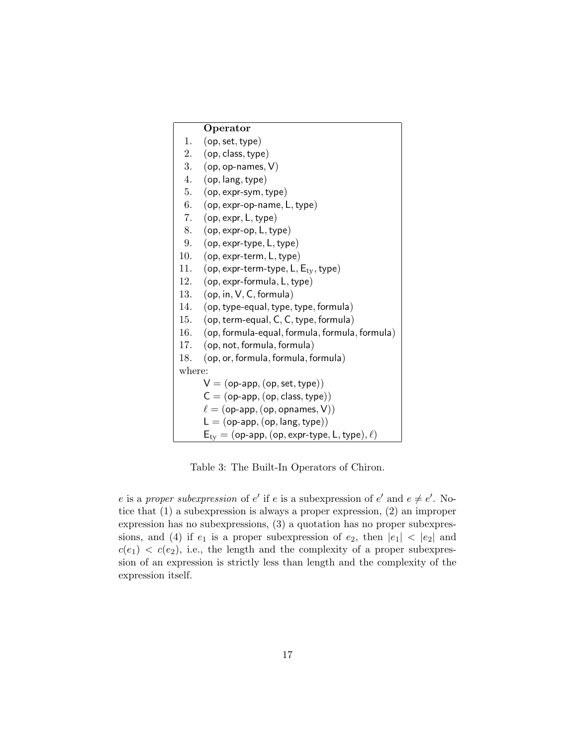|        | Operator                                       |
|--------|------------------------------------------------|
| 1.     | (op, set, type)                                |
|        | 2. (op, class, type)                           |
|        | 3. $(op, op-names, V)$                         |
| 4.     | (op, lang, type)                               |
| 5.     | $(op, expr-sym, type)$                         |
| 6.     | $(op, expr-op-name, L, type)$                  |
| 7.     | (op, expr, L, type)                            |
| 8.     | $(op, expr-op, L, type)$                       |
| 9.     | (op, expr-type, L, type)                       |
| 10.    | $(op, expr-term, L, type)$                     |
| 11.    | (op, expr-term-type, $L, E_{tv}$ , type)       |
| 12.    | $(op, expr-formula, L, type)$                  |
| 13.    | (op, in, V, C, formula)                        |
| 14.    | (op, type-equal, type, type, formula)          |
| 15.    | $(op, term-equal, C, C, type, formula)$        |
| 16.    | (op, formula-equal, formula, formula, formula) |
| 17.    | (op, not, formula, formula)                    |
| 18.    | (op, or, formula, formula, formula)            |
| where: |                                                |
|        | $V = (op-app, (op, set, type))$                |
|        | $C = (op-app, (op, class, type))$              |
|        | $\ell =$ (op-app, (op, opnames, V))            |
|        | $L = (op-app, (op, lang, type))$               |

Table 3: The Built-In Operators of Chiron.

 $E_{ty} = (op-app, (op, expr-type, L, type), \ell)$ 

e is a proper subexpression of e' if e is a subexpression of e' and  $e \neq e'$ . Notice that (1) a subexpression is always a proper expression, (2) an improper expression has no subexpressions, (3) a quotation has no proper subexpressions, and (4) if  $e_1$  is a proper subexpression of  $e_2$ , then  $|e_1| < |e_2|$  and  $c(e_1) < c(e_2)$ , i.e., the length and the complexity of a proper subexpression of an expression is strictly less than length and the complexity of the expression itself.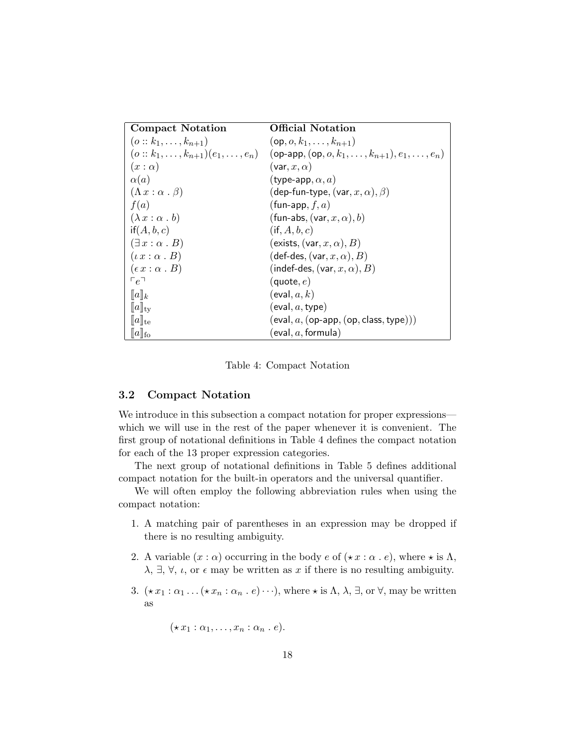| <b>Compact Notation</b>            | Official Notation                                                                    |
|------------------------------------|--------------------------------------------------------------------------------------|
| $(o:: k_1, \ldots, k_{n+1})$       | $(op, o, k_1, \ldots, k_{n+1})$                                                      |
|                                    | $(o:: k_1, , k_{n+1})(e_1, , e_n)$ (op-app, $(op, o, k_1, , k_{n+1}), e_1, , e_n)$ ) |
| $(x:\alpha)$                       | $(\mathsf{var}, x, \alpha)$                                                          |
| $\alpha(a)$                        | (type-app, $\alpha, a$ )                                                             |
| $(\Lambda x : \alpha \cdot \beta)$ | (dep-fun-type, $(\text{var}, x, \alpha), \beta)$ )                                   |
| f(a)                               | (fun-app, $f, a$ )                                                                   |
| $(\lambda x : \alpha b)$           | (fun-abs, $(\text{var}, x, \alpha)$ , b)                                             |
| if(A, b, c)                        | $(i\mathsf{f},A,b,c)$                                                                |
| $(\exists x : \alpha \cdot B)$     | (exists, $(\text{var}, x, \alpha)$ , B)                                              |
| $(\iota x : \alpha \cdot B)$       | $(\mathsf{def}\text{-}\mathsf{des}, (\mathsf{var}, x, \alpha), B)$                   |
| $(\epsilon x : \alpha \cdot B)$    | $(indef-des, (var, x, \alpha), B)$                                                   |
| $\Gamma e^{\Box}$                  | (quote, $e$ )                                                                        |
| $[[a]]_k$                          | $(\mathsf{eval}, a, k)$                                                              |
| $[\![a]\!]_{\mathrm{tv}}$          | $(\mathsf{eval},a,\mathsf{type})$                                                    |
| $[a]_{te}$                         | $(eval, a, (op-app, (op, class, type)))$                                             |
| $  a  _{\text{fo}}$                | (eval, $a,$ formula)                                                                 |

Table 4: Compact Notation

## 3.2 Compact Notation

We introduce in this subsection a compact notation for proper expressions which we will use in the rest of the paper whenever it is convenient. The first group of notational definitions in Table 4 defines the compact notation for each of the 13 proper expression categories.

The next group of notational definitions in Table 5 defines additional compact notation for the built-in operators and the universal quantifier.

We will often employ the following abbreviation rules when using the compact notation:

- 1. A matching pair of parentheses in an expression may be dropped if there is no resulting ambiguity.
- 2. A variable  $(x : \alpha)$  occurring in the body  $e$  of  $(\star x : \alpha \cdot e)$ , where  $\star$  is  $\Lambda$ ,  $\lambda$ ,  $\exists$ ,  $\forall$ ,  $\iota$ , or  $\epsilon$  may be written as x if there is no resulting ambiguity.
- 3.  $(\star x_1 : \alpha_1 \dots (\star x_n : \alpha_n \dots e) \dots)$ , where  $\star$  is  $\Lambda$ ,  $\lambda$ ,  $\exists$ , or  $\forall$ , may be written as

 $(\star x_1 : \alpha_1, \ldots, x_n : \alpha_n \cdot e).$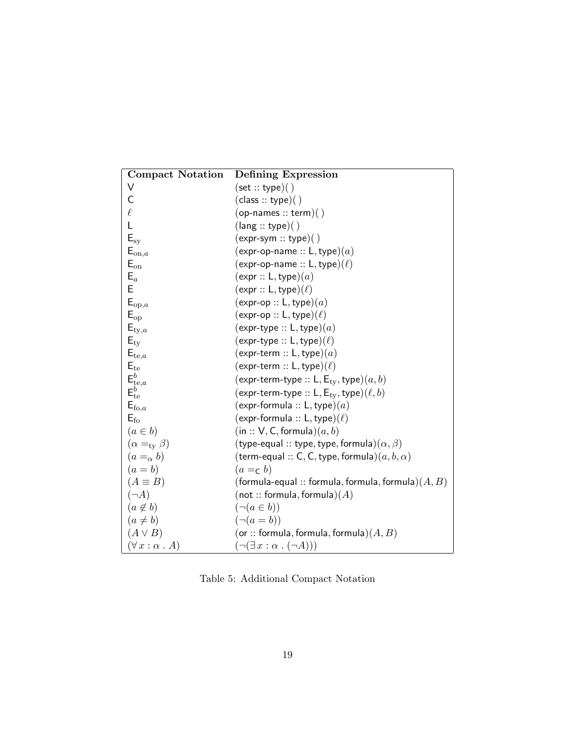| <b>Compact Notation</b>                                 | Defining Expression                                   |
|---------------------------------------------------------|-------------------------------------------------------|
| V                                                       | (set::type)( )                                        |
| C                                                       | (class::type)( )                                      |
| $\ell$                                                  | $(op{\text -}names::term)()$                          |
| L                                                       | (lang::type)()                                        |
| $\mathsf{E}_{\text{sy}}$                                | $(expr-sym :: type)( )$                               |
| $E_{\text{on},a}$                                       | (expr-op-name :: L, type) $(a)$                       |
| $E_{on}$                                                | $(exp$ -op-name :: L, type) $(\ell)$                  |
| $E_a$                                                   | (expr :: L, type)(a)                                  |
| Ë                                                       | $(expr :: L, type)(\ell)$                             |
| $E_{\mathrm{op},a}$                                     | $(\exp(-op:: L, type)(a))$                            |
| $E_{op}$                                                | $(exp \text{-} op :: L, type)(\ell)$                  |
| $E_{\text{ty},a}$                                       | $(expr-type::L,type)(a)$                              |
| $E_{\rm ty}$                                            | $(expr-type::L, type)(\ell)$                          |
| $E_{te,a}$                                              | $(expr-term :: L, type)(a)$                           |
| $E_{te}$                                                | $(expr-term :: L, type)(\ell)$                        |
|                                                         | $(expr-term-type :: L, E_{tv}, type)(a, b)$           |
| $\mathsf{E}_{\text{te},a}^b$ $\mathsf{E}_{\text{te}}^b$ | $(expr-term-type :: L, E_{tv}, type)(\ell, b)$        |
| $E_{\mathrm{fo},a}$                                     | $(expr-formula :: L, type)(a)$                        |
| $E_{\rm fo}$                                            | $(expr-formula :: L, type)(\ell)$                     |
| $(a \in b)$                                             | (in :: V, C, formula)(a, b)                           |
| $(\alpha =_{\rm ty} \beta)$                             | (type-equal :: type, type, formula) $(\alpha, \beta)$ |
| $(a=_\alpha b)$                                         | (term-equal :: C, C, type, formula) $(a, b, \alpha)$  |
| $(a = b)$                                               | $(a =\sub{b})$                                        |
| $(A \equiv B)$                                          | (formula-equal :: formula, formula, formula) $(A, B)$ |
| $(\neg A)$                                              | $($ not :: formula, formula $)(A)$                    |
| $(a \notin b)$                                          | $(\neg (a \in b))$                                    |
| $(a \neq b)$                                            | $(\neg (a = b))$                                      |
| $(A \vee B)$                                            | (or :: formula, formula, formula) $(A, B)$            |
| $(\forall x : \alpha \cdot A)$                          | $(\neg(\exists x : \alpha \cdot (\neg A)))$           |

Table 5: Additional Compact Notation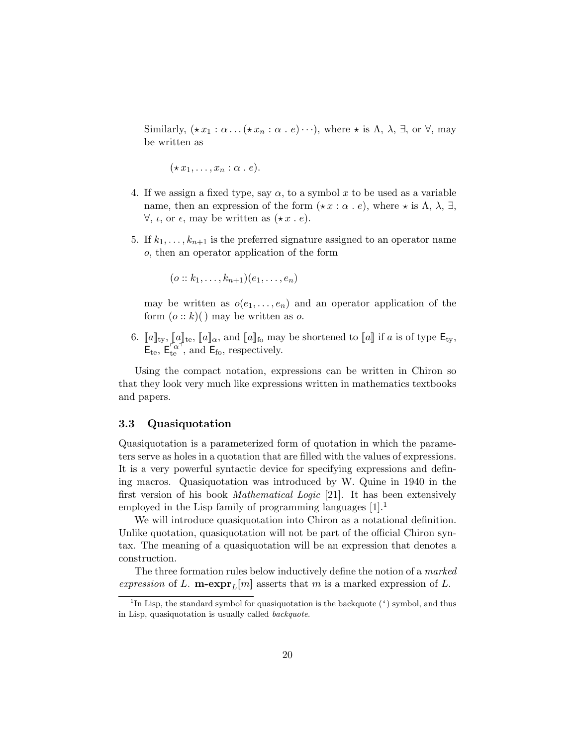Similarly,  $(\star x_1 : \alpha \dots (\star x_n : \alpha \cdot e) \dots)$ , where  $\star$  is  $\Lambda$ ,  $\lambda$ ,  $\exists$ , or  $\forall$ , may be written as

 $(\star x_1, \ldots, x_n : \alpha \cdot e).$ 

- 4. If we assign a fixed type, say  $\alpha$ , to a symbol x to be used as a variable name, then an expression of the form  $(\star x : \alpha \cdot e)$ , where  $\star$  is  $\Lambda$ ,  $\lambda$ ,  $\exists$ ,  $\forall$ ,  $\iota$ , or  $\epsilon$ , may be written as  $(\star x \cdot e)$ .
- 5. If  $k_1, \ldots, k_{n+1}$  is the preferred signature assigned to an operator name o, then an operator application of the form

 $(o:: k_1, \ldots, k_{n+1})(e_1, \ldots, e_n)$ 

may be written as  $o(e_1, \ldots, e_n)$  and an operator application of the form  $(o:: k)()$  may be written as o.

6.  $[\![a]\!]_{\text{ty}}, [\![a]\!]_{\text{te}}, [\![a]\!]_{\alpha}$ , and  $[\![a]\!]_{\text{fo}}$  may be shortened to  $[\![a]\!]$  if a is of type  $\mathsf{E}_{\text{ty}}$ ,  $\mathsf{E}_{\text{te}}$ ,  $\mathsf{E}_{\text{te}}^{\left[\alpha\right]}$ , and  $\mathsf{E}_{\text{fo}}$ , respectively.

Using the compact notation, expressions can be written in Chiron so that they look very much like expressions written in mathematics textbooks and papers.

## 3.3 Quasiquotation

Quasiquotation is a parameterized form of quotation in which the parameters serve as holes in a quotation that are filled with the values of expressions. It is a very powerful syntactic device for specifying expressions and defining macros. Quasiquotation was introduced by W. Quine in 1940 in the first version of his book *Mathematical Logic* [21]. It has been extensively employed in the Lisp family of programming languages  $[1]$ .<sup>1</sup>

We will introduce quasiquotation into Chiron as a notational definition. Unlike quotation, quasiquotation will not be part of the official Chiron syntax. The meaning of a quasiquotation will be an expression that denotes a construction.

The three formation rules below inductively define the notion of a marked expression of L. **m**-expr<sub>L</sub>[m] asserts that m is a marked expression of L.

<sup>&</sup>lt;sup>1</sup>In Lisp, the standard symbol for quasiquotation is the backquote  $(')$  symbol, and thus in Lisp, quasiquotation is usually called backquote.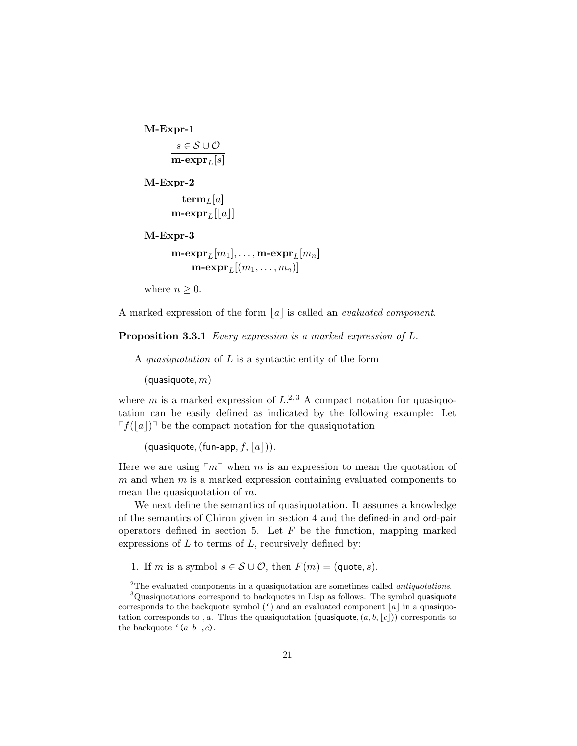M-Expr-1  $s \in \mathcal{S} \cup \mathcal{O}$ m-expr $_L[s]$ 

M-Expr-2  $\mathbf{term}_L[a]$ 

$$
\overline{\mathbf{m}\text{-}\mathrm{expr}_L[\lfloor a\rfloor]}
$$

M-Expr-3

 $\mathbf{m}\text{-}\mathbf{expr}_L[m_1], \ldots, \mathbf{m}\text{-}\mathbf{expr}_L[m_n]$  $\mathrm{\mathbf{m}\text{-}expr}_L[(m_1,\ldots,m_n)]$ 

where  $n \geq 0$ .

A marked expression of the form  $|a|$  is called an *evaluated component*.

Proposition 3.3.1 Every expression is a marked expression of L.

A *quasiquotation* of  $L$  is a syntactic entity of the form

 $(quasiquote, m)$ 

where m is a marked expression of  $L^{2,3}$  A compact notation for quasiquotation can be easily defined as indicated by the following example: Let  $\lceil f(|a|) \rceil$  be the compact notation for the quasiquotation

(quasiquote, (fun-app,  $f, |a|$ )).

Here we are using  $\lceil m \rceil$  when m is an expression to mean the quotation of  $m$  and when  $m$  is a marked expression containing evaluated components to mean the quasiquotation of m.

We next define the semantics of quasiquotation. It assumes a knowledge of the semantics of Chiron given in section 4 and the defined-in and ord-pair operators defined in section 5. Let  $F$  be the function, mapping marked expressions of  $L$  to terms of  $L$ , recursively defined by:

1. If m is a symbol  $s \in \mathcal{S} \cup \mathcal{O}$ , then  $F(m) = (\text{quote}, s)$ .

<sup>&</sup>lt;sup>2</sup>The evaluated components in a quasiquotation are sometimes called *antiquotations*.

<sup>&</sup>lt;sup>3</sup>Quasiquotations correspond to backquotes in Lisp as follows. The symbol quasiquote corresponds to the backquote symbol  $(')$  and an evaluated component  $|a|$  in a quasiquotation corresponds to , a. Thus the quasiquotation (quasiquote,  $(a, b, |c|)$ ) corresponds to the backquote  $(a, b, c)$ .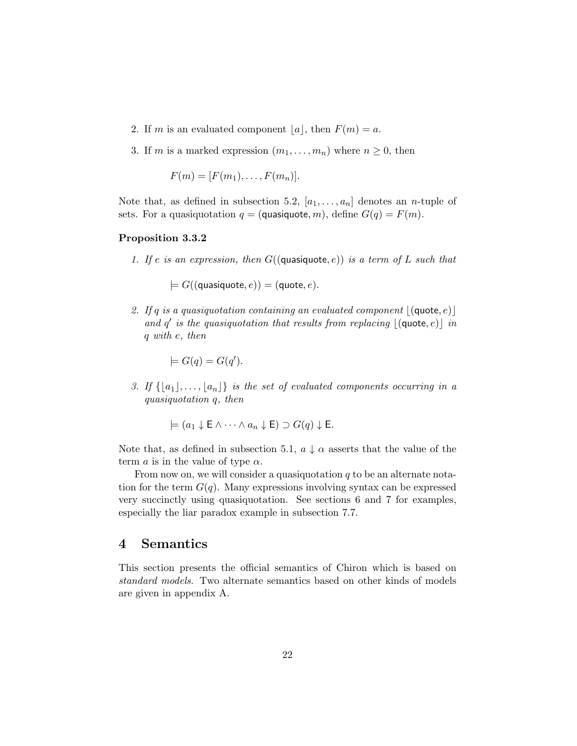- 2. If m is an evaluated component  $|a|$ , then  $F(m) = a$ .
- 3. If m is a marked expression  $(m_1, \ldots, m_n)$  where  $n \geq 0$ , then

$$
F(m) = [F(m_1), \ldots, F(m_n)].
$$

Note that, as defined in subsection 5.2,  $[a_1, \ldots, a_n]$  denotes an *n*-tuple of sets. For a quasiquotation  $q = ($ quasiquote, m $)$ , define  $G(q) = F(m)$ .

## Proposition 3.3.2

1. If e is an expression, then  $G(($ quasiquote, e)) is a term of L such that

 $\models G((\text{quasiquote}, e)) = (\text{quote}, e).$ 

2. If q is a quasiquotation containing an evaluated component  $|(\text{quote}, e)|$ and  $q'$  is the quasiquotation that results from replacing  $|(\text{quote}, e)|$  in q with e, then

$$
\models G(q) = G(q').
$$

3. If  $\{|a_1|, \ldots, |a_n|\}$  is the set of evaluated components occurring in a quasiquotation q, then

$$
\models (a_1 \downarrow \mathsf{E} \land \cdots \land a_n \downarrow \mathsf{E}) \supset G(q) \downarrow \mathsf{E}.
$$

Note that, as defined in subsection 5.1,  $a \downarrow \alpha$  asserts that the value of the term *a* is in the value of type  $\alpha$ .

From now on, we will consider a quasiquotation  $q$  to be an alternate notation for the term  $G(q)$ . Many expressions involving syntax can be expressed very succinctly using quasiquotation. See sections 6 and 7 for examples, especially the liar paradox example in subsection 7.7.

## 4 Semantics

This section presents the official semantics of Chiron which is based on standard models. Two alternate semantics based on other kinds of models are given in appendix A.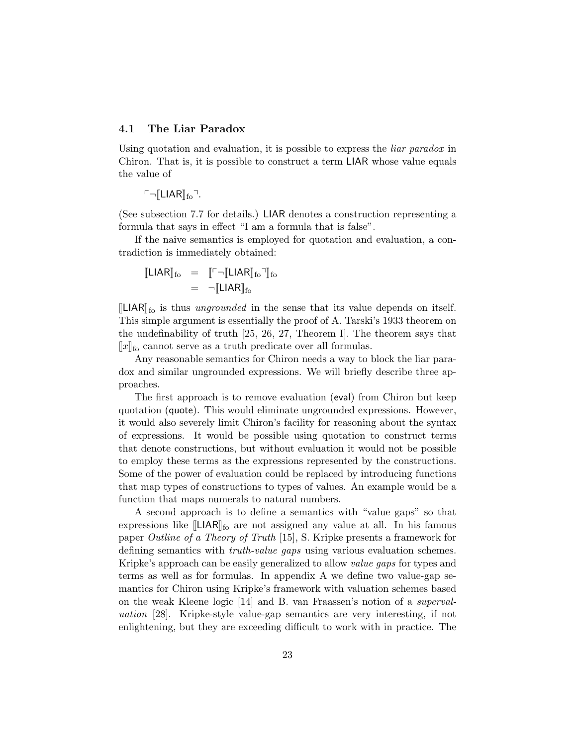## 4.1 The Liar Paradox

Using quotation and evaluation, it is possible to express the *liar paradox* in Chiron. That is, it is possible to construct a term LIAR whose value equals the value of

 $\ulcorner \neg \llbracket LIAR \rrbracket_{\text{fo}}$ .

(See subsection 7.7 for details.) LIAR denotes a construction representing a formula that says in effect "I am a formula that is false".

If the naive semantics is employed for quotation and evaluation, a contradiction is immediately obtained:

$$
\begin{array}{rcl} \llbracket \mathsf{LIAR} \rrbracket_{\mathrm{fo}} & = & \llbracket \ulcorner \neg \llbracket \mathsf{LIAR} \rrbracket_{\mathrm{fo}} \urcorner \rrbracket_{\mathrm{fo}} \\ & = & \neg \llbracket \mathsf{LIAR} \rrbracket_{\mathrm{fo}} \end{array}
$$

 $\llbracket$ LIAR $\rrbracket$ <sub>fo</sub> is thus *ungrounded* in the sense that its value depends on itself. This simple argument is essentially the proof of A. Tarski's 1933 theorem on the undefinability of truth [25, 26, 27, Theorem I]. The theorem says that  $\lbrack x \rbrack$ <sub>fo</sub> cannot serve as a truth predicate over all formulas.

Any reasonable semantics for Chiron needs a way to block the liar paradox and similar ungrounded expressions. We will briefly describe three approaches.

The first approach is to remove evaluation (eval) from Chiron but keep quotation (quote). This would eliminate ungrounded expressions. However, it would also severely limit Chiron's facility for reasoning about the syntax of expressions. It would be possible using quotation to construct terms that denote constructions, but without evaluation it would not be possible to employ these terms as the expressions represented by the constructions. Some of the power of evaluation could be replaced by introducing functions that map types of constructions to types of values. An example would be a function that maps numerals to natural numbers.

A second approach is to define a semantics with "value gaps" so that expressions like  $\llbracket L IAR \rrbracket_{\text{fo}}$  are not assigned any value at all. In his famous paper Outline of a Theory of Truth [15], S. Kripke presents a framework for defining semantics with truth-value gaps using various evaluation schemes. Kripke's approach can be easily generalized to allow value gaps for types and terms as well as for formulas. In appendix A we define two value-gap semantics for Chiron using Kripke's framework with valuation schemes based on the weak Kleene logic [14] and B. van Fraassen's notion of a supervaluation [28]. Kripke-style value-gap semantics are very interesting, if not enlightening, but they are exceeding difficult to work with in practice. The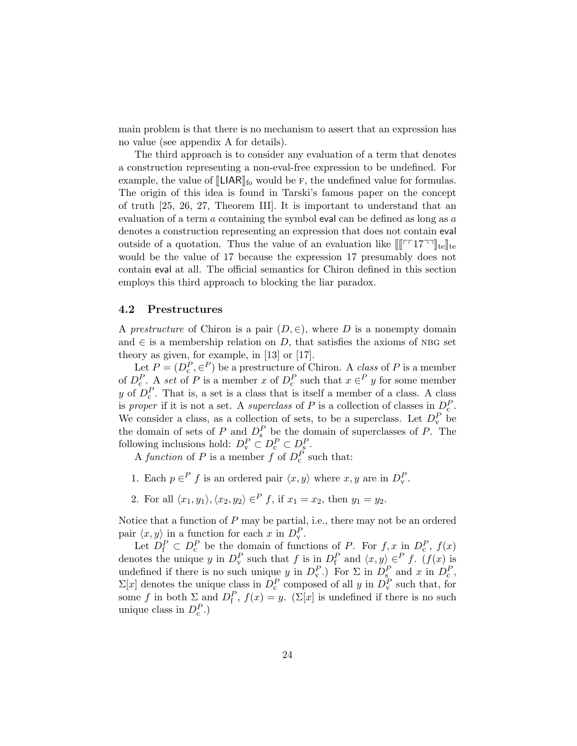main problem is that there is no mechanism to assert that an expression has no value (see appendix A for details).

The third approach is to consider any evaluation of a term that denotes a construction representing a non-eval-free expression to be undefined. For example, the value of  $\llbracket L|AR \rrbracket_{\text{fo}}$  would be F, the undefined value for formulas. The origin of this idea is found in Tarski's famous paper on the concept of truth [25, 26, 27, Theorem III]. It is important to understand that an evaluation of a term a containing the symbol eval can be defined as long as  $a$ denotes a construction representing an expression that does not contain eval outside of a quotation. Thus the value of an evaluation like  $[[\ulcorner \ulcorner \ulcorner 17 \urcorner \urcorner]_{te}]\rvert_{te}$ would be the value of 17 because the expression 17 presumably does not contain eval at all. The official semantics for Chiron defined in this section employs this third approach to blocking the liar paradox.

## 4.2 Prestructures

A prestructure of Chiron is a pair  $(D, \in)$ , where D is a nonempty domain and  $\in$  is a membership relation on D, that satisfies the axioms of NBG set theory as given, for example, in [13] or [17].

Let  $P = (D_c^P, \in^P)$  be a prestructure of Chiron. A *class* of P is a member Let  $F = (D_c, \infty)$  be a prestructure of Chifon. A class of F is a member<br>of  $D_c^P$ . A set of P is a member x of  $D_c^P$  such that  $x \in C$  y for some member y of  $D_c^P$ . That is, a set is a class that is itself a member of a class. A class is proper if it is not a set. A superclass of P is a collection of classes in  $D_c^P$ . We consider a class, as a collection of sets, to be a superclass. Let  $D_{\rm v}^P$  be the domain of sets of P and  $D_s^P$  be the domain of superclasses of P. The following inclusions hold:  $D_v^P \subset D_{\rm s}^P$ .

A function of P is a member f of  $D_c^P$  such that:

- 1. Each  $p \in^P f$  is an ordered pair  $\langle x, y \rangle$  where  $x, y$  are in  $D_v^P$ .
- 2. For all  $\langle x_1, y_1 \rangle$ ,  $\langle x_2, y_2 \rangle \in P$  f, if  $x_1 = x_2$ , then  $y_1 = y_2$ .

Notice that a function of P may be partial, i.e., there may not be an ordered pair  $\langle x, y \rangle$  in a function for each x in  $D_v^P$ .

Let  $D_f^P \subset D_c^P$  be the domain of functions of P. For  $f, x$  in  $D_c^P, f(x)$ denotes the unique y in  $D_v^P$  such that f is in  $D_f^P$  and  $\langle x, y \rangle \in P$  f.  $(f(x))$  is undefined if there is no such unique y in  $D_{\rm v}^P$ .) For  $\Sigma$  in  $D_{\rm s}^P$  and x in  $D_{\rm c}^P$ ,  $\Sigma[x]$  denotes the unique class in  $D_c^P$  composed of all y in  $D_v^P$  such that, for some f in both  $\Sigma$  and  $D_f^P$ ,  $f(x) = y$ . ( $\Sigma[x]$  is undefined if there is no such unique class in  $D_c^P$ .)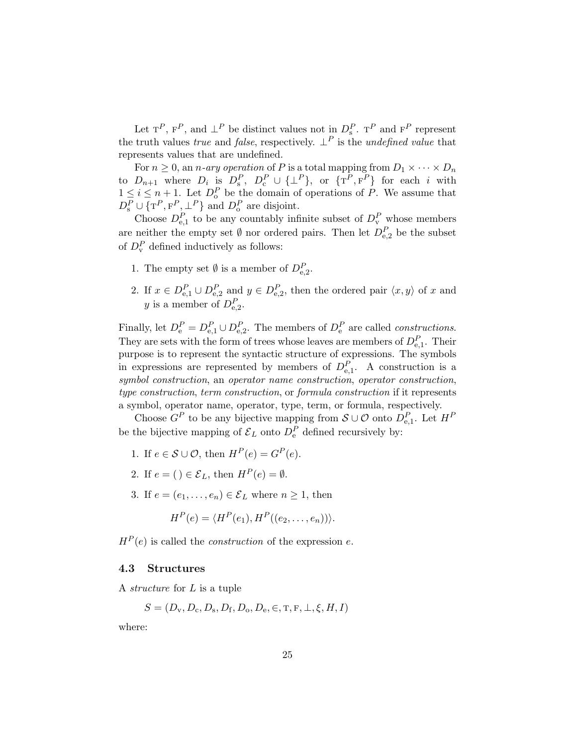Let  $T^P$ ,  $F^P$ , and  $\perp^P$  be distinct values not in  $D_s^P$ .  $T^P$  and  $F^P$  represent the truth values *true* and *false*, respectively.  $\perp^P$  is the *undefined value* that represents values that are undefined.

For  $n \geq 0$ , an *n*-ary operation of P is a total mapping from  $D_1 \times \cdots \times D_n$ to  $D_{n+1}$  where  $D_i$  is  $D_s^P$ ,  $D_c^P \cup {\{\perp^P\}}$ , or  ${\{\text{T}^P,\text{F}^P\}}$  for each i with  $1 \leq i \leq n+1$ . Let  $D_0^P$  be the domain of operations of P. We assume that  $D_{\rm s}^P \cup {\{\rm T}^P, {\rm F}^P, \perp^P\}$  and  $D_{\rm o}^P$  are disjoint.

Choose  $D_{e,1}^P$  to be any countably infinite subset of  $D_v^P$  whose members are neither the empty set  $\emptyset$  nor ordered pairs. Then let  $D_{e,2}^P$  be the subset of  $D_v^P$  defined inductively as follows:

- 1. The empty set  $\emptyset$  is a member of  $D_{e,2}^P$ .
- 2. If  $x \in D_{e,1}^P \cup D_{e,2}^P$  and  $y \in D_{e,2}^P$ , then the ordered pair  $\langle x, y \rangle$  of x and y is a member of  $D_{e,2}^P$ .

Finally, let  $D_e^P = D_{e,1}^P \cup D_{e,2}^P$ . The members of  $D_e^P$  are called *constructions*. They are sets with the form of trees whose leaves are members of  $D_{e,1}^P$ . Their purpose is to represent the syntactic structure of expressions. The symbols in expressions are represented by members of  $D_{e,1}^P$ . A construction is a symbol construction, an operator name construction, operator construction, type construction, term construction, or formula construction if it represents a symbol, operator name, operator, type, term, or formula, respectively.

Choose  $G^P$  to be any bijective mapping from  $\mathcal{S} \cup \mathcal{O}$  onto  $D_{e,1}^P$ . Let  $H^P$ be the bijective mapping of  $\mathcal{E}_L$  onto  $D_e^P$  defined recursively by:

- 1. If  $e \in \mathcal{S} \cup \mathcal{O}$ , then  $H^P(e) = G^P(e)$ .
- 2. If  $e = () \in \mathcal{E}_L$ , then  $H^P(e) = \emptyset$ .
- 3. If  $e = (e_1, \ldots, e_n) \in \mathcal{E}_L$  where  $n \geq 1$ , then

$$
H^{P}(e) = \langle H^{P}(e_1), H^{P}((e_2, \ldots, e_n)) \rangle.
$$

 $H^P(e)$  is called the *construction* of the expression e.

#### 4.3 Structures

A structure for L is a tuple

$$
S = (D_{\rm v}, D_{\rm c}, D_{\rm s}, D_{\rm f}, D_{\rm o}, D_{\rm e}, \in, T, F, \perp, \xi, H, I)
$$

where: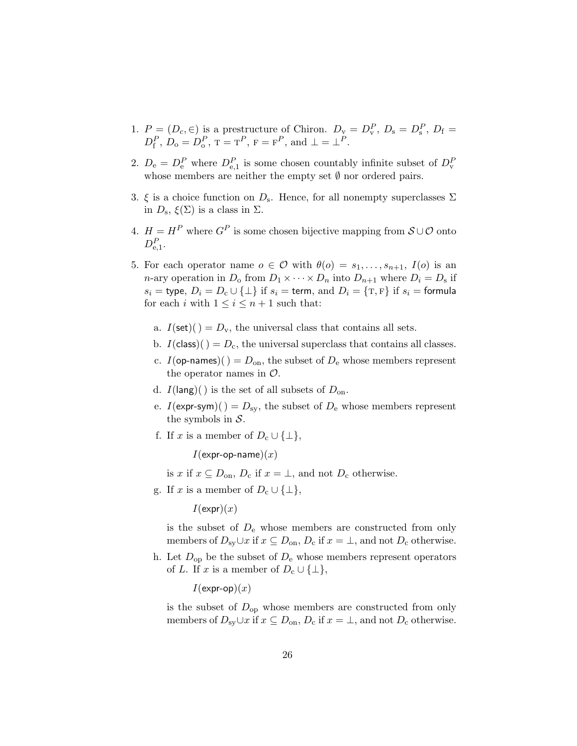- 1.  $P = (D_c, \in)$  is a prestructure of Chiron.  $D_v = D_v^P$ ,  $D_s = D_s^P$ ,  $D_f =$  $D_{\rm f}^P$ ,  $D_{\rm o} = D_{\rm o}^P$ ,  $T = T^P$ ,  $F = F^P$ , and  $\bot = \bot^P$ .
- 2.  $D_e = D_e^P$  where  $D_{e,1}^P$  is some chosen countably infinite subset of  $D_v^P$ whose members are neither the empty set  $\emptyset$  nor ordered pairs.
- 3.  $\xi$  is a choice function on  $D_s$ . Hence, for all nonempty superclasses  $\Sigma$ in  $D_s$ ,  $\xi(\Sigma)$  is a class in  $\Sigma$ .
- 4.  $H = H^P$  where  $G^P$  is some chosen bijective mapping from  $S \cup \mathcal{O}$  onto  $D_{\mathrm{e},1}^{P}$ .
- 5. For each operator name  $o \in \mathcal{O}$  with  $\theta(o) = s_1, \ldots, s_{n+1}, I(o)$  is an *n*-ary operation in  $D_0$  from  $D_1 \times \cdots \times D_n$  into  $D_{n+1}$  where  $D_i = D_s$  if  $s_i =$  type,  $D_i = D_c \cup \{\perp\}$  if  $s_i =$  term, and  $D_i = \{\text{T}, \text{F}\}\$ if  $s_i =$  formula for each i with  $1 \leq i \leq n+1$  such that:
	- a.  $I(\text{set})(t) = D_v$ , the universal class that contains all sets.
	- b.  $I(\text{class})() = D_c$ , the universal superclass that contains all classes.
	- c.  $I(\text{op-names})() = D_{\text{on}}$ , the subset of  $D_{\text{e}}$  whose members represent the operator names in  $\mathcal{O}$ .
	- d.  $I(\text{lang})$  is the set of all subsets of  $D_{\text{on}}$ .
	- e.  $I(\text{expr-sym})() = D_{\text{sv}}$ , the subset of  $D_{\text{e}}$  whose members represent the symbols in  $S$ .
	- f. If x is a member of  $D_c \cup \{\perp\},\$

 $I$ (expr-op-name) $(x)$ 

is x if  $x \subseteq D_{\text{on}}$ ,  $D_{\text{c}}$  if  $x = \perp$ , and not  $D_{\text{c}}$  otherwise.

g. If x is a member of  $D_c \cup \{\perp\},\$ 

 $I(\exp(r)(x)$ 

is the subset of  $D<sub>e</sub>$  whose members are constructed from only members of  $D_{sy} \cup x$  if  $x \subseteq D_{\text{on}}$ ,  $D_{\text{c}}$  if  $x = \bot$ , and not  $D_{\text{c}}$  otherwise.

h. Let  $D_{op}$  be the subset of  $D_e$  whose members represent operators of L. If x is a member of  $D_c \cup \{\perp\},\$ 

 $I(\exp(-op(x)))$ 

is the subset of  $D_{op}$  whose members are constructed from only members of  $D_{sy} \cup x$  if  $x \subseteq D_{\text{on}}$ ,  $D_{\text{c}}$  if  $x = \bot$ , and not  $D_{\text{c}}$  otherwise.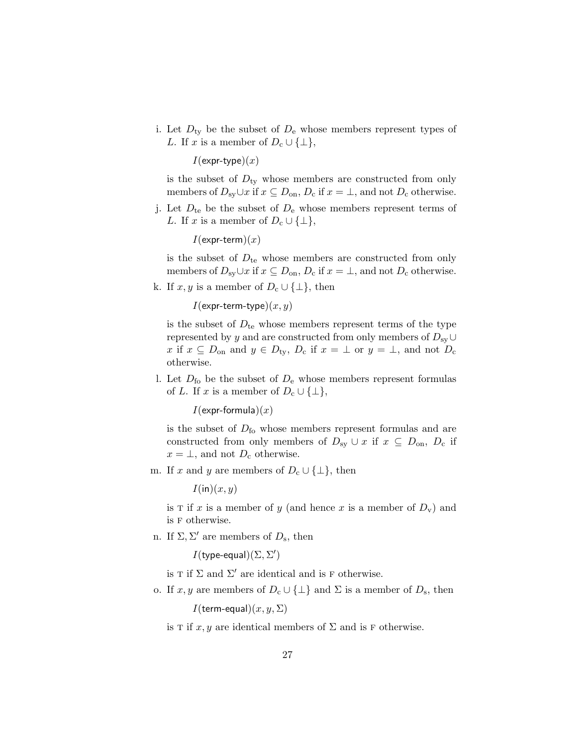i. Let  $D_{ty}$  be the subset of  $D_e$  whose members represent types of L. If x is a member of  $D_c \cup \{\perp\},\$ 

 $I$ (expr-type) $(x)$ 

is the subset of  $D_{\text{tv}}$  whose members are constructed from only members of  $D_{sy} \cup x$  if  $x \subseteq D_{\text{on}}$ ,  $D_{\text{c}}$  if  $x = \bot$ , and not  $D_{\text{c}}$  otherwise.

j. Let  $D_{te}$  be the subset of  $D_{e}$  whose members represent terms of L. If x is a member of  $D_c \cup {\{\perp\}},$ 

 $I$ (expr-term) $(x)$ 

is the subset of  $D_{te}$  whose members are constructed from only members of  $D_{sy} \cup x$  if  $x \subseteq D_{\text{on}}$ ,  $D_c$  if  $x = \bot$ , and not  $D_c$  otherwise.

k. If  $x, y$  is a member of  $D_c \cup {\{\perp\}}$ , then

 $I$ (expr-term-type) $(x, y)$ 

is the subset of  $D_{te}$  whose members represent terms of the type represented by y and are constructed from only members of  $D_{sy} \cup$ x if  $x \subseteq D_{\text{on}}$  and  $y \in D_{\text{ty}}$ ,  $D_{\text{c}}$  if  $x = \perp$  or  $y = \perp$ , and not  $D_{\text{c}}$ otherwise.

l. Let  $D_{\text{fo}}$  be the subset of  $D_{\text{e}}$  whose members represent formulas of L. If x is a member of  $D_c \cup \{\perp\},\$ 

 $I$ (expr-formula) $(x)$ 

is the subset of  $D_{\text{fo}}$  whose members represent formulas and are constructed from only members of  $D_{sy} \cup x$  if  $x \subseteq D_{\text{on}}$ ,  $D_c$  if  $x = \perp$ , and not  $D_c$  otherwise.

m. If x and y are members of  $D_c \cup \{\perp\}$ , then

 $I(\text{in})(x, y)$ 

is T if x is a member of y (and hence x is a member of  $D_v$ ) and is f otherwise.

n. If  $\Sigma, \Sigma'$  are members of  $D_s$ , then

 $I$ (type-equal) $(\Sigma, \Sigma')$ 

is T if  $\Sigma$  and  $\Sigma'$  are identical and is F otherwise.

o. If x, y are members of  $D_c \cup \{\perp\}$  and  $\Sigma$  is a member of  $D_s$ , then

 $I$ (term-equal) $(x, y, \Sigma)$ 

is T if x, y are identical members of  $\Sigma$  and is F otherwise.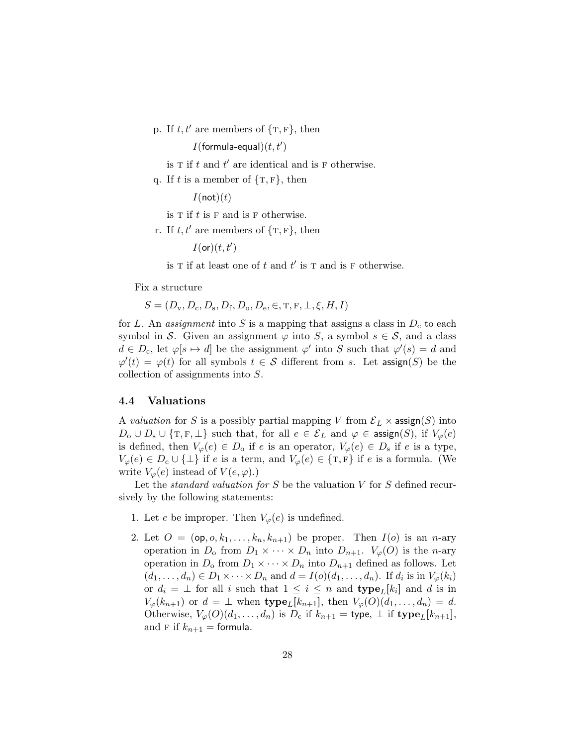p. If  $t, t'$  are members of  $\{\text{T}, \text{F}\}\text{, then}$ 

 $I(\text{formula-equal})(t, t')$ 

- is  $T$  if  $t$  and  $t'$  are identical and is  $F$  otherwise.
- q. If t is a member of  $\{\text{T}, \text{F}\}\text{, then}$

 $I($ not $)(t)$ 

is  $T$  if  $t$  is  $F$  and is  $F$  otherwise.

r. If  $t, t'$  are members of  $\{\text{T}, \text{F}\}\text{, then}$ 

```
I(\mathsf{or})(t,t')
```
is T if at least one of t and  $t'$  is T and is F otherwise.

Fix a structure

 $S = (D_{\rm v}, D_{\rm c}, D_{\rm s}, D_{\rm f}, D_{\rm o}, D_{\rm e}, \in, T, F, \perp, \xi, H, I)$ 

for L. An *assignment* into S is a mapping that assigns a class in  $D_c$  to each symbol in S. Given an assignment  $\varphi$  into S, a symbol  $s \in \mathcal{S}$ , and a class  $d \in D_c$ , let  $\varphi[s \mapsto d]$  be the assignment  $\varphi'$  into S such that  $\varphi'(s) = d$  and  $\varphi'(t) = \varphi(t)$  for all symbols  $t \in S$  different from s. Let assign(S) be the collection of assignments into S.

## 4.4 Valuations

A valuation for S is a possibly partial mapping V from  $\mathcal{E}_L \times \mathsf{assign}(S)$  into  $D_0 \cup D_s \cup \{T, F, \perp\}$  such that, for all  $e \in \mathcal{E}_L$  and  $\varphi \in \mathsf{assign}(S)$ , if  $V_\varphi(e)$ is defined, then  $V_{\varphi}(e) \in D_0$  if e is an operator,  $V_{\varphi}(e) \in D_s$  if e is a type,  $V_{\varphi}(e) \in D_c \cup \{\perp\}$  if e is a term, and  $V_{\varphi}(e) \in \{\text{T}, \text{F}\}\$ if e is a formula. (We write  $V_{\varphi}(e)$  instead of  $V(e, \varphi)$ .)

Let the *standard valuation for*  $S$  be the valuation  $V$  for  $S$  defined recursively by the following statements:

- 1. Let e be improper. Then  $V_{\varphi}(e)$  is undefined.
- 2. Let  $O = (\mathsf{op}, o, k_1, \ldots, k_n, k_{n+1})$  be proper. Then  $I(o)$  is an *n*-ary operation in  $D_0$  from  $D_1 \times \cdots \times D_n$  into  $D_{n+1}$ .  $V_{\varphi}(O)$  is the *n*-ary operation in  $D_0$  from  $D_1 \times \cdots \times D_n$  into  $D_{n+1}$  defined as follows. Let  $(d_1, \ldots, d_n) \in D_1 \times \cdots \times D_n$  and  $d = I(o)(d_1, \ldots, d_n)$ . If  $d_i$  is in  $V_{\varphi}(k_i)$ or  $d_i = \perp$  for all i such that  $1 \leq i \leq n$  and  $\textbf{type}_L[k_i]$  and is in  $V_{\varphi}(k_{n+1})$  or  $d = \perp$  when  $\textbf{type}_L[k_{n+1}],$  then  $V_{\varphi}(O)(d_1, \ldots, d_n) = d$ . Otherwise,  $V_{\varphi}(O)(d_1,\ldots,d_n)$  is  $D_c$  if  $k_{n+1} =$  type,  $\perp$  if type<sub>L</sub>[ $k_{n+1}$ ], and F if  $k_{n+1}$  = formula.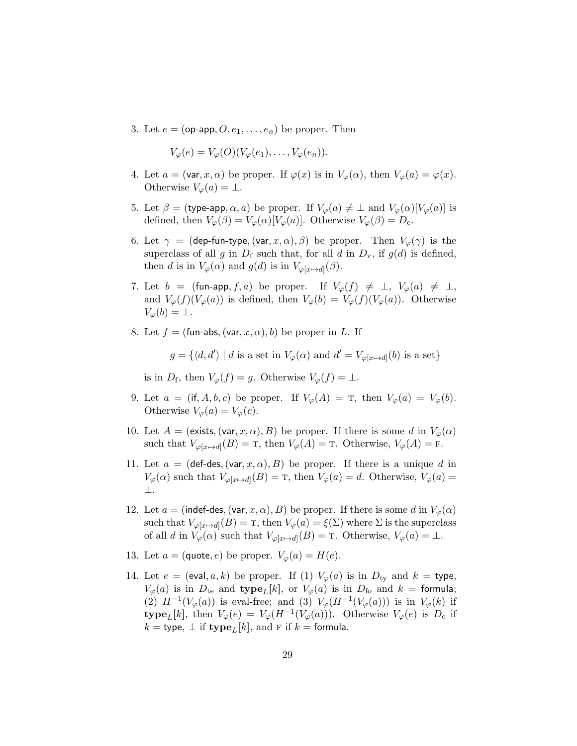3. Let  $e = (op-app, O, e_1, \ldots, e_n)$  be proper. Then

$$
V_{\varphi}(e) = V_{\varphi}(O)(V_{\varphi}(e_1), \ldots, V_{\varphi}(e_n)).
$$

- 4. Let  $a = (\text{var}, x, \alpha)$  be proper. If  $\varphi(x)$  is in  $V_{\varphi}(\alpha)$ , then  $V_{\varphi}(a) = \varphi(x)$ . Otherwise  $V_{\varphi}(a) = \perp$ .
- 5. Let  $\beta =$  (type-app,  $\alpha$ , a) be proper. If  $V_{\varphi}(a) \neq \bot$  and  $V_{\varphi}(\alpha)[V_{\varphi}(a)]$  is defined, then  $V_{\varphi}(\beta) = V_{\varphi}(\alpha)[V_{\varphi}(a)]$ . Otherwise  $V_{\varphi}(\beta) = D_{c}$ .
- 6. Let  $\gamma = (\text{dep-fun-type}, (\text{var}, x, \alpha), \beta)$  be proper. Then  $V_{\varphi}(\gamma)$  is the superclass of all g in  $D_f$  such that, for all d in  $D_v$ , if  $g(d)$  is defined, then d is in  $V_{\varphi}(\alpha)$  and  $g(d)$  is in  $V_{\varphi[x \mapsto d]}(\beta)$ .
- 7. Let  $b = (\text{fun-app}, f, a)$  be proper. If  $V_{\varphi}(f) \neq \bot$ ,  $V_{\varphi}(a) \neq \bot$ , and  $V_{\varphi}(f)(V_{\varphi}(a))$  is defined, then  $V_{\varphi}(b) = V_{\varphi}(f)(V_{\varphi}(a))$ . Otherwise  $V_{\varphi}(b) = \perp$ .
- 8. Let  $f = ($ fun-abs,  $(var, x, \alpha)$ , b) be proper in L. If

 $g = \{ \langle d, d' \rangle \mid d \text{ is a set in } V_{\varphi}(\alpha) \text{ and } d' = V_{\varphi[x \mapsto d]}(b) \text{ is a set} \}$ 

is in  $D_f$ , then  $V_{\varphi}(f) = g$ . Otherwise  $V_{\varphi}(f) = \bot$ .

- 9. Let  $a = (\text{if}, A, b, c)$  be proper. If  $V_{\varphi}(A) = T$ , then  $V_{\varphi}(a) = V_{\varphi}(b)$ . Otherwise  $V_{\varphi}(a) = V_{\varphi}(c)$ .
- 10. Let  $A = ($ exists,  $(var, x, \alpha), B)$  be proper. If there is some d in  $V_{\varphi}(\alpha)$ such that  $V_{\varphi[x \mapsto d]}(B) = T$ , then  $V_{\varphi}(A) = T$ . Otherwise,  $V_{\varphi}(A) = F$ .
- 11. Let  $a = (\text{def-des}, (\text{var}, x, \alpha), B)$  be proper. If there is a unique d in  $V_{\varphi}(\alpha)$  such that  $V_{\varphi[x \mapsto d]}(B) = T$ , then  $V_{\varphi}(a) = d$ . Otherwise,  $V_{\varphi}(a) =$ ⊥.
- 12. Let  $a = (index des, (var, x, \alpha), B)$  be proper. If there is some d in  $V_{\varphi}(\alpha)$ such that  $V_{\varphi[x \mapsto d]}(B) = \text{I}$ , then  $V_{\varphi}(a) = \xi(\Sigma)$  where  $\Sigma$  is the superclass of all d in  $V_{\varphi}(\alpha)$  such that  $V_{\varphi[x \mapsto d]}(B) = \text{T}$ . Otherwise,  $V_{\varphi}(a) = \perp$ .
- 13. Let  $a = (\text{quote}, e)$  be proper.  $V_{\varphi}(a) = H(e)$ .
- 14. Let  $e = (eval, a, k)$  be proper. If (1)  $V_{\varphi}(a)$  is in  $D_{ty}$  and  $k = type$ ,  $V_{\varphi}(a)$  is in  $D_{te}$  and type<sub>L</sub>[k], or  $V_{\varphi}(a)$  is in  $D_{fo}$  and  $k =$  formula; (2)  $H^{-1}(V_\varphi(a))$  is eval-free; and (3)  $V_\varphi(H^{-1}(V_\varphi(a)))$  is in  $V_\varphi(k)$  if type<sub>L</sub>[k], then  $V_{\varphi}(e) = V_{\varphi}(H^{-1}(V_{\varphi}(a)))$ . Otherwise  $V_{\varphi}(e)$  is  $D_{c}$  if  $k =$  type,  $\perp$  if type<sub>L</sub>[k], and F if  $k =$  formula.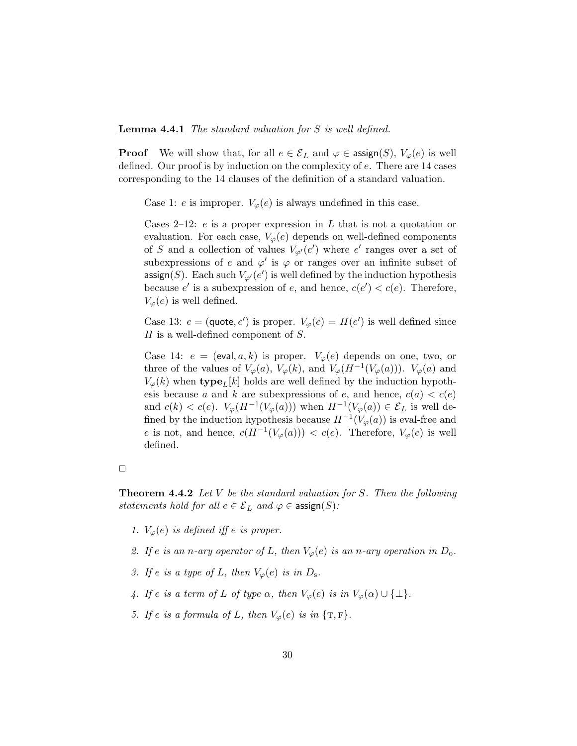Lemma 4.4.1 The standard valuation for S is well defined.

**Proof** We will show that, for all  $e \in \mathcal{E}_L$  and  $\varphi \in \mathsf{assign}(S)$ ,  $V_\varphi(e)$  is well defined. Our proof is by induction on the complexity of e. There are 14 cases corresponding to the 14 clauses of the definition of a standard valuation.

Case 1: e is improper.  $V_{\varphi}(e)$  is always undefined in this case.

Cases 2–12:  $e$  is a proper expression in  $L$  that is not a quotation or evaluation. For each case,  $V_{\varphi}(e)$  depends on well-defined components of S and a collection of values  $V_{\varphi}(e')$  where  $e'$  ranges over a set of subexpressions of e and  $\varphi'$  is  $\varphi$  or ranges over an infinite subset of assign(S). Each such  $V_{\varphi'}(e')$  is well defined by the induction hypothesis because e' is a subexpression of e, and hence,  $c(e') < c(e)$ . Therefore,  $V_{\varphi}(e)$  is well defined.

Case 13:  $e = (\text{quote}, e')$  is proper.  $V_{\varphi}(e) = H(e')$  is well defined since  $H$  is a well-defined component of  $S$ .

Case 14:  $e = (eval, a, k)$  is proper.  $V_{\varphi}(e)$  depends on one, two, or three of the values of  $V_{\varphi}(a)$ ,  $V_{\varphi}(k)$ , and  $V_{\varphi}(H^{-1}(V_{\varphi}(a)))$ .  $V_{\varphi}(a)$  and  $V_{\varphi}(k)$  when type<sub>L</sub>[k] holds are well defined by the induction hypothesis because a and k are subexpressions of e, and hence,  $c(a) < c(e)$ and  $c(k) < c(e)$ .  $V_{\varphi}(H^{-1}(V_{\varphi}(a)))$  when  $H^{-1}(V_{\varphi}(a)) \in \mathcal{E}_L$  is well defined by the induction hypothesis because  $H^{-1}(V_{\varphi}(a))$  is eval-free and e is not, and hence,  $c(H^{-1}(V_{\varphi}(a))) < c(e)$ . Therefore,  $V_{\varphi}(e)$  is well defined.

**Theorem 4.4.2** Let V be the standard valuation for S. Then the following statements hold for all  $e \in \mathcal{E}_L$  and  $\varphi \in \mathsf{assign}(S)$ :

- 1.  $V_{\varphi}(e)$  is defined iff e is proper.
- 2. If e is an n-ary operator of L, then  $V_{\varphi}(e)$  is an n-ary operation in  $D_{o}$ .
- 3. If e is a type of L, then  $V_{\varphi}(e)$  is in  $D_{s}$ .
- 4. If e is a term of L of type  $\alpha$ , then  $V_{\varphi}(e)$  is in  $V_{\varphi}(\alpha) \cup \{\perp\}.$
- 5. If e is a formula of L, then  $V_{\varphi}(e)$  is in  $\{T, F\}.$

 $\Box$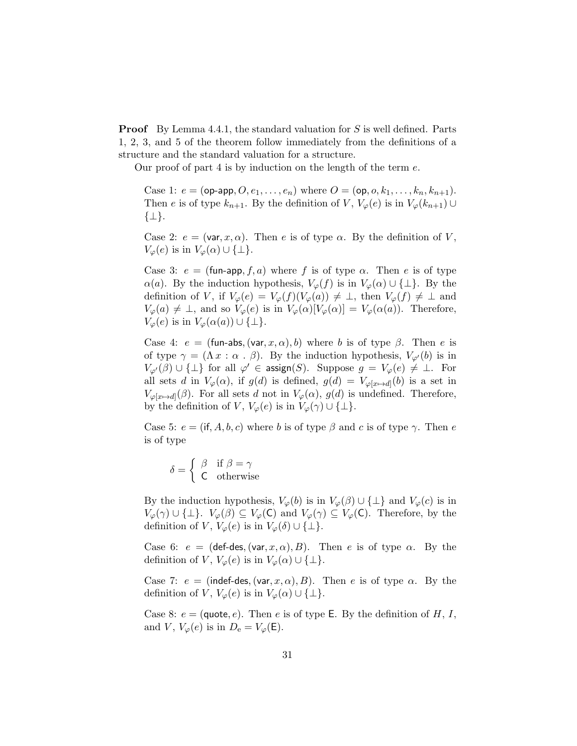Proof By Lemma 4.4.1, the standard valuation for S is well defined. Parts 1, 2, 3, and 5 of the theorem follow immediately from the definitions of a structure and the standard valuation for a structure.

Our proof of part 4 is by induction on the length of the term e.

Case 1:  $e = (op-app, O, e_1, \ldots, e_n)$  where  $O = (op, o, k_1, \ldots, k_n, k_{n+1}).$ Then e is of type  $k_{n+1}$ . By the definition of V,  $V_{\varphi}(e)$  is in  $V_{\varphi}(k_{n+1}) \cup$ {⊥}.

Case 2:  $e = (\text{var}, x, \alpha)$ . Then e is of type  $\alpha$ . By the definition of V,  $V_{\varphi}(e)$  is in  $V_{\varphi}(\alpha) \cup \{\perp\}.$ 

Case 3:  $e = (\text{fun-app}, f, a)$  where f is of type  $\alpha$ . Then e is of type  $\alpha(a)$ . By the induction hypothesis,  $V_{\varphi}(f)$  is in  $V_{\varphi}(\alpha) \cup \{\perp\}$ . By the definition of V, if  $V_{\varphi}(e) = V_{\varphi}(f)(V_{\varphi}(a)) \neq \perp$ , then  $V_{\varphi}(f) \neq \perp$  and  $V_{\varphi}(a) \neq \bot$ , and so  $V_{\varphi}(e)$  is in  $V_{\varphi}(\alpha)[V_{\varphi}(\alpha)] = V_{\varphi}(\alpha(a))$ . Therefore,  $V_{\varphi}(e)$  is in  $V_{\varphi}(\alpha(a)) \cup \{\perp\}.$ 

Case 4:  $e = (\text{fun-abs}, (\text{var}, x, \alpha), b)$  where b is of type  $\beta$ . Then e is of type  $\gamma = (\Lambda x : \alpha \cdot \beta)$ . By the induction hypothesis,  $V_{\varphi}(b)$  is in  $V_{\varphi'}(\beta) \cup \{\bot\}$  for all  $\varphi' \in \operatorname{assign}(S)$ . Suppose  $g = V_{\varphi}(e) \neq \bot$ . For all sets d in  $V_{\varphi}(\alpha)$ , if  $g(d)$  is defined,  $g(d) = V_{\varphi[x \mapsto d]}(b)$  is a set in  $V_{\varphi[x \mapsto d]}(\beta)$ . For all sets d not in  $V_{\varphi}(\alpha)$ ,  $g(d)$  is undefined. Therefore, by the definition of V,  $V_{\varphi}(e)$  is in  $V_{\varphi}(\gamma) \cup \{\perp\}.$ 

Case 5:  $e = (\text{if}, A, b, c)$  where b is of type  $\beta$  and c is of type  $\gamma$ . Then e is of type

$$
\delta = \begin{cases} \beta & \text{if } \beta = \gamma \\ C & \text{otherwise} \end{cases}
$$

By the induction hypothesis,  $V_{\varphi}(b)$  is in  $V_{\varphi}(\beta) \cup \{\perp\}$  and  $V_{\varphi}(c)$  is in  $V_{\varphi}(\gamma) \cup \{\perp\}$ .  $V_{\varphi}(\beta) \subseteq V_{\varphi}(\mathsf{C})$  and  $V_{\varphi}(\gamma) \subseteq V_{\varphi}(\mathsf{C})$ . Therefore, by the definition of V,  $V_{\varphi}(e)$  is in  $V_{\varphi}(\delta) \cup {\{\perp\}}$ .

Case 6:  $e = (\text{def-des}, (\text{var}, x, \alpha), B)$ . Then e is of type  $\alpha$ . By the definition of V,  $V_{\varphi}(e)$  is in  $V_{\varphi}(\alpha) \cup \{\perp\}.$ 

Case 7:  $e = (index, (var, x, \alpha), B)$ . Then e is of type  $\alpha$ . By the definition of V,  $V_{\varphi}(e)$  is in  $V_{\varphi}(\alpha) \cup \{\perp\}.$ 

Case 8:  $e = (\text{quote}, e)$ . Then e is of type E. By the definition of H, I, and V,  $V_{\varphi}(e)$  is in  $D_{\rm e} = V_{\varphi}(\mathsf{E}).$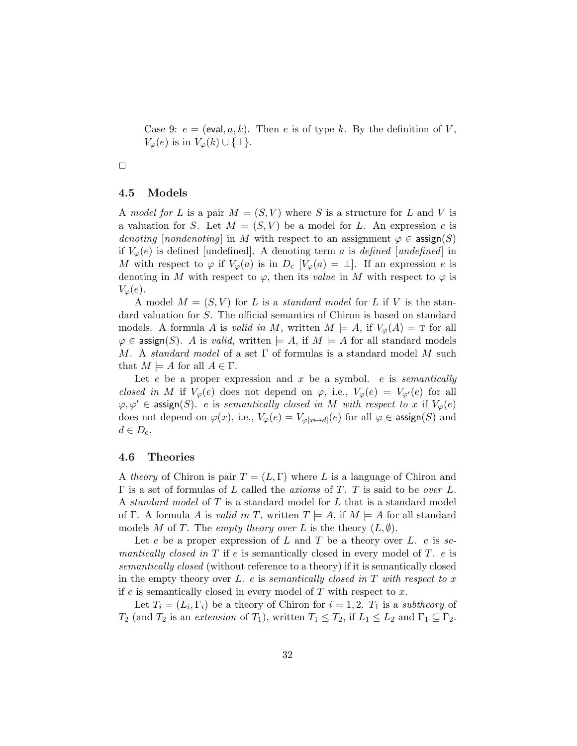Case 9:  $e = (eval, a, k)$ . Then e is of type k. By the definition of V,  $V_{\varphi}(e)$  is in  $V_{\varphi}(k) \cup \{\perp\}.$ 

$$
\Box
$$

#### 4.5 Models

A model for L is a pair  $M = (S, V)$  where S is a structure for L and V is a valuation for S. Let  $M = (S, V)$  be a model for L. An expression e is denoting [nondenoting] in M with respect to an assignment  $\varphi \in \mathsf{assign}(S)$ if  $V_{\varphi}(e)$  is defined [undefined]. A denoting term a is defined [undefined] in M with respect to  $\varphi$  if  $V_{\varphi}(a)$  is in  $D_c$   $[V_{\varphi}(a) = \bot]$ . If an expression e is denoting in M with respect to  $\varphi$ , then its value in M with respect to  $\varphi$  is  $V_{\varphi}(e)$ .

A model  $M = (S, V)$  for L is a *standard model* for L if V is the standard valuation for S. The official semantics of Chiron is based on standard models. A formula A is valid in M, written  $M \models A$ , if  $V_{\varphi}(A) = T$  for all  $\varphi \in \text{assign}(S)$ . A is valid, written  $\models A$ , if  $M \models A$  for all standard models M. A standard model of a set  $\Gamma$  of formulas is a standard model M such that  $M \models A$  for all  $A \in \Gamma$ .

Let e be a proper expression and  $x$  be a symbol. e is semantically closed in M if  $V_\varphi(e)$  does not depend on  $\varphi$ , i.e.,  $V_\varphi(e) = V_{\varphi'}(e)$  for all  $\varphi, \varphi' \in \mathsf{assign}(S)$ . e is semantically closed in M with respect to x if  $V_{\varphi}(e)$ does not depend on  $\varphi(x)$ , i.e.,  $V_{\varphi}(e) = V_{\varphi[x \mapsto d]}(e)$  for all  $\varphi \in \text{assign}(S)$  and  $d \in D_{\rm c}$ .

#### 4.6 Theories

A theory of Chiron is pair  $T = (L, \Gamma)$  where L is a language of Chiron and  $\Gamma$  is a set of formulas of L called the *axioms* of T. T is said to be *over* L. A standard model of T is a standard model for L that is a standard model of Γ. A formula A is valid in T, written  $T \models A$ , if  $M \models A$  for all standard models M of T. The empty theory over L is the theory  $(L, \emptyset)$ .

Let e be a proper expression of L and T be a theory over L. e is semantically closed in T if e is semantically closed in every model of T.  $e$  is semantically closed (without reference to a theory) if it is semantically closed in the empty theory over L. e is semantically closed in T with respect to x if e is semantically closed in every model of  $T$  with respect to  $x$ .

Let  $T_i = (L_i, \Gamma_i)$  be a theory of Chiron for  $i = 1, 2$ .  $T_1$  is a subtheory of  $T_2$  (and  $T_2$  is an extension of  $T_1$ ), written  $T_1 \leq T_2$ , if  $L_1 \leq L_2$  and  $\Gamma_1 \subseteq \Gamma_2$ .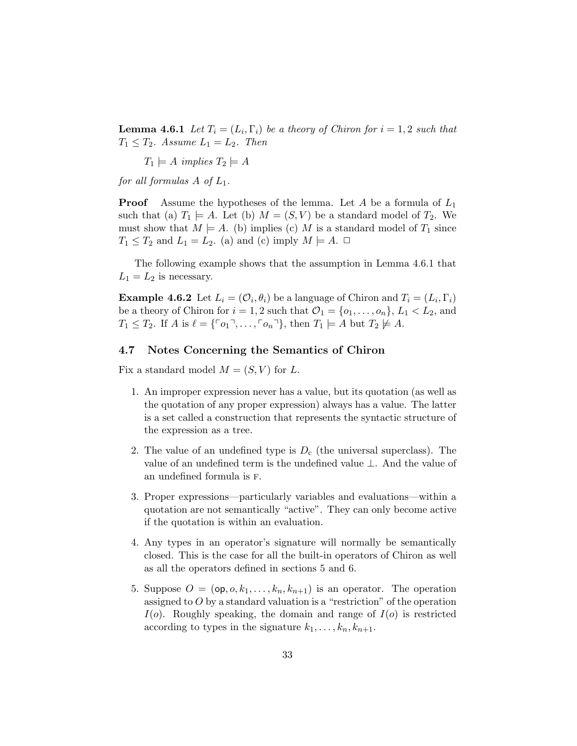**Lemma 4.6.1** Let  $T_i = (L_i, \Gamma_i)$  be a theory of Chiron for  $i = 1, 2$  such that  $T_1 \leq T_2$ . Assume  $L_1 = L_2$ . Then

 $T_1 \models A \implies T_2 \models A$ 

for all formulas  $A$  of  $L_1$ .

**Proof** Assume the hypotheses of the lemma. Let A be a formula of  $L_1$ such that (a)  $T_1 \models A$ . Let (b)  $M = (S, V)$  be a standard model of  $T_2$ . We must show that  $M \models A$ . (b) implies (c) M is a standard model of  $T_1$  since  $T_1 \leq T_2$  and  $L_1 = L_2$ . (a) and (c) imply  $M \models A$ .  $\Box$ 

The following example shows that the assumption in Lemma 4.6.1 that  $L_1 = L_2$  is necessary.

**Example 4.6.2** Let  $L_i = (\mathcal{O}_i, \theta_i)$  be a language of Chiron and  $T_i = (L_i, \Gamma_i)$ be a theory of Chiron for  $i = 1, 2$  such that  $\mathcal{O}_1 = \{o_1, \ldots, o_n\}, L_1 < L_2$ , and  $T_1 \leq T_2$ . If  $A$  is  $\ell = \{ \ulcorner o_1 \urcorner, \ldots, \ulcorner o_n \urcorner \}$ , then  $T_1 \models A$  but  $T_2 \not\models A$ .

### 4.7 Notes Concerning the Semantics of Chiron

Fix a standard model  $M = (S, V)$  for L.

- 1. An improper expression never has a value, but its quotation (as well as the quotation of any proper expression) always has a value. The latter is a set called a construction that represents the syntactic structure of the expression as a tree.
- 2. The value of an undefined type is  $D_c$  (the universal superclass). The value of an undefined term is the undefined value ⊥. And the value of an undefined formula is f.
- 3. Proper expressions—particularly variables and evaluations—within a quotation are not semantically "active". They can only become active if the quotation is within an evaluation.
- 4. Any types in an operator's signature will normally be semantically closed. This is the case for all the built-in operators of Chiron as well as all the operators defined in sections 5 and 6.
- 5. Suppose  $O = (\mathsf{op}, o, k_1, \ldots, k_n, k_{n+1})$  is an operator. The operation assigned to  $O$  by a standard valuation is a "restriction" of the operation  $I(o)$ . Roughly speaking, the domain and range of  $I(o)$  is restricted according to types in the signature  $k_1, \ldots, k_n, k_{n+1}$ .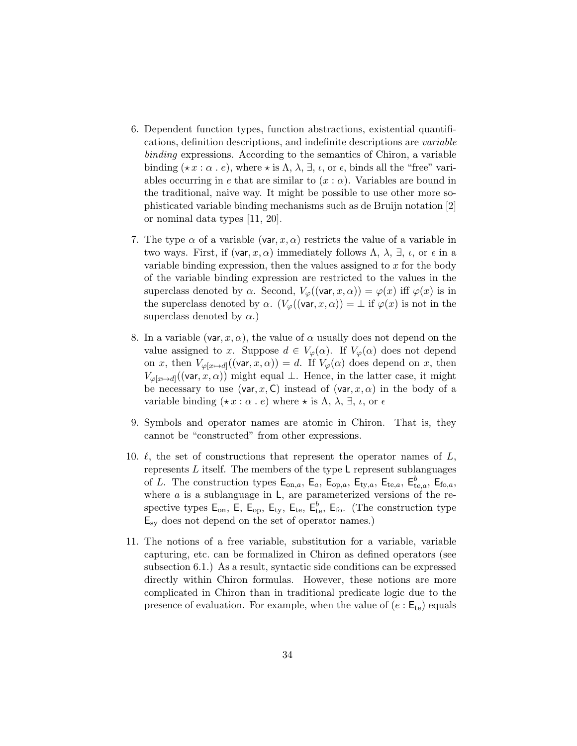- 6. Dependent function types, function abstractions, existential quantifications, definition descriptions, and indefinite descriptions are variable binding expressions. According to the semantics of Chiron, a variable binding ( $\star x : \alpha : e$ ), where  $\star$  is  $\Lambda$ ,  $\lambda$ ,  $\exists$ ,  $\iota$ , or  $\epsilon$ , binds all the "free" variables occurring in e that are similar to  $(x : \alpha)$ . Variables are bound in the traditional, naive way. It might be possible to use other more sophisticated variable binding mechanisms such as de Bruijn notation [2] or nominal data types [11, 20].
- 7. The type  $\alpha$  of a variable (var, x,  $\alpha$ ) restricts the value of a variable in two ways. First, if (var, x,  $\alpha$ ) immediately follows  $\Lambda$ ,  $\lambda$ ,  $\exists$ ,  $\iota$ , or  $\epsilon$  in a variable binding expression, then the values assigned to  $x$  for the body of the variable binding expression are restricted to the values in the superclass denoted by  $\alpha$ . Second,  $V_{\varphi}((\text{var}, x, \alpha)) = \varphi(x)$  iff  $\varphi(x)$  is in the superclass denoted by  $\alpha$ .  $(V_{\varphi}((\text{var}, x, \alpha)) = \bot$  if  $\varphi(x)$  is not in the superclass denoted by  $\alpha$ .)
- 8. In a variable (var, x,  $\alpha$ ), the value of  $\alpha$  usually does not depend on the value assigned to x. Suppose  $d \in V_{\varphi}(\alpha)$ . If  $V_{\varphi}(\alpha)$  does not depend on x, then  $V_{\varphi[x \mapsto d]}((\text{var}, x, \alpha)) = d$ . If  $V_{\varphi}(\alpha)$  does depend on x, then  $V_{\varphi[x \mapsto d]}((\text{var}, x, \alpha))$  might equal  $\perp$ . Hence, in the latter case, it might be necessary to use (var, x, C) instead of (var,  $x, \alpha$ ) in the body of a variable binding  $(\star x : \alpha \cdot e)$  where  $\star$  is  $\Lambda$ ,  $\lambda$ ,  $\exists$ ,  $\iota$ , or  $\epsilon$
- 9. Symbols and operator names are atomic in Chiron. That is, they cannot be "constructed" from other expressions.
- 10.  $\ell$ , the set of constructions that represent the operator names of  $L$ , represents  $L$  itself. The members of the type  $L$  represent sublanguages of L. The construction types  $\mathsf{E}_{\text{on},a}$ ,  $\mathsf{E}_a$ ,  $\mathsf{E}_{\text{op},a}$ ,  $\mathsf{E}_{\text{t}y,a}$ ,  $\mathsf{E}_{\text{te},a}$ ,  $\mathsf{E}_{\text{te},a}^b$ ,  $\mathsf{E}_{\text{fo},a}$ , where  $a$  is a sublanguage in  $L$ , are parameterized versions of the respective types  $\mathsf{E_{on}}, \mathsf{E_{op}}, \mathsf{E_{ty}}, \mathsf{E_{te}}, \mathsf{E_{to}^b}, \mathsf{E_{fo}}.$  (The construction type Esy does not depend on the set of operator names.)
- 11. The notions of a free variable, substitution for a variable, variable capturing, etc. can be formalized in Chiron as defined operators (see subsection 6.1.) As a result, syntactic side conditions can be expressed directly within Chiron formulas. However, these notions are more complicated in Chiron than in traditional predicate logic due to the presence of evaluation. For example, when the value of  $(e: E_{te})$  equals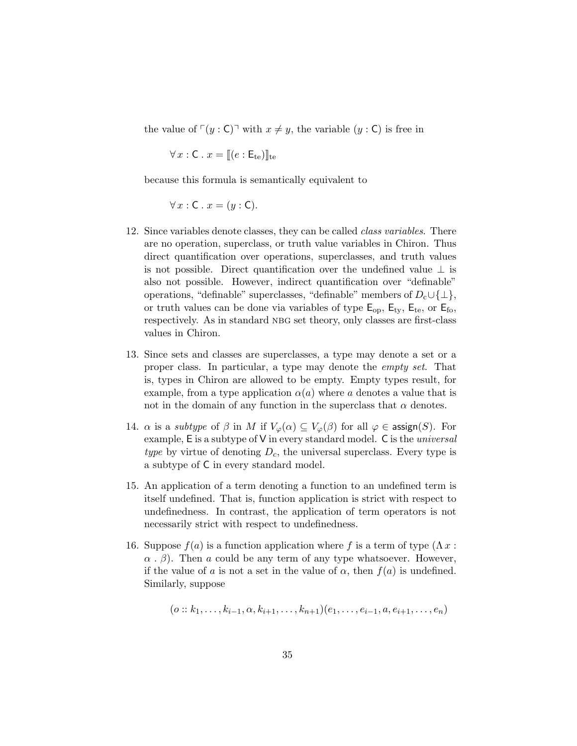the value of  $\lceil(y : C)\rceil$  with  $x \neq y$ , the variable  $(y : C)$  is free in

 $\forall x : \mathsf{C} \cdot x = \mathsf{C} \cdot \mathsf{E}_{te}$ 

because this formula is semantically equivalent to

 $\forall x : C \cdot x = (y : C).$ 

- 12. Since variables denote classes, they can be called class variables. There are no operation, superclass, or truth value variables in Chiron. Thus direct quantification over operations, superclasses, and truth values is not possible. Direct quantification over the undefined value  $\perp$  is also not possible. However, indirect quantification over "definable" operations, "definable" superclasses, "definable" members of  $D_c \cup \{\perp\},\$ or truth values can be done via variables of type  $E_{op}$ ,  $E_{ty}$ ,  $E_{te}$ , or  $E_{fo}$ , respectively. As in standard NBG set theory, only classes are first-class values in Chiron.
- 13. Since sets and classes are superclasses, a type may denote a set or a proper class. In particular, a type may denote the empty set. That is, types in Chiron are allowed to be empty. Empty types result, for example, from a type application  $\alpha(a)$  where a denotes a value that is not in the domain of any function in the superclass that  $\alpha$  denotes.
- 14.  $\alpha$  is a *subtype* of  $\beta$  in M if  $V_{\varphi}(\alpha) \subseteq V_{\varphi}(\beta)$  for all  $\varphi \in \operatorname{assign}(S)$ . For example,  $E$  is a subtype of  $V$  in every standard model.  $C$  is the *universal* type by virtue of denoting  $D_c$ , the universal superclass. Every type is a subtype of C in every standard model.
- 15. An application of a term denoting a function to an undefined term is itself undefined. That is, function application is strict with respect to undefinedness. In contrast, the application of term operators is not necessarily strict with respect to undefinedness.
- 16. Suppose  $f(a)$  is a function application where f is a term of type  $(\Lambda x)$ :  $\alpha$ .  $\beta$ ). Then a could be any term of any type whatsoever. However, if the value of a is not a set in the value of  $\alpha$ , then  $f(a)$  is undefined. Similarly, suppose

$$
(o::k_1, \ldots, k_{i-1}, \alpha, k_{i+1}, \ldots, k_{n+1})(e_1, \ldots, e_{i-1}, a, e_{i+1}, \ldots, e_n)
$$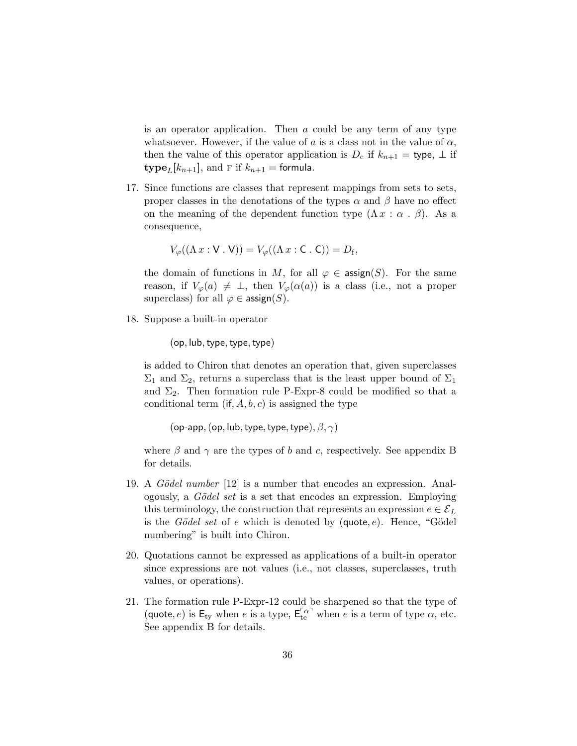is an operator application. Then a could be any term of any type whatsoever. However, if the value of a is a class not in the value of  $\alpha$ , then the value of this operator application is  $D_c$  if  $k_{n+1}$  = type,  $\perp$  if  $\textbf{type}_L[k_{n+1}]$ , and F if  $k_{n+1}$  = formula.

17. Since functions are classes that represent mappings from sets to sets, proper classes in the denotations of the types  $\alpha$  and  $\beta$  have no effect on the meaning of the dependent function type  $(\Lambda x : \alpha \cdot \beta)$ . As a consequence,

$$
V_{\varphi}((\Lambda x : V \cdot V)) = V_{\varphi}((\Lambda x : C \cdot C)) = D_f,
$$

the domain of functions in M, for all  $\varphi \in \text{assign}(S)$ . For the same reason, if  $V_{\varphi}(a) \neq \perp$ , then  $V_{\varphi}(\alpha(a))$  is a class (i.e., not a proper superclass) for all  $\varphi \in \text{assign}(S)$ .

18. Suppose a built-in operator

 $(op, lub, type, type, type)$ 

is added to Chiron that denotes an operation that, given superclasses  $\Sigma_1$  and  $\Sigma_2$ , returns a superclass that is the least upper bound of  $\Sigma_1$ and  $\Sigma_2$ . Then formation rule P-Expr-8 could be modified so that a conditional term  $(i, A, b, c)$  is assigned the type

```
(op-app, (op, lub, type, type, type), \beta, \gamma)
```
where  $\beta$  and  $\gamma$  are the types of b and c, respectively. See appendix B for details.

- 19. A *Gödel number* [12] is a number that encodes an expression. Analogously, a *Gödel set* is a set that encodes an expression. Employing this terminology, the construction that represents an expression  $e \in \mathcal{E}_L$ is the Gödel set of e which is denoted by  $(\text{quote}, e)$ . Hence, "Gödel numbering" is built into Chiron.
- 20. Quotations cannot be expressed as applications of a built-in operator since expressions are not values (i.e., not classes, superclasses, truth values, or operations).
- 21. The formation rule P-Expr-12 could be sharpened so that the type of (quote, e) is  $E_{ty}$  when e is a type,  $E_{te}^{\lceil \alpha \rceil}$  when e is a term of type  $\alpha$ , etc. See appendix B for details.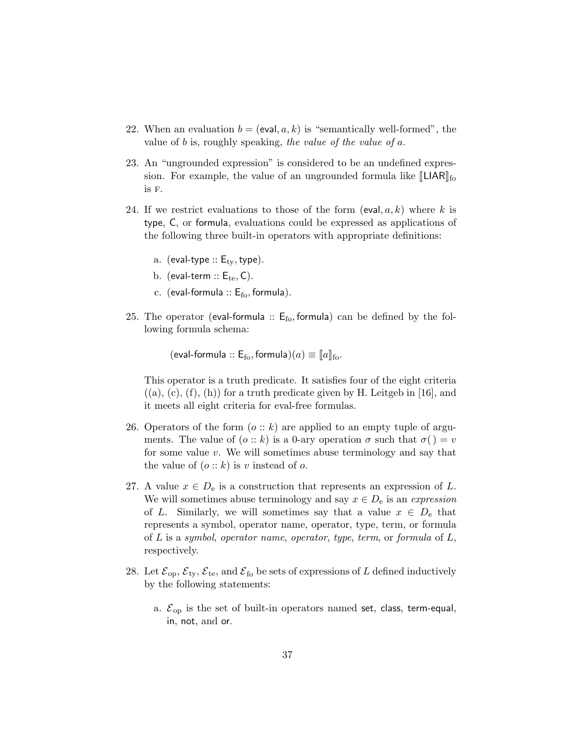- 22. When an evaluation  $b = (eval, a, k)$  is "semantically well-formed", the value of b is, roughly speaking, the value of the value of  $a$ .
- 23. An "ungrounded expression" is considered to be an undefined expression. For example, the value of an ungrounded formula like  $\llbracket L IAR \rrbracket_{\text{fo}}$ is f.
- 24. If we restrict evaluations to those of the form (eval,  $a, k$ ) where k is type, C, or formula, evaluations could be expressed as applications of the following three built-in operators with appropriate definitions:
	- a. (eval-type  $:: E_{\text{tv}}$ , type).
	- b. (eval-term  $:: E_{te}$ , C).
	- c. (eval-formula  $:: E_{fo}$ , formula).
- 25. The operator (eval-formula  $:: E_{f_0}$ , formula) can be defined by the following formula schema:

(eval-formula ::  $E_{\text{fo}}$ , formula) $(a) \equiv \|a\|_{\text{fo}}$ .

This operator is a truth predicate. It satisfies four of the eight criteria  $((a), (c), (f), (h))$  for a truth predicate given by H. Leitgeb in [16], and it meets all eight criteria for eval-free formulas.

- 26. Operators of the form  $(o:: k)$  are applied to an empty tuple of arguments. The value of  $(o:: k)$  is a 0-ary operation  $\sigma$  such that  $\sigma() = v$ for some value  $v$ . We will sometimes abuse terminology and say that the value of  $(o:: k)$  is v instead of o.
- 27. A value  $x \in D_e$  is a construction that represents an expression of L. We will sometimes abuse terminology and say  $x \in D_e$  is an expression of L. Similarly, we will sometimes say that a value  $x \in D_e$  that represents a symbol, operator name, operator, type, term, or formula of  $L$  is a symbol, operator name, operator, type, term, or formula of  $L$ , respectively.
- 28. Let  $\mathcal{E}_{op}, \mathcal{E}_{ty}, \mathcal{E}_{te}$ , and  $\mathcal{E}_{fo}$  be sets of expressions of L defined inductively by the following statements:
	- a.  $\mathcal{E}_{op}$  is the set of built-in operators named set, class, term-equal, in, not, and or.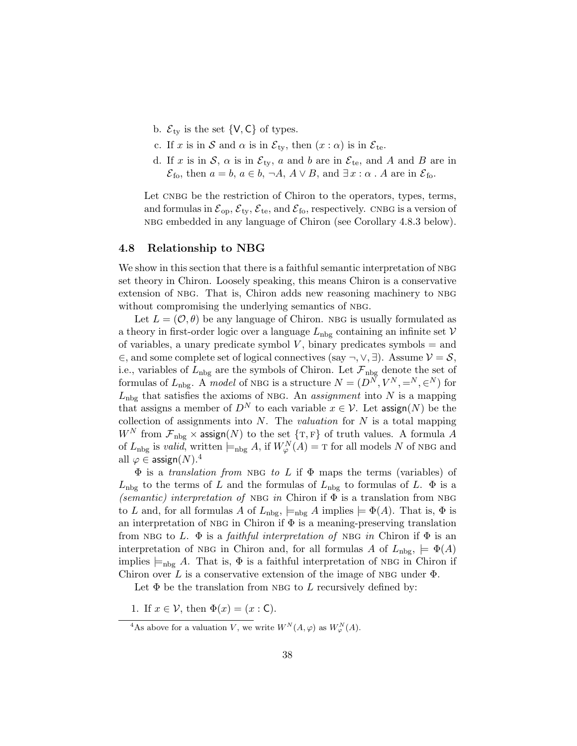- b.  $\mathcal{E}_{\text{ty}}$  is the set  $\{V, C\}$  of types.
- c. If x is in S and  $\alpha$  is in  $\mathcal{E}_{\text{tv}}$ , then  $(x : \alpha)$  is in  $\mathcal{E}_{\text{te}}$ .
- d. If x is in S,  $\alpha$  is in  $\mathcal{E}_{\text{ty}}$ , a and b are in  $\mathcal{E}_{\text{te}}$ , and A and B are in  $\mathcal{E}_{\text{fo}}$ , then  $a = b$ ,  $a \in b$ ,  $\neg A$ ,  $A \lor B$ , and  $\exists x : \alpha$ . A are in  $\mathcal{E}_{\text{fo}}$ .

Let CNBG be the restriction of Chiron to the operators, types, terms, and formulas in  $\mathcal{E}_{op}, \mathcal{E}_{tv}, \mathcal{E}_{te}$ , and  $\mathcal{E}_{fo}$ , respectively. CNBG is a version of nbg embedded in any language of Chiron (see Corollary 4.8.3 below).

### 4.8 Relationship to NBG

We show in this section that there is a faithful semantic interpretation of NBG set theory in Chiron. Loosely speaking, this means Chiron is a conservative extension of NBG. That is, Chiron adds new reasoning machinery to NBG without compromising the underlying semantics of NBG.

Let  $L = (\mathcal{O}, \theta)$  be any language of Chiron. NBG is usually formulated as a theory in first-order logic over a language  $L_{\text{nbg}}$  containing an infinite set  $V$ of variables, a unary predicate symbol  $V$ , binary predicates symbols  $=$  and  $\in$ , and some complete set of logical connectives (say ¬, ∨, ∃). Assume  $\mathcal{V} = \mathcal{S}$ , i.e., variables of  $L_{\text{nbg}}$  are the symbols of Chiron. Let  $\mathcal{F}_{\text{nbg}}$  denote the set of formulas of  $L_{\text{nbg}}$ . A model of NBG is a structure  $N = (D^N, V^N, =^N, \infty^N)$  for  $L<sub>nbg</sub>$  that satisfies the axioms of NBG. An *assignment* into N is a mapping that assigns a member of  $D^N$  to each variable  $x \in \mathcal{V}$ . Let assign(N) be the collection of assignments into  $N$ . The *valuation* for  $N$  is a total mapping  $W^N$  from  $\mathcal{F}_{\text{nbg}} \times \text{assign}(N)$  to the set  $\{T, F\}$  of truth values. A formula A of  $L_{\text{nbg}}$  is valid, written  $\models_{\text{nbg}} A$ , if  $W_{\varphi}^{N}(A) = \text{T}$  for all models N of NBG and all  $\varphi \in \mathsf{assign}(N)$ .<sup>4</sup>

 $\Phi$  is a translation from NBG to L if  $\Phi$  maps the terms (variables) of  $L_{\rm nbg}$  to the terms of L and the formulas of  $L_{\rm nbg}$  to formulas of L.  $\Phi$  is a (semantic) interpretation of NBG in Chiron if  $\Phi$  is a translation from NBG to L and, for all formulas A of  $L_{\text{nbg}}$ ,  $\models_{\text{nbg}} A$  implies  $\models \Phi(A)$ . That is,  $\Phi$  is an interpretation of NBG in Chiron if  $\Phi$  is a meaning-preserving translation from NBG to L.  $\Phi$  is a *faithful interpretation of* NBG *in* Chiron if  $\Phi$  is an interpretation of NBG in Chiron and, for all formulas A of  $L_{\text{nbg}} \models \Phi(A)$ implies  $\models_{\text{nbg}} A$ . That is,  $\Phi$  is a faithful interpretation of NBG in Chiron if Chiron over L is a conservative extension of the image of NBG under  $\Phi$ .

Let  $\Phi$  be the translation from NBG to L recursively defined by:

1. If  $x \in \mathcal{V}$ , then  $\Phi(x) = (x : \mathsf{C})$ .

<sup>&</sup>lt;sup>4</sup>As above for a valuation V, we write  $W^N(A, \varphi)$  as  $W^N_{\varphi}(A)$ .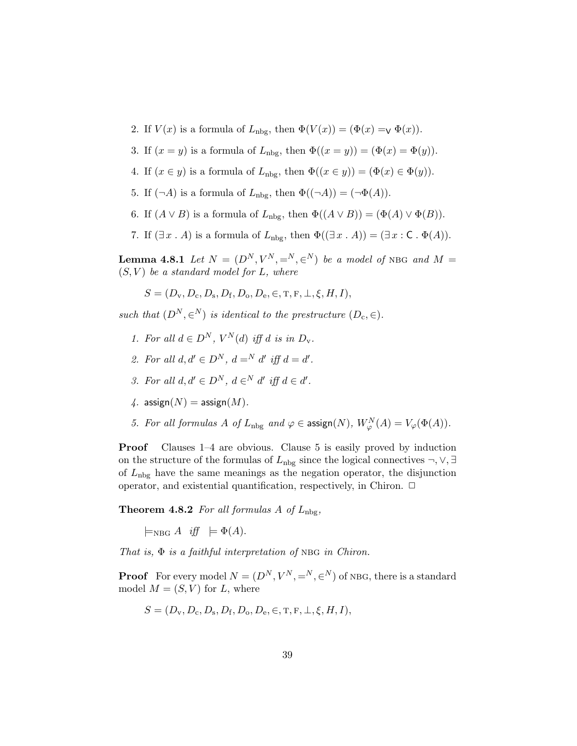- 2. If  $V(x)$  is a formula of  $L_{\text{nbg}}$ , then  $\Phi(V(x)) = (\Phi(x) = \Psi(x))$ .
- 3. If  $(x = y)$  is a formula of  $L_{\text{nbg}}$ , then  $\Phi((x = y)) = (\Phi(x) = \Phi(y)).$
- 4. If  $(x \in y)$  is a formula of  $L_{\text{nbg}}$ , then  $\Phi((x \in y)) = (\Phi(x) \in \Phi(y)).$
- 5. If  $(\neg A)$  is a formula of  $L_{\text{nbg}}$ , then  $\Phi((\neg A)) = (\neg \Phi(A)).$
- 6. If  $(A \vee B)$  is a formula of  $L_{\text{nbg}}$ , then  $\Phi((A \vee B)) = (\Phi(A) \vee \Phi(B)).$
- 7. If  $(\exists x \cdot A)$  is a formula of  $L_{\text{nbg}}$ , then  $\Phi((\exists x \cdot A)) = (\exists x : C \cdot \Phi(A)).$

**Lemma 4.8.1** Let  $N = (D^N, V^N, =^N, \infty^N)$  be a model of NBG and  $M =$  $(S, V)$  be a standard model for L, where

$$
S = (D_{\rm v}, D_{\rm c}, D_{\rm s}, D_{\rm f}, D_{\rm o}, D_{\rm e}, \in, T, F, \perp, \xi, H, I),
$$

such that  $(D^N, \in^N)$  is identical to the prestructure  $(D_c, \in)$ .

- 1. For all  $d \in D^N$ ,  $V^N(d)$  iff d is in  $D_v$ .
- 2. For all  $d, d' \in D^N$ ,  $d = N d'$  iff  $d = d'$ .
- 3. For all  $d, d' \in D^N$ ,  $d \in N d'$  iff  $d \in d'$ .
- 4. assign $(N)$  = assign $(M)$ .
- 5. For all formulas A of  $L_{\text{nbg}}$  and  $\varphi \in \text{assign}(N)$ ,  $W_{\varphi}^{N}(A) = V_{\varphi}(\Phi(A))$ .

**Proof** Clauses  $1-4$  are obvious. Clause 5 is easily proved by induction on the structure of the formulas of  $L_{\text{nbg}}$  since the logical connectives  $\neg, \vee, \exists$ of  $L_{\rm nbg}$  have the same meanings as the negation operator, the disjunction operator, and existential quantification, respectively, in Chiron.  $\Box$ 

**Theorem 4.8.2** For all formulas A of  $L_{\text{nbg}}$ ,

 $\models_{\text{NBG}} A$  iff  $\models \Phi(A)$ .

That is,  $\Phi$  is a faithful interpretation of NBG in Chiron.

**Proof** For every model  $N = (D^N, V^N, =^N, \infty^N)$  of NBG, there is a standard model  $M = (S, V)$  for L, where

$$
S = (D_{v}, D_{c}, D_{s}, D_{f}, D_{o}, D_{e}, \in, T, F, \perp, \xi, H, I),
$$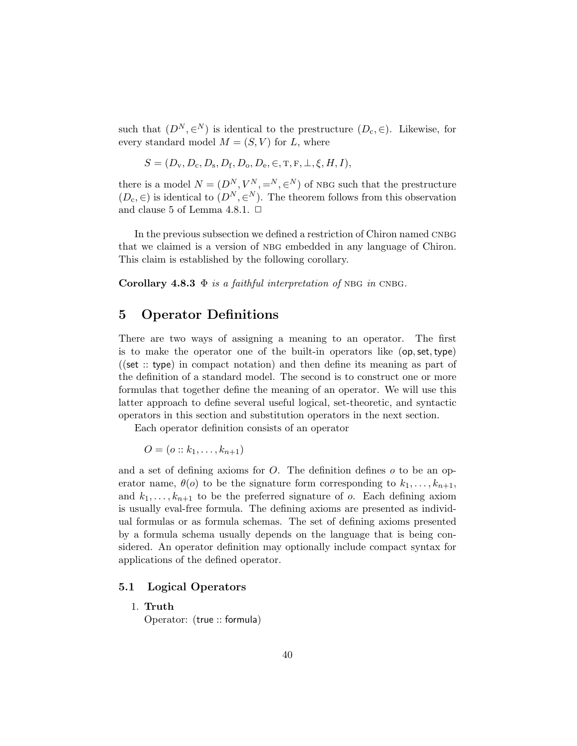such that  $(D^N, \in^N)$  is identical to the prestructure  $(D_c, \in)$ . Likewise, for every standard model  $M = (S, V)$  for L, where

$$
S = (D_{\rm v}, D_{\rm c}, D_{\rm s}, D_{\rm f}, D_{\rm o}, D_{\rm e}, \in, T, F, \perp, \xi, H, I),
$$

there is a model  $N = (D^N, V^N, =^N, \in^N)$  of NBG such that the prestructure  $(D_c, \in)$  is identical to  $(D^N, \in^N)$ . The theorem follows from this observation and clause 5 of Lemma 4.8.1.  $\Box$ 

In the previous subsection we defined a restriction of Chiron named CNBG that we claimed is a version of NBG embedded in any language of Chiron. This claim is established by the following corollary.

Corollary 4.8.3  $\Phi$  is a faithful interpretation of NBG in CNBG.

# 5 Operator Definitions

There are two ways of assigning a meaning to an operator. The first is to make the operator one of the built-in operators like (op,set,type) ((set :: type) in compact notation) and then define its meaning as part of the definition of a standard model. The second is to construct one or more formulas that together define the meaning of an operator. We will use this latter approach to define several useful logical, set-theoretic, and syntactic operators in this section and substitution operators in the next section.

Each operator definition consists of an operator

 $O = (o:: k_1, \ldots, k_{n+1})$ 

and a set of defining axioms for  $O$ . The definition defines  $o$  to be an operator name,  $\theta(o)$  to be the signature form corresponding to  $k_1, \ldots, k_{n+1}$ , and  $k_1, \ldots, k_{n+1}$  to be the preferred signature of o. Each defining axiom is usually eval-free formula. The defining axioms are presented as individual formulas or as formula schemas. The set of defining axioms presented by a formula schema usually depends on the language that is being considered. An operator definition may optionally include compact syntax for applications of the defined operator.

### 5.1 Logical Operators

#### 1. Truth

Operator: (true :: formula)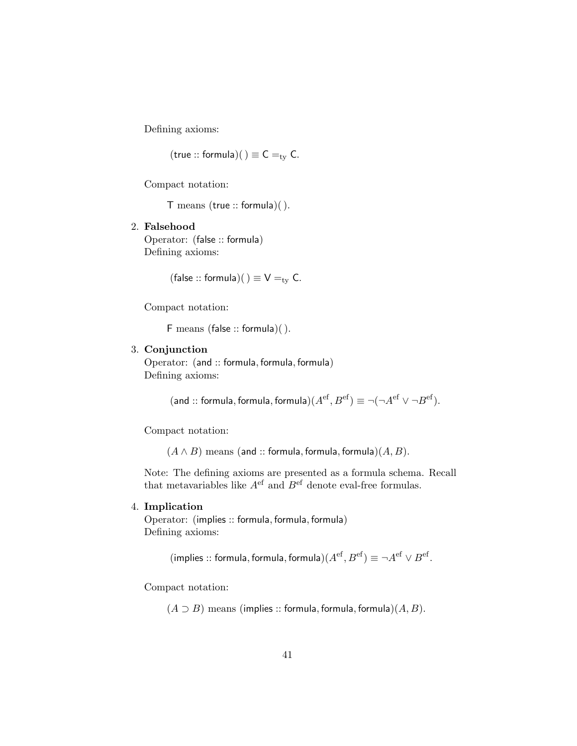Defining axioms:

 $(t$ rue :: formula) $() \equiv C =_{ty} C$ .

Compact notation:

T means (true :: formula)( ).

2. Falsehood Operator: (false :: formula) Defining axioms:

(false :: formula)()  $\equiv V =_{ty} C$ .

Compact notation:

F means (false :: formula)( ).

### 3. Conjunction

Operator: (and :: formula, formula, formula) Defining axioms:

(and :: formula, formula, formula) $(A^{\text{ef}}, B^{\text{ef}}) \equiv \neg(\neg A^{\text{ef}} \vee \neg B^{\text{ef}})$ .

Compact notation:

 $(A \wedge B)$  means (and :: formula, formula, formula) $(A, B)$ .

Note: The defining axioms are presented as a formula schema. Recall that metavariables like  $A<sup>ef</sup>$  and  $B<sup>ef</sup>$  denote eval-free formulas.

### 4. Implication

Operator: (implies :: formula, formula, formula) Defining axioms:

(implies :: formula, formula, formula) $(A^{\text{ef}}, B^{\text{ef}}) \equiv \neg A^{\text{ef}} \vee B^{\text{ef}}$ .

Compact notation:

 $(A \supset B)$  means (implies :: formula, formula, formula) $(A, B)$ .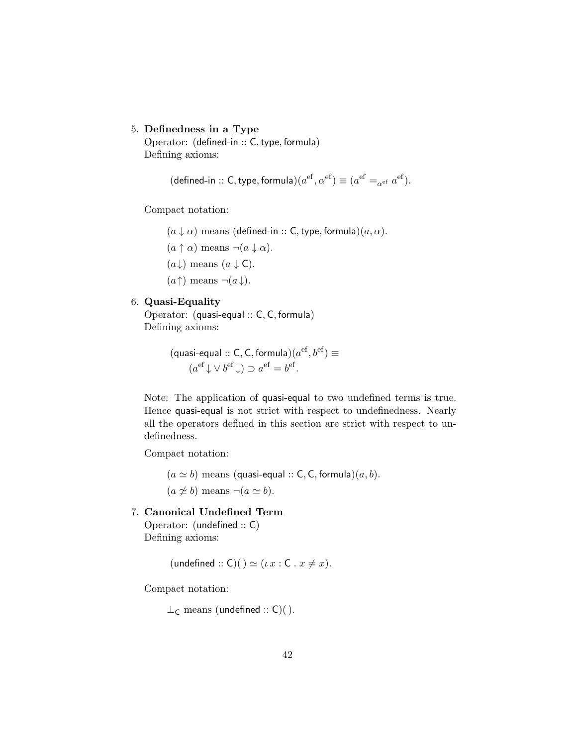#### 5. Definedness in a Type

Operator: (defined-in :: C, type, formula) Defining axioms:

$$
(\text{defined-in} :: \mathsf{C}, \text{type}, \text{formula}) (a^\text{ef}, \alpha^\text{ef}) \equiv (a^\text{ef} =_{\alpha^\text{ef}} a^\text{ef}).
$$

Compact notation:

- $(a \downarrow \alpha)$  means (defined-in :: C, type, formula) $(a, \alpha)$ .
- $(a \uparrow \alpha)$  means  $\neg(a \downarrow \alpha)$ .
- $(a \downarrow)$  means  $(a \downarrow C)$ .
- $(a \uparrow)$  means  $\neg(a \downarrow)$ .

#### 6. Quasi-Equality

Operator: (quasi-equal :: C, C, formula) Defining axioms:

```
(quasi-equal :: C, C, formula)(a^{\text{ef}}, b^{\text{ef}}) \equiv(a^{\text{ef}} \downarrow \vee b^{\text{ef}} \downarrow) \supset a^{\text{ef}} = b^{\text{ef}}.
```
Note: The application of quasi-equal to two undefined terms is true. Hence quasi-equal is not strict with respect to undefinedness. Nearly all the operators defined in this section are strict with respect to undefinedness.

Compact notation:

 $(a \simeq b)$  means (quasi-equal :: C, C, formula) $(a, b)$ .  $(a \not\simeq b)$  means  $\neg(a \simeq b)$ .

7. Canonical Undefined Term

Operator: (undefined :: C) Defining axioms:

(undefined :: C)()  $\simeq$  ( $\iota x$  : C .  $x \neq x$ ).

Compact notation:

 $\perp_C$  means (undefined :: C)().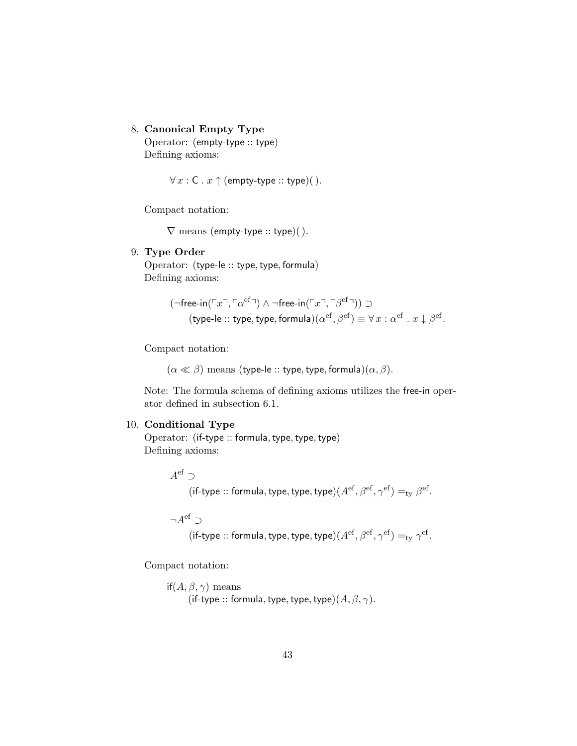8. Canonical Empty Type

Operator: (empty-type :: type) Defining axioms:

 $\forall x : C \cdot x \uparrow$  (empty-type :: type)().

Compact notation:

 $\nabla$  means (empty-type :: type)().

### 9. Type Order

Operator: (type-le :: type, type, formula) Defining axioms:

$$
(\neg \text{free-in}(\ulcorner x \urcorner, \ulcorner \alpha^{\text{ef}} \urcorner) \land \neg \text{free-in}(\ulcorner x \urcorner, \ulcorner \beta^{\text{ef}} \urcorner)) \supset
$$
  
(type-le :: type, type, formula) $(\alpha^{\text{ef}}, \beta^{\text{ef}}) \equiv \forall x : \alpha^{\text{ef}} \cdot x \downarrow \beta^{\text{ef}}.$ 

Compact notation:

 $(\alpha \ll \beta)$  means (type-le :: type, type, formula) $(\alpha, \beta)$ .

Note: The formula schema of defining axioms utilizes the free-in operator defined in subsection 6.1.

### 10. Conditional Type

Operator: (if-type :: formula, type, type, type) Defining axioms:

 $A^{\text{ef}} \supset$ 

(if-type :: formula, type, type, type) $(A^{\text{ef}}, \beta^{\text{ef}}, \gamma^{\text{ef}}) =_{\text{ty}} \beta^{\text{ef}}$ .

 $\neg A^{\text{ef}} \supset$ 

$$
(\textsf{if-type}::\textsf{formula},\textsf{type},\textsf{type},\textsf{type})(A^\textsf{ef},\beta^\textsf{ef},\gamma^\textsf{ef})=_{\textsf{ty}}\gamma^\textsf{ef}.
$$

Compact notation:

if( $A, \beta, \gamma$ ) means (if-type :: formula, type, type, type) $(A, \beta, \gamma)$ .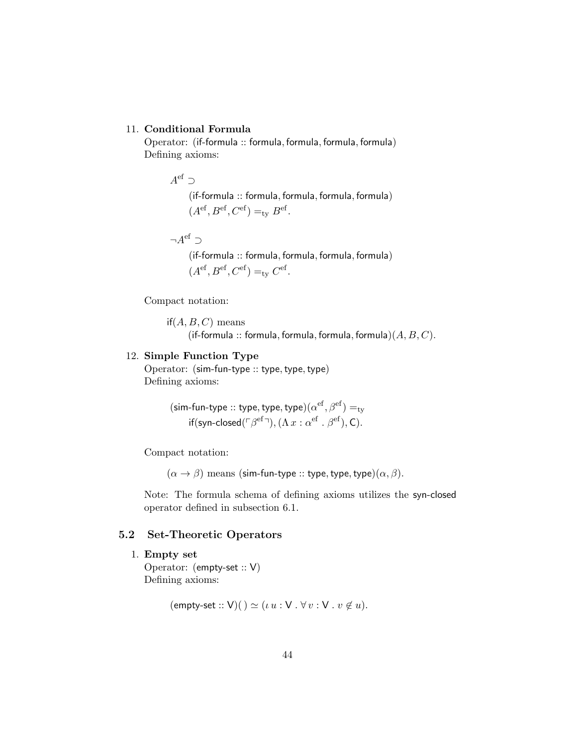### 11. Conditional Formula

Operator: (if-formula :: formula, formula, formula, formula) Defining axioms:

> $A^{\text{ef}} \supset$ (if-formula :: formula, formula, formula, formula)  $(A<sup>ef</sup>, B<sup>ef</sup>, C<sup>ef</sup>) =<sub>ty</sub> B<sup>ef</sup>.$

> $\neg A^{\text{ef}} \supset$ (if-formula :: formula, formula, formula, formula)

$$
(A^{\text{ef}}, B^{\text{ef}}, C^{\text{ef}}) =_{\text{ty}} C^{\text{ef}}.
$$

Compact notation:

 $if(A, B, C)$  means (if-formula :: formula, formula, formula, formula) $(A, B, C)$ .

#### 12. Simple Function Type

Operator: (sim-fun-type :: type, type, type) Defining axioms:

> (sim-fun-type :: type, type, type) $(\alpha^{\rm ef},\beta^{\rm ef})=_{\rm ty}$ if(syn-closed( $\ulcorner\beta^{\rm ef}\urcorner),(\Lambda\,x:\alpha^{\rm ef}\,.\,\beta^{\rm ef}),$ C).

Compact notation:

 $(\alpha \to \beta)$  means (sim-fun-type :: type, type, type) $(\alpha, \beta)$ .

Note: The formula schema of defining axioms utilizes the syn-closed operator defined in subsection 6.1.

# 5.2 Set-Theoretic Operators

1. Empty set Operator: (empty-set :: V) Defining axioms:

$$
(empty-set:: V)( ) \simeq (\iota u : V \cdot \forall v : V \cdot v \notin u).
$$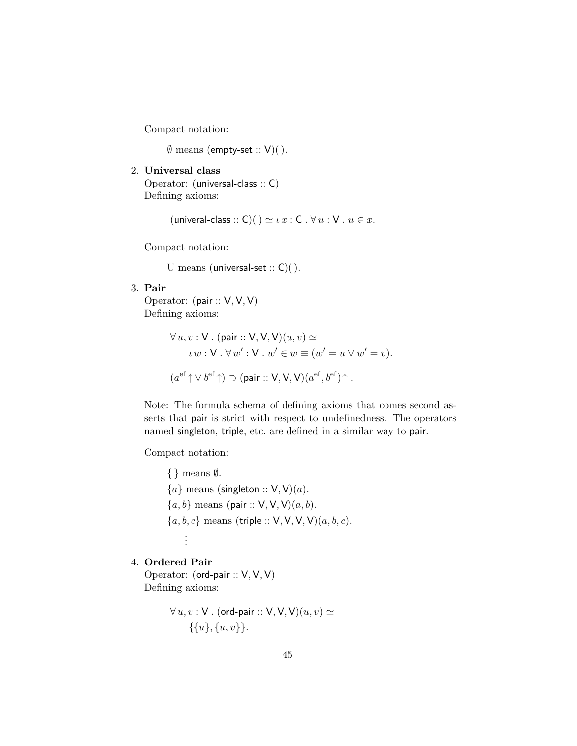Compact notation:

 $\emptyset$  means (empty-set :: V)().

2. Universal class Operator: (universal-class :: C)

Defining axioms:

(univeral-class :: C)()  $\simeq \iota x$  : C .  $\forall u$  : V .  $u \in x$ .

Compact notation:

U means (universal-set  $:C( )$ ).

# 3. Pair

Operator: (pair :: V, V, V) Defining axioms:

$$
\forall u, v : \mathsf{V}. (\mathsf{pair} :: \mathsf{V}, \mathsf{V}, \mathsf{V})(u, v) \simeq
$$
  

$$
\iota w : \mathsf{V}. \forall w' : \mathsf{V}. w' \in w \equiv (w' = u \lor w' = v).
$$
  

$$
(a^{\mathrm{ef}} \uparrow \vee b^{\mathrm{ef}} \uparrow) \supset (\mathsf{pair} :: \mathsf{V}, \mathsf{V}, \mathsf{V})(a^{\mathrm{ef}}, b^{\mathrm{ef}}) \uparrow.
$$

Note: The formula schema of defining axioms that comes second asserts that pair is strict with respect to undefinedness. The operators named singleton, triple, etc. are defined in a similar way to pair.

Compact notation:

{ } means ∅.  ${a}$  means (singleton ::  $V$ ,  $V$ )(a).  ${a, b}$  means (pair ::  $V, V, V(a, b)$ .  $\{a, b, c\}$  means (triple :: V, V, V, V) $(a, b, c)$ . . . .

### 4. Ordered Pair

Operator: (ord-pair :: V, V, V) Defining axioms:

$$
\forall u, v : V. (ord-pair :: V, V, V)(u, v) \simeq \{ \{u\}, \{u, v\} \}.
$$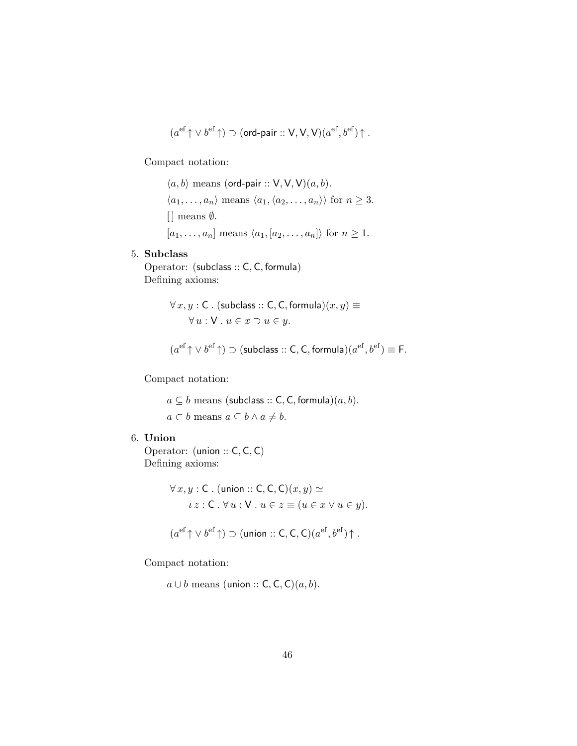$$
(a^{\rm ef}\!\uparrow \vee b^{\rm ef}\!\uparrow) \supset (\text{ord-pair}::{\sf V},{\sf V},{\sf V})(a^{\rm ef},b^{\rm ef})\!\uparrow.
$$

Compact notation:

 $\langle a, b \rangle$  means (ord-pair :: V, V, V) $(a, b)$ .  $\langle a_1, \ldots, a_n \rangle$  means  $\langle a_1, \langle a_2, \ldots, a_n \rangle$  for  $n \geq 3$ .  $[ ]$  means  $\emptyset$ .  $[a_1, \ldots, a_n]$  means  $\langle a_1, [a_2, \ldots, a_n] \rangle$  for  $n \geq 1$ .

# 5. Subclass

Operator: (subclass :: C, C, formula) Defining axioms:

$$
\forall x, y : C. \text{ (subclass :: C, C, formula)}(x, y) \equiv \forall u : V. u \in x \supset u \in y.
$$

$$
(a^{\text{ef}} \uparrow \vee b^{\text{ef}} \uparrow) \supset (\text{subclass} :: \mathsf{C}, \mathsf{C}, \text{formula})(a^{\text{ef}}, b^{\text{ef}}) \equiv \mathsf{F}.
$$

Compact notation:

 $a \subseteq b$  means (subclass :: C, C, formula) $(a, b)$ .  $a \subset b$  means  $a \subseteq b \land a \neq b$ .

6. Union

Operator: (union :: C, C, C) Defining axioms:

$$
\forall x, y : C. \text{ (union :: } C, C, C)(x, y) \simeq
$$
  

$$
\iota z : C. \forall u : V. \ u \in z \equiv (u \in x \lor u \in y).
$$
  

$$
(a^{\text{ef}} \uparrow \lor b^{\text{ef}} \uparrow) \supset \text{(union :: } C, C, C)(a^{\text{ef}}, b^{\text{ef}}) \uparrow.
$$

Compact notation:

 $a \cup b$  means (union :: C, C, C)( $a, b$ ).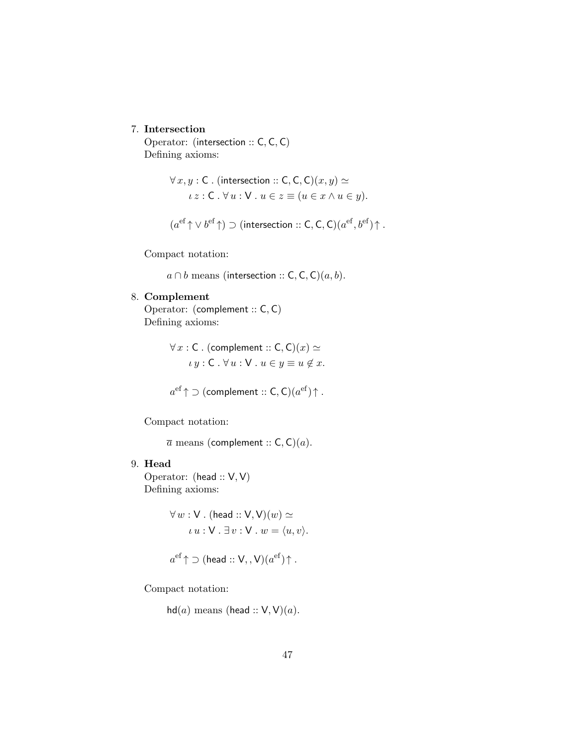## 7. Intersection

Operator: (intersection :: C, C, C) Defining axioms:

$$
\forall x, y : C. \text{ (intersection :: } C, C, C)(x, y) \simeq
$$

$$
\iota z : C. \forall u : V. \ u \in z \equiv (u \in x \land u \in y).
$$

$$
(a^{\text{ef}}\!\uparrow \vee b^{\text{ef}}\!\uparrow) \supset (\text{intersection} :: \mathsf{C}, \mathsf{C}, \mathsf{C}) (a^{\text{ef}}, b^{\text{ef}})\!\uparrow.
$$

Compact notation:

 $a \cap b$  means (intersection :: C, C, C)(a, b).

# 8. Complement

Operator: (complement :: C, C) Defining axioms:

> $\forall x : C$ . (complement :: C, C) $(x) \simeq$  $\iota y : \mathsf{C} \cdot \forall u : \mathsf{V} \cdot u \in y \equiv u \notin x.$

$$
a^{\text{ef}} \uparrow \supset (\text{complement} :: \mathsf{C}, \mathsf{C})(a^{\text{ef}}) \uparrow.
$$

Compact notation:

 $\overline{a}$  means (complement :: C, C)(a).

# 9. Head

Operator: (head :: V, V) Defining axioms:

$$
\forall w : V. \text{ (head :: V, V)}(w) \simeq
$$
  

$$
\iota u : V. \exists v : V. w = \langle u, v \rangle.
$$

$$
a^{\text{ef}}\!\uparrow\supset (\text{head}::\mathsf{V},\mathsf{,V})(a^{\text{ef}})\!\uparrow.
$$

Compact notation:

 $hd(a)$  means (head ::  $V$ ,  $V$ ) $(a)$ .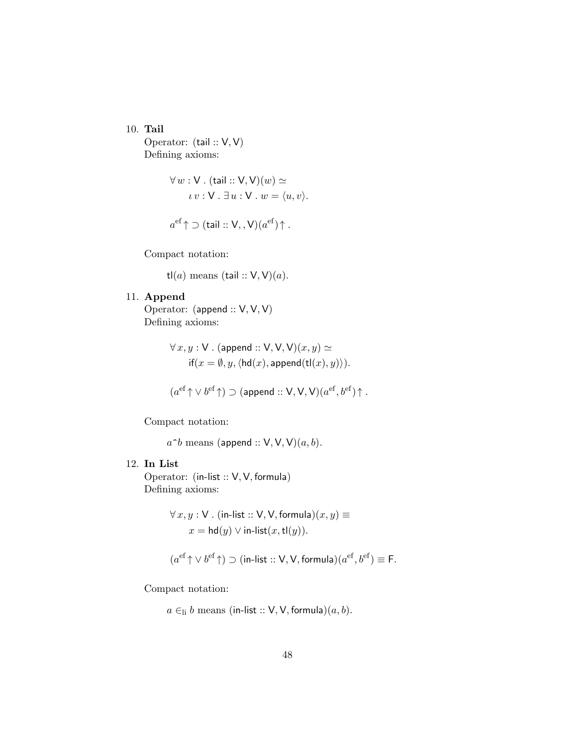10. Tail

Operator: (tail :: V, V) Defining axioms:

$$
\forall w : V. \text{ (tail :: V, V)}(w) \simeq
$$
  

$$
\iota v : V. \exists u : V. w = \langle u, v \rangle.
$$

$$
a^{\text{ef}} \uparrow \supset (\text{tail} :: \mathsf{V}, \mathsf{,} \mathsf{V})(a^{\text{ef}}) \uparrow.
$$

Compact notation:

tl(a) means (tail ::  $V$ ,  $V$ )(a).

# 11. Append

Operator: (append :: V, V, V) Defining axioms:

$$
\forall x, y : V. \text{ (append :: V, V, V)}(x, y) \simeq
$$
  
if $(x = \emptyset, y, \langle hd(x), \text{append}(tl(x), y) \rangle).$ 

$$
(a^{\text{ef}} \uparrow \vee b^{\text{ef}} \uparrow) \supset (\text{append} :: V, V, V)(a^{\text{ef}}, b^{\text{ef}}) \uparrow.
$$

Compact notation:

 $a^{\sim}b$  means (append :: V, V, V) $(a, b)$ .

### 12. In List

Operator: (in-list :: V, V, formula) Defining axioms:

$$
\forall x, y : \mathsf{V} \text{ . } (\text{in-list} :: \mathsf{V}, \mathsf{V}, \text{formula})(x, y) \equiv
$$

$$
x = \mathsf{hd}(y) \lor \text{in-list}(x, \mathsf{t}(y)).
$$

$$
(a^{\text{ef}} \uparrow \vee b^{\text{ef}} \uparrow) \supset (\text{in-list} :: \text{V}, \text{V}, \text{formula})(a^{\text{ef}}, b^{\text{ef}}) \equiv \text{F}.
$$

Compact notation:

 $a \in$ <sub>li</sub> b means (in-list :: V, V, formula) $(a, b)$ .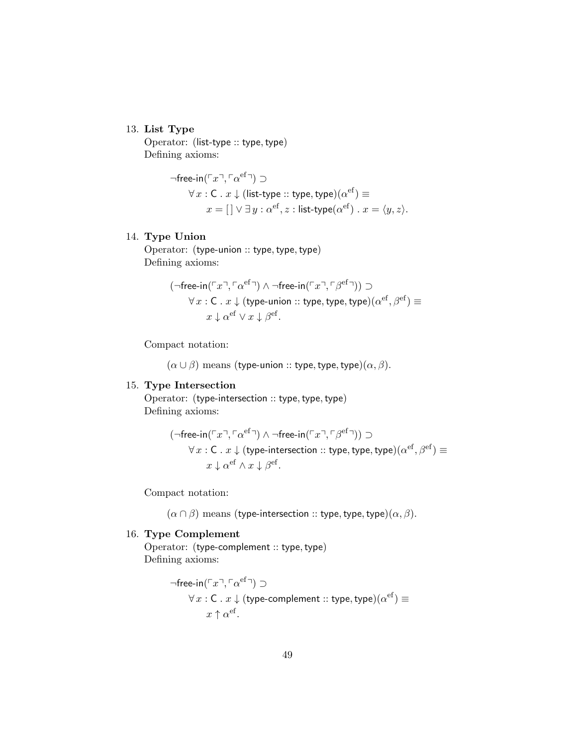### 13. List Type

Operator: (list-type :: type, type) Defining axioms:

$$
\neg \text{free-in}(\ulcorner x \urcorner, \ulcorner \alpha^{\text{ef}} \urcorner) \supset
$$
  

$$
\forall x : C \cdot x \downarrow (\text{list-type} :: \text{type}, \text{type})(\alpha^{\text{ef}}) \equiv
$$
  

$$
x = [] \lor \exists y : \alpha^{\text{ef}}, z : \text{list-type}(\alpha^{\text{ef}}) \cdot x = \langle y, z \rangle.
$$

### 14. Type Union

Operator: (type-union :: type, type, type) Defining axioms:

$$
(\neg \text{free-in}(\ulcorner x \urcorner, \ulcorner \alpha^{\text{ef}} \urcorner) \wedge \neg \text{free-in}(\ulcorner x \urcorner, \ulcorner \beta^{\text{ef}} \urcorner)) \supset
$$

$$
\forall x : C \cdot x \downarrow (\text{type-union} :: \text{type}, \text{type}, \text{type})(\alpha^{\text{ef}}, \beta^{\text{ef}}) \equiv
$$

$$
x \downarrow \alpha^{\text{ef}} \vee x \downarrow \beta^{\text{ef}}.
$$

Compact notation:

 $(\alpha \cup \beta)$  means (type-union :: type, type, type) $(\alpha, \beta)$ .

### 15. Type Intersection

Operator: (type-intersection :: type, type, type) Defining axioms:

$$
(\neg \text{free-in}(\ulcorner x \urcorner, \ulcorner \alpha^{\text{ef}} \urcorner) \wedge \neg \text{free-in}(\ulcorner x \urcorner, \ulcorner \beta^{\text{ef}} \urcorner)) \supset \\ \forall x : C \,.\, x \downarrow (\text{type-intersection} :: \text{type}, \text{type}, \text{type}) (\alpha^{\text{ef}}, \beta^{\text{ef}}) \equiv \\ x \downarrow \alpha^{\text{ef}} \wedge x \downarrow \beta^{\text{ef}}.
$$

Compact notation:

 $(\alpha \cap \beta)$  means (type-intersection :: type, type, type) $(\alpha, \beta)$ .

# 16. Type Complement

Operator: (type-complement :: type, type) Defining axioms:

$$
\neg \text{free-in}(\ulcorner x \urcorner, \ulcorner \alpha^{\text{ef}} \urcorner) \supset
$$
  

$$
\forall x : C \cdot x \downarrow (\text{type-complement} :: \text{type}, \text{type}) (\alpha^{\text{ef}}) \equiv
$$
  

$$
x \uparrow \alpha^{\text{ef}}.
$$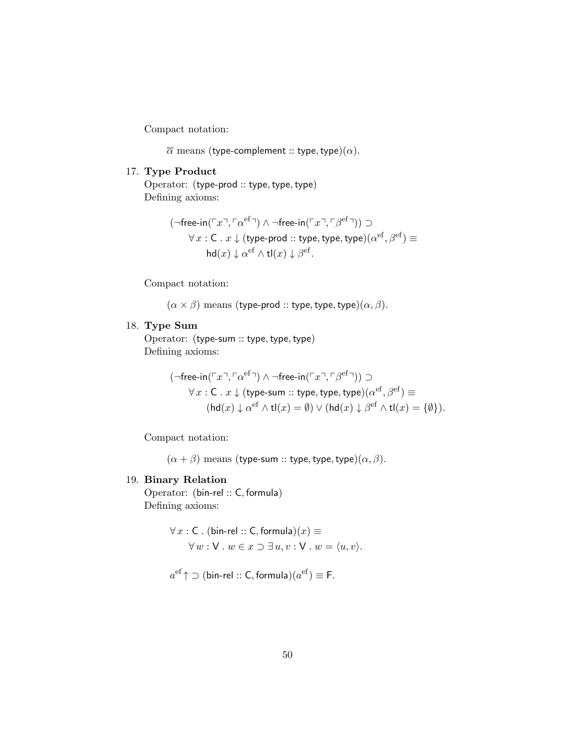Compact notation:

 $\overline{\alpha}$  means (type-complement :: type, type)( $\alpha$ ).

### 17. Type Product

Operator: (type-prod :: type, type, type) Defining axioms:

$$
(\neg \mathsf{free\text{-}in}(\ulcorner x \urcorner, \ulcorner \alpha^\mathsf{ef} \urcorner) \wedge \neg \mathsf{free\text{-}in}(\ulcorner x \urcorner, \ulcorner \beta^\mathsf{ef} \urcorner)) \supset \\ \forall \, x : \mathsf{C} \; . \; x \downarrow (\mathsf{type\text{-}prod} :: \mathsf{type}, \mathsf{type}, \mathsf{type}) (\alpha^\mathsf{ef}, \beta^\mathsf{ef}) \equiv \\ \mathsf{hd}(x) \downarrow \alpha^\mathsf{ef} \wedge \mathsf{tl}(x) \downarrow \beta^\mathsf{ef}.
$$

Compact notation:

 $(\alpha \times \beta)$  means (type-prod :: type, type, type) $(\alpha, \beta)$ .

# 18. Type Sum

Operator: (type-sum :: type, type, type) Defining axioms:

$$
(\neg \text{free-in}(\ulcorner x \urcorner, \ulcorner \alpha^{\text{ef}} \urcorner) \wedge \neg \text{free-in}(\ulcorner x \urcorner, \ulcorner \beta^{\text{ef}} \urcorner)) \supset
$$

$$
\forall x : C. x \downarrow (\text{type-sum} :: \text{type}, \text{type}, \text{type}) (\alpha^{\text{ef}}, \beta^{\text{ef}}) \equiv
$$

$$
(\text{hd}(x) \downarrow \alpha^{\text{ef}} \wedge \text{tl}(x) = \emptyset) \vee (\text{hd}(x) \downarrow \beta^{\text{ef}} \wedge \text{tl}(x) = \{\emptyset\}).
$$

Compact notation:

 $(\alpha + \beta)$  means (type-sum :: type, type, type) $(\alpha, \beta)$ .

### 19. Binary Relation

Operator: (bin-rel :: C, formula) Defining axioms:

$$
\forall x : C. \text{ (bin-rel :: } C, \text{formula})(x) \equiv
$$

$$
\forall w : V. \ w \in x \supset \exists u, v : V. \ w = \langle u, v \rangle.
$$

 $a^{\text{ef}} \uparrow \supset (\textsf{bin-rel} :: \textsf{C}, \textsf{formula}) (a^{\text{ef}}) \equiv \textsf{F}.$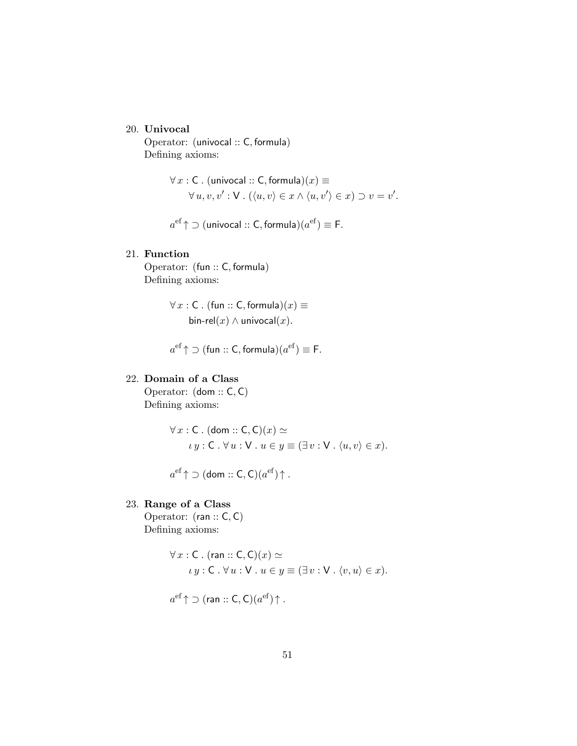### 20. Univocal

Operator: (univocal :: C, formula) Defining axioms:

$$
\forall x : C. \text{ (univocal :: } C, \text{formula)}(x) \equiv
$$
  

$$
\forall u, v, v' : V. \text{ } (\langle u, v \rangle \in x \land \langle u, v' \rangle \in x) \supset v = v'.
$$

 $a^{\text{ef}}$   $\uparrow$   $\supset$  (univocal  $::$  C, formula) $(a^{\text{ef}}) \equiv$  F.

### 21. Function

Operator: (fun :: C, formula) Defining axioms:

> $\forall x : C$ . (fun :: C, formula) $(x) \equiv$ bin-rel $(x) \wedge$  univocal $(x)$ .

 $a^{\text{ef}} \uparrow \supset$  (fun  $::$  C, formula) $(a^{\text{ef}}) \equiv$  F.

# 22. Domain of a Class

Operator: (dom :: C, C) Defining axioms:

$$
\forall x : C. (dom :: C, C)(x) \simeq
$$
  

$$
\iota y : C. \forall u : V. u \in y \equiv (\exists v : V. \langle u, v \rangle \in x).
$$

 $a^{\text{ef}} \! \uparrow \supset (\textsf{dom} :: \textsf{C}, \textsf{C})(a^{\text{ef}}) \!\!\uparrow.$ 

# 23. Range of a Class

Operator: (ran :: C, C) Defining axioms:

$$
\forall x : C. (ran :: C, C)(x) \simeq
$$
  

$$
\iota y : C. \forall u : V. u \in y \equiv (\exists v : V. \langle v, u \rangle \in x).
$$

$$
a^{\text{ef}} \uparrow \supset (\text{ran} :: \text{C}, \text{C})(a^{\text{ef}}) \uparrow.
$$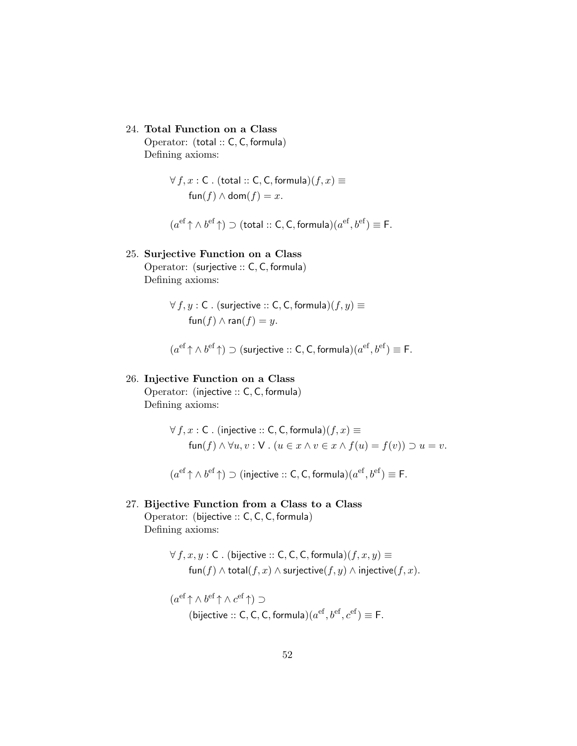24. Total Function on a Class

Operator: (total :: C, C, formula) Defining axioms:

> $\forall f, x : C$ . (total :: C, C, formula) $(f, x) \equiv$  $\text{fun}(f) \wedge \text{dom}(f) = x.$

 $(a^{\text{ef}} \uparrow \wedge b^{\text{ef}} \uparrow) \supset (\text{total} :: \mathsf{C}, \mathsf{C}, \text{formula})(a^{\text{ef}}, b^{\text{ef}}) \equiv \mathsf{F}.$ 

# 25. Surjective Function on a Class

Operator: (surjective :: C, C, formula) Defining axioms:

$$
\forall f, y : C. \text{ (surjective :: } C, C, \text{formula)}(f, y) \equiv
$$
  
fun
$$
(f) \land \text{ran}(f) = y.
$$

 $(a^{\text{ef}} \uparrow \wedge b^{\text{ef}} \uparrow) \supset$  (surjective :: C, C, formula) $(a^{\text{ef}}, b^{\text{ef}}) \equiv \mathsf{F}$ .

# 26. Injective Function on a Class

Operator: (injective :: C, C, formula) Defining axioms:

$$
\forall f, x : C. \text{ (injective :: } C, C, \text{formula)}(f, x) \equiv
$$
\n
$$
\text{fun}(f) \land \forall u, v : V. \ (u \in x \land v \in x \land f(u) = f(v)) \supset u = v.
$$

 $(a^{\text{ef}} \uparrow \wedge b^{\text{ef}} \uparrow) \supset (\text{injective} :: \textsf{C}, \textsf{C}, \textsf{formula})(a^{\text{ef}}, b^{\text{ef}}) \equiv \textsf{F}.$ 

### 27. Bijective Function from a Class to a Class

Operator: (bijective :: C, C, C, formula) Defining axioms:

$$
\forall f, x, y : C \text{ . (bijective :: } C, C, C, \text{formula})(f, x, y) \equiv
$$
  
 
$$
\text{fun}(f) \land \text{total}(f, x) \land \text{surjective}(f, y) \land \text{injective}(f, x).
$$

$$
(a^{\text{ef}} \uparrow \wedge b^{\text{ef}} \uparrow \wedge c^{\text{ef}} \uparrow) \supset
$$
  
(bijective :: C, C, C, formula) $(a^{\text{ef}}, b^{\text{ef}}, c^{\text{ef}}) \equiv \text{F}.$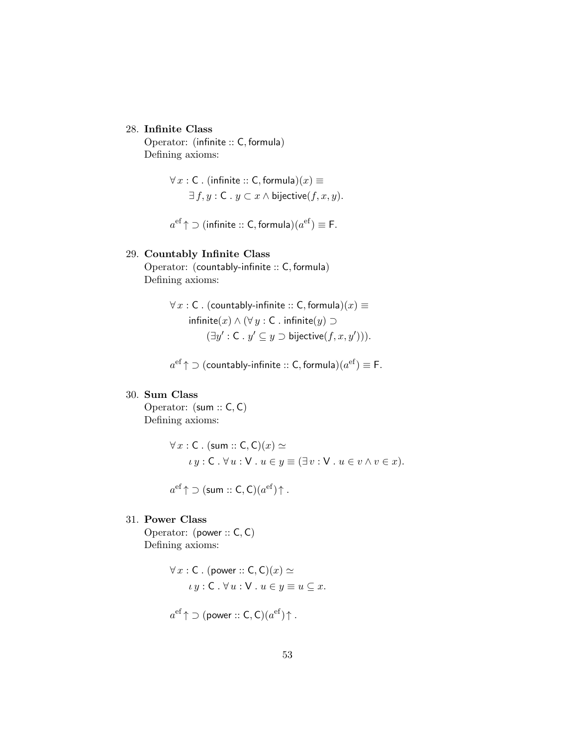### 28. Infinite Class

Operator: (infinite :: C, formula) Defining axioms:

$$
\forall x : C. (infinite :: C, formula)(x) \equiv
$$
  

$$
\exists f, y : C. y \subset x \land \text{bijective}(f, x, y).
$$

 $a^{\text{ef}} \uparrow \supset$  (infinite :: C, formula) $(a^{\text{ef}}) \equiv \mathsf{F}.$ 

### 29. Countably Infinite Class

Operator: (countably-infinite :: C, formula) Defining axioms:

$$
\forall x : C. \text{ (countably-infinite :: C, formula)}(x) \equiv \text{infinite}(x) \land (\forall y : C. \text{ infinite}(y) \supset
$$

$$
(\exists y' : C. y' \subseteq y \supset \text{bijective}(f, x, y'))).
$$

 $a^{\rm ef}\!\uparrow$   $\supset$  (countably-infinite  $::$  C, formula) $(a^{\rm ef})\equiv$  F.

# 30. Sum Class

Operator: (sum :: C, C) Defining axioms:

$$
\forall x : C. \text{ (sum :: } C, C)(x) \simeq
$$
  

$$
\iota y : C. \forall u : V. u \in y \equiv (\exists v : V. u \in v \land v \in x).
$$

$$
a^{\mathrm{ef}} \uparrow \supset (\mathsf{sum} :: \mathsf{C}, \mathsf{C})(a^{\mathrm{ef}}) \uparrow.
$$

# 31. Power Class

Operator: (power :: C, C) Defining axioms:

$$
\forall x : C. (power :: C, C)(x) \simeq
$$
  

$$
\iota y : C. \forall u : V. u \in y \equiv u \subseteq x.
$$

$$
a^{\text{ef}} \uparrow \supset (\text{power} :: \mathsf{C}, \mathsf{C})(a^{\text{ef}}) \uparrow.
$$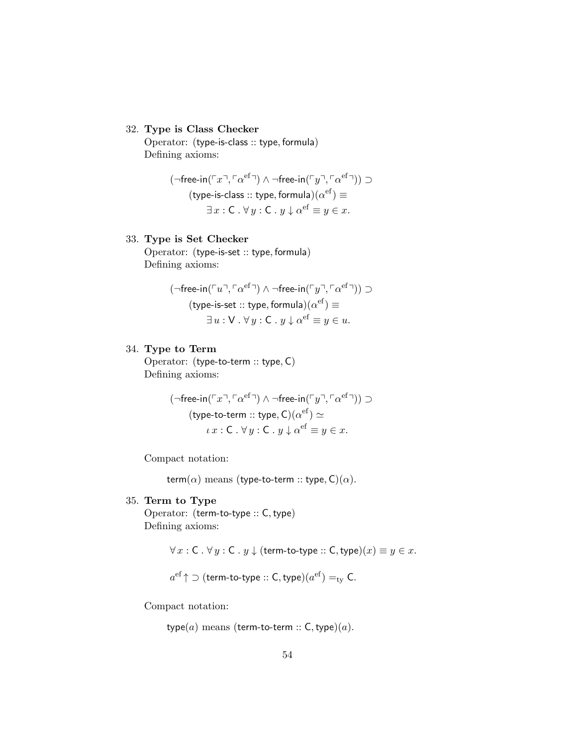### 32. Type is Class Checker

Operator: (type-is-class :: type, formula) Defining axioms:

$$
(\neg \text{free-in}(\ulcorner x \urcorner, \ulcorner \alpha^{\text{ef}} \urcorner) \wedge \neg \text{free-in}(\ulcorner y \urcorner, \ulcorner \alpha^{\text{ef}} \urcorner)) \supset
$$

$$
(\text{type-is-class}:: \text{type}, \text{formula})(\alpha^{\text{ef}}) \equiv
$$

$$
\exists x : C. \forall y : C. y \downarrow \alpha^{\text{ef}} \equiv y \in x.
$$

# 33. Type is Set Checker

Operator: (type-is-set :: type, formula) Defining axioms:

$$
(\neg \text{free-in}(\ulcorner u \urcorner, \ulcorner \alpha^{\text{ef}} \urcorner) \wedge \neg \text{free-in}(\ulcorner y \urcorner, \ulcorner \alpha^{\text{ef}} \urcorner)) \supset
$$

$$
(\text{type-is-set} :: \text{type}, \text{formula})(\alpha^{\text{ef}}) \equiv
$$

$$
\exists u : \mathsf{V} \cdot \forall y : \mathsf{C} \cdot y \downarrow \alpha^{\text{ef}} \equiv y \in u.
$$

### 34. Type to Term

Operator: (type-to-term :: type, C) Defining axioms:

$$
(\neg \text{free-in}(\ulcorner x \urcorner, \ulcorner \alpha^{\text{ef}} \urcorner) \wedge \neg \text{free-in}(\ulcorner y \urcorner, \ulcorner \alpha^{\text{ef}} \urcorner)) \supset
$$

$$
(\text{type-to-term} :: \text{type}, \text{C})(\alpha^{\text{ef}}) \simeq
$$

$$
\iota x : \text{C.} \forall y : \text{C.} y \downarrow \alpha^{\text{ef}} \equiv y \in x.
$$

Compact notation:

term( $\alpha$ ) means (type-to-term :: type, C)( $\alpha$ ).

#### 35. Term to Type

Operator: (term-to-type :: C, type) Defining axioms:

 $\forall x : C \cdot \forall y : C \cdot y \downarrow$  (term-to-type :: C, type) $(x) \equiv y \in x$ .

 $a^{\rm ef}\!\uparrow$   $\supset$   $($  term-to-type  $::$   $\mathsf{C},$  type $)(a^{\rm ef})=_{\rm ty}\mathsf{C}.$ 

Compact notation:

type $(a)$  means (term-to-term :: C, type) $(a)$ .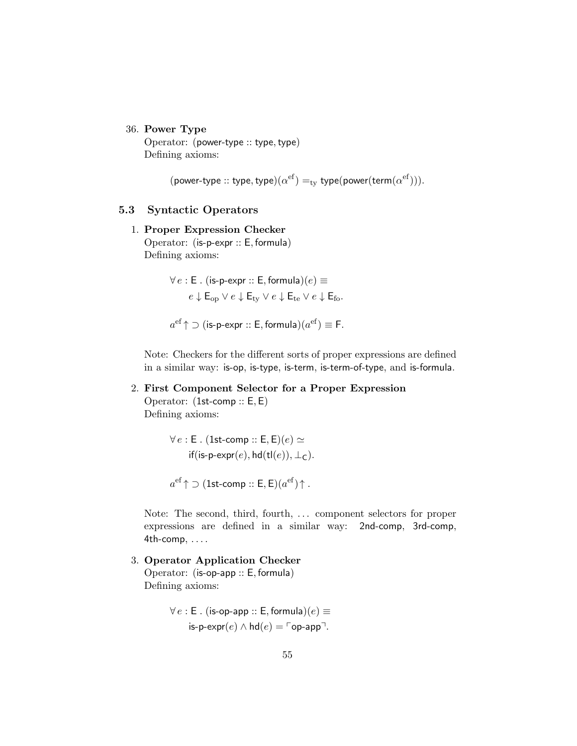### 36. Power Type

Operator: (power-type :: type, type) Defining axioms:

(power-type :: type, type) $(\alpha^{\text{ef}}) =_{\text{ty}}$  type(power(term $(\alpha^{\text{ef}}))$ ).

### 5.3 Syntactic Operators

# 1. Proper Expression Checker

Operator: (is-p-expr :: E, formula) Defining axioms:

$$
\forall e : \mathsf{E} \ . \ (\mathsf{is-p-expr} :: \mathsf{E}, \mathsf{formula})(e) \equiv
$$
\n
$$
e \downarrow \mathsf{E}_{\rm op} \lor e \downarrow \mathsf{E}_{\rm ty} \lor e \downarrow \mathsf{E}_{\rm te} \lor e \downarrow \mathsf{E}_{\rm fo}.
$$

 $a^{\text{ef}} \uparrow \supset (\textsf{is-p-expr} :: \mathsf{E}, \textsf{formula}) (a^{\text{ef}}) \equiv \mathsf{F}.$ 

Note: Checkers for the different sorts of proper expressions are defined in a similar way: is-op, is-type, is-term, is-term-of-type, and is-formula.

### 2. First Component Selector for a Proper Expression

Operator: (1st-comp :: E, E) Defining axioms:

> $\forall e : E$ . (1st-comp :: E, E)(e)  $\simeq$ if(is-p-expr(e), hd(tl(e)),  $\perp_C$ ).

 $a^{\text{ef}}\!\uparrow\supset( \text{1st-comp}::\textsf{E}, \textsf{E})(a^{\text{ef}})\!\uparrow.$ 

Note: The second, third, fourth, ... component selectors for proper expressions are defined in a similar way: 2nd-comp, 3rd-comp,  $4th$ -comp,  $\dots$ 

3. Operator Application Checker Operator: (is-op-app :: E, formula) Defining axioms:

> $\forall e : E$ . (is-op-app :: E, formula) $(e) \equiv$ is-p-expr(e)  $\land$  hd(e) =  $\lceil$ op-app<sup>¬</sup>.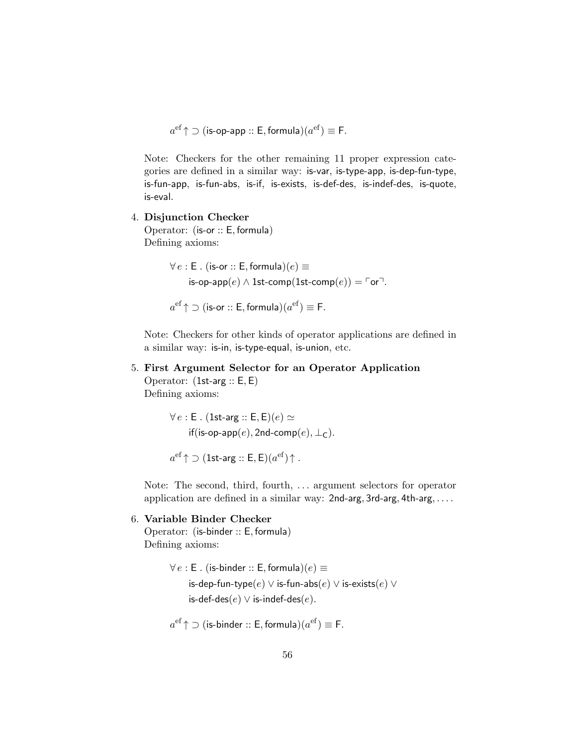$a^{\text{ef}} \uparrow \supset$  (is-op-app :: E, formula) $(a^{\text{ef}}) \equiv$  F.

Note: Checkers for the other remaining 11 proper expression categories are defined in a similar way: is-var, is-type-app, is-dep-fun-type, is-fun-app, is-fun-abs, is-if, is-exists, is-def-des, is-indef-des, is-quote, is-eval.

4. Disjunction Checker

Operator: (is-or :: E, formula) Defining axioms:

> $\forall e : E$ . (is-or :: E, formula) $(e) \equiv$ is-op-app $(e) \wedge 1$ st-comp $(1$ st-comp $(e)) = \ulcorner$ or $\urcorner$ .

 $a^{\text{ef}} \uparrow \supset (\text{is-or} :: \textsf{E}, \textsf{formula}) (a^{\text{ef}}) \equiv \textsf{F}.$ 

Note: Checkers for other kinds of operator applications are defined in a similar way: is-in, is-type-equal, is-union, etc.

5. First Argument Selector for an Operator Application Operator: (1st-arg :: E, E) Defining axioms:

> $\forall e : E$ . (1st-arg :: E, E)(e)  $\simeq$ if(is-op-app(e), 2nd-comp(e),  $\perp_C$ ).

 $a^{\rm ef}$   $\uparrow$   $\supset$   $(1$ st-arg  $::$   $\mathsf{E},\mathsf{E}) (a^{\rm ef}) \!\uparrow$  .

Note: The second, third, fourth, ... argument selectors for operator application are defined in a similar way: 2nd-arg, 3rd-arg, 4th-arg, ....

### 6. Variable Binder Checker

Operator: (is-binder :: E, formula) Defining axioms:

```
\forall e : E. (is-binder :: E, formula)(e) \equivis-dep-fun-type(e) \vee is-fun-abs(e) \vee is-exists(e) \veeis-def-des(e) ∨ is-indef-des(e).
```

```
a^{\rm ef}\!\uparrow \supset (is-binder :: E, formula)(a^{\rm ef})\equiv F.
```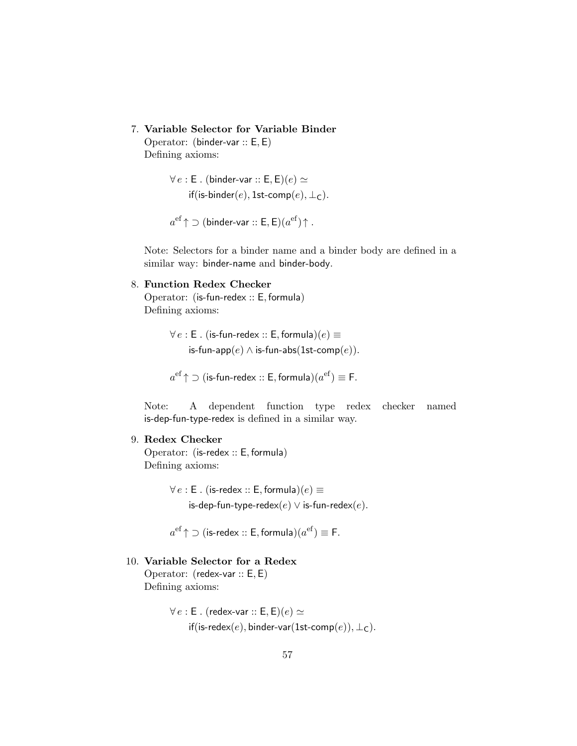7. Variable Selector for Variable Binder

Operator: (binder-var :: E, E) Defining axioms:

> $\forall e : \mathsf{E}$ . (binder-var ::  $\mathsf{E}, \mathsf{E}$ ) $(e) \simeq$ if(is-binder(e), 1st-comp(e),  $\bot$ c).

 $a^{\rm ef}\!\uparrow$   $\supset$   $(\rm binder\! \cdot \! \rm var\, \cdots \, E,E) (a^{\rm ef}) \!\uparrow$  .

Note: Selectors for a binder name and a binder body are defined in a similar way: binder-name and binder-body.

#### 8. Function Redex Checker

Operator: (is-fun-redex :: E, formula) Defining axioms:

> $\forall e : E$ . (is-fun-redex :: E, formula) $(e) \equiv$ is-fun-app $(e) \wedge$  is-fun-abs $(1$ st-comp $(e)$ ).

$$
a^{\text{ef}} \uparrow \supset (\text{is-fun-redex} :: \text{E}, \text{formula})(a^{\text{ef}}) \equiv \text{F}.
$$

Note: A dependent function type redex checker named is-dep-fun-type-redex is defined in a similar way.

#### 9. Redex Checker

Operator: (is-redex :: E, formula) Defining axioms:

> $\forall e : E$ . (is-redex :: E, formula) $(e) \equiv$ is-dep-fun-type-redex $(e) \vee$  is-fun-redex $(e)$ .

 $a^{\text{ef}} \uparrow \supset (\textsf{is-redex} :: \textsf{E}, \textsf{formula}) (a^{\text{ef}}) \equiv \textsf{F}.$ 

### 10. Variable Selector for a Redex

Operator: (redex-var :: E, E) Defining axioms:

> $\forall e : E$ . (redex-var :: E, E)(e)  $\simeq$ if(is-redex(e), binder-var(1st-comp(e)),  $\bot$ <sub>C</sub>).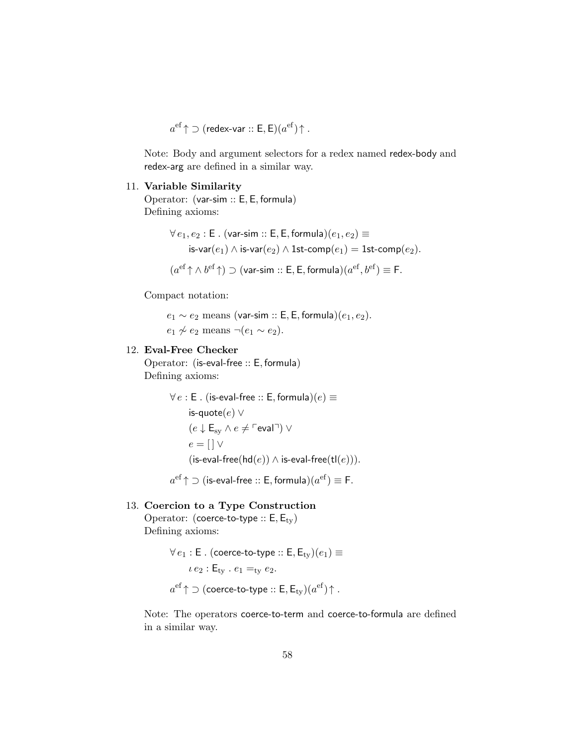$$
a^{\rm ef}\!\uparrow\supset(\text{redex-var}::\mathsf{E},\mathsf{E})(a^{\rm ef})\!\uparrow.
$$

Note: Body and argument selectors for a redex named redex-body and redex-arg are defined in a similar way.

#### 11. Variable Similarity

Operator: (var-sim :: E, E, formula) Defining axioms:

$$
\begin{aligned} \forall\, e_1, e_2: \mathsf{E} \ . \ (\mathsf{var-sim}\ :: \mathsf{E}, \mathsf{E}, \mathsf{formula})(e_1, e_2) &\equiv \\ \mathsf{is}\text{-}\mathsf{var}(e_1) \wedge \mathsf{is}\text{-}\mathsf{var}(e_2) \wedge \mathsf{1st\text{-}comp}(e_1) & = \mathsf{1st\text{-}comp}(e_2). \\ (a^\mathsf{ef}\!\uparrow\wedge b^\mathsf{ef}\!\uparrow) &\supset (\mathsf{var-sim}\ :: \mathsf{E}, \mathsf{E}, \mathsf{formula})(a^\mathsf{ef}, b^\mathsf{ef}) \equiv \mathsf{F}. \end{aligned}
$$

Compact notation:

 $e_1 \sim e_2$  means (var-sim :: E, E, formula) $(e_1, e_2)$ .  $e_1 \not\sim e_2$  means  $\neg(e_1 \sim e_2)$ .

### 12. Eval-Free Checker

Operator: (is-eval-free :: E, formula) Defining axioms:

```
\forall e : E. (is-eval-free :: E, formula)(e) \equivis-quote(e) ∨
       (e \downarrow E_{sy} \land e \neq \ulcorner \text{eval} \urcorner) \lore = \lceil \cdot \rceil \vee(is-eval-free(hd(e)) \land is-eval-free(tl(e))).
a^{\rm ef}\!\uparrow \supset (is-eval-free :: E, formula)(a^{\rm ef})\equiv F.
```
#### 13. Coercion to a Type Construction

Operator: (coerce-to-type  $:: E, E_{tv})$ Defining axioms:

> $\forall e_1 : \mathsf{E}$ . (coerce-to-type ::  $\mathsf{E}, \mathsf{E}_{\text{tv}}(e_1) \equiv$  $i.e_2$ :  $E_{\text{tv}}$ .  $e_1 =_{\text{tv}} e_2$ .  $a^{\rm ef}\!\uparrow$   $\supset$  (coerce-to-type  $::$   $\mathsf{E},\mathsf{E}_\mathsf{ty})(a^{\rm ef})\!\uparrow$  .

Note: The operators coerce-to-term and coerce-to-formula are defined in a similar way.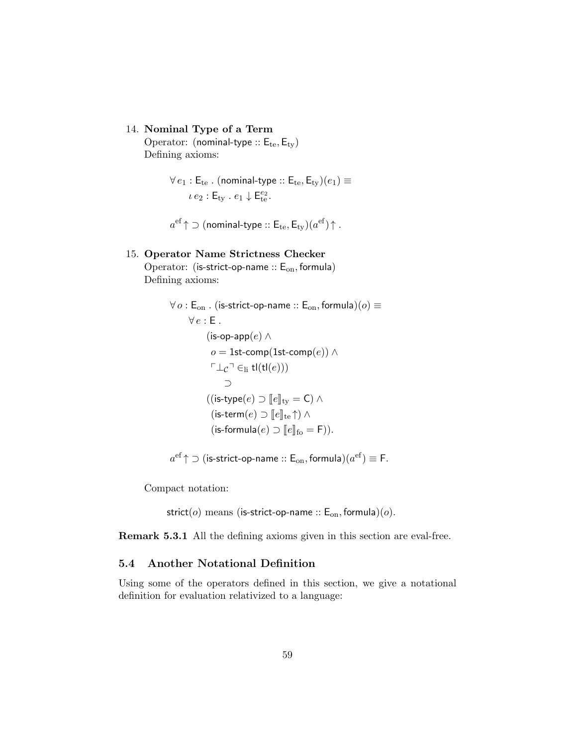14. Nominal Type of a Term

Operator: (nominal-type ::  $E_{te}$ ,  $E_{ty}$ ) Defining axioms:

> $\forall e_1 : E_{te}$ . (nominal-type ::  $E_{te}$ ,  $E_{tv}$ ) $(e_1) \equiv$  $i e_2 : \mathsf{E}_{\text{ty}} : e_1 \downarrow \mathsf{E}_{\text{te}}^{e_2}.$

 $a^{\rm ef}\!\uparrow$   $\supset$  (nominal-type  $::$   ${\mathsf E}_{\rm te}, {\mathsf E}_{\rm ty})(a^{\rm ef})\!\uparrow$  .

#### 15. Operator Name Strictness Checker

Operator: (is-strict-op-name ::  $E_{on}$ , formula) Defining axioms:

```
\forall o : \mathsf{E}_{\text{on}} . (is-strict-op-name :: \mathsf{E}_{\text{on}}, formula)(o) \equiv\forall e : E.
                 (is-op-app(e) ∧
                   o = 1st-comp(1st-comp(e)) ∧
                  \ulcorner \bot_{\mathcal{C}} \urcorner \in_{\text{li}} \mathsf{tl}(\mathsf{tl}(e)))⊃
                 ((\text{is-type}(e) \supset [e]_{\text{tv}} = C) \wedge(is-term(e) \supset \lceil e \rceil<sub>te</sub> \uparrow) \wedge(is-formula(e) \supset [e]_{\text{fo}} = F)).
```

```
a^{\rm ef}\!\uparrow \supset (is-strict-op-name :: \mathsf{E}_{\rm on}, formula)(a^{\rm ef}) \equiv \mathsf{F}.
```
Compact notation:

strict( $o$ ) means (is-strict-op-name ::  $E_{on}$ , formula)( $o$ ).

Remark 5.3.1 All the defining axioms given in this section are eval-free.

### 5.4 Another Notational Definition

Using some of the operators defined in this section, we give a notational definition for evaluation relativized to a language: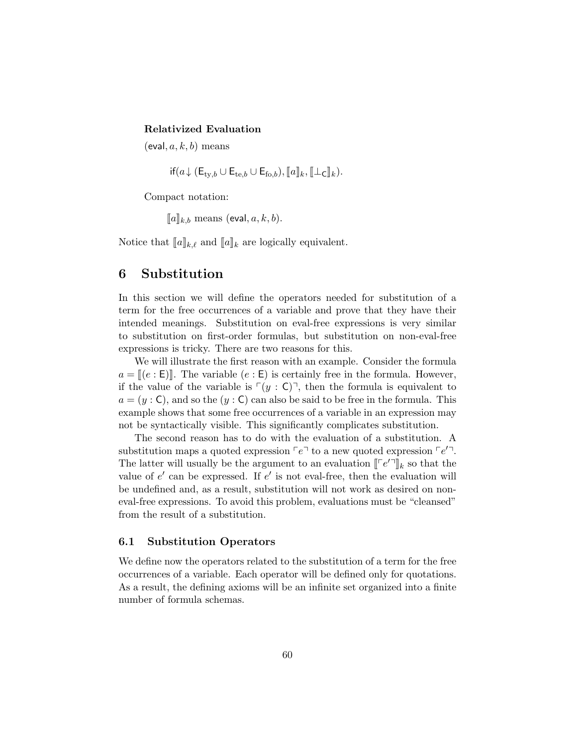#### Relativized Evaluation

 $(eval, a, k, b)$  means

 $if(a\downarrow(E_{\text{tv},b}\cup E_{\text{te},b}\cup E_{\text{fo},b}), \llbracket a\rrbracket_k, \llbracket \perp_C\rrbracket_k).$ 

Compact notation:

 $\llbracket a \rrbracket_{k,b}$  means (eval,  $a, k, b$ ).

Notice that  $[\![a]\!]_{k,\ell}$  and  $[\![a]\!]_k$  are logically equivalent.

# 6 Substitution

In this section we will define the operators needed for substitution of a term for the free occurrences of a variable and prove that they have their intended meanings. Substitution on eval-free expressions is very similar to substitution on first-order formulas, but substitution on non-eval-free expressions is tricky. There are two reasons for this.

We will illustrate the first reason with an example. Consider the formula  $a = \mathbb{I}(e : E)$ . The variable  $(e : E)$  is certainly free in the formula. However, if the value of the variable is  $\lceil(y : C)\rceil$ , then the formula is equivalent to  $a = (y : \mathsf{C})$ , and so the  $(y : \mathsf{C})$  can also be said to be free in the formula. This example shows that some free occurrences of a variable in an expression may not be syntactically visible. This significantly complicates substitution.

The second reason has to do with the evaluation of a substitution. A substitution maps a quoted expression  $\lceil e \rceil$  to a new quoted expression  $\lceil e' \rceil$ . The latter will usually be the argument to an evaluation  $\llbracket \lceil e' \rceil \rrbracket_k$  so that the value of  $g'$  can be arrived as if  $g'$  is not and free, then the evaluation will value of  $e'$  can be expressed. If  $e'$  is not eval-free, then the evaluation will be undefined and, as a result, substitution will not work as desired on noneval-free expressions. To avoid this problem, evaluations must be "cleansed" from the result of a substitution.

#### 6.1 Substitution Operators

We define now the operators related to the substitution of a term for the free occurrences of a variable. Each operator will be defined only for quotations. As a result, the defining axioms will be an infinite set organized into a finite number of formula schemas.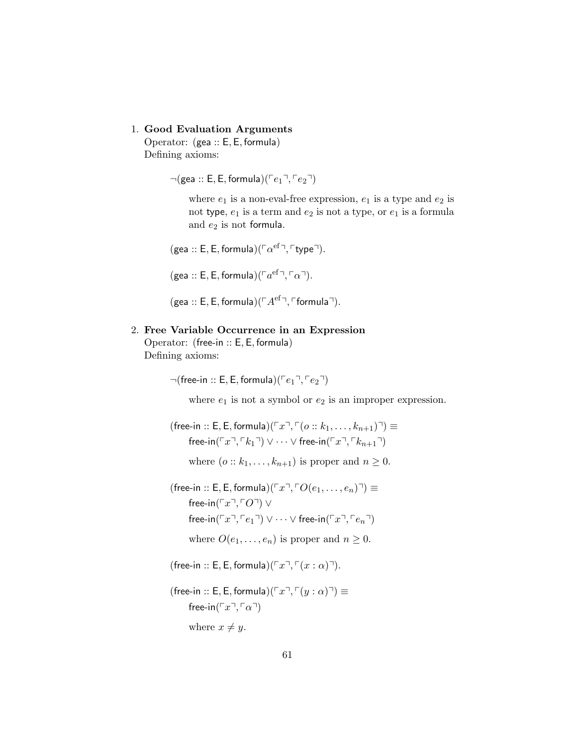### 1. Good Evaluation Arguments

Operator: (gea :: E, E, formula) Defining axioms:

 $\neg$ (gea :: E, E, formula)( $\ulcorner e_1 \urcorner, \ulcorner e_2 \urcorner)$ 

where  $e_1$  is a non-eval-free expression,  $e_1$  is a type and  $e_2$  is not type,  $e_1$  is a term and  $e_2$  is not a type, or  $e_1$  is a formula and  $e_2$  is not formula.

(gea :: E, E, formula)( $\lceil \alpha^{\text{ef}} \rceil$ ,  $\lceil \text{type} \rceil$ ).

- (gea :: E, E, formula)( $\lceil a^{\text{ef}} \rceil$ ,  $\lceil \alpha \rceil$ ).
- (gea :: E, E, formula) $(\ulcorner A^{\text{ef}}\urcorner, \ulcorner \text{formula} \urcorner).$

#### 2. Free Variable Occurrence in an Expression

Operator: (free-in :: E, E, formula) Defining axioms:

 $\neg$ (free-in :: E, E, formula)( $\ulcorner e_1 \urcorner, \ulcorner e_2 \urcorner)$ 

where  $e_1$  is not a symbol or  $e_2$  is an improper expression.

(free-in :: E, E, formula)( $\lceil x \rceil$ ,  $\lceil (o :: k_1, \ldots, k_{n+1}) \rceil$ )  $\equiv$ free-in( $\lceil x \rceil, \lceil k_1 \rceil$ ) ∨  $\cdots$   $\vee$  free-in( $\lceil x \rceil, \lceil k_{n+1} \rceil$ ) where  $(o:: k_1, \ldots, k_{n+1})$  is proper and  $n \geq 0$ .

- (free-in :: E, E, formula)( $\lceil x \rceil$ ,  $\lceil O(e_1, \ldots, e_n) \rceil$ )  $\equiv$ free-in( $\ulcorner x \urcorner, \ulcorner O \urcorner) \vee$ free-in( $\lceil x \rceil$ ,  $\lceil e_1 \rceil$ ) ∨  $\cdots$   $\vee$  free-in( $\lceil x \rceil$ ,  $\lceil e_n \rceil$ ) where  $O(e_1, \ldots, e_n)$  is proper and  $n \geq 0$ .
- (free-in :: E, E, formula)( $\lceil x \rceil$ ,  $\lceil (x : \alpha) \rceil$ ).
- (free-in :: E, E, formula)( $\lceil x^{\top}, \lceil(y : \alpha)^{\top} \rceil$   $\equiv$ free-in( $\ulcorner x \urcorner, \ulcorner \alpha \urcorner)$ where  $x \neq y$ .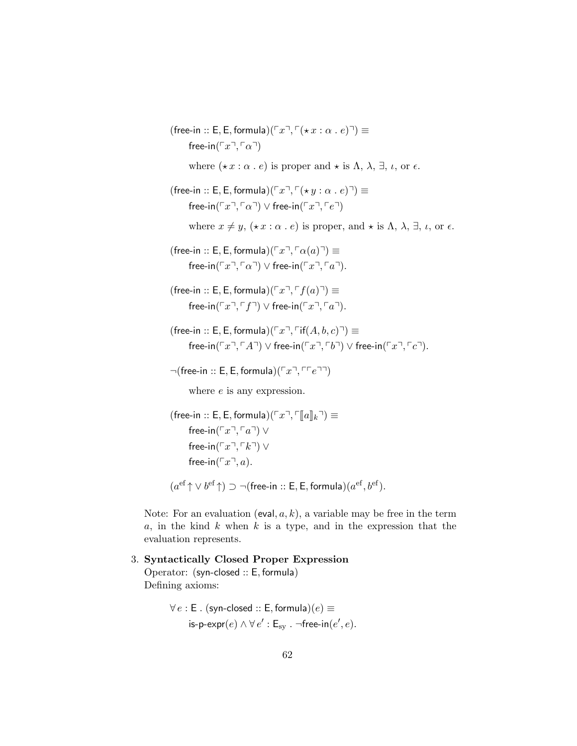(free-in :: E, E, formula)( $\lceil x \rceil$ ,  $\lceil (x \cdot x : \alpha : e) \rceil$ )  $\equiv$ free-in( $\ulcorner x \urcorner, \ulcorner \alpha \urcorner)$ where  $(\star x : \alpha \cdot e)$  is proper and  $\star$  is  $\Lambda$ ,  $\lambda$ ,  $\exists$ ,  $\iota$ , or  $\epsilon$ . (free-in :: E, E, formula)( $\lceil x \rceil$ ,  $\lceil (x \cdot y : \alpha : e) \rceil$ )  $\equiv$ free-in( $\lceil x \rceil$ ,  $\lceil \alpha \rceil$ )  $\vee$  free-in( $\lceil x \rceil$ ,  $\lceil e \rceil$ ) where  $x \neq y$ ,  $(\star x : \alpha \cdot e)$  is proper, and  $\star$  is  $\Lambda$ ,  $\lambda$ ,  $\exists$ ,  $\iota$ , or  $\epsilon$ . (free-in :: E, E, formula)( $\lceil x \rceil$ ,  $\lceil \alpha(a) \rceil$ )  $\equiv$ free-in( $\lceil x \rceil$ ,  $\lceil \alpha \rceil$ ) ∨ free-in( $\lceil x \rceil$ ,  $\lceil a \rceil$ ). (free-in :: E, E, formula)( $\lceil x \rceil$ ,  $\lceil f(a) \rceil$ )  $\equiv$ free-in( $\lceil x \rceil$ ,  $\lceil f \rceil$ )  $\vee$  free-in( $\lceil x \rceil$ ,  $\lceil a \rceil$ ). (free-in :: E, E, formula)( $\lceil x \rceil$ ,  $\lceil \text{if}(A, b, c) \rceil$ )  $\equiv$ free-in( $\lceil x^{\mathsf{T}}, \lceil A^{\mathsf{T}} \rceil$ )  $\vee$  free-in( $\lceil x^{\mathsf{T}}, \lceil b^{\mathsf{T}} \rceil$ )  $\vee$  free-in( $\lceil x^{\mathsf{T}}, \lceil c^{\mathsf{T}} \rceil$ ).  $\neg$ (free-in :: E, E, formula)( $\ulcorner x \urcorner, \ulcorner \ulcorner e \urcorner \urcorner)$ )

where  $e$  is any expression.

(free-in :: E, E, formula)( $\ulcorner x \urcorner$ ,  $\ulcorner \llbracket a \rrbracket_k \urcorner$ )  $\equiv$ free-in( $\lceil x \rceil$ ,  $\lceil a \rceil$ ) ∨ free-in( $\ulcorner x \urcorner, \ulcorner k \urcorner) \vee$ free-in( $\ulcorner x \urcorner, a$ ).  $(a^{\text{ef}} \uparrow \vee b^{\text{ef}} \uparrow) \supset \neg(\text{free-in} :: \mathsf{E}, \mathsf{E}, \text{formula})(a^{\text{ef}}, b^{\text{ef}}).$ 

Note: For an evaluation (eval,  $a, k$ ), a variable may be free in the term  $a$ , in the kind  $k$  when  $k$  is a type, and in the expression that the evaluation represents.

3. Syntactically Closed Proper Expression Operator: (syn-closed :: E, formula) Defining axioms:

```
\forall e : E. (syn-closed :: E, formula)(e) \equivis-p-expr(e) \wedge \forall e' : \mathsf{E}_{\text{sy}} . ¬free-in(e', e).
```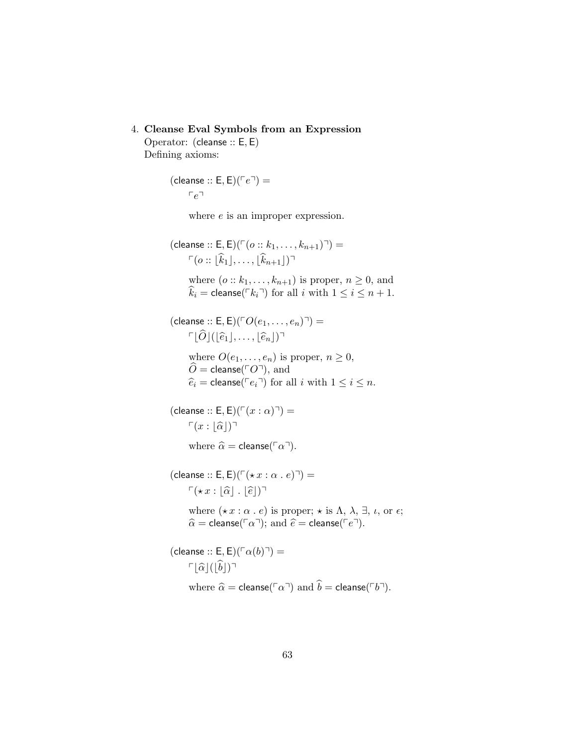### 4. Cleanse Eval Symbols from an Expression

Operator: (cleanse :: E, E) Defining axioms:

> (cleanse :: E, E)( $\sqrt{\phantom{0}}e^{\overline{\phantom{0}}\phantom{0}}$  =  $r_e$

> > where  $e$  is an improper expression.

(cleanse :: E, E)( $\lceil (o :: k_1, \ldots, k_{n+1})^{\lceil} \rceil$ ) =  $\Gamma(o:: |\widehat{k}_1|, \ldots, |\widehat{k}_{n+1}|)^{\top}$ where  $(o:: k_1, \ldots, k_{n+1})$  is proper,  $n \geq 0$ , and  $\widehat{k}_i = \text{cleanse}(\lceil k_i \rceil)$  for all i with  $1 \leq i \leq n+1$ . (cleanse :: E, E)( $\ulcorner O(e_1, \ldots, e_n) \urcorner) =$  $\lceil \widehat{O} | (|\widehat{e}_1|, \ldots, |\widehat{e}_n|)^{\mathsf{T}}$ where  $O(e_1, \ldots, e_n)$  is proper,  $n \geq 0$ ,  $\widetilde{O} = \mathsf{cleanse}(\ulcorner O \urcorner), \text{ and}$  $\widehat{e}_i = \text{cleanse}(\ulcorner e_i \urcorner)$  for all i with  $1 \leq i \leq n$ . (cleanse :: E, E)( $\Gamma(x : \alpha)$ ] =  $\Gamma(x : |\widehat{\alpha}|)^{\neg}$ where  $\widehat{\alpha} = \text{cleanse}(\ulcorner \alpha \urcorner).$ 

(cleanse :: E, E)( $\Gamma$ ( $\star x : \alpha : e$ ) $\Gamma$ ) =  $\Gamma(\star x : |\widehat{\alpha}|, |\widehat{e}|)^{\mathsf{T}}$ where  $(\star x : \alpha \cdot e)$  is proper;  $\star$  is  $\Lambda$ ,  $\lambda$ ,  $\exists$ ,  $\iota$ , or  $\epsilon$ ;  $\widehat{\alpha}$  = cleanse( $\lceil \alpha \rceil$ ); and  $\widehat{e}$  = cleanse( $\lceil e \rceil$ ). (cleanse :: E, E)( $\lceil \alpha(b) \rceil$ ) =

$$
\ulcorner\lfloor\widehat{\alpha}\rfloor(\lfloor\widehat{b}\rfloor)\urcorner
$$

where  $\widehat{\alpha} = \mathsf{cleanse}(\ulcorner \alpha \urcorner)$  and  $\widehat{b} = \mathsf{cleanse}(\ulcorner b \urcorner).$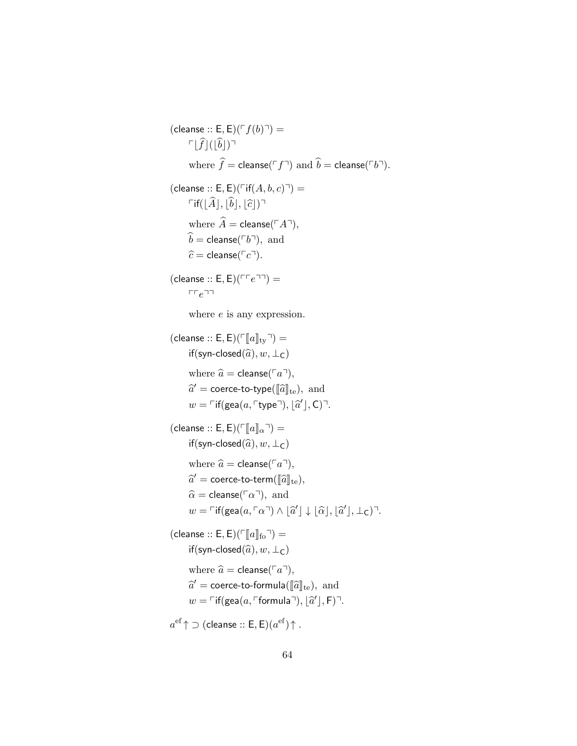(cleanse :: E, E)( $\ulcorner f(b) \urcorner$ ) =  $\lceil \widehat{f} | (|\widehat{b}|)^{\lceil \frac{1}{2} \rceil}$ where  $\hat{f} = \text{cleanse}(\ulcorner f \urcorner)$  and  $\hat{b} = \text{cleanse}(\ulcorner b \urcorner).$ (cleanse :: E, E)( $\Gamma$ if(A, b, c) $\neg$ ) =  $\Gamma$ if( $|\hat{A}|, |\hat{b}|, |\hat{c}|$ )<sup> $\Gamma$ </sup> where  $\widehat{A}$  = cleanse( $\ulcorner A\urcorner$ ),  $\hat{b}$  = cleanse( $\ulcorner b\urcorner$ ), and  $\widehat{c}$  = cleanse( $\lceil c \rceil$ ). (cleanse  $:: E, E)(\sqcap e \sqcap \sqcap) =$  $rr e$ where  $e$  is any expression. (cleanse :: E, E)( $\lceil a \rceil_{\text{tv}}$ <sup> $\lceil a \rceil_{\text{tv}}$  $\rceil$ ) =</sup> if(syn-closed $(\widehat{a}), w, \perp_C$ ) where  $\hat{a}$  = cleanse( $\lceil a \rceil$ ),  $\widehat{a}' = \text{coerce-to-type}([\widehat{a}]_{\text{te}}), \text{ and}$  $w = \ulcorner$ if(gea $(a, \ulcorner$ type $\urcorner)$ ,  $\lbrack \widehat{a}' \rbrack$ , C) $\urcorner$ . (cleanse :: E, E)( $\ulcorner \llbracket a \rrbracket_{\alpha} \urcorner$ ) = if(syn-closed $(\widehat{a}), w, \perp_C$ ) where  $\hat{a}$  = cleanse( $\lceil a \rceil$ ),  $\widehat{a}' = \text{coerce-to-term}(\llbracket \widehat{a} \rrbracket_{\text{te}}),$  $\widehat{\alpha}$  = cleanse( $\lceil \alpha \rceil$ ), and  $w = \ulcorner \text{if}(\textsf{gea}(a, \ulcorner \alpha \urcorner) \land \lbrack \widehat{a}' \rbrack \downarrow \lbrack \widehat{\alpha} \rbrack, \lbrack \widehat{a}' \rbrack, \bot_{\mathsf{C}} \rbrack \urcorner.$ (cleanse :: E, E)( $\lceil \lceil \ln \rceil_0 \rceil$ ) = if(syn-closed $(\widehat{a}), w, \perp_C$ ) where  $\hat{a}$  = cleanse( $\lceil a \rceil$ ),  $\widehat{a}' = \text{coerce-to-formula}(\llbracket \widehat{a} \rrbracket_{\text{te}}), \text{ and}$  $w = \ulcorner$  if(gea $(a, \ulcorner$ formula $\urcorner), \lfloor \widehat{a}' \rfloor, F) \urcorner$ .  $a^{\rm ef} \! \uparrow \! \supset ($ cleanse  $::$  E $,$  E $)(a^{\rm ef}) \! \uparrow$  .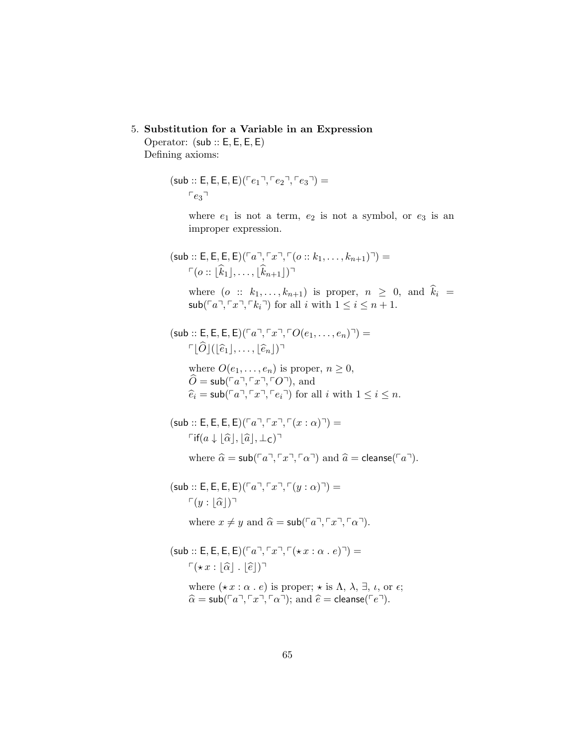5. Substitution for a Variable in an Expression

Operator: (sub :: E, E, E, E) Defining axioms:

> $(sub :: E, E, E, E)$  $(Fe_1, Fe_2, Fe_3)$  =  $r_{e_3}$

> > where  $e_1$  is not a term,  $e_2$  is not a symbol, or  $e_3$  is an improper expression.

```
(\mathsf{sub} :: \mathsf{E}, \mathsf{E}, \mathsf{E}, \mathsf{E})^{\lceil a \rceil, \lceil x \rceil, \lceil (o :: k_1, \ldots, k_{n+1}) \rceil)} =
           \lceil (o : |\hat{k}_1|, \ldots, |\hat{k}_{n+1}|)^{\top}
```
where  $(o :: k_1, \ldots, k_{n+1})$  is proper,  $n \geq 0$ , and  $\hat{k}_i =$  $\mathsf{sub}(\ulcorner a \urcorner, \ulcorner x \urcorner, \ulcorner k_i \urcorner)$  for all i with  $1 \leq i \leq n+1$ .

 $(\mathsf{sub} :: \mathsf{E}, \mathsf{E}, \mathsf{E}, \mathsf{E})^T a^T, \ulcorner x^T, \ulcorner O(e_1, \ldots, e_n) \urcorner) =$  $\lceil \widehat{O} | (|\widehat{e}_1|, \ldots, |\widehat{e}_n|)^{\mathsf{T}}$ 

where  $O(e_1, \ldots, e_n)$  is proper,  $n \geq 0$ ,  $\hat{O} = \mathsf{sub}(\overline{a}, \overline{a}, \overline{a}, \overline{c})$ , and  $\hat{e}_i = \mathsf{sub}(\ulcorner a \urcorner, \ulcorner x \urcorner, \ulcorner e_i \urcorner)$  for all i with  $1 \leq i \leq n$ .

```
(\mathsf{sub} :: \mathsf{E}, \mathsf{E}, \mathsf{E}, \mathsf{E})^T a, \ulcorner x \urcorner, \ulcorner (x : \alpha) \urcorner) =\lceil \mathsf{if}(a \downarrow |\hat{\alpha}|, |\hat{a}|, \perp_{\mathsf{C}}) \rceil
```
where  $\hat{\alpha} = \textsf{sub}(\lceil a \rceil, \lceil x \rceil, \lceil \alpha \rceil)$  and  $\hat{a} = \textsf{cleanse}(\lceil a \rceil)$ .

 $(\mathsf{sub} :: \mathsf{E}, \mathsf{E}, \mathsf{E}, \mathsf{E})^T a$ ,  $\ulcorner \mathcal{F} \urcorner \mathcal{F} \urcorner (y : \alpha) \urcorner) =$  $\lceil (y : |\hat{\alpha}|)^{\lceil}$ where  $x \neq y$  and  $\hat{\alpha} = \mathsf{sub}(\ulcorner a \urcorner, \ulcorner x \urcorner, \ulcorner \alpha \urcorner).$ 

 $(\mathsf{sub} :: \mathsf{E}, \mathsf{E}, \mathsf{E}, \mathsf{E})^T a^T, \ulcorner x^T, \ulcorner (\star x : \alpha \cdot e)^T) =$  $\Gamma(\star x : |\widehat{\alpha}|, |\widehat{e}|)^{\top}$ where  $(\star x : \alpha \cdot e)$  is proper;  $\star$  is  $\Lambda$ ,  $\lambda$ ,  $\exists$ ,  $\iota$ , or  $\epsilon$ ;  $\widehat{\alpha} = \mathsf{sub}(\lceil a \rceil, \lceil x \rceil, \lceil \alpha \rceil);$  and  $\widehat{e} = \mathsf{cleanse}(\lceil e \rceil).$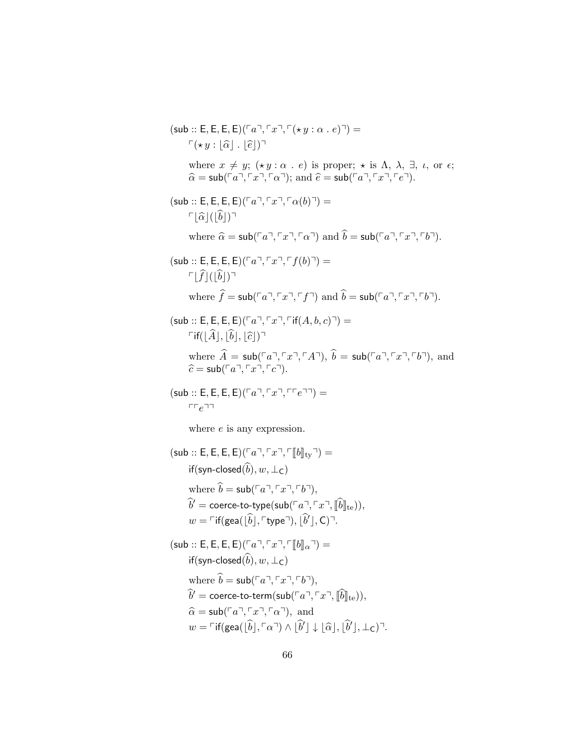$(\mathsf{sub} :: \mathsf{E}, \mathsf{E}, \mathsf{E}, \mathsf{E})$  $( \ulcorner a \urcorner, \ulcorner x \urcorner, \ulcorner (\star y : \alpha \mathbin{.} e) \urcorner) =$  $\lceil (\star y : | \widehat{\alpha} | \cdot | \widehat{\epsilon} | ) \rceil$ where  $x \neq y$ ;  $(\star y : \alpha \cdot e)$  is proper;  $\star$  is  $\Lambda$ ,  $\lambda$ ,  $\exists$ ,  $\iota$ , or  $\epsilon$ ;  $\hat{\alpha} = \mathsf{sub}(\lceil a \rceil, \lceil x \rceil, \lceil a \rceil);$  and  $\hat{e} = \mathsf{sub}(\lceil a \rceil, \lceil x \rceil, \lceil e \rceil).$  $(\mathsf{sub} :: \mathsf{E}, \mathsf{E}, \mathsf{E}, \mathsf{E}) (\ulcorner a \urcorner, \ulcorner x \urcorner, \ulcorner \alpha(b) \urcorner) =$  $\lceil |\widehat{\alpha}| (|\widehat{b}|)^{\lceil}$ where  $\hat{\alpha} = \textsf{sub}(\lceil a \rceil, \lceil x \rceil, \lceil \alpha \rceil)$  and  $\hat{b} = \textsf{sub}(\lceil a \rceil, \lceil x \rceil, \lceil b \rceil).$  $(\mathsf{sub} :: \mathsf{E}, \mathsf{E}, \mathsf{E}, \mathsf{E}) (\ulcorner a \urcorner, \ulcorner x \urcorner, \ulcorner f(b) \urcorner) =$  $\lceil \widehat{f} \rceil (|\widehat{b}|)^{\lceil \frac{1}{2} \rceil}$ where  $\hat{f} = \mathsf{sub}(\ulcorner a \urcorner, \ulcorner x \urcorner, \ulcorner f \urcorner)$  and  $\hat{b} = \mathsf{sub}(\ulcorner a \urcorner, \ulcorner x \urcorner, \ulcorner b \urcorner).$  $(\mathsf{sub} :: \mathsf{E}, \mathsf{E}, \mathsf{E}, \mathsf{E}) (\ulcorner a \urcorner, \ulcorner x \urcorner, \ulcorner \mathsf{if}(A, b, c) \urcorner) =$  $\ulcorner$ if( $|\hat{A}|, |\hat{b}|, |\hat{c}|$ ) $\urcorner$ where  $\hat{A} = \mathsf{sub}(\ulcorner a \urcorner, \ulcorner x \urcorner, \ulcorner A \urcorner), \ \hat{b} = \mathsf{sub}(\ulcorner a \urcorner, \ulcorner x \urcorner, \ulcorner b \urcorner),$  and  $\hat{c} = \mathsf{sub}(\ulcorner a \urcorner, \ulcorner x \urcorner, \ulcorner c \urcorner).$  $(\mathsf{sub} :: \mathsf{E}, \mathsf{E}, \mathsf{E}, \mathsf{E})^{\lceil \lceil a^{\mathsf{T}}, \lceil \lceil x^{\mathsf{T}}, \lceil \lceil e^{\mathsf{T}} \rceil \rceil} =$  $rre$ where  $e$  is any expression.  $(\mathsf{sub} :: \mathsf{E}, \mathsf{E}, \mathsf{E}, \mathsf{E})^T a^T, \ulcorner x^T, \ulcorner [b]_{\text{tv}}\urcorner) =$ if(syn-closed $(\widehat{b}), w, \perp_C$ ) where  $\hat{b} = \mathsf{sub}(\ulcorner a \urcorner, \ulcorner x \urcorner, \ulcorner b \urcorner),$  $\widehat{b}' = \text{coerce-to-type}(\text{sub}(\ulcorner a \urcorner, \ulcorner x \urcorner, \llbracket \widehat{b} \rrbracket_{\text{te}})),$  $w = \ulcorner$  if(gea( $\lfloor \widehat{b} \rfloor, \ulcorner$ type $\urcorner$ ),  $\lfloor \widehat{b}' \rfloor, C$ ) $\urcorner$ .  $(\mathsf{sub} :: \mathsf{E}, \mathsf{E}, \mathsf{E}, \mathsf{E}) (\ulcorner a \urcorner, \ulcorner x \urcorner, \ulcorner \llbracket b \rrbracket_\alpha \urcorner) =$ if(syn-closed $(\widehat{b}), w, \perp_C$ ) where  $\hat{b} = \mathsf{sub}(\ulcorner a \urcorner, \ulcorner x \urcorner, \ulcorner b \urcorner),$  $\hat{b}' = \text{coerce-to-term}(\text{sub}(\ulcorner a \urcorner, \ulcorner x \urcorner, \llbracket \hat{b} \rrbracket_{\text{te}})),$  $\hat{\alpha} = \mathsf{sub}(\lceil a \rceil, \lceil x \rceil, \lceil \alpha \rceil)$ , and  $w = \ulcorner \text{if}(\textsf{gea}(\lfloor \hat{b} \rfloor, \lceil \alpha \rceil) \wedge \lfloor \hat{b} \rfloor \downarrow \lfloor \hat{\alpha} \rfloor, \lfloor \hat{b} \rfloor, \bot_C) \urcorner.$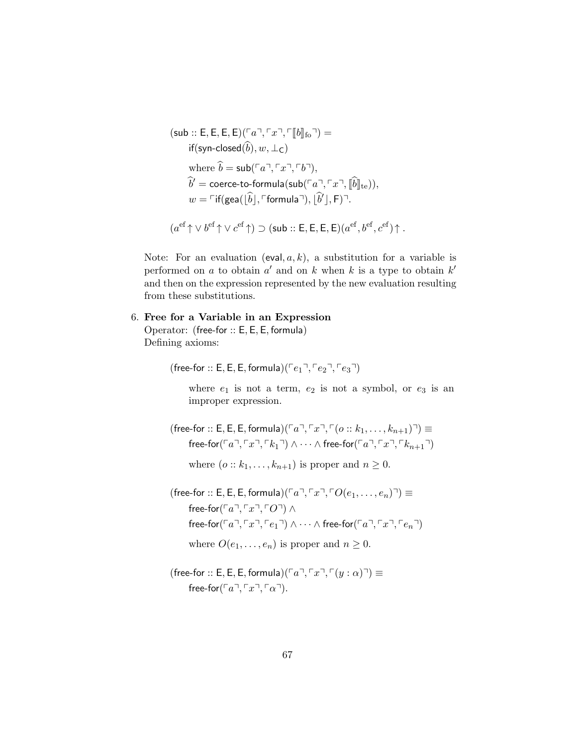$$
(\mathsf{sub} :: \mathsf{E}, \mathsf{E}, \mathsf{E}, \mathsf{E}) (\ulcorner a \urcorner, \ulcorner x \urcorner, \ulcorner [b]_{\mathrm{fo}} \urcorner) =
$$
\n
$$
\text{if}(\mathsf{syn-closed}(\widehat{b}), w, \perp_{\mathsf{C}})
$$
\n
$$
\text{where } \widehat{b} = \mathsf{sub}(\ulcorner a \urcorner, \ulcorner x \urcorner, \ulcorner b \urcorner),
$$
\n
$$
\widehat{b}' = \text{coerce-to-formula}(\mathsf{sub}(\ulcorner a \urcorner, \ulcorner x \urcorner, \ulcorner [\widehat{b}]]_{\mathrm{te}})),
$$
\n
$$
w = \ulcorner \text{if}(\mathsf{gea}([\widehat{b}], \ulcorner \text{formula} \urcorner), [\widehat{b}'], \mathsf{F}) \urcorner.
$$
\n
$$
(a^{\text{ef}} \uparrow \lor b^{\text{ef}} \uparrow \lor c^{\text{ef}} \uparrow) \supset (\mathsf{sub} :: \mathsf{E}, \mathsf{E}, \mathsf{E}, \mathsf{E}) (a^{\text{ef}}, b^{\text{ef}}, c^{\text{ef}}) \uparrow.
$$

Note: For an evaluation (eval,  $a, k$ ), a substitution for a variable is performed on a to obtain  $a'$  and on k when k is a type to obtain  $k'$ and then on the expression represented by the new evaluation resulting from these substitutions.

#### 6. Free for a Variable in an Expression

Operator: (free-for :: E, E, E, formula) Defining axioms:

(free-for :: E, E, E, formula)( $\lceil e_1 \rceil, \lceil e_2 \rceil, \lceil e_3 \rceil$ )

where  $e_1$  is not a term,  $e_2$  is not a symbol, or  $e_3$  is an improper expression.

(free-for :: E, E, E, formula)( $\lceil a^{\top}, \lceil x^{\top}, \lceil (o :: k_1, \ldots, k_{n+1})^{\top} \rceil$   $\equiv$ free-for( $\lceil a \rceil, \lceil x \rceil, \lceil k_1 \rceil$ )  $\wedge \cdots \wedge$  free-for( $\lceil a \rceil, \lceil x \rceil, \lceil k_{n+1} \rceil$ )

where  $(o:: k_1, \ldots, k_{n+1})$  is proper and  $n \geq 0$ .

(free-for :: E, E, E, formula)( $\lceil a \rceil, \lceil x \rceil, \lceil O(e_1, \ldots, e_n) \rceil \equiv$ free-for( $\ulcorner a$  $\urcorner, \ulcorner x$  $\urcorner, \ulcorner O \urcorner) \wedge$ free-for( $\lceil a \rceil, \lceil x \rceil, \lceil e_1 \rceil$ )  $\wedge \cdots \wedge$  free-for( $\lceil a \rceil, \lceil x \rceil, \lceil e_n \rceil$ ) where  $O(e_1, \ldots, e_n)$  is proper and  $n \geq 0$ .

(free-for :: E, E, E, formula)( $\lceil a \rceil$ ,  $\lceil x \rceil$ ,  $\lceil (y : \alpha) \rceil$ )  $\equiv$ free-for( $\lceil a \rceil, \lceil x \rceil, \lceil a \rceil$ ).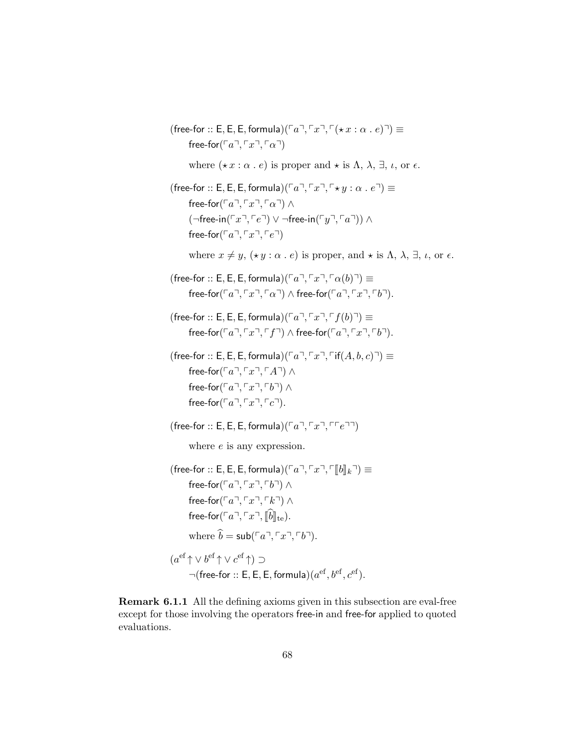(free-for :: E, E, E, formula)( $\lceil a \rceil$ ,  $\lceil x \rceil$ ,  $\lceil (\star x : \alpha : e) \rceil$ )  $\equiv$  ${\sf free\text{-}for}(\ulcorner a \urcorner, \ulcorner x \urcorner, \ulcorner \alpha \urcorner)$ where  $(\star x : \alpha \cdot e)$  is proper and  $\star$  is  $\Lambda$ ,  $\lambda$ ,  $\exists$ ,  $\iota$ , or  $\epsilon$ . (free-for :: E, E, E, formula)( $\lceil a \rceil$ ,  $\lceil x \rceil$ ,  $\lceil \star y : \alpha : e \rceil$ )  $\equiv$ free-for( $\lceil a \rceil, \lceil x \rceil, \lceil a \rceil$ ) ∧  $(\neg$ free-in( $\ulcorner x \urcorner, \ulcorner e \urcorner) \vee \neg$ free-in $(\ulcorner y \urcorner, \ulcorner a \urcorner)) \wedge$ free-for( $\lceil a \rceil, \lceil x \rceil, \lceil e \rceil$ ) where  $x \neq y$ ,  $(\star y : \alpha \cdot e)$  is proper, and  $\star$  is  $\Lambda$ ,  $\lambda$ ,  $\exists$ ,  $\iota$ , or  $\epsilon$ . (free-for :: E, E, E, formula)( $\lceil a \rceil$ ,  $\lceil x \rceil$ ,  $\lceil \alpha(b) \rceil$ )  $\equiv$ free-for( $\lceil a \rceil, \lceil x \rceil, \lceil \alpha \rceil$ )  $\land$  free-for( $\lceil a \rceil, \lceil x \rceil, \lceil b \rceil$ ). (free-for :: E, E, E, formula)( $\lceil a \rceil$ ,  $\lceil x \rceil$ ,  $\lceil f(b) \rceil$ )  $\equiv$ free-for( $\lceil a \rceil, \lceil x \rceil, \lceil f \rceil$ )  $\land$  free-for( $\lceil a \rceil, \lceil x \rceil, \lceil b \rceil$ ). (free-for :: E, E, E, formula)( $\lceil a \rceil$ ,  $\lceil x \rceil$ ,  $\lceil f(A, b, c) \rceil$ )  $\equiv$ free-for( $\ulcorner a$  $\urcorner, \ulcorner x \urcorner, \ulcorner A \urcorner) \wedge$ free-for( $\lceil a \rceil, \lceil x \rceil, \lceil b \rceil$ ) ∧ free-for( $\lceil a \rceil, \lceil x \rceil, \lceil c \rceil$ ). (free-for :: E, E, E, formula)( $\lceil a \rceil$ ,  $\lceil x \rceil$ ,  $\lceil \lceil e \rceil \rceil$ ) where *e* is any expression. (free-for :: E, E, E, formula)( $\lceil a \rceil, \lceil x \rceil, \lceil b \rceil_k \rceil \equiv$ free-for( $\lceil a \rceil$ ,  $\lceil x \rceil$ ,  $\lceil b \rceil$ ) ∧ free-for( $\lceil a \rceil$ ,  $\lceil x \rceil$ ,  $\lceil k \rceil$ ) ∧ free-for( $\lceil a \rceil$ ,  $\lceil x \rceil$ ,  $\lceil \hat{b} \rceil$ <sub>te</sub>). where  $\hat{b} = \mathsf{sub}(\ulcorner a \urcorner, \ulcorner x \urcorner, \ulcorner b \urcorner).$  $(a^{\text{ef}} \uparrow \vee b^{\text{ef}} \uparrow \vee c^{\text{ef}} \uparrow) \supset$  $\neg(\textsf{free-for} :: \mathsf{E}, \mathsf{E}, \mathsf{E}, \textsf{formula}) (a^{\textup{ef}}, b^{\textup{ef}}, c^{\textup{ef}}).$ 

Remark 6.1.1 All the defining axioms given in this subsection are eval-free except for those involving the operators free-in and free-for applied to quoted evaluations.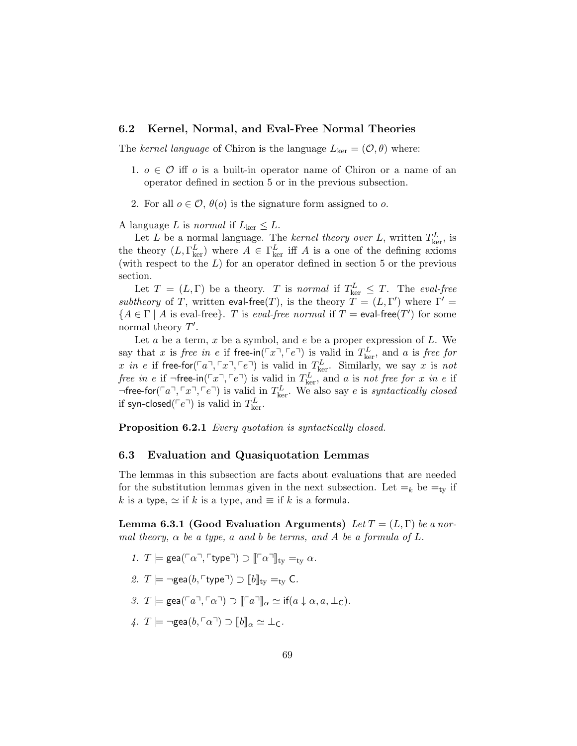#### 6.2 Kernel, Normal, and Eval-Free Normal Theories

The kernel language of Chiron is the language  $L_{\text{ker}} = (0, \theta)$  where:

- 1.  $o \in \mathcal{O}$  iff o is a built-in operator name of Chiron or a name of an operator defined in section 5 or in the previous subsection.
- 2. For all  $o \in \mathcal{O}$ ,  $\theta(o)$  is the signature form assigned to o.

A language L is normal if  $L_{\text{ker}} \leq L$ .

Let L be a normal language. The kernel theory over L, written  $T_{\text{ker}}^L$ , is the theory  $(L, \Gamma_{\text{ker}}^L)$  where  $A \in \Gamma_{\text{ker}}^L$  iff A is a one of the defining axioms (with respect to the  $L$ ) for an operator defined in section 5 or the previous section.

Let  $T = (L, \Gamma)$  be a theory. T is normal if  $T_{\text{ker}}^L \leq T$ . The eval-free *subtheory* of T, written eval-free(T), is the theory  $\overline{T} = (L, \Gamma')$  where  $\Gamma' =$  ${A \in \Gamma \mid A \text{ is eval-free}}$ . T is *eval-free normal* if  $T = eval-free(T')$  for some normal theory  $T'$ .

Let  $a$  be a term,  $x$  be a symbol, and  $e$  be a proper expression of  $L$ . We say that x is *free in* e if free-in( $\lceil x \rceil$ ,  $\lceil e \rceil$ ) is valid in  $T_{\text{ker}}^L$ , and a is *free for* x in e if free-for $(\lceil a \rceil, \lceil x \rceil, \lceil e \rceil)$  is valid in  $T_{\text{ker}}^L$ . Similarly, we say x is not free in e if  $\neg$ free-in( $\ulcorner x \urcorner, \ulcorner e \urcorner)$  is valid in  $T^L_{\text{ker}}$ , and a is not free for x in e if  $\neg$  free-for( $\lceil a \rceil$ ,  $\lceil x \rceil$ ,  $\lceil e \rceil$ ) is valid in  $T_{\text{ker}}^L$ . We also say e is *syntactically closed* if syn-closed( $\ulcorner e \urcorner$ ) is valid in  $T_{\ker}^L$ .

Proposition 6.2.1 Every quotation is syntactically closed.

#### 6.3 Evaluation and Quasiquotation Lemmas

The lemmas in this subsection are facts about evaluations that are needed for the substitution lemmas given in the next subsection. Let  $=_{k}$  be  $=_{tv}$  if k is a type,  $\simeq$  if k is a type, and  $\equiv$  if k is a formula.

Lemma 6.3.1 (Good Evaluation Arguments) Let  $T = (L, \Gamma)$  be a normal theory,  $\alpha$  be a type, a and b be terms, and A be a formula of L.

- 1.  $T \models \text{gea}(\ulcorner \alpha \urcorner, \ulcorner \text{type} \urcorner) \supset \ulcorner \ulcorner \alpha \urcorner \urcorner \urcorner_{\text{tv}} \equiv_{\text{tv}} \alpha.$
- 2.  $T \models \neg \text{gea}(b, \ulcorner \text{type} \urcorner) \supset \|b\|_{\text{tv}} =_{\text{tv}} C.$
- 3.  $T \models \text{gea}(\ulcorner a \urcorner, \ulcorner \alpha \urcorner) \supset \ulcorner \ulcorner a \urcorner \urcorner \rceil_\alpha \simeq \text{if}(a \downarrow \alpha, a, \perp_C).$
- 4.  $T \models \neg \text{gea}(b, \ulcorner \alpha \urcorner) \supset \llbracket b \rrbracket_{\alpha} \simeq \bot_{\mathsf{C}}.$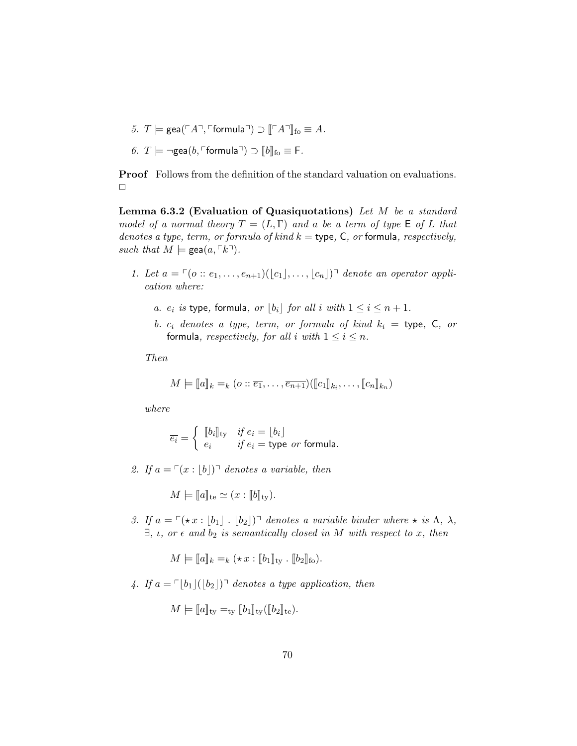- 5.  $T \models \text{gea}(\ulcorner A \urcorner, \ulcorner \text{formula} \urcorner) \supset \llbracket \ulcorner A \urcorner \rrbracket_{\text{fo}} \equiv A.$
- 6.  $T \models \neg \text{gea}(b, \ulcorner \text{formula} \urcorner) \supset [b]_{\text{fo}} \equiv \mathsf{F}.$

Proof Follows from the definition of the standard valuation on evaluations.  $\Box$ 

Lemma 6.3.2 (Evaluation of Quasiquotations) Let  $M$  be a standard model of a normal theory  $T = (L, \Gamma)$  and a be a term of type  $\mathsf E$  of  $L$  that denotes a type, term, or formula of kind  $k =$  type, C, or formula, respectively, such that  $M \models \text{gea}(a, \lceil k \rceil)$ .

- 1. Let  $a = \lceil (o :: e_1, \ldots, e_{n+1}) (|c_1|, \ldots, |c_n|)^{\dagger}$  denote an operator application where:
	- a.  $e_i$  is type, formula, or  $\lfloor b_i \rfloor$  for all i with  $1 \le i \le n + 1$ .
	- b.  $c_i$  denotes a type, term, or formula of kind  $k_i =$  type, C, or formula, respectively, for all i with  $1 \le i \le n$ .

Then

$$
M \models [\![a]\!]_k =_k (o :: \overline{e_1}, \ldots, \overline{e_{n+1}}) ([\![c_1]\!]_{k_i}, \ldots, [\![c_n]\!]_{k_n})
$$

where

$$
\overline{e_i} = \begin{cases} \begin{array}{c} \llbracket b_i \rrbracket_{\text{ty}} & \text{if } e_i = \lfloor b_i \rfloor \\ e_i & \text{if } e_i = \text{type } \text{or } \text{formula.} \end{array} \end{cases}
$$

2. If  $a = \lceil (x : |b|) \rceil$  denotes a variable, then

 $M \models \llbracket a \rrbracket_{\text{te}} \simeq (x : \llbracket b \rrbracket_{\text{tv}}).$ 

3. If  $a = \lceil ( \star x : |b_1| \cdot |b_2| ) \rceil$  denotes a variable binder where  $\star$  is  $\Lambda$ ,  $\lambda$ ,  $\exists$ ,  $\iota$ , or  $\epsilon$  and  $b_2$  is semantically closed in M with respect to x, then

$$
M \models [\![a]\!]_k =_k (\star x : [\![b_1]\!]_{\text{ty}} \cdot [\![b_2]\!]_{\text{fo}}).
$$

4. If  $a = \lceil b_1 \rceil (b_2 \rceil) \rceil$  denotes a type application, then

$$
M \models [a]_{\text{ty}} =_{\text{ty}} [b_1]_{\text{ty}} ([b_2]_{\text{te}}).
$$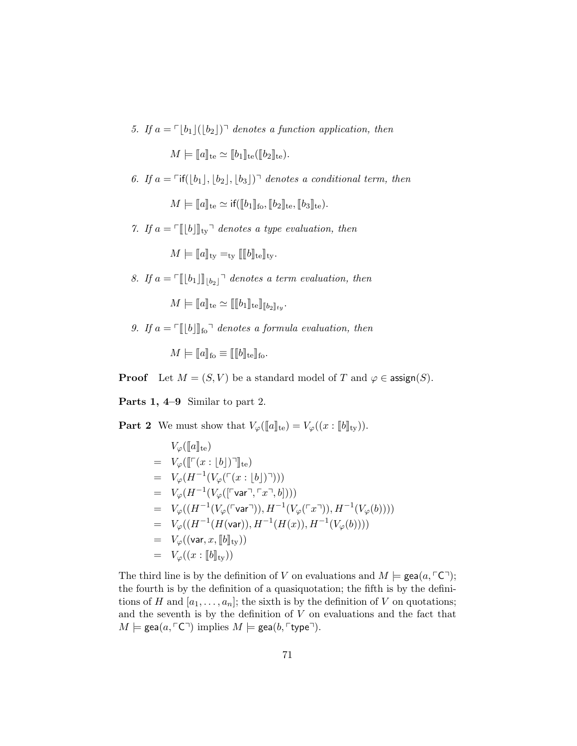5. If  $a = \lfloor b_1 \rfloor (\lfloor b_2 \rfloor)$ <sup>-</sup> denotes a function application, then

 $M \models \|a\|_{\text{te}} \simeq \|b_1\|_{\text{te}} (\|b_2\|_{\text{te}}).$ 

6. If  $a = \lceil \text{if}(\vert b_1 \vert, \vert b_2 \vert, \vert b_3 \vert) \rceil$  denotes a conditional term, then

 $M \models \|a\|_{\text{te}} \simeq \text{if}(\|b_1\|_{\text{fo}}, \|b_2\|_{\text{te}}, \|b_3\|_{\text{te}}).$ 

7. If  $a = \lceil \lfloor b \rfloor \rceil$  denotes a type evaluation, then

 $M \models \llbracket a \rrbracket_{\text{tv}} =_{\text{tv}} \llbracket \llbracket b \rrbracket_{\text{te}} \rrbracket_{\text{tv}}.$ 

8. If  $a = \lceil \lfloor b_1 \rfloor \rceil_{\lfloor b_2 \rfloor}$  denotes a term evaluation, then

 $M \models \|a\|_{\text{te}} \simeq \| \|b_1\|_{\text{te}} \|_{\text{He}}.$ 

9. If  $a = \lceil \pceil |b| \rceil$  denotes a formula evaluation, then

 $M \models \|a\|_{\text{fo}} \equiv \| \|b\|_{\text{te}}\|_{\text{fo}}.$ 

**Proof** Let  $M = (S, V)$  be a standard model of T and  $\varphi \in \text{assign}(S)$ .

Parts 1, 4–9 Similar to part 2.

**Part 2** We must show that  $V_{\varphi}(\llbracket a \rrbracket_{\text{te}}) = V_{\varphi}((x : \llbracket b \rrbracket_{\text{ty}})).$ 

$$
V_{\varphi}([\![a]\!]_{\text{te}})
$$
\n
$$
= V_{\varphi}([\![\ulcorner(x : [b]\urcorner)]\!]_{\text{te}})
$$
\n
$$
= V_{\varphi}(H^{-1}(V_{\varphi}(\ulcorner(x : [b]\urcorner)))))
$$
\n
$$
= V_{\varphi}(H^{-1}(V_{\varphi}(\ulcorner\text{var} \urcorner, \ulcorner x \urcorner, b))))
$$
\n
$$
= V_{\varphi}((H^{-1}(V_{\varphi}(\ulcorner\text{var} \urcorner)), H^{-1}(V_{\varphi}(\ulcorner x \urcorner)), H^{-1}(V_{\varphi}(b))))
$$
\n
$$
= V_{\varphi}((H^{-1}(H(\text{var})), H^{-1}(H(x)), H^{-1}(V_{\varphi}(b))))
$$
\n
$$
= V_{\varphi}((\text{var}, x, [\![b]\!]_{\text{ty}}))
$$
\n
$$
= V_{\varphi}((x : [\![b]\!]_{\text{ty}}))
$$

The third line is by the definition of V on evaluations and  $M \models \text{gea}(a, \ulcorner C \urcorner);$ the fourth is by the definition of a quasiquotation; the fifth is by the definitions of H and  $[a_1, \ldots, a_n]$ ; the sixth is by the definition of V on quotations; and the seventh is by the definition of  $V$  on evaluations and the fact that  $M \models \text{gea}(a, \ulcorner C \urcorner)$  implies  $M \models \text{gea}(b, \ulcorner \text{type} \urcorner).$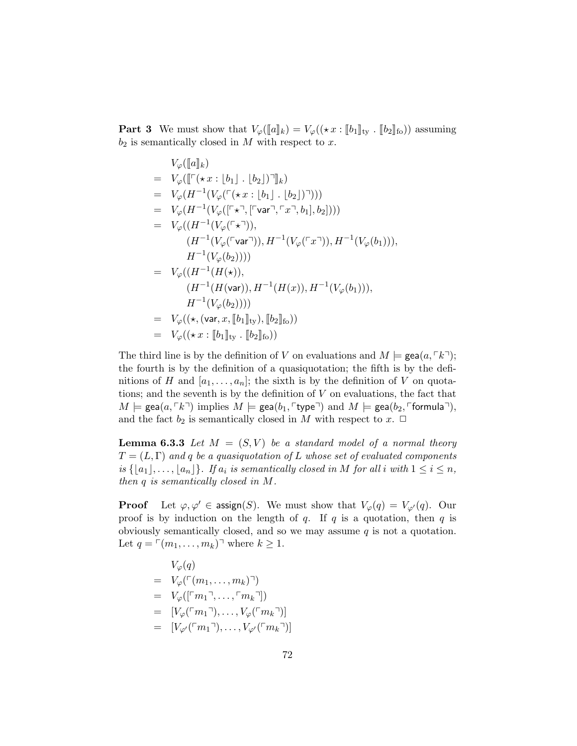**Part 3** We must show that  $V_{\varphi}(\llbracket a \rrbracket_k) = V_{\varphi}((\star x : \llbracket b_1 \rrbracket_{\text{ty}} \cdot \llbracket b_2 \rrbracket_{\text{fo}}))$  assuming  $b_2$  is semantically closed in M with respect to x.

$$
V_{\varphi}([\![a]\!]_k)
$$
\n
$$
= V_{\varphi}([\lceil(\star x : [b_1] \cdot [b_2]) \rceil]_k)
$$
\n
$$
= V_{\varphi}(H^{-1}(V_{\varphi}(\lceil(\star x : [b_1] \cdot [b_2]) \rceil)))
$$
\n
$$
= V_{\varphi}(H^{-1}(V_{\varphi}(\lceil(\star \rceil, [\lceil \text{var} \rceil, \lceil x \rceil, b_1], b_2]))
$$
\n
$$
= V_{\varphi}((H^{-1}(V_{\varphi}(\lceil(\star \rceil)), H^{-1}(V_{\varphi}(\lceil x \rceil)), H^{-1}(V_{\varphi}(b_1))), H^{-1}(V_{\varphi}(b_2))))
$$
\n
$$
= V_{\varphi}((H^{-1}(H(\star)), H^{-1}(H(x)), H^{-1}(V_{\varphi}(b_1))), H^{-1}(V_{\varphi}(b_2))))
$$
\n
$$
= V_{\varphi}((\star, (\text{var}, x, [\![b_1]\!]_{\text{ty}}), [\![b_2]\!]_{\text{fo}}))
$$
\n
$$
= V_{\varphi}((\star x : [\![b_1]\!]_{\text{ty}} , [\![b_2]\!]_{\text{fo}}))
$$

The third line is by the definition of V on evaluations and  $M \models \text{gea}(a, \lceil k \rceil);$ the fourth is by the definition of a quasiquotation; the fifth is by the definitions of H and  $[a_1, \ldots, a_n]$ ; the sixth is by the definition of V on quotations; and the seventh is by the definition of  $V$  on evaluations, the fact that  $M \models \text{gea}(a, \lceil k \rceil)$  implies  $M \models \text{gea}(b_1, \lceil \text{type} \rceil)$  and  $M \models \text{gea}(b_2, \lceil \text{formula} \rceil)$ , and the fact  $b_2$  is semantically closed in M with respect to  $x$ .  $\Box$ 

**Lemma 6.3.3** Let  $M = (S, V)$  be a standard model of a normal theory  $T = (L, \Gamma)$  and q be a quasiquotation of L whose set of evaluated components is  $\{|a_1|, \ldots, |a_n|\}$ . If  $a_i$  is semantically closed in M for all i with  $1 \leq i \leq n$ , then q is semantically closed in M.

**Proof** Let  $\varphi, \varphi' \in \text{assign}(S)$ . We must show that  $V_{\varphi}(q) = V_{\varphi'}(q)$ . Our proof is by induction on the length of q. If q is a quotation, then q is obviously semantically closed, and so we may assume  $q$  is not a quotation. Let  $q = \lfloor (m_1, \ldots, m_k) \rfloor$  where  $k \geq 1$ .

$$
V_{\varphi}(q)
$$
  
=  $V_{\varphi}(\ulcorner (m_1, \ldots, m_k) \urcorner)$   
=  $V_{\varphi}([\ulcorner m_1 \urcorner, \ldots, \ulcorner m_k \urcorner])$   
=  $[V_{\varphi}(\ulcorner m_1 \urcorner), \ldots, V_{\varphi}(\ulcorner m_k \urcorner)]$   
=  $[V_{\varphi'}(\ulcorner m_1 \urcorner), \ldots, V_{\varphi'}(\ulcorner m_k \urcorner)]$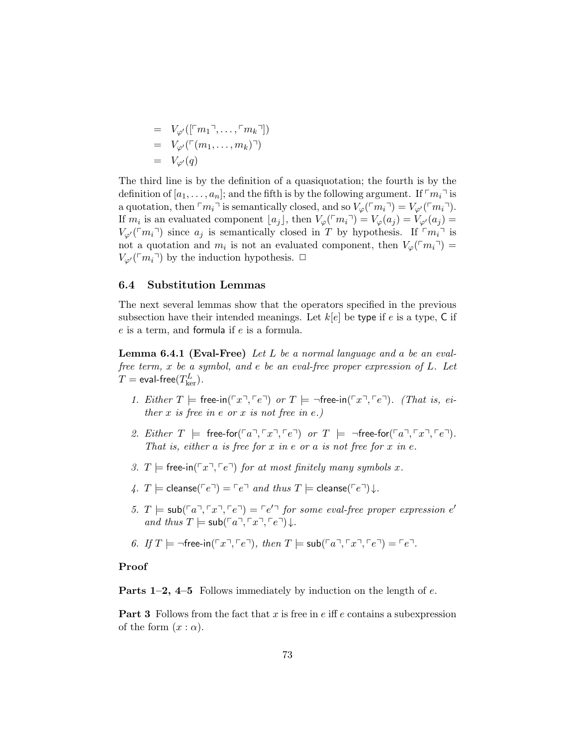$$
= V_{\varphi'}([\ulcorner m_1 \urcorner, \ldots, \ulcorner m_k \urcorner])
$$
  

$$
= V_{\varphi'}(\ulcorner (m_1, \ldots, m_k) \urcorner)
$$
  

$$
= V_{\varphi'}(q)
$$

The third line is by the definition of a quasiquotation; the fourth is by the definition of  $[a_1, \ldots, a_n]$ ; and the fifth is by the following argument. If  $\lceil m_i \rceil$  is a quotation, then  $\lceil m_i \rceil$  is semantically closed, and so  $V_{\varphi}(\lceil m_i \rceil) = V_{\varphi'}(\lceil m_i \rceil)$ . If  $m_i$  is an evaluated component  $[a_j]$ , then  $V_\varphi(\ulcorner m_i \urcorner) = V_\varphi(a_j) = V_{\varphi'}(a_j) =$  $V_{\varphi}(\lceil m_i \rceil)$  since  $a_j$  is semantically closed in T by hypothesis. If  $\lceil m_i \rceil$  is not a quotation and  $m_i$  is not an evaluated component, then  $V_\varphi(\ulcorner m_i \urcorner) =$  $V_{\varphi}(\lceil m_i \rceil)$  by the induction hypothesis.  $\Box$ 

#### 6.4 Substitution Lemmas

The next several lemmas show that the operators specified in the previous subsection have their intended meanings. Let  $k[e]$  be type if e is a type, C if e is a term, and formula if e is a formula.

**Lemma 6.4.1 (Eval-Free)** Let  $L$  be a normal language and a be an evalfree term, x be a symbol, and e be an eval-free proper expression of L. Let  $T =$  eval-free $(T_{\mathrm{ker}}^L)$ .

- 1. Either  $T \models$  free-in( $\lceil x \rceil$ ,  $\lceil e \rceil$ ) or  $T \models \neg$  free-in( $\lceil x \rceil$ ,  $\lceil e \rceil$ ). (That is, either x is free in  $e$  or x is not free in  $e$ .)
- 2. Either  $T \models$  free-for( $\lceil a \rceil, \lceil x \rceil, \lceil e \rceil$ ) or  $T \models \neg$ free-for( $\lceil a \rceil, \lceil x \rceil, \lceil e \rceil$ ). That is, either a is free for x in e or a is not free for x in e.
- 3. T  $\models$  free-in( $\lceil x \rceil$ ,  $\lceil e \rceil$ ) for at most finitely many symbols x.
- 4. T  $\models$  cleanse( $\ulcorner e \urcorner$ ) =  $\ulcorner e \urcorner$  and thus  $T \models$  cleanse( $\ulcorner e \urcorner$ ) $\downarrow$ .
- 5.  $T \models \mathsf{sub}(\ulcorner a \urcorner, \ulcorner x \urcorner, \ulcorner e \urcorner) = \ulcorner e' \urcorner$  for some eval-free proper expression e' and thus  $T \models \mathsf{sub}(\ulcorner a \urcorner, \ulcorner x \urcorner, \ulcorner e \urcorner) \downarrow$ .
- 6. If  $T \models \neg \text{free-in}(\ulcorner x \urcorner, \ulcorner e \urcorner)$ , then  $T \models \text{sub}(\ulcorner a \urcorner, \ulcorner x \urcorner, \ulcorner e \urcorner) = \ulcorner e \urcorner$ .

#### Proof

**Parts 1–2, 4–5** Follows immediately by induction on the length of  $e$ .

**Part 3** Follows from the fact that x is free in e iff e contains a subexpression of the form  $(x : \alpha)$ .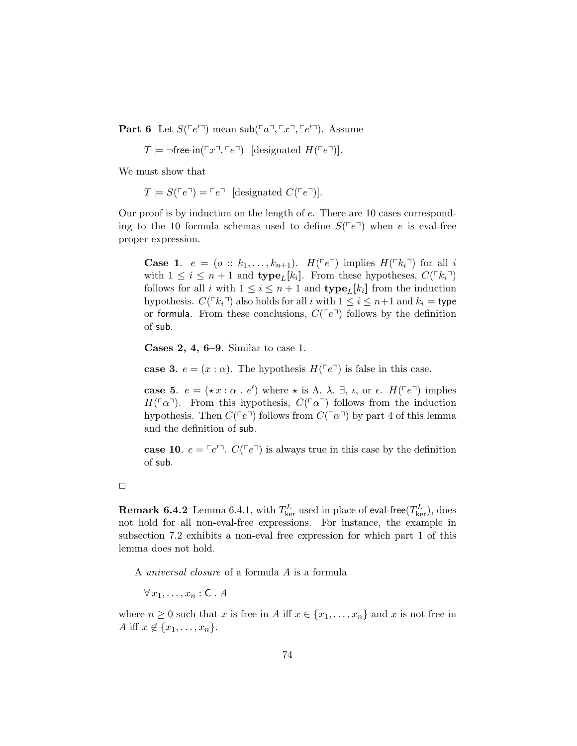Part 6 Let  $S(\ulcorner e' \urcorner)$  mean sub $(\ulcorner a \urcorner, \ulcorner x \urcorner, \ulcorner e' \urcorner)$ . Assume

$$
T \models \neg \mathsf{free-in}(\ulcorner x \urcorner, \ulcorner e \urcorner) \text{ [designated } H(\ulcorner e \urcorner)].
$$

We must show that

 $T \models S(\ulcorner e \urcorner) = \ulcorner e \urcorner$  [designated  $C(\ulcorner e \urcorner)$ ].

Our proof is by induction on the length of e. There are 10 cases corresponding to the 10 formula schemas used to define  $S(\ulcorner e \urcorner)$  when e is eval-free proper expression.

**Case 1.**  $e = (o :: k_1, \ldots, k_{n+1})$ .  $H(\ulcorner e \urcorner)$  implies  $H(\ulcorner k_i \urcorner)$  for all i with  $1 \leq i \leq n+1$  and  $\textbf{type}_L[k_i]$ . From these hypotheses,  $C(\lceil k_i \rceil)$ follows for all i with  $1 \leq i \leq n+1$  and  $\textbf{type}_L[k_i]$  from the induction hypothesis.  $C(\lceil k_i \rceil)$  also holds for all i with  $1 \le i \le n+1$  and  $k_i =$  type or formula. From these conclusions,  $C(\lceil e^{\eta}\rceil)$  follows by the definition of sub.

Cases 2, 4, 6–9. Similar to case 1.

case 3.  $e = (x : \alpha)$ . The hypothesis  $H(\lceil e \rceil)$  is false in this case.

case 5.  $e = (\star x : \alpha : e')$  where  $\star$  is  $\Lambda$ ,  $\lambda$ ,  $\exists$ ,  $\iota$ , or  $\epsilon$ .  $H({\lceil} e^{\dagger})$  implies  $H(\lceil \alpha \rceil)$ . From this hypothesis,  $C(\lceil \alpha \rceil)$  follows from the induction hypothesis. Then  $C(\ulcorner e \urcorner)$  follows from  $C(\ulcorner \alpha \urcorner)$  by part 4 of this lemma and the definition of sub.

case 10.  $e = \lceil e'^{\top} \rceil$ .  $C(\lceil e^{\top} \rceil)$  is always true in this case by the definition of sub.

 ${\bf Remark~6.4.2}$   ${\rm Lemma~6.4.1,}$  with  $T_{\rm ker}^L$  used in place of eval-free $(T_{\rm ker}^L),$  does not hold for all non-eval-free expressions. For instance, the example in subsection 7.2 exhibits a non-eval free expression for which part 1 of this lemma does not hold.

A universal closure of a formula A is a formula

 $\forall x_1, \ldots, x_n : C \cdot A$ 

where  $n \geq 0$  such that x is free in A iff  $x \in \{x_1, \ldots, x_n\}$  and x is not free in A iff  $x \notin \{x_1, \ldots, x_n\}.$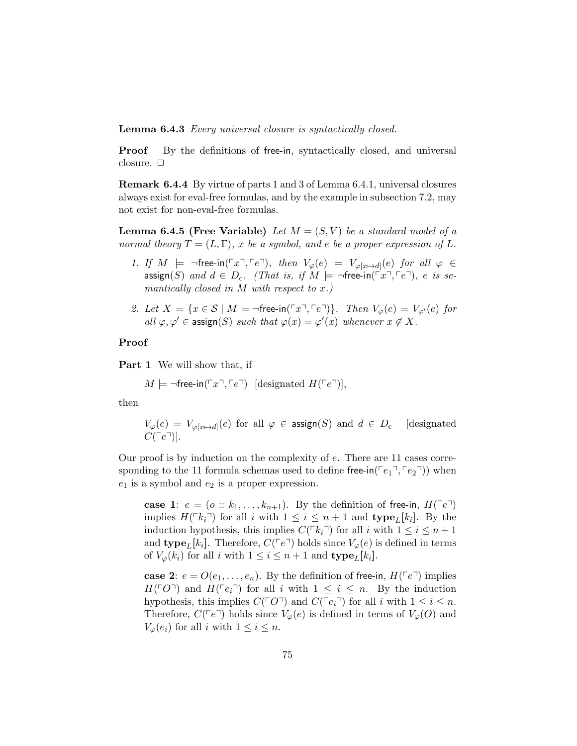Lemma 6.4.3 Every universal closure is syntactically closed.

**Proof** By the definitions of free-in, syntactically closed, and universal closure.  $\Box$ 

Remark 6.4.4 By virtue of parts 1 and 3 of Lemma 6.4.1, universal closures always exist for eval-free formulas, and by the example in subsection 7.2, may not exist for non-eval-free formulas.

**Lemma 6.4.5 (Free Variable)** Let  $M = (S, V)$  be a standard model of a normal theory  $T = (L, \Gamma)$ , x be a symbol, and e be a proper expression of L.

- 1. If  $M \models \neg \text{free-in}(\ulcorner x \urcorner, \ulcorner e \urcorner)$ , then  $V_{\varphi}(e) = V_{\varphi[x \mapsto d]}(e)$  for all  $\varphi \in$  $\mathsf{assign}(S) \text{ and } d \in D_c.$  (That is, if  $M \models \neg \mathsf{free-in}(\ulcorner x \urcorner, \ulcorner e \urcorner), e \text{ is se-}$ mantically closed in  $M$  with respect to  $x$ .)
- 2. Let  $X = \{x \in S \mid M \models \neg \text{free-in}(\ulcorner x \urcorner, \ulcorner e \urcorner) \}$ . Then  $V_{\varphi}(e) = V_{\varphi'}(e)$  for all  $\varphi, \varphi' \in \operatorname{assign}(S)$  such that  $\varphi(x) = \varphi'(x)$  whenever  $x \notin X$ .

#### Proof

Part 1 We will show that, if

$$
M \models \neg \mathsf{free-in}(\ulcorner x \urcorner, \ulcorner e \urcorner) \text{ [designated } H(\ulcorner e \urcorner)],
$$

then

$$
V_{\varphi}(e) = V_{\varphi[x \mapsto d]}(e) \text{ for all } \varphi \in \text{assign}(S) \text{ and } d \in D_{c} \quad \text{[designated } C(\ulcorner e \urcorner)].
$$

Our proof is by induction on the complexity of e. There are 11 cases corresponding to the 11 formula schemas used to define free-in( $\lceil e_1 \rceil, \lceil e_2 \rceil$ ) when  $e_1$  is a symbol and  $e_2$  is a proper expression.

case 1:  $e = (o:: k_1, \ldots, k_{n+1})$ . By the definition of free-in,  $H(\ulcorner e \urcorner)$ implies  $H(\lceil k_i \rceil)$  for all i with  $1 \leq i \leq n+1$  and  $\textbf{type}_L[k_i]$ . By the induction hypothesis, this implies  $C(\ulcorner k_i\urcorner)$  for all i with  $1 \leq i \leq n+1$ and **type**<sub>L</sub>[k<sub>i</sub>]. Therefore,  $C(\ulcorner e \urcorner)$  holds since  $V_{\varphi}(e)$  is defined in terms of  $V_{\varphi}(k_i)$  for all i with  $1 \leq i \leq n+1$  and  $\textbf{type}_L[k_i]$ .

case 2:  $e = O(e_1, \ldots, e_n)$ . By the definition of free-in,  $H(\ulcorner e \urcorner)$  implies  $H(\ulcorner O\urcorner)$  and  $H(\ulcorner e_i\urcorner)$  for all i with  $1 \leq i \leq n$ . By the induction hypothesis, this implies  $C(\ulcorner O\urcorner)$  and  $C(\ulcorner e_i\urcorner)$  for all i with  $1 \leq i \leq n$ . Therefore,  $C(\ulcorner e \urcorner)$  holds since  $V_\varphi(e)$  is defined in terms of  $V_\varphi(O)$  and  $V_{\varphi}(e_i)$  for all i with  $1 \leq i \leq n$ .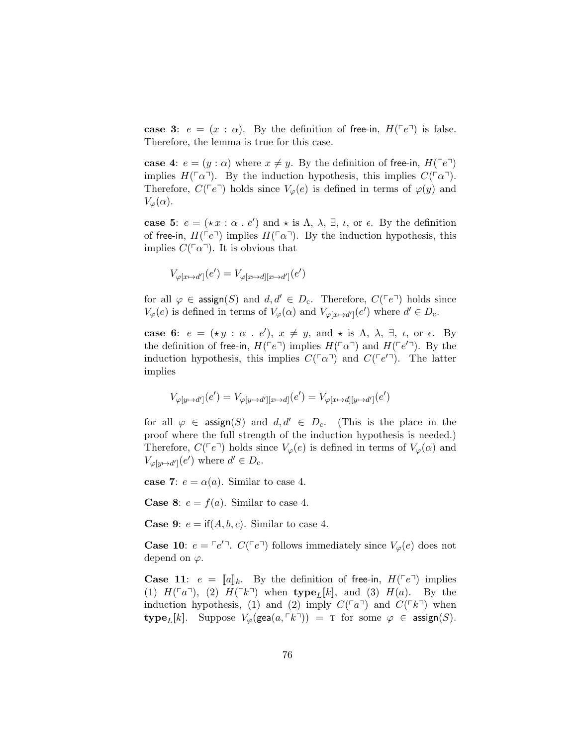case 3:  $e = (x : \alpha)$ . By the definition of free-in,  $H(\ulcorner e \urcorner)$  is false. Therefore, the lemma is true for this case.

case 4:  $e = (y : \alpha)$  where  $x \neq y$ . By the definition of free-in,  $H(\lceil e \rceil)$ implies  $H(\ulcorner \alpha \urcorner)$ . By the induction hypothesis, this implies  $C(\ulcorner \alpha \urcorner)$ . Therefore,  $C(\lceil e^{\eta} \rceil)$  holds since  $V_{\varphi}(e)$  is defined in terms of  $\varphi(y)$  and  $V_{\varphi}(\alpha)$ .

case 5:  $e = (\star x : \alpha : e')$  and  $\star$  is  $\Lambda$ ,  $\lambda$ ,  $\exists$ ,  $\iota$ , or  $\epsilon$ . By the definition of free-in,  $H(\ulcorner e \urcorner)$  implies  $H(\ulcorner \alpha \urcorner)$ . By the induction hypothesis, this implies  $C(\lceil \alpha \rceil)$ . It is obvious that

$$
V_{\varphi[x \mapsto d']}(e') = V_{\varphi[x \mapsto d][x \mapsto d']}(e')
$$

for all  $\varphi \in \text{assign}(S)$  and  $d, d' \in D_c$ . Therefore,  $C(\lceil e \rceil)$  holds since  $V_{\varphi}(e)$  is defined in terms of  $V_{\varphi}(\alpha)$  and  $V_{\varphi[x \mapsto d']}(e')$  where  $d' \in D_{c}$ .

case 6:  $e = (\star y : \alpha : e'), x \neq y$ , and  $\star$  is  $\Lambda$ ,  $\lambda$ ,  $\exists$ ,  $\iota$ , or  $\epsilon$ . By the definition of free-in,  $H(\ulcorner e \urcorner)$  implies  $H(\ulcorner \alpha \urcorner)$  and  $H(\ulcorner e' \urcorner)$ . By the induction hypothesis, this implies  $C(\ulcorner\alpha\urcorner)$  and  $C(\ulcorner e'\urcorner)$ . The latter implies

$$
V_{\varphi[y \mapsto d']}(e') = V_{\varphi[y \mapsto d'][x \mapsto d]}(e') = V_{\varphi[x \mapsto d][y \mapsto d']}(e')
$$

for all  $\varphi \in \text{assign}(S)$  and  $d, d' \in D_c$ . (This is the place in the proof where the full strength of the induction hypothesis is needed.) Therefore,  $C(\ulcorner e \urcorner)$  holds since  $V_\varphi(e)$  is defined in terms of  $V_\varphi(\alpha)$  and  $V_{\varphi[y \mapsto d']} (e')$  where  $d' \in D_c$ .

case 7:  $e = \alpha(a)$ . Similar to case 4.

**Case 8:**  $e = f(a)$ . Similar to case 4.

**Case 9:**  $e = \text{if}(A, b, c)$ . Similar to case 4.

**Case 10:**  $e = \lceil e'^{\top} \rceil$ .  $C(\lceil e^{\top} \rceil)$  follows immediately since  $V_{\varphi}(e)$  does not depend on  $\varphi$ .

**Case 11:**  $e = [a]_k$ . By the definition of free-in,  $H(^{\top}e^{\top})$  implies (1)  $H(\ulcorner a\urcorner),$  (2)  $H(\ulcorner k\urcorner)$  when type<sub>L</sub>[k], and (3)  $H(a)$ . By the induction hypothesis, (1) and (2) imply  $C(\ulcorner a\urcorner)$  and  $C(\ulcorner k\urcorner)$  when type<sub>L</sub>[k]. Suppose  $V_{\varphi}(\text{gea}(a, \lceil k \rceil)) = \text{T}$  for some  $\varphi \in \text{assign}(S)$ .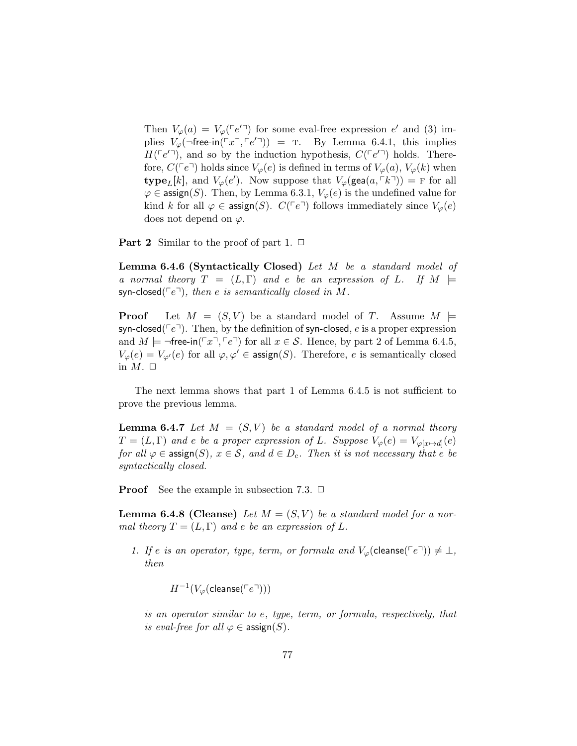Then  $V_{\varphi}(a) = V_{\varphi}(\ulcorner e' \urcorner)$  for some eval-free expression  $e'$  and (3) implies  $V_{\varphi}(\neg$  free-in  $(\ulcorner x \urcorner, \ulcorner e' \urcorner)) = T$ . By Lemma 6.4.1, this implies  $H(\lceil e^{i\eta}\rceil)$ , and so by the induction hypothesis,  $C(\lceil e^{i\eta}\rceil)$  holds. Therefore,  $C({\lceil}e^{\rceil})$  holds since  $V_{\varphi}(e)$  is defined in terms of  $V_{\varphi}(a)$ ,  $V_{\varphi}(k)$  when **type**<sub>L</sub>[k], and  $V_{\varphi}(e')$ . Now suppose that  $V_{\varphi}(\text{gea}(a, \lceil k \rceil)) = F$  for all  $\varphi \in \mathsf{assign}(S)$ . Then, by Lemma 6.3.1,  $V_{\varphi}(e)$  is the undefined value for kind k for all  $\varphi \in \text{assign}(S)$ .  $C(\lceil e \rceil)$  follows immediately since  $V_{\varphi}(e)$ does not depend on  $\varphi$ .

**Part 2** Similar to the proof of part 1.  $\Box$ 

Lemma 6.4.6 (Syntactically Closed) Let M be a standard model of a normal theory  $T = (L, \Gamma)$  and e be an expression of L. If  $M \models$ syn-closed( $\lceil e^{\dagger}\rceil$ ), then e is semantically closed in M.

**Proof** Let  $M = (S, V)$  be a standard model of T. Assume  $M \models$ syn-closed( $\lceil e^{\dagger} \rceil$ ). Then, by the definition of syn-closed, e is a proper expression and  $M \models \neg$  free-in( $\ulcorner x \urcorner, \ulcorner e \urcorner$ ) for all  $x \in S$ . Hence, by part 2 of Lemma 6.4.5,  $V_{\varphi}(e) = V_{\varphi'}(e)$  for all  $\varphi, \varphi' \in \mathsf{assign}(S)$ . Therefore, e is semantically closed in  $M. \Box$ 

The next lemma shows that part 1 of Lemma 6.4.5 is not sufficient to prove the previous lemma.

**Lemma 6.4.7** Let  $M = (S, V)$  be a standard model of a normal theory  $T = (L, \Gamma)$  and e be a proper expression of L. Suppose  $V_{\varphi}(e) = V_{\varphi[x \mapsto d]}(e)$ for all  $\varphi \in \mathsf{assign}(S), x \in \mathcal{S}, \text{ and } d \in D_c$ . Then it is not necessary that e be syntactically closed.

**Proof** See the example in subsection 7.3.  $\Box$ 

**Lemma 6.4.8 (Cleanse)** Let  $M = (S, V)$  be a standard model for a normal theory  $T = (L, \Gamma)$  and e be an expression of L.

1. If e is an operator, type, term, or formula and  $V_{\varphi}(\text{cleanse}(\ulcorner e \urcorner)) \neq \bot$ , then

 $H^{-1}(V_\varphi({\sf{cleanse}}(\ulcorner e \urcorner)))$ 

is an operator similar to e, type, term, or formula, respectively, that is eval-free for all  $\varphi \in \text{assign}(S)$ .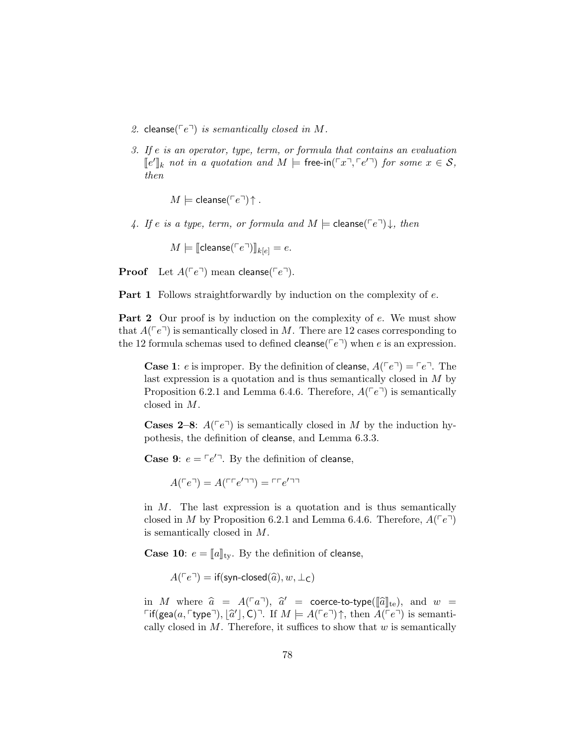- 2. cleanse( $\lceil e^{\dagger}\rceil$ ) is semantically closed in M.
- 3. If e is an operator, type, term, or formula that contains an evaluation  $\llbracket e' \rrbracket_k$  not in a quotation and  $M \models$  free-in( $\ulcorner x \urcorner, \ulcorner e' \urcorner$ ) for some  $x \in \mathcal{S}$ , then

 $M \models$  cleanse( $\lceil e^{\sqcap} \rceil \uparrow$ .

4. If e is a type, term, or formula and  $M \models$  cleanse( $\ulcorner e \urcorner$ )  $\downarrow$ , then

 $M \models [\text{cleanse}(\ulcorner e \urcorner)]_{k[e]} = e.$ 

**Proof** Let  $A(\ulcorner e \urcorner)$  mean cleanse( $\ulcorner e \urcorner)$ .

**Part 1** Follows straightforwardly by induction on the complexity of e.

**Part 2** Our proof is by induction on the complexity of e. We must show that  $A(\lceil e^{\rceil})$  is semantically closed in M. There are 12 cases corresponding to the 12 formula schemas used to defined cleanse( $\lceil e^{\eta} \rceil$ ) when e is an expression.

**Case 1:** e is improper. By the definition of **cleanse**,  $A(\lceil e^{\tau}\rceil) = \lceil e^{\tau}\rceil$ . The last expression is a quotation and is thus semantically closed in M by Proposition 6.2.1 and Lemma 6.4.6. Therefore,  $A(\ulcorner e\urcorner)$  is semantically closed in M.

**Cases 2–8:**  $A(\lceil e^{\rceil})$  is semantically closed in M by the induction hypothesis, the definition of cleanse, and Lemma 6.3.3.

**Case 9:**  $e = \lceil e^{\prime} \rceil$ . By the definition of cleanse,

 $A(^{\sqcap}e^{\sqcap}) = A(^{\sqcap \sqcap}e^{\prime \sqcap \sqcap}) = \sqcap \sqcap e^{\prime \sqcap \sqcap}$ 

in  $M$ . The last expression is a quotation and is thus semantically closed in M by Proposition 6.2.1 and Lemma 6.4.6. Therefore,  $A(^{\top}e^{\top})$ is semantically closed in M.

**Case 10**:  $e = [a]_{ty}$ . By the definition of cleanse,

 $A(^{\neg}e^{\neg}) = \text{if}(\textsf{syn-closed}(\widehat{a}), w, \perp_C)$ 

in M where  $\hat{a} = A(\ulcorner a \urcorner)$ ,  $\hat{a}' = \text{coerce-to-type}([\hat{a}]_{\text{te}})$ , and  $w = \text{Cif}(\text{cea}(a, \text{true}) \urcorner \hat{a}') \urcorner \hat{a}' \urcorner \hat{a}' \urcorner \hat{a}' \urcorner \hat{a}' \urcorner \hat{a}' \urcorner \hat{a}' \urcorner \hat{a}' \urcorner \hat{a}' \urcorner \hat{a}' \urcorner \hat{a}' \urcorner \hat{a}' \urcorner \hat{a}' \urcorner \hat{a}' \urcorner \hat{a}' \urcorner \hat{a}' \urcorner \hat{a$ Fif(gea(a, Ftype<sup> $\Box$ </sup>),  $[\hat{a}^{\prime}]$ , C)<sup> $\Box$ </sup>. If  $M \models A(^{F}e^{\Box}) \uparrow$ , then  $A(^{F}e^{\Box})$  is semanti-<br>cally elected in M. Therefore, it suffices to show that w is semantically cally closed in  $M$ . Therefore, it suffices to show that  $w$  is semantically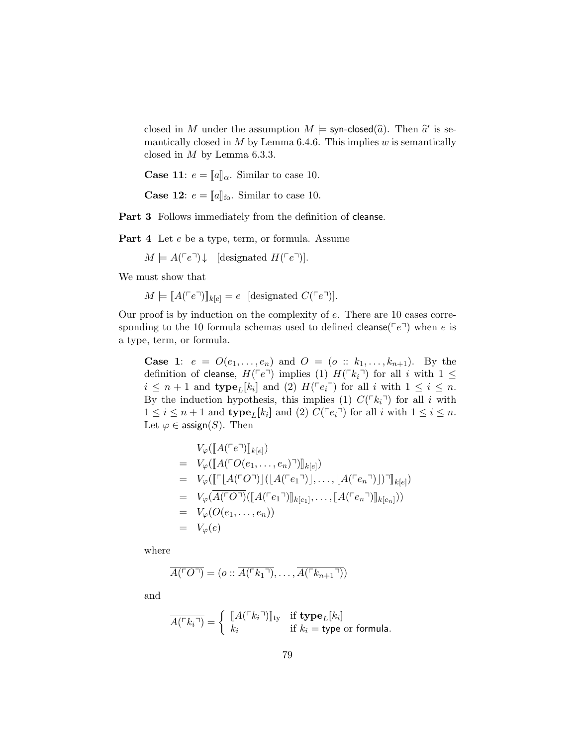closed in M under the assumption  $M \models$  syn-closed $(\widehat{a})$ . Then  $\widehat{a}'$  is se-<br>manticelly closed in M by Lemma 6.4.6. This implies w is semanticelly mantically closed in  $M$  by Lemma 6.4.6. This implies  $w$  is semantically closed in  $M$  by Lemma 6.3.3.

**Case 11:**  $e = [a]_{\alpha}$ . Similar to case 10.

**Case 12:**  $e = [a]_{\text{fo}}$ . Similar to case 10.

Part 3 Follows immediately from the definition of cleanse.

Part 4 Let  $e$  be a type, term, or formula. Assume

 $M \models A(\ulcorner e \urcorner) \downarrow$  [designated  $H(\ulcorner e \urcorner)$ ].

We must show that

 $M \models [A(\ulcorner e \urcorner)]_{k[e]} = e$  [designated  $C(\ulcorner e \urcorner)].$ 

Our proof is by induction on the complexity of e. There are 10 cases corresponding to the 10 formula schemas used to defined cleanse( $\lceil e^{\eta} \rceil$ ) when e is a type, term, or formula.

**Case 1:**  $e = O(e_1, ..., e_n)$  and  $O = (o :: k_1, ..., k_{n+1})$ . By the definition of cleanse,  $H(\ulcorner e \urcorner)$  implies (1)  $H(\ulcorner k_i \urcorner)$  for all i with  $1 \leq$  $i \leq n+1$  and  $\text{type}_L[k_i]$  and (2)  $H(\ulcorner e_i \urcorner)$  for all i with  $1 \leq i \leq n$ . By the induction hypothesis, this implies (1)  $C(\ulcorner k_i\urcorner)$  for all i with  $1 \leq i \leq n+1$  and  $\text{type}_L[k_i]$  and (2)  $C(\ulcorner e_i \urcorner)$  for all i with  $1 \leq i \leq n$ . Let  $\varphi \in \text{assign}(S)$ . Then

$$
V_{\varphi}([\![A(\ulcorner e\urcorner)]\!]_{k[e]})
$$
\n
$$
= V_{\varphi}([\![A(\ulcorner O(e_1, \ldots, e_n)\urcorner)]\!]_{k[e]})
$$
\n
$$
= V_{\varphi}([\![\ulcorner [A(\ulcorner O\urcorner)]\!]_{(A(\ulcorner e_1\urcorner)]\ldots,[A(\ulcorner e_n\urcorner)]\urcorner]\!]_{k[e]})
$$
\n
$$
= V_{\varphi}(\overline{A(\ulcorner O\urcorner)}([\![A(\ulcorner e_1\urcorner)]\!]_{k[e_1]}, \ldots, [\![A(\ulcorner e_n\urcorner)]\!]_{k[e_n]}))
$$
\n
$$
= V_{\varphi}(O(e_1, \ldots, e_n))
$$
\n
$$
= V_{\varphi}(e)
$$

where

$$
\overline{A(^{\ulcorner}O\urcorner)} = (o :: \overline{A(^{\ulcorner}k_1\urcorner)}, \ldots, \overline{A(^{\ulcorner}k_{n+1}\urcorner)})
$$

and

$$
\overline{A(^{\sqcap}k_i\sqcap)} = \left\{ \begin{array}{ll} \llbracket A(^{\sqcap}k_i\sqcap) \rrbracket_{\text{ty}} & \text{if type}_L[k_i] \\ k_i & \text{if } k_i = \text{type or formula.} \end{array} \right.
$$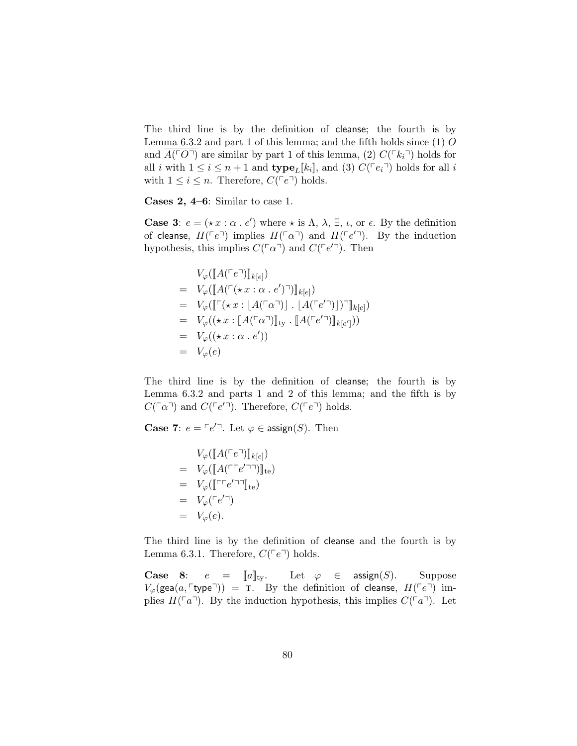The third line is by the definition of cleanse; the fourth is by Lemma  $6.3.2$  and part 1 of this lemma; and the fifth holds since  $(1)$  O and  $A(\ulcorner O\urcorner)$  are similar by part 1 of this lemma, (2)  $C(\ulcorner k_i\urcorner)$  holds for all i with  $1 \leq i \leq n+1$  and  $\textbf{type}_L[k_i]$ , and (3)  $C(\lceil e_i \rceil)$  holds for all i with  $1 \leq i \leq n$ . Therefore,  $C({\lceil}e^{\lceil} \rceil)$  holds.

Cases 2, 4–6: Similar to case 1.

**Case 3:**  $e = (\star x : \alpha \cdot e')$  where  $\star$  is  $\Lambda$ ,  $\lambda$ ,  $\exists$ ,  $\iota$ , or  $\epsilon$ . By the definition of cleanse,  $H(\ulcorner e \urcorner)$  implies  $H(\ulcorner \alpha \urcorner)$  and  $H(\ulcorner e' \urcorner)$ . By the induction hypothesis, this implies  $C(\ulcorner\alpha\urcorner)$  and  $C(\ulcorner e'\urcorner)$ . Then

$$
V_{\varphi}([\![A(\ulcorner e\urcorner)]\!]_{k[e]})
$$
\n
$$
= V_{\varphi}([\![A(\ulcorner(\star x : \alpha \cdot e')\urcorner)]\!]_{k[e]})
$$
\n
$$
= V_{\varphi}([\![\ulcorner(\star x : [A(\ulcorner \alpha \urcorner)] \cdot [A(\ulcorner e'\urcorner)]\urcorner)]\!]_{k[e]})
$$
\n
$$
= V_{\varphi}((\star x : [A(\ulcorner \alpha \urcorner)]\!]_{\text{ty}} \cdot [\![A(\ulcorner e'\urcorner)]\!]_{k[e']})
$$
\n
$$
= V_{\varphi}((\star x : \alpha \cdot e'))
$$
\n
$$
= V_{\varphi}(e)
$$

The third line is by the definition of cleanse; the fourth is by Lemma 6.3.2 and parts 1 and 2 of this lemma; and the fifth is by  $C(\lceil \alpha \rceil)$  and  $C(\lceil e'^{\rceil})$ . Therefore,  $C(\lceil e^{\rceil})$  holds.

**Case 7:**  $e = \lceil e^{\prime} \rceil$ . Let  $\varphi \in \text{assign}(S)$ . Then

$$
V_{\varphi}([\![A(\ulcorner e\urcorner)]\!]_{k[e]})
$$
\n
$$
= V_{\varphi}([\![A(\ulcorner \ulcorner e'\urcorner\urcorner)]\!]_{te})
$$
\n
$$
= V_{\varphi}([\![\ulcorner \ulcorner e'\urcorner\urcorner]\!]_{te})
$$
\n
$$
= V_{\varphi}(\ulcorner e'\urcorner)
$$
\n
$$
= V_{\varphi}(e).
$$

The third line is by the definition of cleanse and the fourth is by Lemma 6.3.1. Therefore,  $C(\lceil e^{\rceil})$  holds.

Case 8:  $e = [a]_{\text{ty}}$ . Let  $\varphi \in \text{assign}(S)$ . Suppose  $V_{\varphi}(\text{gea}(a, \ulcorner \text{type} \urcorner)) = \text{T}$ . By the definition of cleanse,  $H(\ulcorner e \urcorner)$  implies  $H(\lceil a\rceil)$ . By the induction hypothesis, this implies  $C(\lceil a\rceil)$ . Let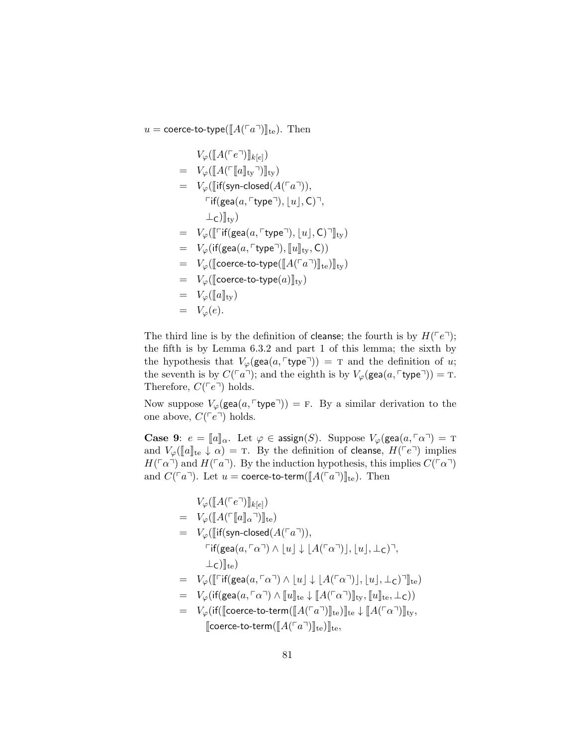u = coerce-to-type( $\llbracket A(\ulcorner a \urcorner)\rrbracket_{\text{te}}$ ). Then

<sup>V</sup>ϕ(JA(peq)Kk[e] ) <sup>=</sup> <sup>V</sup>ϕ(JA(pJaKtyq)Kty) <sup>=</sup> <sup>V</sup>ϕ(Jif(syn-closed(A(paq)), pif(gea(a, ptypeq), buc, C)q, <sup>⊥</sup>C)Kty) <sup>=</sup> <sup>V</sup>ϕ(Jpif(gea(a, <sup>p</sup>typeq), <sup>b</sup>uc, <sup>C</sup>)qKty) <sup>=</sup> <sup>V</sup>ϕ(if(gea(a, <sup>p</sup>typeq), <sup>J</sup>uKty, <sup>C</sup>)) <sup>=</sup> <sup>V</sup>ϕ(Jcoerce-to-type(JA(paq)Kte)Kty) <sup>=</sup> <sup>V</sup>ϕ(Jcoerce-to-type(a)Kty) <sup>=</sup> <sup>V</sup>ϕ(JaKty) = Vϕ(e).

The third line is by the definition of cleanse; the fourth is by  $H(\ulcorner e\urcorner);$ the fifth is by Lemma 6.3.2 and part 1 of this lemma; the sixth by the hypothesis that  $V_{\varphi}(\text{gea}(a, \ulcorner \text{type} \urcorner)) = \text{T}$  and the definition of u; the seventh is by  $C(\ulcorner a \urcorner);$  and the eighth is by  $V_{\varphi}(\textsf{gea}(a, \ulcorner \textsf{type} \urcorner)) = \texttt{T}.$ Therefore,  $C(\ulcorner e \urcorner)$  holds.

Now suppose  $V_{\varphi}(\text{gea}(a, \ulcorner \text{type}\urcorner)) = F$ . By a similar derivation to the one above,  $C(\ulcorner e \urcorner)$  holds.

**Case 9:**  $e = [a]_{\alpha}$ . Let  $\varphi \in \text{assign}(S)$ . Suppose  $V_{\varphi}(\text{gea}(a, \lceil \alpha \rceil) = \text{T})$ and  $V_{\varphi}(\llbracket a \rrbracket_{\text{te}} \downarrow \alpha) = \text{T}$ . By the definition of cleanse,  $H(\ulcorner e \urcorner)$  implies  $H(\lceil \alpha \rceil)$  and  $H(\lceil \alpha \rceil)$ . By the induction hypothesis, this implies  $C(\lceil \alpha \rceil)$ and  $C(\ulcorner a\urcorner)$ . Let  $u = \text{coerce-to-term}([\![A(\ulcorner a\urcorner)]\!]_{\text{te}})$ . Then

$$
V_{\varphi}([\![A(\ulcorner e \urcorner)]\!]_{k[e]})
$$
\n
$$
= V_{\varphi}([\![A(\ulcorner [\![a]\!]_{\alpha} \urcorner)]\!]_{te})
$$
\n
$$
= V_{\varphi}([\![\mathsf{if}(\mathsf{syn-closed}(A(\ulcorner a \urcorner)),\ulcorner \mathsf{if}(\mathsf{gea}(a,\ulcorner \alpha \urcorner) \wedge \ulcorner u] \downarrow \lfloor A(\ulcorner \alpha \urcorner)],\lfloor u \rfloor, \bot_{\mathsf{C}}) \urcorner,
$$
\n
$$
\bot_{\mathsf{C}})]\!]_{te}
$$
\n
$$
= V_{\varphi}([\![\ulcorner \mathsf{if}(\mathsf{gea}(a,\ulcorner \alpha \urcorner) \wedge \ulcorner u] \downarrow \lfloor A(\ulcorner \alpha \urcorner)],\lfloor u \rfloor, \bot_{\mathsf{C}}) \urcorner]\!]_{te})
$$
\n
$$
= V_{\varphi}(\mathsf{if}(\mathsf{gea}(a,\ulcorner \alpha \urcorner) \wedge \ulcorner u] \Vert_{te} \downarrow [\![A(\ulcorner \alpha \urcorner)]\!]_{ty},[\![u]\!]_{te}, \bot_{\mathsf{C}}))
$$
\n
$$
= V_{\varphi}(\mathsf{if}([\mathrm{coerce-to-term}([\![A(\ulcorner a \urcorner)]\!]_{te})]\!]_{te} \downarrow [\![A(\ulcorner \alpha \urcorner)]\!]_{ty},
$$
\n
$$
[\![\mathrm{coerce-to-term}([\![A(\ulcorner a \urcorner)]\!]_{te})]\!]_{te},
$$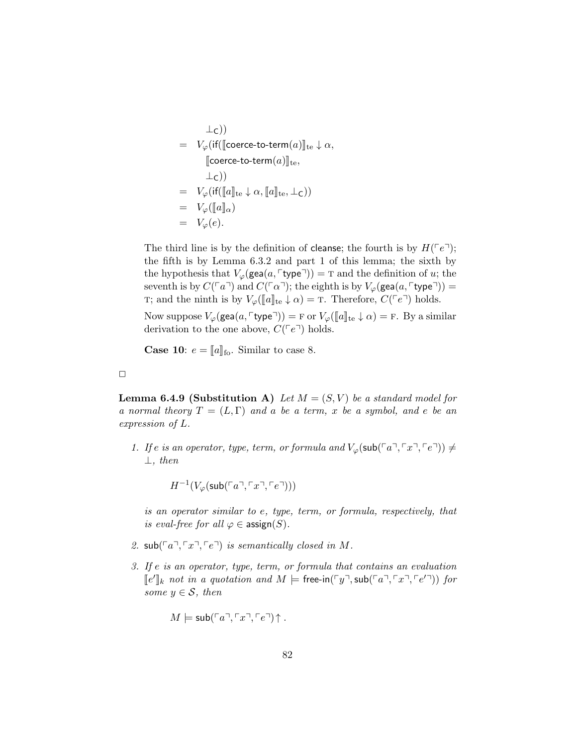$$
\begin{array}{rcl}\n & \bot_{\mathsf{C}}) \\
 & = & V_{\varphi}(\mathsf{if}([\texttt{coerce-to-term}(a)]|_{\mathsf{te}} \downarrow \alpha, \\
 & [\texttt{coerce-to-term}(a)]|_{\mathsf{te}}, \\
 & \bot_{\mathsf{C}})) \\
 & = & V_{\varphi}(\mathsf{if}([\![a]\!]_{\mathsf{te}} \downarrow \alpha, [\![a]\!]_{\mathsf{te}}, \bot_{\mathsf{C}})) \\
 & = & V_{\varphi}([\![a]\!]_{\alpha}) \\
 & = & V_{\varphi}(e).\n\end{array}
$$

The third line is by the definition of cleanse; the fourth is by  $H(\lceil e^{\eta}\rceil)$ ; the fifth is by Lemma 6.3.2 and part 1 of this lemma; the sixth by the hypothesis that  $V_{\varphi}(\text{gea}(a, \ulcorner \text{type} \urcorner)) = \text{T}$  and the definition of u; the seventh is by  $C(\ulcorner a\urcorner)$  and  $C(\ulcorner a\urcorner)$ ; the eighth is by  $V_{\varphi}(\textsf{gea}(a, \ulcorner \textsf{type}\urcorner)) =$ T; and the ninth is by  $V_{\varphi}(\llbracket a \rrbracket_{\text{te}} \downarrow \alpha) = \text{T}$ . Therefore,  $C({\ulcorner e \urcorner})$  holds.

Now suppose  $V_{\varphi}(\text{gea}(a, \ulcorner \text{type} \urcorner)) = F$  or  $V_{\varphi}(\llbracket a \rrbracket_{\text{te}} \downarrow \alpha) = F$ . By a similar derivation to the one above,  $C({\lceil}e^{\rceil})$  holds.

**Case 10:**  $e = [a]$ <sub>fo</sub>. Similar to case 8.

 $\Box$ 

**Lemma 6.4.9 (Substitution A)** Let  $M = (S, V)$  be a standard model for a normal theory  $T = (L, \Gamma)$  and a be a term, x be a symbol, and e be an expression of L.

1. If e is an operator, type, term, or formula and  $V_{\varphi}(\mathsf{sub}(\ulcorner a \urcorner, \ulcorner x \urcorner, \ulcorner e \urcorner)) \neq 0$  $\perp$ , then

$$
H^{-1}(V_{\varphi}(\mathsf{sub}(\ulcorner a \urcorner, \ulcorner x \urcorner, \ulcorner e \urcorner)))
$$

is an operator similar to e, type, term, or formula, respectively, that is eval-free for all  $\varphi \in \text{assign}(S)$ .

- 2.  $\text{sub}(\ulcorner a \urcorner, \ulcorner x \urcorner, \ulcorner e \urcorner)$  is semantically closed in M.
- 3. If e is an operator, type, term, or formula that contains an evaluation  $\llbracket e' \rrbracket_k$  not in a quotation and  $M \models$  free-in( $\ulcorner y \urcorner$ , sub( $\ulcorner a \urcorner$ ,  $\ulcorner x \urcorner$ ,  $\ulcorner e' \urcorner$ )) for some  $y \in \mathcal{S}$ , then

$$
M \models \mathsf{sub}(\ulcorner a \urcorner, \ulcorner x \urcorner, \ulcorner e \urcorner) \uparrow.
$$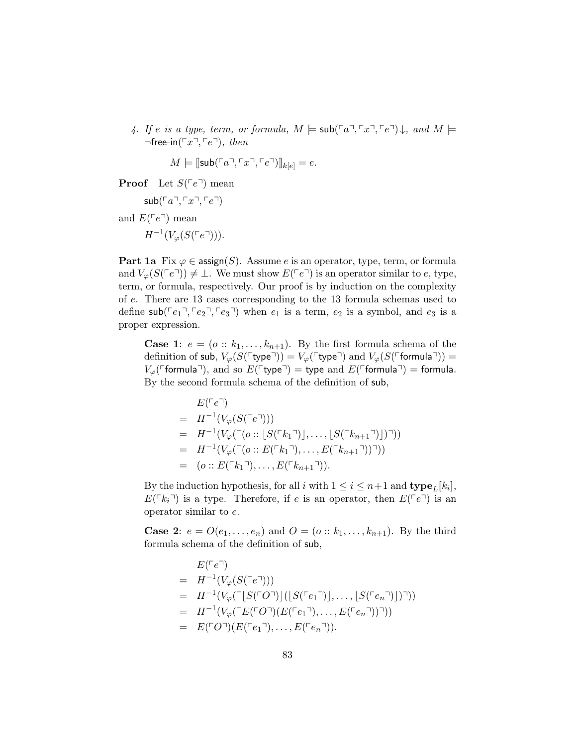4. If e is a type, term, or formula,  $M \models \mathsf{sub}(\ulcorner a \urcorner, \ulcorner x \urcorner, \ulcorner e \urcorner) \downarrow$ , and  $M \models$  $\neg$ free-in( $\ulcorner x \urcorner, \ulcorner e \urcorner)$ , then

$$
M \models [\mathsf{sub}(\ulcorner a \urcorner, \ulcorner x \urcorner, \ulcorner e \urcorner)]_{k[e]} = e.
$$

**Proof** Let  $S(^{\ulcorner}e^{\urcorner})$  mean

 $sub(\ulcorner a \urcorner, \ulcorner x \urcorner, \ulcorner e \urcorner)$ 

and  $E(\ulcorner e \urcorner)$  mean

$$
H^{-1}(V_{\varphi}(S(\ulcorner e \urcorner))).
$$

**Part 1a** Fix  $\varphi \in \text{assign}(S)$ . Assume e is an operator, type, term, or formula and  $V_{\varphi}(S(\ulcorner e \urcorner)) \neq \bot$ . We must show  $E(\ulcorner e \urcorner)$  is an operator similar to e, type, term, or formula, respectively. Our proof is by induction on the complexity of e. There are 13 cases corresponding to the 13 formula schemas used to define  $\mathsf{sub}(\lceil e_1 \rceil, \lceil e_2 \rceil, \lceil e_3 \rceil)$  when  $e_1$  is a term,  $e_2$  is a symbol, and  $e_3$  is a proper expression.

**Case 1:**  $e = (o:: k_1, \ldots, k_{n+1})$ . By the first formula schema of the definition of sub,  $V_{\varphi}(S(\ulcorner \text{type} \urcorner)) = V_{\varphi}(\ulcorner \text{type} \urcorner)$  and  $V_{\varphi}(S(\ulcorner \text{formula} \urcorner)) =$  $V_{\varphi}(\ulcorner$  formula $\urcorner$ ), and so  $E(\ulcorner$  type $\urcorner)$  = type and  $E(\ulcorner$  formula $\urcorner)$  = formula. By the second formula schema of the definition of sub,

$$
E(^{\top}e^{\top})
$$
  
=  $H^{-1}(V_{\varphi}(S(^{\top}e^{\top})))$   
=  $H^{-1}(V_{\varphi}(^{\top}(o::[S(^{\top}k_{1}^{\top})], \ldots, [S(^{\top}k_{n+1}^{\top})]))$ )  
=  $H^{-1}(V_{\varphi}(^{\top}(o::E(^{\top}k_{1}^{\top}), \ldots, E(^{\top}k_{n+1}^{\top})))))$   
=  $(o::E(^{\top}k_{1}^{\top}), \ldots, E(^{\top}k_{n+1}^{\top})).$ 

By the induction hypothesis, for all i with  $1 \leq i \leq n+1$  and  $\textbf{type}_L[k_i]$ ,  $E(\lceil k_i \rceil)$  is a type. Therefore, if e is an operator, then  $E(\lceil e \rceil)$  is an operator similar to e.

**Case 2:**  $e = O(e_1, ..., e_n)$  and  $O = (o :: k_1, ..., k_{n+1})$ . By the third formula schema of the definition of sub,

$$
E(^{\top}e^{\top})
$$
  
=  $H^{-1}(V_{\varphi}(S(^{\top}e^{\top})))$   
=  $H^{-1}(V_{\varphi}(^{\top}[S(^{\top}O^{\top})][(S(^{\top}e_{1}^{\top})], \dots, [S(^{\top}e_{n}^{\top})]))$ )  
=  $H^{-1}(V_{\varphi}(^{\top}E(^{\top}O^{\top})(E(^{\top}e_{1}^{\top}), \dots, E(^{\top}e_{n}^{\top}))^{\top}))$   
=  $E(^{\top}O^{\top})(E(^{\top}e_{1}^{\top}), \dots, E(^{\top}e_{n}^{\top})).$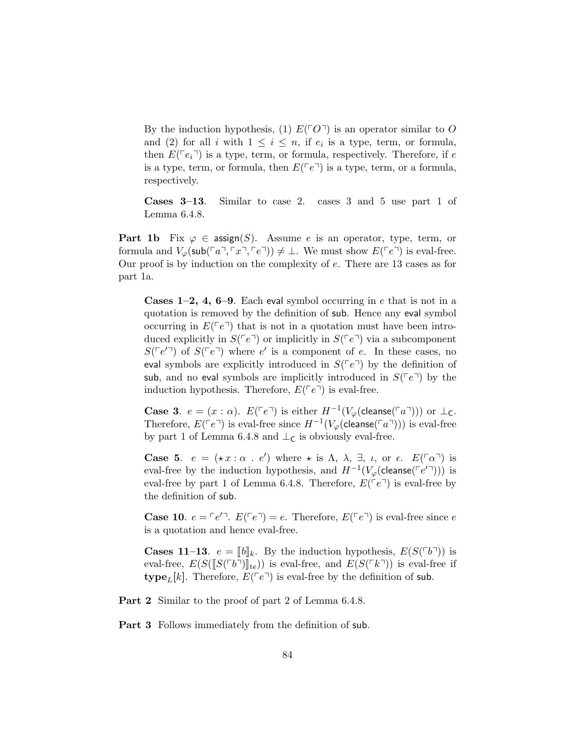By the induction hypothesis, (1)  $E(\ulcorner O \urcorner)$  is an operator similar to O and (2) for all i with  $1 \leq i \leq n$ , if  $e_i$  is a type, term, or formula, then  $E(\lceil e_i \rceil)$  is a type, term, or formula, respectively. Therefore, if e is a type, term, or formula, then  $E(\ulcorner e \urcorner)$  is a type, term, or a formula, respectively.

Cases 3–13. Similar to case 2. cases 3 and 5 use part 1 of Lemma 6.4.8.

**Part 1b** Fix  $\varphi \in \text{assign}(S)$ . Assume e is an operator, type, term, or formula and  $V_{\varphi}(\mathsf{sub}(\ulcorner a \urcorner, \ulcorner x \urcorner, \ulcorner e \urcorner)) \neq \bot$ . We must show  $E(\ulcorner e \urcorner)$  is eval-free. Our proof is by induction on the complexity of e. There are 13 cases as for part 1a.

**Cases 1–2, 4, 6–9**. Each eval symbol occurring in  $e$  that is not in a quotation is removed by the definition of sub. Hence any eval symbol occurring in  $E(\lceil e^{\eta}\rceil)$  that is not in a quotation must have been introduced explicitly in  $S(\lceil e^{\rceil})$  or implicitly in  $S(\lceil e^{\rceil})$  via a subcomponent  $S(\lceil e'^{\rceil})$  of  $S(\lceil e^{\rceil})$  where e' is a component of e. In these cases, no eval symbols are explicitly introduced in  $S(\lceil e^{\eta}\rceil)$  by the definition of sub, and no eval symbols are implicitly introduced in  $S(\lceil e^{\eta} \rceil)$  by the induction hypothesis. Therefore,  $E({\lceil}e^{\overline{\ }n})$  is eval-free.

**Case 3.**  $e = (x : \alpha)$ .  $E(\ulcorner e \urcorner)$  is either  $H^{-1}(V_\varphi(\text{cleanse}(\ulcorner a \urcorner)))$  or  $\bot_C$ . Therefore,  $E(\ulcorner e \urcorner)$  is eval-free since  $H^{-1}(V_\varphi(\mathsf{cleanse}(\ulcorner a \urcorner)))$  is eval-free by part 1 of Lemma 6.4.8 and  $\perp$ <sub>C</sub> is obviously eval-free.

**Case 5.**  $e = (\star x : \alpha : e')$  where  $\star$  is  $\Lambda$ ,  $\lambda$ ,  $\exists$ ,  $\iota$ , or  $\epsilon$ .  $E(\lceil \alpha \rceil)$  is eval-free by the induction hypothesis, and  $H^{-1}(V_\varphi(\mathsf{cleanse}(\ulcorner e' \urcorner)))$  is eval-free by part 1 of Lemma 6.4.8. Therefore,  $E(^{\neg}e^{\neg})$  is eval-free by the definition of sub.

**Case 10.**  $e = \lceil e'^{\top} \rceil$ .  $E(\lceil e^{\top} \rceil) = e$ . Therefore,  $E(\lceil e^{\top} \rceil)$  is eval-free since e is a quotation and hence eval-free.

**Cases 11–13.**  $e = [b]_k$ . By the induction hypothesis,  $E(S(\ulcorner b \urcorner))$  is eval-free,  $E(S(\llbracket S(\ulcorner b \urcorner)\rrbracket_{te}))$  is eval-free if **type**<sub>L</sub>[k]. Therefore,  $E(\ulcorner e \urcorner)$  is eval-free by the definition of sub.

Part 2 Similar to the proof of part 2 of Lemma 6.4.8.

Part 3 Follows immediately from the definition of sub.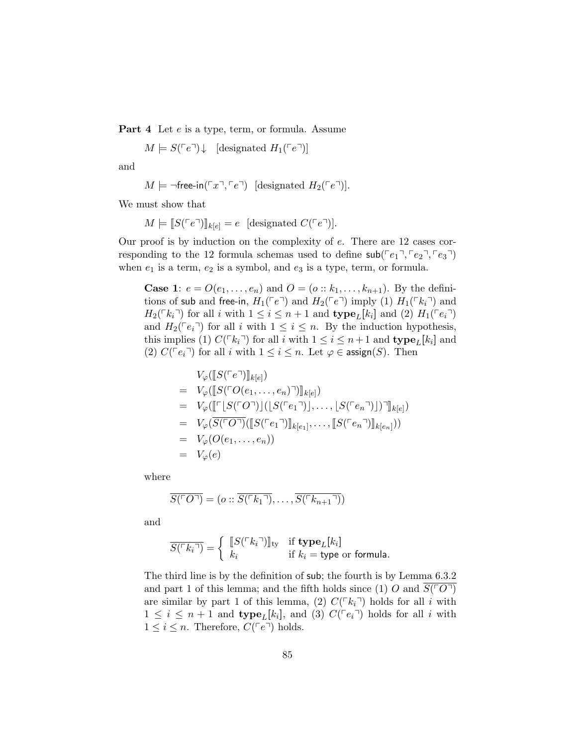Part 4 Let  $e$  is a type, term, or formula. Assume

 $M \models S(\ulcorner e \urcorner) \downarrow$  [designated  $H_1(\ulcorner e \urcorner)$ ]

and

$$
M \models \neg \mathsf{free-in}(\ulcorner x \urcorner, \ulcorner e \urcorner) \quad [\text{designated } H_2(\ulcorner e \urcorner)].
$$

We must show that

 $M \models [S(\ulcorner e \urcorner)]_{k[e]} = e$  [designated  $C(\ulcorner e \urcorner)].$ 

Our proof is by induction on the complexity of e. There are 12 cases corresponding to the 12 formula schemas used to define  $\mathsf{sub}(\lceil e_1 \rceil, \lceil e_2 \rceil, \lceil e_3 \rceil)$ when  $e_1$  is a term,  $e_2$  is a symbol, and  $e_3$  is a type, term, or formula.

**Case 1:**  $e = O(e_1, ..., e_n)$  and  $O = (o:: k_1, ..., k_{n+1})$ . By the definitions of sub and free-in,  $H_1(\ulcorner e \urcorner)$  and  $H_2(\ulcorner e \urcorner)$  imply (1)  $H_1(\ulcorner k_i \urcorner)$  and  $H_2(\lceil k_i \rceil)$  for all i with  $1 \leq i \leq n+1$  and  $\text{type}_L[k_i]$  and (2)  $H_1(\lceil e_i \rceil)$ and  $H_2(\lceil e_i \rceil)$  for all i with  $1 \leq i \leq n$ . By the induction hypothesis, this implies (1)  $C(\lceil k_i \rceil)$  for all i with  $1 \leq i \leq n+1$  and  $\textbf{type}_L[k_i]$  and (2)  $C(\lceil e_i \rceil)$  for all i with  $1 \leq i \leq n$ . Let  $\varphi \in \text{assign}(S)$ . Then

$$
V_{\varphi}([\![S(\ulcorner e\urcorner)]\!]_{k[e]})
$$
\n
$$
= V_{\varphi}([\![S(\ulcorner O(e_1, \ldots, e_n)\urcorner)]\!]_{k[e]})
$$
\n
$$
= V_{\varphi}([\![\ulcorner [S(\ulcorner O\urcorner)]\!](\lfloor S(\ulcorner e_1 \urcorner)]\rfloor, \ldots, \lfloor S(\ulcorner e_n \urcorner)]\rfloor \urcorner]\!]_{k[e]})
$$
\n
$$
= V_{\varphi}(\overline{S(\ulcorner O\urcorner)}([\![S(\ulcorner e_1 \urcorner)]\!]_{k[e_1]}, \ldots, [\![S(\ulcorner e_n \urcorner)]\!]_{k[e_n]}))
$$
\n
$$
= V_{\varphi}(O(e_1, \ldots, e_n))
$$
\n
$$
= V_{\varphi}(e)
$$

where

$$
\overline{S(\ulcorner O\urcorner)} = (o :: \overline{S(\ulcorner k_1 \urcorner)}, \ldots, \overline{S(\ulcorner k_{n+1} \urcorner)})
$$

and

$$
\overline{S(^{\sqcap}k_i\sqcap)} = \left\{ \begin{array}{ll} \llbracket S(^{\sqcap}k_i\sqcap) \rrbracket_{\text{ty}} & \text{if type}_L[k_i] \\ k_i & \text{if } k_i = \text{type or formula.} \end{array} \right.
$$

The third line is by the definition of sub; the fourth is by Lemma 6.3.2 and part 1 of this lemma; and the fifth holds since (1) O and  $S(\ulcorner O\urcorner)$ are similar by part 1 of this lemma, (2)  $C(\lceil k_i \rceil)$  holds for all i with  $1 \leq i \leq n+1$  and  $\textbf{type}_L[k_i]$ , and (3)  $C(\lceil e_i \rceil)$  holds for all i with  $1 \leq i \leq n$ . Therefore,  $C(\lceil e^{\eta} \rceil)$  holds.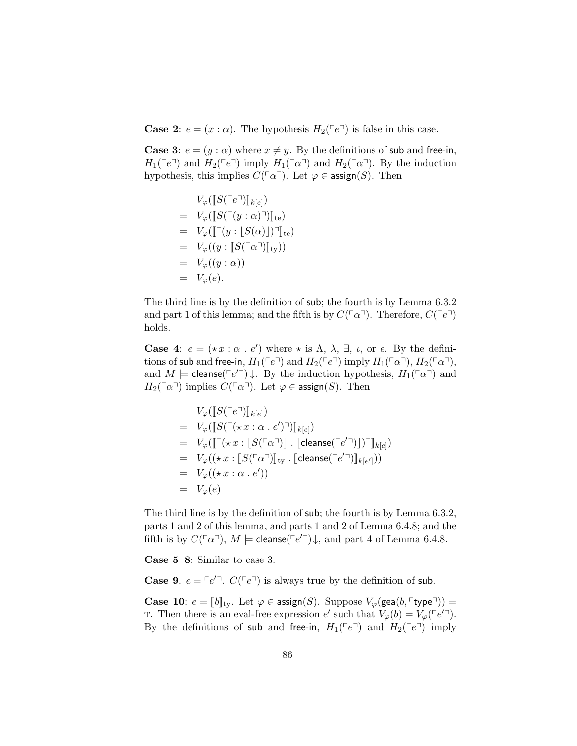**Case 2:**  $e = (x : \alpha)$ . The hypothesis  $H_2(\ulcorner e \urcorner)$  is false in this case.

**Case 3:**  $e = (y : \alpha)$  where  $x \neq y$ . By the definitions of sub and free-in,  $H_1(\ulcorner e \urcorner)$  and  $H_2(\ulcorner e \urcorner)$  imply  $H_1(\ulcorner \alpha \urcorner)$  and  $H_2(\ulcorner \alpha \urcorner)$ . By the induction hypothesis, this implies  $C(\ulcorner\alpha\urcorner)$ . Let  $\varphi \in \mathsf{assign}(S)$ . Then

$$
V_{\varphi}([\llbracket S(\ulcorner e\urcorner)] \rrbracket_{k[e]})
$$
\n
$$
= V_{\varphi}([\llbracket S(\ulcorner (y:\alpha)\urcorner)] \rrbracket_{te})
$$
\n
$$
= V_{\varphi}([\llbracket \ulcorner (y:\llbracket S(\alpha) \rrbracket)\urcorner]_{te})
$$
\n
$$
= V_{\varphi}((y:\llbracket S(\ulcorner \alpha\urcorner)] \rrbracket_{ty}))
$$
\n
$$
= V_{\varphi}(e).
$$

The third line is by the definition of sub; the fourth is by Lemma 6.3.2 and part 1 of this lemma; and the fifth is by  $C(\lceil \alpha \rceil)$ . Therefore,  $C(\lceil e \rceil)$ holds.

**Case 4:**  $e = (\star x : \alpha : e')$  where  $\star$  is  $\Lambda$ ,  $\lambda$ ,  $\exists$ ,  $\iota$ , or  $\epsilon$ . By the definitions of sub and free-in,  $H_1(\ulcorner e \urcorner)$  and  $H_2(\ulcorner e \urcorner)$  imply  $H_1(\ulcorner \alpha \urcorner)$ ,  $H_2(\ulcorner \alpha \urcorner)$ , and  $M \models \text{cleanse}(\lceil e' \rceil) \downarrow$ . By the induction hypothesis,  $H_1(\lceil \alpha \rceil)$  and  $H_2(\ulcorner \alpha \urcorner)$  implies  $C(\ulcorner \alpha \urcorner)$ . Let  $\varphi \in \mathsf{assign}(S)$ . Then

$$
V_{\varphi}(\llbracket S(^r e^{\neg}) \rrbracket_{k[e]})
$$
\n
$$
= V_{\varphi}(\llbracket S(^r (\star x : \alpha \cdot e')^{\neg}) \rrbracket_{k[e]})
$$
\n
$$
= V_{\varphi}(\llbracket \ulcorner (\star x : \llbracket S(^r \alpha^{\neg}) \rrbracket) \ldots \llbracket \text{cleanse}({\ulcorner e'}^{\neg}) \rrbracket) \urcorner \rrbracket_{k[e]})
$$
\n
$$
= V_{\varphi}((\star x : \llbracket S(^r \alpha^{\neg}) \rrbracket_{\text{ty}} \ldots \llbracket \text{cleanse}({\ulcorner e'}^{\neg}) \rrbracket_{k[e']}))
$$
\n
$$
= V_{\varphi}((\star x : \alpha \cdot e'))
$$
\n
$$
= V_{\varphi}(e)
$$

The third line is by the definition of sub; the fourth is by Lemma 6.3.2, parts 1 and 2 of this lemma, and parts 1 and 2 of Lemma 6.4.8; and the fifth is by  $C(\lceil \alpha \rceil)$ ,  $M \models \text{cleanse}(\lceil e' \rceil) \downarrow$ , and part 4 of Lemma 6.4.8.

Case 5–8: Similar to case 3.

**Case 9.**  $e = \lceil e'^{\top} \rceil$ .  $C(\lceil e^{\top} \rceil)$  is always true by the definition of sub.

**Case 10:**  $e = [b]_{\text{ty}}$ . Let  $\varphi \in \text{assign}(S)$ . Suppose  $V_{\varphi}(\text{gea}(b, \ulcorner \text{type} \urcorner))$  = T. Then there is an eval-free expression  $e'$  such that  $V_{\varphi}(b) = V_{\varphi}(\ulcorner e' \urcorner).$ By the definitions of sub and free-in,  $H_1(\ulcorner e\urcorner)$  and  $H_2(\ulcorner e\urcorner)$  imply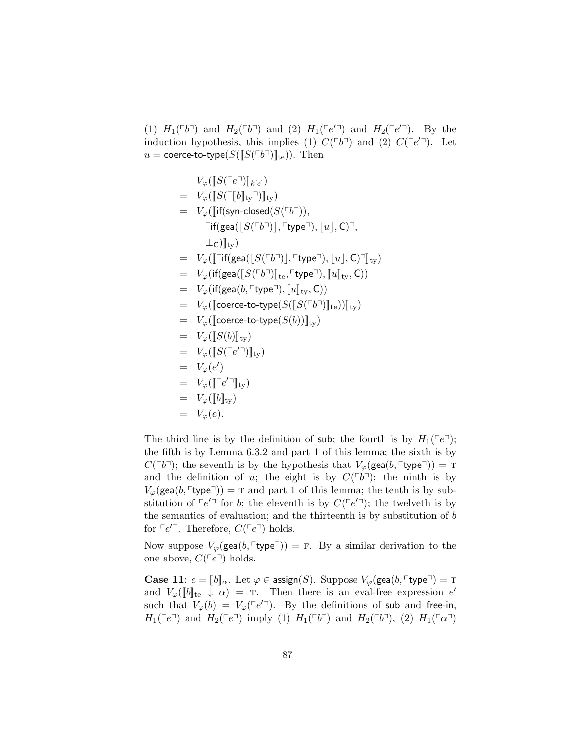(1)  $H_1(\ulcorner b\urcorner)$  and  $H_2(\ulcorner b\urcorner)$  and (2)  $H_1(\ulcorner e'\urcorner)$  and  $H_2(\ulcorner e'\urcorner)$ . By the induction hypothesis, this implies (1)  $C(^{\lceil}b^{\rceil})$  and (2)  $C(^{\lceil}e'^{\rceil})$ . Let  $u = \text{coerce-to-type}(S(\llbracket S(\llbracket b \rrbracket)\rrbracket_{\text{te}})).$  Then

$$
V_{\varphi}([\![S(\ulcorner e \urcorner)]\!]_{k[e]})
$$
\n
$$
= V_{\varphi}([\![S(\ulcorner [b]\!]_{ty} \urcorner)]\!]_{ty})
$$
\n
$$
= V_{\varphi}([\![if(\mathsf{syn-closed}(S(\ulcorner b \urcorner)),\ulcorner\mathsf{type} \urcorner),\lfloor u \rfloor,C \urcorner, \ulcorner\mathsf{figure} \urcorner),\lfloor u \rfloor,C \urcorner, \ulcorner\mathsf{type} \urcorner) \in V_{\varphi}([\![\ulcorner \mathsf{if}(\mathsf{gea}([\![S(\ulcorner b \urcorner)]\!]_{te}, \ulcorner \mathsf{type} \urcorner),\lfloor u \rfloor,C \urcorner \rrbracket_{ty})
$$
\n
$$
= V_{\varphi}([\![f(\mathsf{gea}([\![S(\ulcorner b \urcorner)]\!]_{te}, \ulcorner \mathsf{type} \urcorner),\lfloor u \rfloor_{ty},C))
$$
\n
$$
= V_{\varphi}([\![f(\mathsf{gea}(b, \ulcorner \mathsf{type} \urcorner),\lbrack u \rbrack]_{ty},C))
$$
\n
$$
= V_{\varphi}([\![f(\mathsf{ceace-to-type}(S([\![S(\ulcorner b \urcorner)]\!]_{te}))\rbrack)_{ty})
$$
\n
$$
= V_{\varphi}([\![S(b)]\!]_{ty})
$$
\n
$$
= V_{\varphi}([\![S(\ulcorner e' \urcorner)]\!]_{ty})
$$
\n
$$
= V_{\varphi}([\![f(e' \urcorner)]\!]_{ty})
$$
\n
$$
= V_{\varphi}([\![f(e' \urcorner)]\!]_{ty})
$$
\n
$$
= V_{\varphi}([\![b]\!]_{ty})
$$
\n
$$
= V_{\varphi}(e).
$$

The third line is by the definition of sub; the fourth is by  $H_1(\ulcorner e\urcorner);$ the fifth is by Lemma 6.3.2 and part 1 of this lemma; the sixth is by  $C(\ulcorner b\urcorner);$  the seventh is by the hypothesis that  $V_\varphi(\text{gea}(b, \ulcorner \text{type}\urcorner)) = \text{T}$ and the definition of u; the eight is by  $C(^{\lceil}b^{\rceil})$ ; the ninth is by  $V_{\varphi}(\text{gea}(b, \lceil \text{type} \rceil)) = \text{T}$  and part 1 of this lemma; the tenth is by substitution of  $\lceil e'^{\top} \rceil$  for b; the eleventh is by  $C(\lceil e'^{\top} \rceil)$ ; the twelveth is by the semantics of evaluation; and the thirteenth is by substitution of  $b$ for  $\lceil e'^{\top} \rceil$ . Therefore,  $C(\lceil e^{\top} \rceil)$  holds.

Now suppose  $V_{\varphi}(\text{gea}(b, \ulcorner \text{type} \urcorner)) = F$ . By a similar derivation to the one above,  $C(\ulcorner e \urcorner)$  holds.

**Case 11:**  $e = ||b||_{\alpha}$ . Let  $\varphi \in \text{assign}(S)$ . Suppose  $V_{\varphi}(\text{gea}(b, \ulcorner \text{type} \urcorner) = \text{T})$ and  $V_{\varphi}(\llbracket b \rrbracket_{\text{te}} \downarrow \alpha) = T$ . Then there is an eval-free expression  $e'$ <br>guess that  $V(b) = V(\llbracket c \rrbracket)$ . By the definitions of sub and free in such that  $V_{\varphi}(b) = V_{\varphi}(\ulcorner e' \urcorner)$ . By the definitions of sub and free-in,  $H_1(\ulcorner e \urcorner)$  and  $H_2(\ulcorner e \urcorner)$  imply (1)  $H_1(\ulcorner b \urcorner)$  and  $H_2(\ulcorner b \urcorner)$ , (2)  $H_1(\ulcorner \alpha \urcorner)$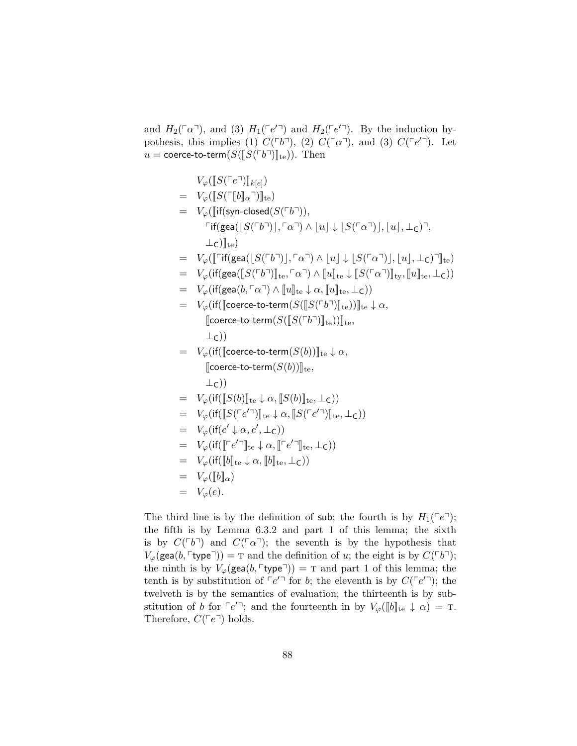and  $H_2(\ulcorner\alpha\urcorner)$ , and (3)  $H_1(\ulcorner e'\urcorner)$  and  $H_2(\ulcorner e'\urcorner)$ . By the induction hypothesis, this implies (1)  $C(^{\lceil}b^{\rceil})$ , (2)  $C(^{\lceil}a^{\rceil})$ , and (3)  $C(^{\lceil}e'^{\rceil})$ . Let  $u = \text{coerce-to-term}(S(\llbracket S(\llbracket b \rrbracket)\rrbracket_{\text{te}})).$  Then

 $V_{\varphi}(\llbracket S(\ulcorner e \urcorner)\rrbracket_{k[e]})$  $= V_{\varphi}(\llbracket S(\ulcorner\llbracket b \rrbracket_{\alpha}\urcorner)\rrbracket_{\text{te}})$  $= V_{\varphi}(\lbrack\!\lbrack\text{if}(\textsf{syn-closed}(S(\ulcorner b \urcorner)),$  $\lceil \text{if}(\text{gea}(|S(\ulcorner b \urcorner)|, \ulcorner \alpha \urcorner) \wedge |u| \downarrow |S(\ulcorner \alpha \urcorner)|, |u|, \perp_C) \urcorner,$  $\perp$ <sub>C</sub>) $\parallel$ <sub>te</sub>)  $= V_{\varphi}(\llbracket \ulcorner \text{if}(\text{gea}(|S(\ulcorner b \urcorner), \ulcorner \alpha \urcorner) \wedge |u| \downarrow |S(\ulcorner \alpha \urcorner)|, |u|, \perp_C) \urcorner \rrbracket_{\text{te}})$  $= V_{\varphi}(\text{if}(\text{gea}(\llbracket S(\ulcorner b \urcorner)]|_{\text{te}}, \ulcorner \alpha \urcorner) \wedge \llbracket u \rrbracket_{\text{te}} \downarrow \llbracket S(\ulcorner \alpha \urcorner)]_{\text{ty}}, \llbracket u \rrbracket_{\text{te}} , \perp_{\text{C}}))$  $= V_{\varphi}(\text{if}(\text{gea}(b, \lceil \alpha \rceil) \wedge \|u\|_{\text{te}} \downarrow \alpha, \|u\|_{\text{te}}, \perp_{\text{C}}))$  $= V_{\varphi}(\text{if}(\lceil \text{coerce-to-term}(S(\lceil S(\lceil b \rceil) \rceil_{\text{te}}))\rceil_{\text{te}} \downarrow \alpha,$  $\llbracket$ coerce-to-term $(S(\llbracket S(\ulcorner b\urcorner)\rrbracket_{\text{te}}))\rrbracket_{\text{te}},$  $\perp$ c))  $= V_{\varphi}(\text{if}(\lVert \text{coerce-to-term}(S(b))]_{\text{te}} \downarrow \alpha,$  $\llbracket$ coerce-to-term $(S(b))\rrbracket_{\text{te}}$ ,  $\perp$ c))  $= V_{\varphi}(\text{if}(\llbracket S(b) \rrbracket_{\text{te}} \downarrow \alpha, \llbracket S(b) \rrbracket_{\text{te}}, \perp_{\text{C}}))$  $= V_\varphi(\text{if}([S(\ulcorner e' \urcorner)]\urcorner_{\text{te}} \downarrow \alpha, [S(\ulcorner e' \urcorner)]\urcorner_{\text{te}}, \perp_{\text{C}}))$  $= V_{\varphi}(\text{if}(e' \downarrow \alpha, e', \perp_{\mathsf{C}}))$ =  $V_{\varphi}(\text{if}([\lceil e' \rceil]_{\text{te}} \downarrow \alpha, [\lceil e' \rceil]_{\text{te}}, \bot_{\text{C}}))$  $= V_{\varphi}(\text{if}([\![b]\!]_{\text{te}} \downarrow \alpha, [\![b]\!]_{\text{te}}, \bot_{\text{C}}))$  $= V_{\varphi}(\llbracket b \rrbracket_{\alpha})$  $= V_{\varphi}(e).$ 

The third line is by the definition of sub; the fourth is by  $H_1(\ulcorner e\urcorner);$ the fifth is by Lemma 6.3.2 and part 1 of this lemma; the sixth is by  $C(\ulcorner b\urcorner)$  and  $C(\ulcorner\alpha\urcorner)$ ; the seventh is by the hypothesis that  $V_{\varphi}(\text{gea}(b, \lceil \text{type} \rceil)) = \text{T}$  and the definition of u; the eight is by  $C(\lceil b \rceil)$ ; the ninth is by  $V_{\varphi}(\text{gea}(b, \lceil \text{type} \rceil)) = \text{T}$  and part 1 of this lemma; the tenth is by substitution of  $\lceil e'^{\top} \rceil$  for b; the eleventh is by  $C(\lceil e'^{\top} \rceil)$ ; the twelveth is by the semantics of evaluation; the thirteenth is by substitution of b for  $\lceil e'^{\top} \rceil$ ; and the fourteenth in by  $V_{\varphi}(\llbracket b \rrbracket_{\text{te}} \downarrow \alpha) = \text{T}.$ <br>Therefore  $C(\lceil e^{\top} \rceil)$  holds Therefore,  $C(\ulcorner e \urcorner)$  holds.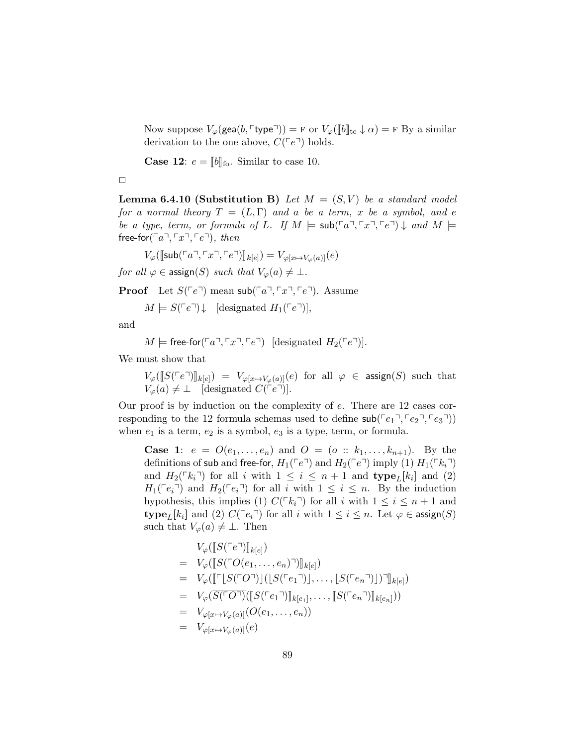Now suppose  $V_{\varphi}(\text{gea}(b, \ulcorner \text{type} \urcorner)) = F$  or  $V_{\varphi}(\llbracket b \rrbracket_{\text{te}} \downarrow \alpha) = F$  By a similar derivation to the one above,  $C({\lceil}e^{\rceil})$  holds.

**Case 12:**  $e = \llbracket b \rrbracket$  for Similar to case 10.

**Lemma 6.4.10 (Substitution B)** Let  $M = (S, V)$  be a standard model for a normal theory  $T = (L, \Gamma)$  and a be a term, x be a symbol, and e be a type, term, or formula of L. If  $M \models sub(\ulcorner a \urcorner, \ulcorner x \urcorner, \ulcorner e \urcorner) \downarrow$  and  $M \models$ free-for( $\lceil a \rceil, \lceil x \rceil, \lceil e \rceil$ ), then

$$
V_{\varphi}(\llbracket \mathsf{sub}({\ulcorner a \urcorner, \ulcorner x \urcorner, \ulcorner e \urcorner}) \rrbracket_{k[e]}) = V_{\varphi[x \mapsto V_{\varphi}(a)]}(e)
$$

for all  $\varphi \in \text{assign}(S)$  such that  $V_{\varphi}(a) \neq \bot$ .

**Proof** Let  $S(\ulcorner e \urcorner)$  mean sub $(\ulcorner a \urcorner, \ulcorner x \urcorner, \ulcorner e \urcorner)$ . Assume

 $M \models S(\ulcorner e \urcorner) \downarrow$  [designated  $H_1(\ulcorner e \urcorner)$ ],

and

$$
M \models \mathsf{free\text{-}for}(\ulcorner a \urcorner, \ulcorner x \urcorner, \ulcorner e \urcorner) \; [\text{designated } H_2(\ulcorner e \urcorner)].
$$

We must show that

 $V_\varphi([S(\ulcorner e \urcorner)]\thinspace_{k[e]}) = V_{\varphi[x \mapsto V_\varphi(a)]}(e)$  for all  $\varphi \in \text{assign}(S)$  such that  $V_{\varphi}(a) \neq \bot$  [designated  $C(\ulcorner e \urcorner)$ ].

Our proof is by induction on the complexity of e. There are 12 cases corresponding to the 12 formula schemas used to define  $\mathsf{sub}(\lceil e_1 \rceil, \lceil e_2 \rceil, \lceil e_3 \rceil)$ when  $e_1$  is a term,  $e_2$  is a symbol,  $e_3$  is a type, term, or formula.

**Case 1:**  $e = O(e_1, ..., e_n)$  and  $O = (o :: k_1, ..., k_{n+1})$ . By the definitions of sub and free-for,  $H_1(\ulcorner e \urcorner)$  and  $H_2(\ulcorner e \urcorner)$  imply (1)  $H_1(\ulcorner k_i \urcorner)$ and  $H_2(\lceil k_i \rceil)$  for all i with  $1 \leq i \leq n+1$  and  $\textbf{type}_L[k_i]$  and (2)  $H_1(\lceil e_i \rceil)$  and  $H_2(\lceil e_i \rceil)$  for all i with  $1 \leq i \leq n$ . By the induction hypothesis, this implies (1)  $C(\ulcorner k_i\urcorner)$  for all i with  $1 \leq i \leq n+1$  and  $\text{type}_L[k_i]$  and (2)  $C(\lceil e_i \rceil)$  for all i with  $1 \leq i \leq n$ . Let  $\varphi \in \text{assign}(S)$ such that  $V_{\varphi}(a) \neq \bot$ . Then

$$
V_{\varphi}([\![S(\ulcorner e \urcorner)]\!]_{k[e]})
$$
\n
$$
= V_{\varphi}([\![S(\ulcorner O(e_1, \ldots, e_n) \urcorner)]\!]_{k[e]})
$$
\n
$$
= V_{\varphi}([\![\ulcorner [S(\ulcorner O \urcorner)] \urcorner] (S(\ulcorner e_1 \urcorner)] \urcorner, \ldots, [S(\ulcorner e_n \urcorner)] \urcorner] \urcorner]_{k[e]})
$$
\n
$$
= V_{\varphi}(\overline{S(\ulcorner O \urcorner)}([\![S(\ulcorner e_1 \urcorner)]\!]_{k[e_1]}, \ldots, [S(\ulcorner e_n \urcorner)]\!]_{k[e_n]}))
$$
\n
$$
= V_{\varphi[x \mapsto V_{\varphi}(a)]}(O(e_1, \ldots, e_n))
$$
\n
$$
= V_{\varphi[x \mapsto V_{\varphi}(a)]}(e)
$$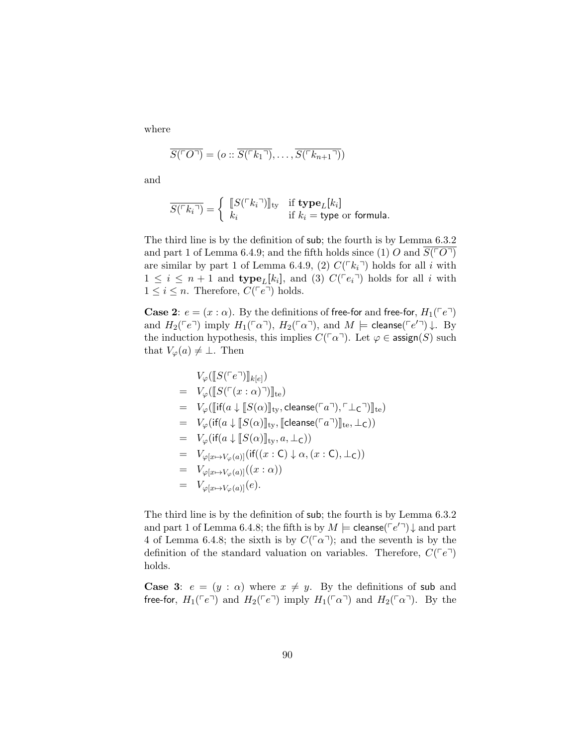where

$$
\overline{S(\ulcorner O\urcorner)} = (o :: \overline{S(\ulcorner k_1 \urcorner)}, \ldots, \overline{S(\ulcorner k_{n+1} \urcorner)})
$$

and

$$
\overline{S(\ulcorner k_i \urcorner)} = \left\{ \begin{array}{ll} \llbracket S(\ulcorner k_i \urcorner) \rrbracket_{\text{ty}} & \text{if type}_L[k_i] \\ k_i & \text{if } k_i = \text{type or formula.} \end{array} \right.
$$

The third line is by the definition of sub; the fourth is by Lemma 6.3.2 and part 1 of Lemma 6.4.9; and the fifth holds since (1) O and  $S(\ulcorner O\urcorner)$ are similar by part 1 of Lemma 6.4.9, (2)  $C(\lceil k_i \rceil)$  holds for all i with  $1 \leq i \leq n+1$  and  $\textbf{type}_L[k_i]$ , and (3)  $C(\lceil e_i \rceil)$  holds for all i with  $1 \leq i \leq n$ . Therefore,  $C(\ulcorner e \urcorner)$  holds.

**Case 2:**  $e = (x : \alpha)$ . By the definitions of free-for and free-for,  $H_1(\ulcorner e \urcorner)$ and  $H_2(\ulcorner e \urcorner)$  imply  $H_1(\ulcorner \alpha \urcorner)$ ,  $H_2(\ulcorner \alpha \urcorner)$ , and  $M \models$  cleanse( $\ulcorner e' \urcorner) \downarrow$ . By the induction hypothesis, this implies  $C(\ulcorner\alpha\urcorner)$ . Let  $\varphi \in \mathsf{assign}(S)$  such that  $V_{\varphi}(a) \neq \bot$ . Then

$$
V_{\varphi}([\llbracket S(\ulcorner e \urcorner)] \rrbracket_{k[e]})
$$
\n
$$
= V_{\varphi}([\llbracket S(\ulcorner (x : \alpha) \urcorner)] \rrbracket_{te})
$$
\n
$$
= V_{\varphi}([\llbracket \mathsf{if}(a \downarrow [\llbracket S(\alpha)] \rrbracket_{\mathsf{ty}}, \mathsf{cleanse}(\ulcorner a \urcorner), \ulcorner \perp \mathsf{c} \urcorner)] \rrbracket_{te})
$$
\n
$$
= V_{\varphi}(\mathsf{if}(a \downarrow [\llbracket S(\alpha)] \rrbracket_{\mathsf{ty}}, [\llbracket \mathsf{cleanse}(\ulcorner a \urcorner)] \rrbracket_{te}, \perp \mathsf{c}))
$$
\n
$$
= V_{\varphi}(\mathsf{if}(a \downarrow [\llbracket S(\alpha)] \rrbracket_{\mathsf{ty}}, a, \perp \mathsf{c}))
$$
\n
$$
= V_{\varphi[x \mapsto V_{\varphi}(a)]}(\mathsf{if}((x : \mathsf{C}) \downarrow \alpha, (x : \mathsf{C}), \perp \mathsf{c}))
$$
\n
$$
= V_{\varphi[x \mapsto V_{\varphi}(a)]}((x : \alpha))
$$
\n
$$
= V_{\varphi[x \mapsto V_{\varphi}(a)]}(e).
$$

The third line is by the definition of sub; the fourth is by Lemma 6.3.2 and part 1 of Lemma 6.4.8; the fifth is by  $M \models$  cleanse( $\ulcorner e' \urcorner$ )  $\downarrow$  and part 4 of Lemma 6.4.8; the sixth is by  $C(\lceil \alpha \rceil)$ ; and the seventh is by the definition of the standard valuation on variables. Therefore,  $C(^{\top}e^{\top})$ holds.

**Case 3:**  $e = (y : \alpha)$  where  $x \neq y$ . By the definitions of sub and free-for,  $H_1(\ulcorner e \urcorner)$  and  $H_2(\ulcorner e \urcorner)$  imply  $H_1(\ulcorner \alpha \urcorner)$  and  $H_2(\ulcorner \alpha \urcorner)$ . By the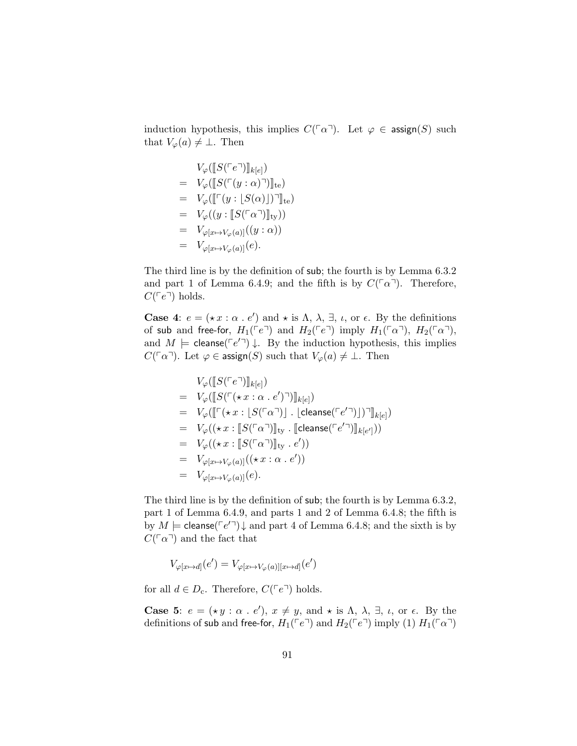induction hypothesis, this implies  $C(\ulcorner\alpha\urcorner)$ . Let  $\varphi \in \text{assign}(S)$  such that  $V_{\varphi}(a) \neq \bot$ . Then

$$
V_{\varphi}([\llbracket S(\ulcorner e\urcorner)] \rrbracket_{k[e]})
$$
\n
$$
= V_{\varphi}([\llbracket S(\ulcorner (y:\alpha)\urcorner)] \rrbracket_{te})
$$
\n
$$
= V_{\varphi}([\llbracket \ulcorner (y:\llbracket S(\alpha) \rrbracket)\urcorner] \rrbracket_{te})
$$
\n
$$
= V_{\varphi}((y:\llbracket S(\ulcorner \alpha\urcorner)] \rrbracket_{ty}))
$$
\n
$$
= V_{\varphi[x \mapsto V_{\varphi}(a)]}((y:\alpha))
$$
\n
$$
= V_{\varphi[x \mapsto V_{\varphi}(a)]}(e).
$$

The third line is by the definition of sub; the fourth is by Lemma 6.3.2 and part 1 of Lemma 6.4.9; and the fifth is by  $C(\lceil \alpha \rceil)$ . Therefore,  $C(\lceil e^{\eta} \rceil)$  holds.

**Case 4:**  $e = (\star x : \alpha : e')$  and  $\star$  is  $\Lambda$ ,  $\lambda$ ,  $\exists$ ,  $\iota$ , or  $\epsilon$ . By the definitions of sub and free-for,  $H_1(\ulcorner e \urcorner)$  and  $H_2(\ulcorner e \urcorner)$  imply  $H_1(\ulcorner \alpha \urcorner)$ ,  $H_2(\ulcorner \alpha \urcorner)$ , and  $M \models$  cleanse( $\lceil e'^{\top} \rceil$ )  $\downarrow$ . By the induction hypothesis, this implies  $C(\lceil \alpha \rceil)$ . Let  $\varphi \in \text{assign}(S)$  such that  $V_{\varphi}(a) \neq \bot$ . Then

$$
V_{\varphi}([\llbracket S(\ulcorner e\urcorner)] \rrbracket_{k[e]})
$$
\n
$$
= V_{\varphi}([\llbracket S(\ulcorner (\star x : \alpha \cdot e')\urcorner)] \rrbracket_{k[e]})
$$
\n
$$
= V_{\varphi}([\llbracket \ulcorner (\star x : \llbracket S(\ulcorner \alpha \urcorner)] \ldots \llbracket \text{cleanse}(\ulcorner e' \urcorner)] \urcorner] \rrbracket_{k[e]})
$$
\n
$$
= V_{\varphi}((\star x : \llbracket S(\ulcorner \alpha \urcorner)] \rrbracket_{\text{ty}} \ldots \llbracket \text{cleanse}(\ulcorner e' \urcorner)] \rrbracket_{k[e']}) )
$$
\n
$$
= V_{\varphi}((\star x : \llbracket S(\ulcorner \alpha \urcorner)] \rrbracket_{\text{ty}} \ldots e'))
$$
\n
$$
= V_{\varphi[x \mapsto V_{\varphi}(a)]}((\star x : \alpha \ldots e'))
$$
\n
$$
= V_{\varphi[x \mapsto V_{\varphi}(a)]}(e).
$$

The third line is by the definition of sub; the fourth is by Lemma 6.3.2, part 1 of Lemma 6.4.9, and parts 1 and 2 of Lemma 6.4.8; the fifth is by  $M \models$  cleanse( $\ulcorner e' \urcorner$ )  $\downarrow$  and part 4 of Lemma 6.4.8; and the sixth is by  $C(\lceil \alpha \rceil)$  and the fact that

$$
V_{\varphi[x \mapsto d]}(e') = V_{\varphi[x \mapsto V_{\varphi}(a)][x \mapsto d]}(e')
$$

for all  $d \in D_c$ . Therefore,  $C(\ulcorner e \urcorner)$  holds.

**Case 5:**  $e = ( \star y : \alpha : e'), x \neq y$ , and  $\star$  is  $\Lambda$ ,  $\lambda$ ,  $\exists$ ,  $\iota$ , or  $\epsilon$ . By the definitions of sub and free-for,  $H_1(\ulcorner e \urcorner)$  and  $H_2(\ulcorner e \urcorner)$  imply (1)  $H_1(\ulcorner \alpha \urcorner)$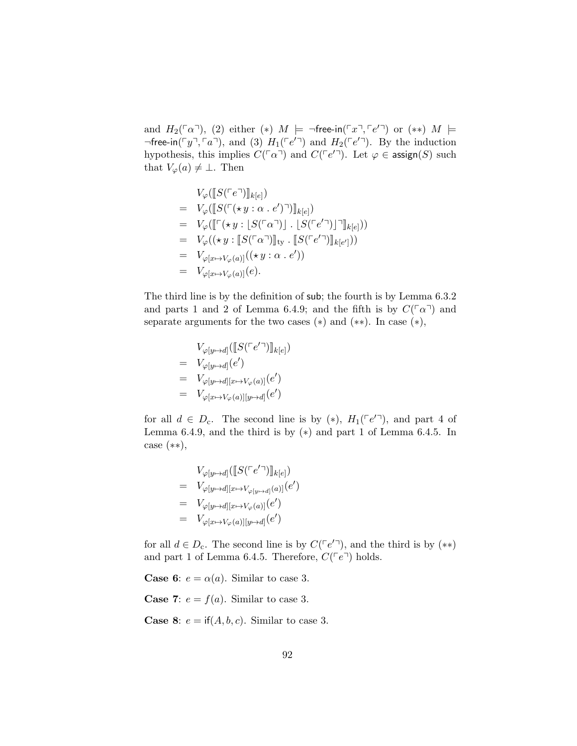and  $H_2(\ulcorner\alpha\urcorner), (2)$  either  $(*)$   $M \models \neg \mathsf{free-in}(\ulcorner x \urcorner, \ulcorner e' \urcorner)$  or  $(**)$   $M \models$  $\neg$  free-in( $\ulcorner y \urcorner, \ulcorner a \urcorner)$ , and (3)  $H_1(\ulcorner e' \urcorner)$  and  $H_2(\ulcorner e' \urcorner)$ . By the induction hypothesis, this implies  $C(\ulcorner\alpha\urcorner)$  and  $C(\ulcorner e'\urcorner)$ . Let  $\varphi \in \mathsf{assign}(S)$  such that  $V_{\varphi}(a) \neq \bot$ . Then

$$
V_{\varphi}([\![S(\ulcorner e \urcorner)]\!]_{k[e]})
$$
\n
$$
= V_{\varphi}([\![S(\ulcorner \langle \star y : \alpha \cdot e' \rangle \urcorner)]\!]_{k[e]})
$$
\n
$$
= V_{\varphi}([\![\ulcorner (\star y : [S(\ulcorner \alpha \urcorner)] \cdot [S(\ulcorner e' \urcorner)]\urcorner]\!]_{k[e]}))
$$
\n
$$
= V_{\varphi}((\star y : [S(\ulcorner \alpha \urcorner)]\!]_{\text{ty}} \cdot [[S(\ulcorner e' \urcorner)]\!]_{k[e']}))
$$
\n
$$
= V_{\varphi[x \mapsto V_{\varphi}(a)]}((\star y : \alpha \cdot e'))
$$
\n
$$
= V_{\varphi[x \mapsto V_{\varphi}(a)]}(e).
$$

The third line is by the definition of sub; the fourth is by Lemma 6.3.2 and parts 1 and 2 of Lemma 6.4.9; and the fifth is by  $C(\lceil \alpha \rceil)$  and separate arguments for the two cases  $(*)$  and  $(**)$ . In case  $(*)$ ,

$$
V_{\varphi[y \mapsto d]}([\![S(\ulcorner e' \urcorner)]\!]_{k[e]})
$$
\n
$$
= V_{\varphi[y \mapsto d]}(e')
$$
\n
$$
= V_{\varphi[y \mapsto d][x \mapsto V_{\varphi}(a)]}(e')
$$
\n
$$
= V_{\varphi[x \mapsto V_{\varphi}(a)][y \mapsto d]}(e')
$$

for all  $d \in D_c$ . The second line is by (\*),  $H_1(\ulcorner e' \urcorner)$ , and part 4 of Lemma 6.4.9, and the third is by  $(*)$  and part 1 of Lemma 6.4.5. In case (∗∗),

$$
V_{\varphi[y \to d]}([\llbracket S(\ulcorner e' \urcorner)] \rrbracket_{k[e]})
$$
\n
$$
= V_{\varphi[y \to d][x \to V_{\varphi[y \to d]}(a)]}(e')
$$
\n
$$
= V_{\varphi[y \to d][x \to V_{\varphi}(a)]}(e')
$$
\n
$$
= V_{\varphi[x \to V_{\varphi}(a)][y \to d]}(e')
$$

for all  $d \in D_c$ . The second line is by  $C(\lceil e^{\prime \rceil})$ , and the third is by  $(**)$ and part 1 of Lemma 6.4.5. Therefore,  $C(\ulcorner e \urcorner)$  holds.

**Case 6:**  $e = \alpha(a)$ . Similar to case 3.

**Case 7:**  $e = f(a)$ . Similar to case 3.

**Case 8:**  $e = \text{if}(A, b, c)$ . Similar to case 3.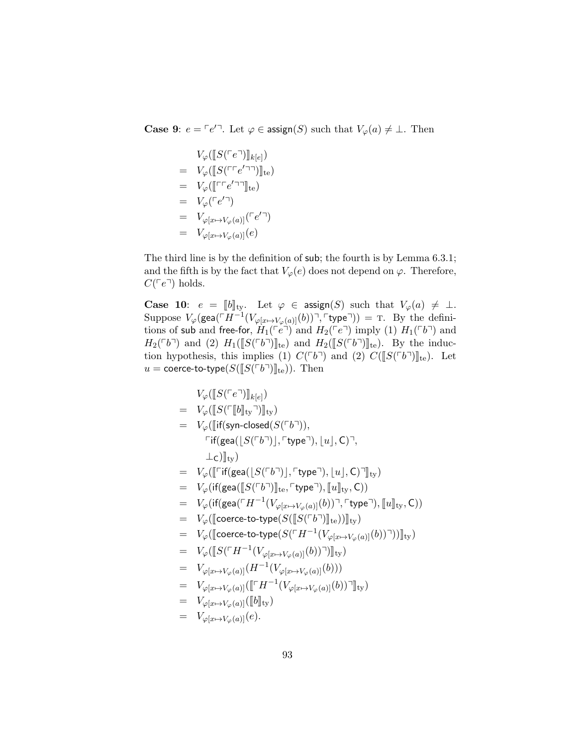**Case 9:**  $e = \ulcorner e' \urcorner$ . Let  $\varphi \in \text{assign}(S)$  such that  $V_{\varphi}(a) \neq \bot$ . Then

$$
V_{\varphi}([\llbracket S(\ulcorner e \urcorner)] \rrbracket_{k[e]})
$$
\n
$$
= V_{\varphi}([\llbracket S(\ulcorner \ulcorner e' \urcorner \urcorner)] \rrbracket_{te})
$$
\n
$$
= V_{\varphi}(\llbracket \ulcorner \ulcorner e' \urcorner \urcorner] \rrbracket_{te})
$$
\n
$$
= V_{\varphi}(\ulcorner e' \urcorner)
$$
\n
$$
= V_{\varphi[x \mapsto V_{\varphi}(a)]}(\ulcorner e' \urcorner)
$$
\n
$$
= V_{\varphi[x \mapsto V_{\varphi}(a)]}(e)
$$

The third line is by the definition of sub; the fourth is by Lemma 6.3.1; and the fifth is by the fact that  $V_{\varphi}(e)$  does not depend on  $\varphi$ . Therefore,  $C(\ulcorner e \urcorner)$  holds.

**Case 10:**  $e = [\![b]\!]_{\text{ty}}$ . Let  $\varphi \in \text{assign}(S)$  such that  $V_{\varphi}(a) \neq \bot$ .<br>Suppose  $V_{\varphi}(\text{gea}(\ulcorner H^{-1}(V_{\varphi[x \mapsto V_{\varphi}(a)}(b)) \urcorner, \ulcorner \text{type} \urcorner)) = \text{T}$ . By the definitions of sub and free-for,  $H_1(\ulcorner\overset{\rightharpoonup }{e}\urcorner)$  and  $H_2(\ulcorner e\urcorner)$  imply (1)  $H_1(\ulcorner b\urcorner)$  and  $H_2(\ulcorner b\urcorner)$  and (2)  $H_1([S(\ulcorner b\urcorner)]_{\text{te}})$  and  $H_2([S(\ulcorner b\urcorner)]_{\text{te}})$ . By the induction hypothesis, this implies (1)  $C(^{\lceil b \rceil})$  and (2)  $C([S(^{\lceil b \rceil})]_{te})$ . Let  $u = \text{coerce-to-type}(S(\llbracket S(\llbracket S(\llbracket b \rrbracket)\rrbracket_{\text{te}})).$  Then

$$
V_{\varphi}([\![S(\ulcorner e \urcorner)]\!]_{k[e]})
$$
\n
$$
= V_{\varphi}([\![S(\ulcorner [b]\!]_{ty} \urcorner)]\!]_{ty})
$$
\n
$$
= V_{\varphi}([\![if(\mathsf{syn-closed}(S(\ulcorner b \urcorner)),\ulcorner \mathsf{type} \urcorner),\lfloor u \rfloor,C) \urcorner,
$$
\n
$$
\perp_C)]\!]_{ty})
$$
\n
$$
= V_{\varphi}([\![\ulcorner \mathsf{if}(\mathsf{gea}([\![S(\ulcorner b \urcorner)],\ulcorner \mathsf{type} \urcorner),\lfloor u \rfloor,C) \urcorner]\!]_{ty})
$$
\n
$$
= V_{\varphi}(\mathsf{if}(\mathsf{gea}([\![S(\ulcorner b \urcorner)]\!]_{te},\ulcorner \mathsf{type} \urcorner),[\![u]\!]_{ty},C))
$$
\n
$$
= V_{\varphi}(\mathsf{if}(\mathsf{gea}(\ulcorner H^{-1}(V_{\varphi[x \mapsto V_{\varphi}(a)]}(b)) \urcorner, \ulcorner \mathsf{type} \urcorner),[\![u]\!]_{ty},C))
$$
\n
$$
= V_{\varphi}([\![\mathsf{coerce-to-type}(S([\![S(\ulcorner b \urcorner)]\!]_{te}))]\!]_{ty})
$$
\n
$$
= V_{\varphi}([\![S(\ulcorner H^{-1}(V_{\varphi[x \mapsto V_{\varphi}(a)]}(b)) \urcorner)]\!]_{ty})
$$
\n
$$
= V_{\varphi[x \mapsto V_{\varphi}(a)]}(\ulcorner H^{-1}(V_{\varphi[x \mapsto V_{\varphi}(a)]}(b))))
$$
\n
$$
= V_{\varphi[x \mapsto V_{\varphi}(a)]}([\![\ulcorner H^{-1}(V_{\varphi[x \mapsto V_{\varphi}(a)]}(b)) \urcorner)\!]_{ty})
$$
\n
$$
= V_{\varphi[x \mapsto V_{\varphi}(a)]}([\![b]\!]_{ty})
$$
\n
$$
= V_{\varphi[x \mapsto V_{\varphi}(a)]}([\![b]\!]_{ty})
$$
\n
$$
= V_{\varphi[x \mapsto V_{\varphi}(a)]}([\![b]\!]_{ty})
$$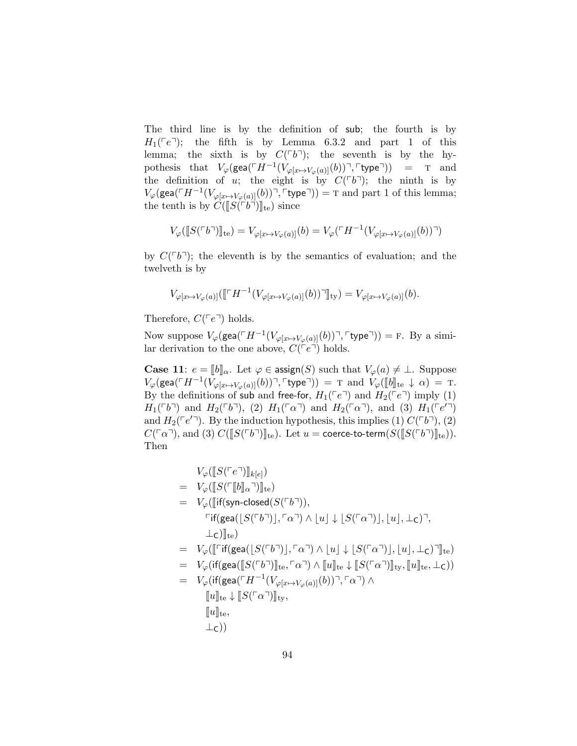The third line is by the definition of sub; the fourth is by  $H_1$ ( $\lceil e^{\eta}$ ); the fifth is by Lemma 6.3.2 and part 1 of this lemma; the sixth is by  $C(^{\lceil b^{\rceil}})$ ; the seventh is by the hypothesis that  $V_{\varphi}(\textsf{gea}(\ulcorner H^{-1}(V_{\varphi[x \mapsto V_{\varphi}(a)]}(b)) \urcorner, \ulcorner \textsf{type} \urcorner))$  = T and the definition of u; the eight is by  $C(^{\lceil}b^{\rceil})$ ; the ninth is by  $V_{\varphi}(\textsf{gea}(\ulcorner H^{-1}(V_{\varphi[x \mapsto V_{\varphi}(a)]}(b)) \urcorner, \ulcorner \textsf{type} \urcorner)) = \textup{T}$  and part 1 of this lemma; the tenth is by  $C(\llbracket S(\ulcorner b\urcorner)\rrbracket_{te})$  since

$$
V_{\varphi}(\llbracket S(\ulcorner b\urcorner)\rrbracket_{\text{te}}) = V_{\varphi[x \mapsto V_{\varphi}(a)]}(b) = V_{\varphi}(\ulcorner H^{-1}(V_{\varphi[x \mapsto V_{\varphi}(a)]}(b))\urcorner)
$$

by  $C(\ulcorner b\urcorner)$ ; the eleventh is by the semantics of evaluation; and the twelveth is by

$$
V_{\varphi[x \mapsto V_{\varphi}(a)]}([\ulcorner H^{-1}(V_{\varphi[x \mapsto V_{\varphi}(a)]}(b))\urcorner]]_{\text{ty}}) = V_{\varphi[x \mapsto V_{\varphi}(a)]}(b).
$$

Therefore,  $C(\ulcorner e \urcorner)$  holds.

Now suppose  $V_{\varphi}(\text{gea}(\ulcorner H^{-1}(V_{\varphi[x \mapsto V_{\varphi}(a)]}(b)) \urcorner, \ulcorner \text{type} \urcorner)) = \text{F. By a simi-}$ lar derivation to the one above,  $C({\lceil}e^{\rceil})$  holds.

**Case 11**:  $e = [b]_{\alpha}$ . Let  $\varphi \in \text{assign}(S)$  such that  $V_{\varphi}(a) \neq \bot$ . Suppose  $V_\varphi(\text{gea}(\ulcorner H^{-1}(\bar{V}_{\varphi[x \mapsto V_\varphi(a)]}(b)) \urcorner, \text{type} \urcorner)) = \text{T} \text{ and } \bar{V}_\varphi([b]_{\text{te}} \downarrow \alpha) = \text{T}.$ By the definitions of sub and free-for,  $H_1(\ulcorner e \urcorner)$  and  $H_2(\ulcorner e \urcorner)$  imply (1)  $H_1(^{\ulcorner}b\urcorner)$  and  $H_2(^{\ulcorner}b\urcorner)$ , (2)  $H_1(^{\ulcorner}\alpha\urcorner)$  and  $H_2(^{\ulcorner}\alpha\urcorner)$ , and (3)  $H_1(^{\ulcorner}e'\urcorner)$ and  $H_2(\ulcorner e' \urcorner)$ . By the induction hypothesis, this implies (1)  $C(\ulcorner b \urcorner)$ , (2)  $C(\ulcorner\alpha\urcorner)$ , and (3)  $C(\llbracket S(\ulcorner b\urcorner)\rrbracket_{\text{te}})$ . Let  $u = \text{coerce-to-term}(S(\llbracket S(\ulcorner b\urcorner)\rrbracket_{\text{te}})).$ Then

$$
V_{\varphi}([\llbracket S(^{\ulcorner}e^{\urcorner}) \rrbracket_{k[e]})
$$
\n
$$
= V_{\varphi}([\llbracket f(\lbrack \llbracket S(^{\ulcorner}[\llbracket b]\rrbracket_{\alpha}) \rrbracket_{te})
$$
\n
$$
= V_{\varphi}([\llbracket f(\text{syn-closed}(S(^{\ulcorner}b^{\urcorner})), \ulcorner \alpha^{\urcorner}) \wedge \llbracket u \rrbracket \downarrow \llbracket S(^{\ulcorner} \alpha^{\urcorner}) \rrbracket, \llbracket u \rrbracket, \perp_{\mathbf{C}} )^{\urcorner},
$$
\n
$$
= V_{\varphi}([\llbracket \ulcorner \llbracket f(\text{gea}([\llbracket S(^{\ulcorner}b^{\urcorner}) \rrbracket, \ulcorner \alpha^{\urcorner}) \wedge \llbracket u \rrbracket \downarrow \llbracket S(^{\ulcorner} \alpha^{\urcorner}) \rrbracket, \llbracket u \rrbracket, \perp_{\mathbf{C}} )^{\urcorner}]_{te})
$$
\n
$$
= V_{\varphi}(\llbracket f(\text{gea}([\llbracket S(^{\ulcorner}b^{\urcorner}) \rrbracket_{te}, \ulcorner \alpha^{\urcorner}) \wedge \llbracket u \rrbracket_{te} \downarrow \llbracket S(^{\ulcorner} \alpha^{\urcorner}) \rrbracket_{ty}, \llbracket u \rrbracket_{te}, \perp_{\mathbf{C}}))
$$
\n
$$
= V_{\varphi}(\llbracket f(\text{gea}(\ulcorner H^{-1}(V_{\varphi[x \mapsto V_{\varphi}(a)]}(b))^{\urcorner}, \ulcorner \alpha^{\urcorner}) \wedge \llbracket u \rrbracket_{te}, \perp_{\mathbf{C}}))
$$
\n
$$
= \llbracket u \rrbracket_{te},
$$
\n
$$
= \perp_{\mathbf{C}}))
$$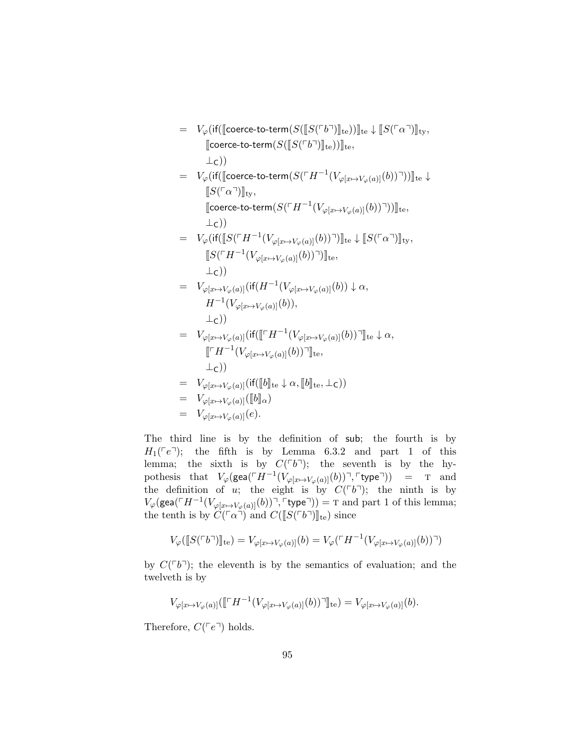<sup>=</sup> <sup>V</sup>ϕ(if(Jcoerce-to-term(S(JS(pbq)Kte))Kte <sup>↓</sup> <sup>J</sup>S(pαq)Kty, <sup>J</sup>coerce-to-term(S(JS(pbq)Kte))Kte, ⊥C)) <sup>=</sup> <sup>V</sup>ϕ(if(Jcoerce-to-term(S(pH−<sup>1</sup> (Vϕ[x7→Vϕ(a)](b))q))Kte <sup>↓</sup> <sup>J</sup>S(pαq)Kty, Jcoerce-to-term(S(pH−<sup>1</sup> (Vϕ[x7→Vϕ(a)](b))q))Kte, ⊥C)) <sup>=</sup> <sup>V</sup>ϕ(if(JS(pH−<sup>1</sup> (Vϕ[x7→Vϕ(a)](b))q)Kte <sup>↓</sup> <sup>J</sup>S(pαq)Kty, JS(pH−<sup>1</sup> (Vϕ[x7→Vϕ(a)](b))q)Kte, ⊥C)) = Vϕ[x7→Vϕ(a)](if(H−<sup>1</sup> (Vϕ[x7→Vϕ(a)](b)) ↓ α, H−<sup>1</sup> (Vϕ[x7→Vϕ(a)](b)), ⊥C)) <sup>=</sup> <sup>V</sup>ϕ[x7→Vϕ(a)](if(JpH−<sup>1</sup> (Vϕ[x7→Vϕ(a)](b))qKte <sup>↓</sup> α, JpH−<sup>1</sup> (Vϕ[x7→Vϕ(a)](b))qKte, ⊥C)) <sup>=</sup> <sup>V</sup>ϕ[x7→Vϕ(a)](if(JbKte <sup>↓</sup> α, <sup>J</sup>bKte, <sup>⊥</sup>C)) <sup>=</sup> <sup>V</sup>ϕ[x7→Vϕ(a)](JbKα) = Vϕ[x7→Vϕ(a)](e).

The third line is by the definition of sub; the fourth is by  $H_1(\lceil e \rceil)$ ; the fifth is by Lemma 6.3.2 and part 1 of this lemma; the sixth is by  $C(^{\lceil b^{\rceil}})$ ; the seventh is by the hypothesis that  $V_{\varphi}(\textsf{gea}(\ulcorner H^{-1}(V_{\varphi[x \mapsto V_{\varphi}(a)]}(b)) \urcorner, \ulcorner \textsf{type} \urcorner)) = \textsf{T}$  and the definition of u; the eight is by  $C(^{\Gamma}b^{\gamma})$ ; the ninth is by  $V_{\varphi}(\textsf{gea}(\ulcorner H^{-1}(V_{\varphi[x \mapsto V_{\varphi}(a)]}(b)) \urcorner, \ulcorner \textsf{type} \urcorner)) = \textup{T}$  and part 1 of this lemma; the tenth is by  $C(\lceil \alpha^{\mathsf{T}} \rceil)$  and  $C(\lceil S(\lceil b^{\mathsf{T}} \rceil)|_{\text{te}})$  since

$$
V_{\varphi}(\llbracket S(\ulcorner b\urcorner)\rrbracket_{\mathrm{te}}) = V_{\varphi[x \mapsto V_{\varphi}(a)]}(b) = V_{\varphi}(\ulcorner H^{-1}(V_{\varphi[x \mapsto V_{\varphi}(a)]}(b))\urcorner)
$$

by  $C(\lceil b\rceil)$ ; the eleventh is by the semantics of evaluation; and the twelveth is by

$$
V_{\varphi[x \mapsto V_{\varphi}(a)]}([\ulcorner H^{-1}(V_{\varphi[x \mapsto V_{\varphi}(a)]}(b))\urcorner]]_{\text{te}}) = V_{\varphi[x \mapsto V_{\varphi}(a)]}(b).
$$

Therefore,  $C(\ulcorner e \urcorner)$  holds.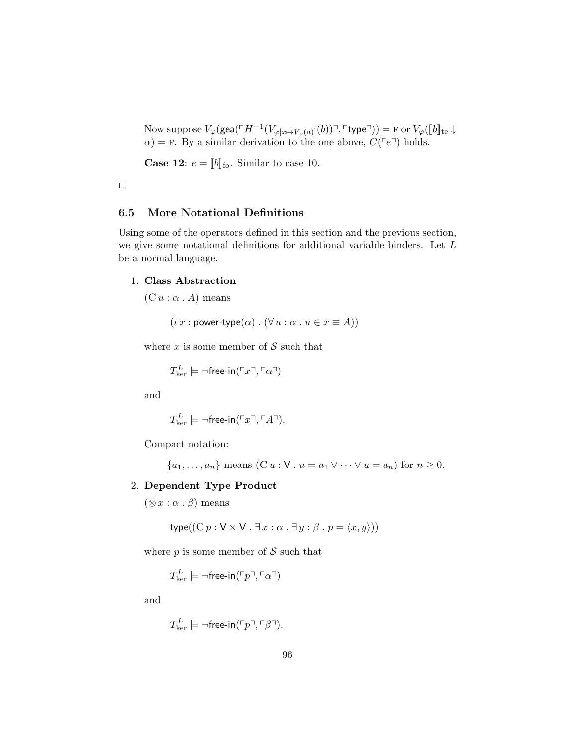Now suppose  $V_{\varphi}(\text{gea}(\ulcorner H^{-1}(V_{\varphi[x \mapsto V_{\varphi}(a)]}(b)) \urcorner, \ulcorner \text{type} \urcorner)) = \text{F}$  or  $V_{\varphi}(\llbracket b \rrbracket_{\text{te}} \downarrow \alpha) = \text{F}$ . By a similar derivation to the one above,  $C(\ulcorner e \urcorner)$  holds.

**Case 12:**  $e = [b]$ <sub>fo</sub>. Similar to case 10.

 $\Box$ 

# 6.5 More Notational Definitions

Using some of the operators defined in this section and the previous section, we give some notational definitions for additional variable binders. Let L be a normal language.

#### 1. Class Abstraction

 $(C u : \alpha A)$  means

 $(\iota x : \mathsf{power-type}(\alpha) : (\forall u : \alpha : u \in x \equiv A))$ 

where  $x$  is some member of  $S$  such that

$$
T_{\ker}^L \models \neg \mathsf{free-in}(\ulcorner x \urcorner, \ulcorner \alpha \urcorner)
$$

and

$$
T_{\ker}^L \models \neg \mathsf{free\text{-}in}(\ulcorner x \urcorner, \ulcorner A \urcorner).
$$

Compact notation:

$$
\{a_1, \ldots, a_n\} \text{ means } (\mathbf{C} u : \mathbf{V} \cdot u = a_1 \vee \cdots \vee u = a_n) \text{ for } n \ge 0.
$$

#### 2. Dependent Type Product

 $(\otimes x : \alpha \cdot \beta)$  means

type(
$$
(Cp: V \times V \cdot \exists x: \alpha \cdot \exists y: \beta \cdot p = \langle x, y \rangle)
$$
)

where  $p$  is some member of  $S$  such that

$$
T_{\ker}^L \models \neg \mathsf{free-in}(\ulcorner p \urcorner, \ulcorner \alpha \urcorner)
$$

and

$$
T_{\ker}^L \models \neg \mathsf{free\text{-}in}(\ulcorner p \urcorner, \ulcorner \beta \urcorner).
$$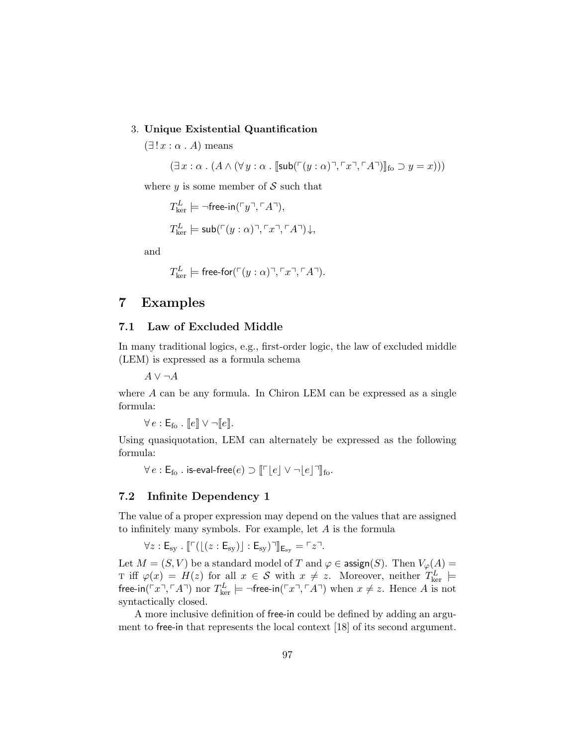#### 3. Unique Existential Quantification

 $(\exists ! x : \alpha . A)$  means

 $(\exists x : \alpha \cdot (A \wedge (\forall y : \alpha \cdot \sqrt{S} \text{sub}(\ulcorner(y : \alpha) \urcorner, \ulcorner x \urcorner, \ulcorner A \urcorner))\Vert_{\text{fo}} \supseteq y = x)))$ 

where  $y$  is some member of  $S$  such that

$$
T_{\text{ker}}^L \models \neg \text{free-in}(\ulcorner y \urcorner, \ulcorner A \urcorner),
$$
  

$$
T_{\text{ker}}^L \models \text{sub}(\ulcorner (y : \alpha) \urcorner, \ulcorner x \urcorner, \ulcorner A \urcorner) \downarrow,
$$

and

$$
T_{\ker}^L \models \text{free-for}(\ulcorner (y:\alpha) \urcorner, \ulcorner x \urcorner, \ulcorner A \urcorner).
$$

# 7 Examples

# 7.1 Law of Excluded Middle

In many traditional logics, e.g., first-order logic, the law of excluded middle (LEM) is expressed as a formula schema

 $A \vee \neg A$ 

where A can be any formula. In Chiron LEM can be expressed as a single formula:

 $\forall e : \mathsf{E}_{\text{fo}}$ .  $\llbracket e \rrbracket \vee \neg \llbracket e \rrbracket$ .

Using quasiquotation, LEM can alternately be expressed as the following formula:

 $\forall e : \mathsf{E}_{\mathsf{fo}}$  . is-eval-free $(e) \supset \lVert \ulcorner |e| \vee \lnot |e| \urcorner \rVert_{\mathsf{fo}}$ .

# 7.2 Infinite Dependency 1

The value of a proper expression may depend on the values that are assigned to infinitely many symbols. For example, let A is the formula

$$
\forall z: \mathsf{E}_{\mathrm{sy}} \ . \ [ \ulcorner \bigl( \lfloor (z: \mathsf{E}_{\mathrm{sy}}) \rfloor : \mathsf{E}_{\mathrm{sy}} \bigr) \urcorner ] \! \rbrack_{\mathsf{E}_{\mathrm{sy}}} = \ulcorner z \urcorner.
$$

Let  $M = (S, V)$  be a standard model of T and  $\varphi \in \text{assign}(S)$ . Then  $V_{\varphi}(A) =$ T iff  $\varphi(x) = H(z)$  for all  $x \in S$  with  $x \neq z$ . Moreover, neither  $T_{\text{ker}}^L$   $\models$ free-in( $\left( x^{\top}, \left( \neg A \right) \right)$  nor  $T_{\text{ker}}^L \models \neg$  free-in( $\left( x^{\top}, \left( \neg A \right) \right)$  when  $x \neq z$ . Hence A is not syntactically closed.

A more inclusive definition of free-in could be defined by adding an argument to free-in that represents the local context [18] of its second argument.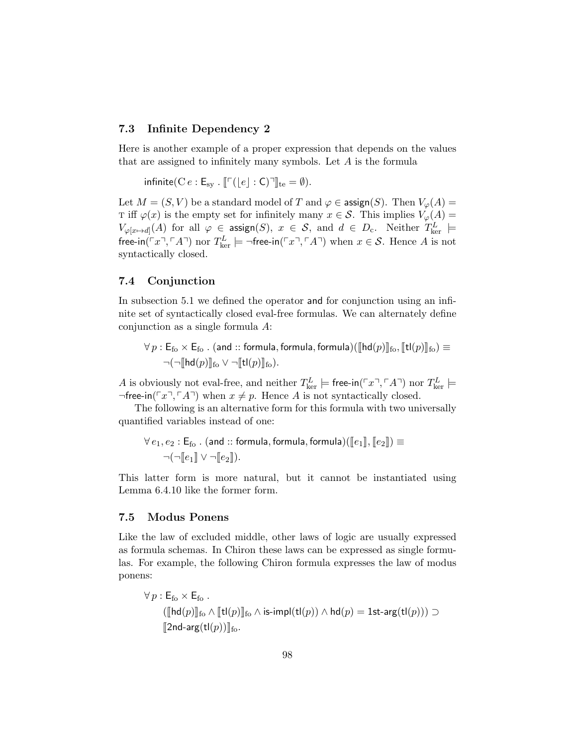## 7.3 Infinite Dependency 2

Here is another example of a proper expression that depends on the values that are assigned to infinitely many symbols. Let A is the formula

infinite( $C e : E_{sv}$ .  $\lbrack \lbrack \lbrack e \rbrack : C \rbrack \rbrack_{te} = \emptyset$ ).

Let  $M = (S, V)$  be a standard model of T and  $\varphi \in \text{assign}(S)$ . Then  $V_{\varphi}(A) =$ T iff  $\varphi(x)$  is the empty set for infinitely many  $x \in \mathcal{S}$ . This implies  $V_{\varphi}(A) =$  $V_{\varphi[x\mapsto d]}(A)$  for all  $\varphi \in \operatorname{\sf assign}(S),\ x\ \in \ \mathcal{S},\ \text{and}\ \ d\ \in \ D_{\rm c}.$  Neither  $T_{\rm ker}^L$   $\models$ free-in( $\ulcorner x \urcorner, \ulcorner A \urcorner$ ) nor  $T_{\ker}^L \models \neg$ free-in( $\ulcorner x \urcorner, \ulcorner A \urcorner$ ) when  $x \in \mathcal{S}$ . Hence A is not syntactically closed.

#### 7.4 Conjunction

In subsection 5.1 we defined the operator and for conjunction using an infinite set of syntactically closed eval-free formulas. We can alternately define conjunction as a single formula A:

 $\forall p : \mathsf{E}_{\text{fo}} \times \mathsf{E}_{\text{fo}}$  . (and :: formula, formula, formula)( $\|\text{hd}(p)\|_{\text{fo}}, \|\text{tl}(p)\|_{\text{fo}} \geq 0$  $\neg(\neg \llbracket \mathsf{hd}(p) \rrbracket_{\mathsf{fo}} \vee \neg \llbracket \mathsf{tl}(p) \rrbracket_{\mathsf{fo}}).$ 

A is obviously not eval-free, and neither  $T_{\text{ker}}^L \models$  free-in( $\ulcorner x \urcorner, \ulcorner A \urcorner$ ) nor  $T_{\text{ker}}^L \models$  $\neg$ free-in( $\ulcorner x \urcorner, \ulcorner A \urcorner$ ) when  $x \neq p$ . Hence A is not syntactically closed.

The following is an alternative form for this formula with two universally quantified variables instead of one:

 $\forall e_1, e_2 : \mathsf{E}_{\mathsf{fo}}$  . (and  $::$  formula, formula, formula) $(\llbracket e_1 \rrbracket, \llbracket e_2 \rrbracket) \equiv$  $\neg(\neg \|e_1\| \vee \neg \|e_2\|).$ 

This latter form is more natural, but it cannot be instantiated using Lemma 6.4.10 like the former form.

# 7.5 Modus Ponens

Like the law of excluded middle, other laws of logic are usually expressed as formula schemas. In Chiron these laws can be expressed as single formulas. For example, the following Chiron formula expresses the law of modus ponens:

$$
\forall p : \mathsf{E}_{\mathsf{fo}} \times \mathsf{E}_{\mathsf{fo}}.
$$
  
\n
$$
([\![\mathsf{hd}(p)]\!]_{\mathsf{fo}} \wedge [\![\mathsf{tl}(p)]\!]_{\mathsf{fo}} \wedge \mathsf{is-impl}(\mathsf{tl}(p)) \wedge \mathsf{hd}(p) = \mathsf{1st-arg}(\mathsf{tl}(p))) \supset
$$
  
\n
$$
[\![\mathsf{2nd-arg}(\mathsf{tl}(p))]_{\mathsf{fo}}.
$$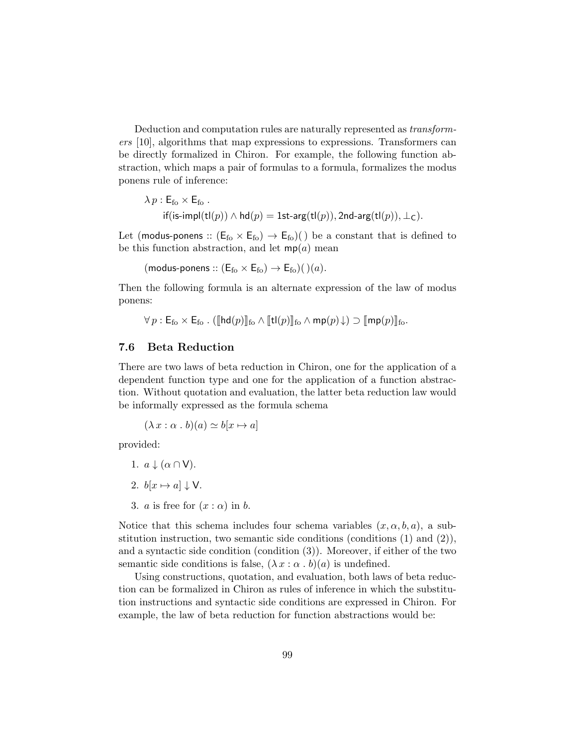Deduction and computation rules are naturally represented as transformers [10], algorithms that map expressions to expressions. Transformers can be directly formalized in Chiron. For example, the following function abstraction, which maps a pair of formulas to a formula, formalizes the modus ponens rule of inference:

$$
\begin{aligned} \lambda \, p : \mathsf{E}_{\mathrm{fo}} \times \mathsf{E}_{\mathrm{fo}} \ . \\ \text{if} (\mathsf{is}\text{-}\mathsf{impl}(\mathsf{t}\mathsf{l}(p)) \wedge \mathsf{hd}(p) = \mathsf{1st\text{-}arg}(\mathsf{t}\mathsf{l}(p)), \mathsf{2nd\text{-}arg}(\mathsf{t}\mathsf{l}(p)), \bot_{\mathsf{C}}). \end{aligned}
$$

Let (modus-ponens ::  $(E_{fo} \times E_{fo}) \rightarrow E_{fo})$ ) be a constant that is defined to be this function abstraction, and let  $mp(a)$  mean

(modus-ponens ::  $(E_{\text{fo}} \times E_{\text{fo}}) \rightarrow E_{\text{fo}})$ ()(a).

Then the following formula is an alternate expression of the law of modus ponens:

 $\forall p : \mathsf{E}_{\mathsf{f}\alpha} \times \mathsf{E}_{\mathsf{f}\alpha}$ . ( $\llbracket \mathsf{hd}(p) \rrbracket_{\mathsf{f}\alpha} \wedge \llbracket \mathsf{tl}(p) \rrbracket_{\mathsf{f}\alpha}$   $\wedge$  mp $(p) \downarrow$ )  $\sup$   $\llbracket \mathsf{mp}(p) \rrbracket_{\mathsf{f}\alpha}$ .

# 7.6 Beta Reduction

There are two laws of beta reduction in Chiron, one for the application of a dependent function type and one for the application of a function abstraction. Without quotation and evaluation, the latter beta reduction law would be informally expressed as the formula schema

 $(\lambda x : \alpha \cdot b)(a) \simeq b[x \mapsto a]$ 

provided:

- 1.  $a \downarrow (\alpha \cap V)$ .
- 2.  $b[x \mapsto a] \downarrow V$ .
- 3. *a* is free for  $(x : \alpha)$  in *b*.

Notice that this schema includes four schema variables  $(x, \alpha, b, a)$ , a substitution instruction, two semantic side conditions (conditions  $(1)$  and  $(2)$ ), and a syntactic side condition (condition (3)). Moreover, if either of the two semantic side conditions is false,  $(\lambda x : \alpha \cdot b)(a)$  is undefined.

Using constructions, quotation, and evaluation, both laws of beta reduction can be formalized in Chiron as rules of inference in which the substitution instructions and syntactic side conditions are expressed in Chiron. For example, the law of beta reduction for function abstractions would be: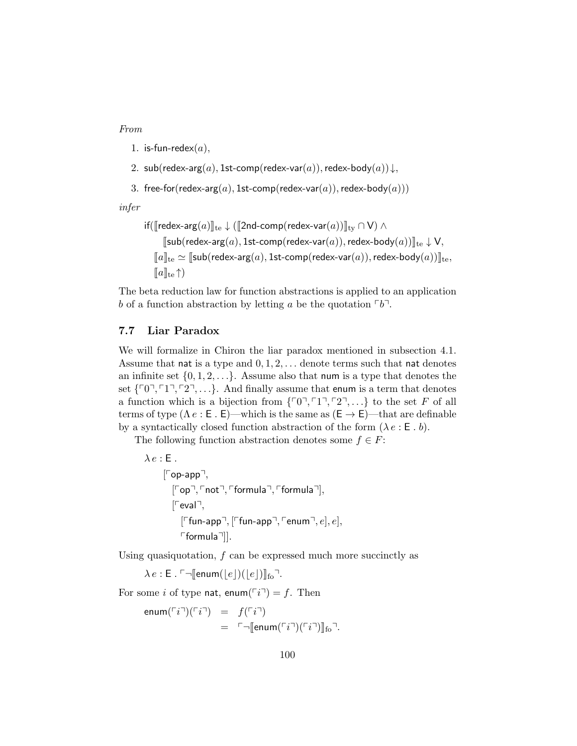From

- 1. is-fun-redex $(a)$ ,
- 2. sub(redex-arg(a), 1st-comp(redex-var(a)), redex-body(a)) $\downarrow$ ,
- 3. free-for(redex-arg(a), 1st-comp(redex-var(a)), redex-body(a)))

infer

$$
\begin{aligned} & \text{if}(\llbracket \text{redex-arg}(a) \rrbracket_{\text{te}} \downarrow (\llbracket 2\text{nd-comp}(\text{redex-var}(a)) \rrbracket_{\text{ty}} \cap \mathsf{V}) \wedge \\ & \quad \llbracket \text{sub}(\text{redex-arg}(a), \text{1st-comp}(\text{redex-var}(a)), \text{redex-body}(a)) \rrbracket_{\text{te}} \downarrow \mathsf{V}, \\ & \quad \llbracket a \rrbracket_{\text{te}} \simeq \llbracket \text{sub}(\text{redex-arg}(a), \text{1st-comp}(\text{redex-var}(a)), \text{redex-body}(a)) \rrbracket_{\text{te}}, \\ & \quad \llbracket a \rrbracket_{\text{te}} \uparrow ) \end{aligned}
$$

The beta reduction law for function abstractions is applied to an application b of a function abstraction by letting a be the quotation  $\lceil b \rceil$ .

## 7.7 Liar Paradox

We will formalize in Chiron the liar paradox mentioned in subsection 4.1. Assume that nat is a type and  $0, 1, 2, \ldots$  denote terms such that nat denotes an infinite set  $\{0, 1, 2, \ldots\}$ . Assume also that num is a type that denotes the set  $\{r_0, r_1, r_2, \ldots\}$ . And finally assume that enum is a term that denotes a function which is a bijection from  $\{r_0, r_1, r_2, ...\}$  to the set F of all terms of type  $(\Lambda e : \mathsf{E} \cdot \mathsf{E})$ —which is the same as  $(\mathsf{E} \to \mathsf{E})$ —that are definable by a syntactically closed function abstraction of the form  $(\lambda e : E, b)$ .

The following function abstraction denotes some  $f \in F$ :

 $\lambda e$  : E.  $[Top-app]$ ,  $[Top<sup>-1</sup>, Tnot<sup>-1</sup>, Tformula<sup>-1</sup>, Tformula<sup>-1</sup>],$  $[Feval]$ ,  $[$ Ffun-app<sup>¬</sup>,  $[$ Ffun-app<sup>¬</sup>,  $\ulcorner$ enum $\urcorner, e]$ ,  $e$ ],  $\lceil$ formula $\lceil$ ].

Using quasiquotation,  $f$  can be expressed much more succinctly as

 $\lambda e : \mathsf{E} \cdot \ulcorner \neg \mathsf{[enum}(\lvert e \rvert)(\lvert e \rvert) \mathsf{I}_{\mathsf{fo}} \urcorner.$ 

For some i of type nat, enum( $\lceil i \rceil$ ) = f. Then

$$
\begin{array}{rcl}\n\mathsf{enum}(\ulcorner i \urcorner)(\ulcorner i \urcorner) & = & f(\ulcorner i \urcorner) \\
& = & \ulcorner \urcorner [\mathsf{enum}(\ulcorner i \urcorner)(\ulcorner i \urcorner)] \mathsf{_{fo}} \urcorner.\n\end{array}
$$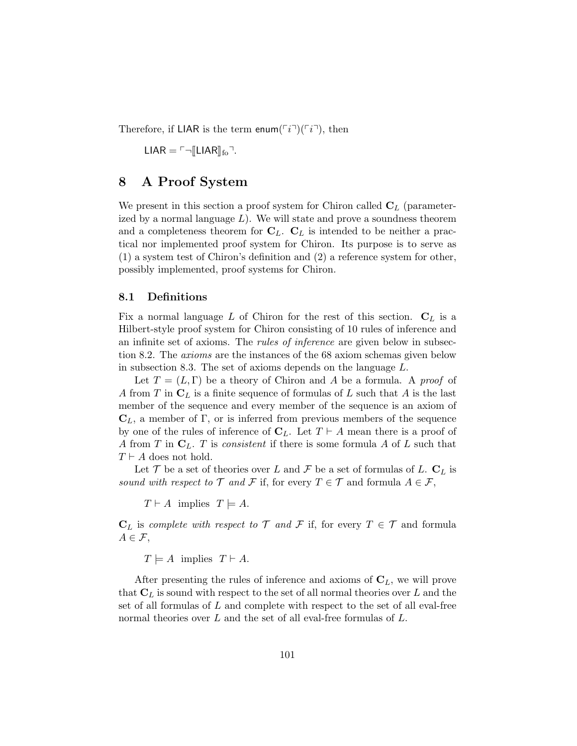Therefore, if LIAR is the term enum $(\lceil i \rceil)(\lceil i \rceil)$ , then

 $LIAR = \ulcorner \lnot \ulcorner LLIAR \rVert_{\text{fo}} \urcorner.$ 

# 8 A Proof System

We present in this section a proof system for Chiron called  $C_L$  (parameterized by a normal language  $L$ ). We will state and prove a soundness theorem and a completeness theorem for  $C_L$ .  $C_L$  is intended to be neither a practical nor implemented proof system for Chiron. Its purpose is to serve as (1) a system test of Chiron's definition and (2) a reference system for other, possibly implemented, proof systems for Chiron.

# 8.1 Definitions

Fix a normal language L of Chiron for the rest of this section.  $C_L$  is a Hilbert-style proof system for Chiron consisting of 10 rules of inference and an infinite set of axioms. The *rules of inference* are given below in subsection 8.2. The axioms are the instances of the 68 axiom schemas given below in subsection 8.3. The set of axioms depends on the language L.

Let  $T = (L, \Gamma)$  be a theory of Chiron and A be a formula. A proof of A from T in  $C_L$  is a finite sequence of formulas of L such that A is the last member of the sequence and every member of the sequence is an axiom of  $\mathbf{C}_L$ , a member of Γ, or is inferred from previous members of the sequence by one of the rules of inference of  $C_L$ . Let  $T \vdash A$  mean there is a proof of A from T in  $C_L$ . T is consistent if there is some formula A of L such that  $T \vdash A$  does not hold.

Let T be a set of theories over L and F be a set of formulas of L.  $C_L$  is sound with respect to  $\mathcal T$  and  $\mathcal F$  if, for every  $T \in \mathcal T$  and formula  $A \in \mathcal F$ ,

 $T \vdash A$  implies  $T \models A$ .

 $C_L$  is complete with respect to  $\mathcal T$  and  $\mathcal F$  if, for every  $T \in \mathcal T$  and formula  $A \in \mathcal{F}$ ,

 $T \models A$  implies  $T \vdash A$ .

After presenting the rules of inference and axioms of  $C_L$ , we will prove that  $\mathbf{C}_L$  is sound with respect to the set of all normal theories over L and the set of all formulas of L and complete with respect to the set of all eval-free normal theories over L and the set of all eval-free formulas of L.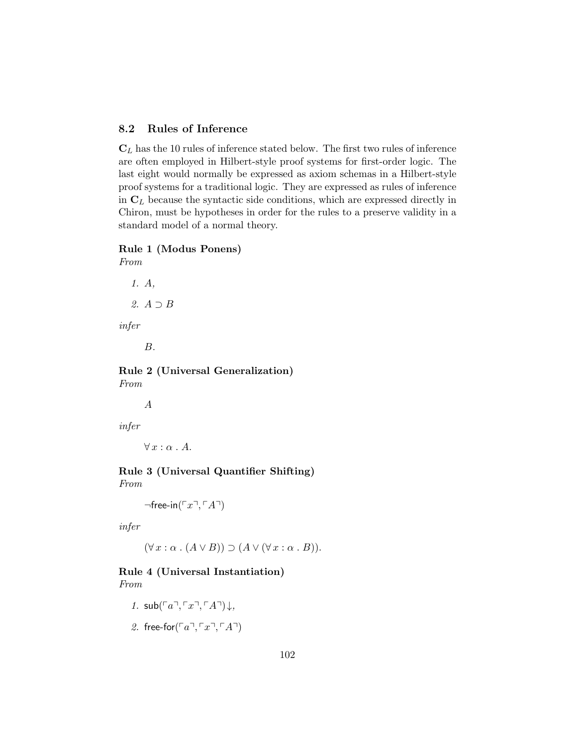# 8.2 Rules of Inference

 $C_L$  has the 10 rules of inference stated below. The first two rules of inference are often employed in Hilbert-style proof systems for first-order logic. The last eight would normally be expressed as axiom schemas in a Hilbert-style proof systems for a traditional logic. They are expressed as rules of inference in  $C_L$  because the syntactic side conditions, which are expressed directly in Chiron, must be hypotheses in order for the rules to a preserve validity in a standard model of a normal theory.

# Rule 1 (Modus Ponens)

From

1. A,

2. A ⊃ B

infer

B.

Rule 2 (Universal Generalization) From

A

infer

 $\forall x : \alpha \cdot A$ .

Rule 3 (Universal Quantifier Shifting) From

 $\neg$ free-in( $\ulcorner x \urcorner, \ulcorner A \urcorner)$ 

infer

 $(\forall x : \alpha \cdot (A \vee B)) \supset (A \vee (\forall x : \alpha \cdot B)).$ 

## Rule 4 (Universal Instantiation) From

- 1.  $\mathsf{sub}(\ulcorner a\urcorner, \ulcorner x\urcorner, \ulcorner A\urcorner) \downarrow$ ,
- 2. free-for $(\ulcorner a \urcorner, \ulcorner x \urcorner, \ulcorner A \urcorner)$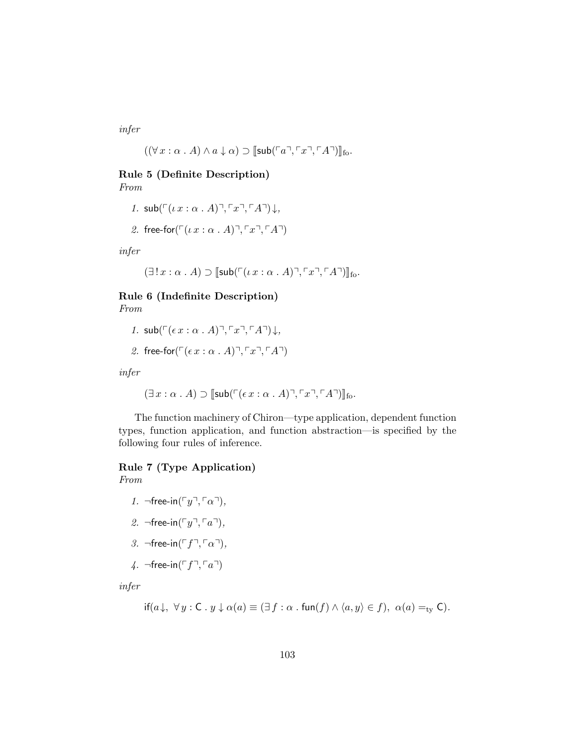infer

$$
((\forall x : \alpha \cdot A) \land a \downarrow \alpha) \supset [\mathsf{sub}(\ulcorner a \urcorner, \ulcorner x \urcorner, \ulcorner A \urcorner)]_{\mathsf{fo}}.
$$

# Rule 5 (Definite Description)

From

1. 
$$
\text{sub}(\ulcorner(\iota x : \alpha \cdot A)\urcorner, \ulcorner x \urcorner, \ulcorner A \urcorner) \downarrow,
$$

2. free-for
$$
(\ulcorner(\iota x : \alpha \cdot A)\urcorner, \ulcorner x \urcorner, \ulcorner A \urcorner)
$$

infer

$$
(\exists!x:\alpha\mathbin{.} A)\supset[\mathsf{sub}(\ulcorner(\iota\,x:\alpha\mathbin{.} A)\urcorner,\ulcorner x\urcorner,\ulcorner A\urcorner)]_{\mathsf{fo}}.
$$

# Rule 6 (Indefinite Description) From

1. sub(
$$
\lceil (\epsilon x : \alpha \cdot A) \rceil
$$
,  $\lceil x \rceil$ ,  $\lceil A \rceil$ ) $\downarrow$ ,

2. free-for(
$$
\ulcorner (\epsilon x : \alpha \cdot A) \urcorner, \ulcorner x \urcorner, \ulcorner A \urcorner)
$$
)

infer

$$
(\exists x : \alpha \cdot A) \supset [\mathsf{sub}(\ulcorner(\epsilon x : \alpha \cdot A)\urcorner, \ulcorner x\urcorner, \ulcorner A\urcorner)]_{\mathsf{fo}}.
$$

The function machinery of Chiron—type application, dependent function types, function application, and function abstraction—is specified by the following four rules of inference.

# Rule 7 (Type Application)

From

- 1.  $\neg$ free-in( $\ulcorner y \urcorner, \ulcorner \alpha \urcorner),$
- 2.  $\neg$ free-in( $\ulcorner y \urcorner, \ulcorner a \urcorner)$ ,
- 3.  $\neg$ free-in( $\ulcorner f \urcorner, \ulcorner \alpha \urcorner),$
- 4.  $\neg$ free-in( $\ulcorner f \urcorner, \ulcorner a \urcorner)$

infer

$$
\text{if}(a\downarrow, \ \forall y : \mathsf{C} \,.\, y \downarrow \alpha(a) \equiv (\exists f : \alpha \,.\, \text{fun}(f) \land \langle a, y \rangle \in f), \ \alpha(a) =_{\text{ty}} \mathsf{C}).
$$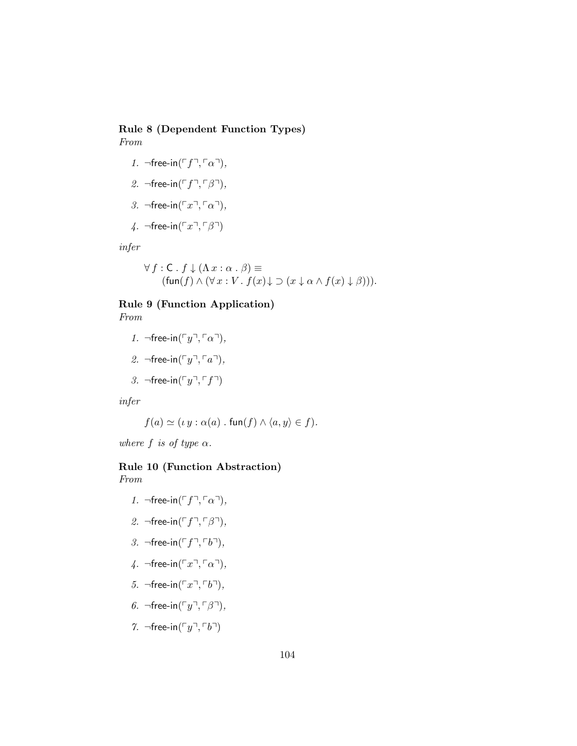# Rule 8 (Dependent Function Types) From

- 1.  $\neg$ free-in( $\ulcorner f \urcorner, \ulcorner \alpha \urcorner),$
- 2.  $\neg$ free-in( $\ulcorner f \urcorner, \ulcorner \beta \urcorner),$
- 3.  $\neg$ free-in( $\ulcorner x \urcorner, \ulcorner \alpha \urcorner),$
- 4. ¬free-in( $\ulcorner x \urcorner, \ulcorner \beta \urcorner)$

infer

$$
\forall f : C. f \downarrow (\Lambda x : \alpha . \beta) \equiv
$$
  
(fun $(f) \wedge (\forall x : V. f(x) \downarrow \supset (x \downarrow \alpha \wedge f(x) \downarrow \beta))).$ 

# Rule 9 (Function Application)

From

- 1.  $\neg$ free-in( $\ulcorner y \urcorner, \ulcorner \alpha \urcorner)$ ,
- 2.  $\neg$ free-in( $\ulcorner y \urcorner, \ulcorner a \urcorner),$
- 3.  $\neg$ free-in( $\ulcorner y \urcorner, \ulcorner f \urcorner)$

infer

$$
f(a) \simeq (\iota y : \alpha(a) \cdot \text{fun}(f) \wedge \langle a, y \rangle \in f).
$$

where f is of type  $\alpha$ .

# Rule 10 (Function Abstraction)

From

- 1.  $\neg$ free-in( $\ulcorner f \urcorner, \ulcorner \alpha \urcorner),$
- 2.  $\neg$ free-in( $\ulcorner f \urcorner, \ulcorner \beta \urcorner),$
- 3.  $\neg$ free-in( $\ulcorner f \urcorner, \ulcorner b \urcorner),$
- 4.  $\neg$ free-in( $\ulcorner x \urcorner, \ulcorner \alpha \urcorner),$
- 5.  $\neg$ free-in( $\ulcorner x \urcorner, \ulcorner b \urcorner)$ ,
- 6.  $\neg$ free-in( $\ulcorner y \urcorner, \ulcorner \beta \urcorner),$
- 7.  $\neg$ free-in( $\ulcorner y \urcorner, \ulcorner b \urcorner)$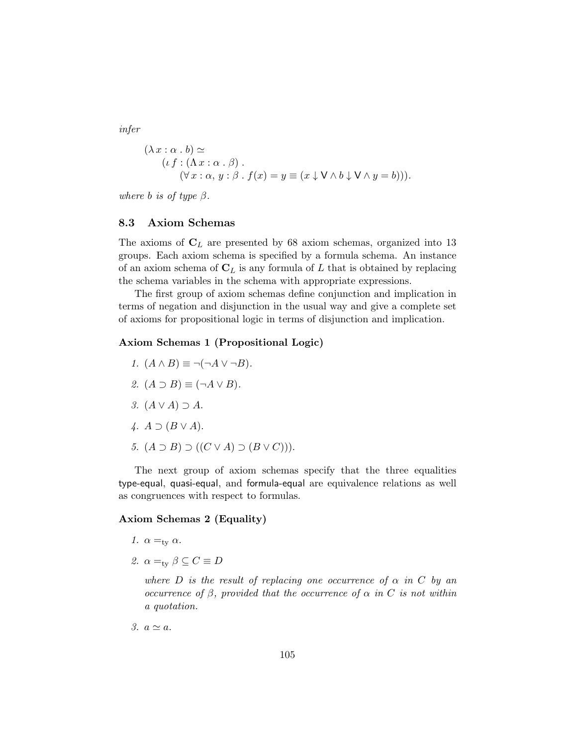infer

$$
(\lambda x : \alpha \cdot b) \simeq (\iota f : (\Lambda x : \alpha \cdot \beta) .(\forall x : \alpha, y : \beta \cdot f(x) = y \equiv (x \downarrow \bigvee \wedge b \downarrow \bigvee \wedge y = b))).
$$

where b is of type  $\beta$ .

#### 8.3 Axiom Schemas

The axioms of  $C_L$  are presented by 68 axiom schemas, organized into 13 groups. Each axiom schema is specified by a formula schema. An instance of an axiom schema of  $C_L$  is any formula of L that is obtained by replacing the schema variables in the schema with appropriate expressions.

The first group of axiom schemas define conjunction and implication in terms of negation and disjunction in the usual way and give a complete set of axioms for propositional logic in terms of disjunction and implication.

## Axiom Schemas 1 (Propositional Logic)

- 1.  $(A \wedge B) \equiv \neg(\neg A \vee \neg B)$ . 2.  $(A \supset B) \equiv (\neg A \vee B)$ . 3.  $(A \vee A) \supset A$ . 4.  $A \supset (B \vee A)$ .
- 5.  $(A \supset B) \supset ((C \vee A) \supset (B \vee C))$ .

The next group of axiom schemas specify that the three equalities type-equal, quasi-equal, and formula-equal are equivalence relations as well as congruences with respect to formulas.

## Axiom Schemas 2 (Equality)

- 1.  $\alpha =_{\text{tv}} \alpha$ .
- 2.  $\alpha =_{\text{tv}} \beta \subseteq C \equiv D$

where D is the result of replacing one occurrence of  $\alpha$  in C by an occurrence of β, provided that the occurrence of  $\alpha$  in C is not within a quotation.

3.  $a \simeq a$ .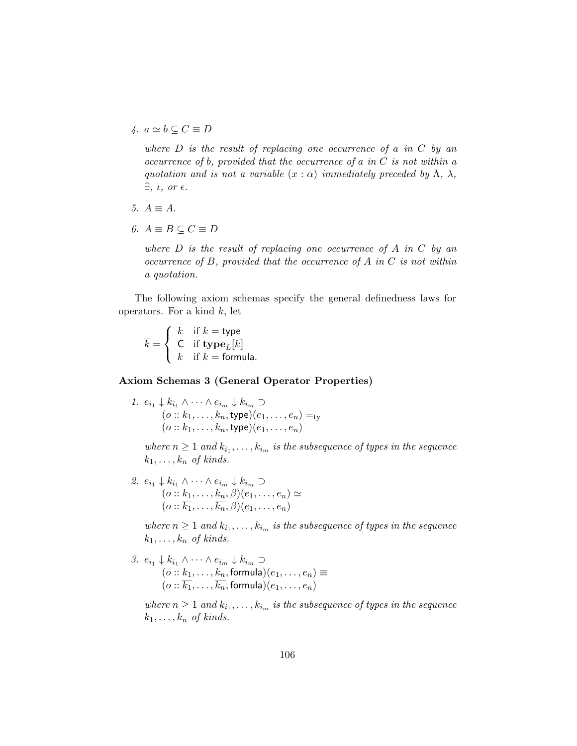4.  $a \simeq b \subseteq C \equiv D$ 

where  $D$  is the result of replacing one occurrence of a in  $C$  by an occurrence of b, provided that the occurrence of a in  $C$  is not within a quotation and is not a variable  $(x : \alpha)$  immediately preceded by  $\Lambda$ ,  $\lambda$ ,  $\exists$ ,  $\iota$ , or  $\epsilon$ .

- 5.  $A \equiv A$ .
- 6.  $A \equiv B \subseteq C \equiv D$

where  $D$  is the result of replacing one occurrence of  $A$  in  $C$  by an occurrence of B, provided that the occurrence of A in C is not within a quotation.

The following axiom schemas specify the general definedness laws for operators. For a kind  $k$ , let

 $k =$  $\sqrt{ }$ J  $\mathcal{L}$ k if  $k =$  type C if  $\mathbf{type}_L[k]$  $k$  if  $k =$  formula.

#### Axiom Schemas 3 (General Operator Properties)

1.  $e_{i_1} \downarrow k_{i_1} \wedge \cdots \wedge e_{i_m} \downarrow k_{i_m}$  $(o:: k_1, \ldots, k_n, \mathsf{type})(e_1, \ldots, e_n) =_{\mathsf{ty}}$  $(o:: k_1, \ldots, k_n, \text{type})(e_1, \ldots, e_n)$ 

where  $n \geq 1$  and  $k_{i_1}, \ldots, k_{i_m}$  is the subsequence of types in the sequence  $k_1, \ldots, k_n$  of kinds.

2.  $e_{i_1} \downarrow k_{i_1} \wedge \cdots \wedge e_{i_m} \downarrow k_{i_m}$  $(o:: k_1, \ldots, k_n, \beta)(e_1, \ldots, e_n) \simeq$  $(o:: k_1, \ldots, k_n, \beta)(e_1, \ldots, e_n)$ 

where  $n \geq 1$  and  $k_{i_1}, \ldots, k_{i_m}$  is the subsequence of types in the sequence  $k_1, \ldots, k_n$  of kinds.

3.  $e_{i_1} \downarrow k_{i_1} \wedge \cdots \wedge e_{i_m} \downarrow k_{i_m}$  $(o:: k_1, \ldots, k_n, \text{formula})(e_1, \ldots, e_n) \equiv$  $(o:: k_1, \ldots, k_n, \mathsf{formula})(e_1, \ldots, e_n)$ 

where  $n \geq 1$  and  $k_{i_1}, \ldots, k_{i_m}$  is the subsequence of types in the sequence  $k_1, \ldots, k_n$  of kinds.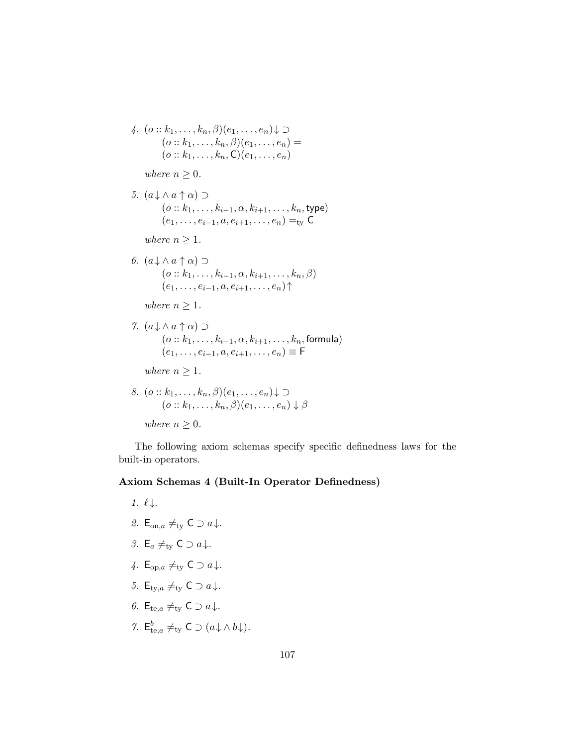4.  $(o:: k_1, \ldots, k_n, \beta)(e_1, \ldots, e_n) \downarrow \supset$  $(o:: k_1, \ldots, k_n, \beta)(e_1, \ldots, e_n) =$  $(o:: k_1, \ldots, k_n, C)(e_1, \ldots, e_n)$ 

where  $n \geq 0$ .

5.  $(a \downarrow \wedge a \uparrow \alpha) \supset$  $(o :: k_1, \ldots, k_{i-1}, \alpha, k_{i+1}, \ldots, k_n,$  type)  $(e_1, \ldots, e_{i-1}, a, e_{i+1}, \ldots, e_n) =_{\text{tv}} \mathsf{C}$ 

where  $n \geq 1$ .

6.  $(a \downarrow \wedge a \uparrow \alpha) \supset$  $(o :: k_1, \ldots, k_{i-1}, \alpha, k_{i+1}, \ldots, k_n, \beta)$  $(e_1, \ldots, e_{i-1}, a, e_{i+1}, \ldots, e_n)$ 

where  $n \geq 1$ .

7.  $(a \downarrow \wedge a \uparrow \alpha) \supset$  $(o :: k_1, \ldots, k_{i-1}, \alpha, k_{i+1}, \ldots, k_n, \text{formula})$  $(e_1, \ldots, e_{i-1}, a, e_{i+1}, \ldots, e_n) \equiv F$ 

where  $n \geq 1$ .

8. 
$$
(o:: k_1, ..., k_n, \beta)(e_1, ..., e_n) \downarrow \supset
$$
  
\n $(o:: k_1, ..., k_n, \beta)(e_1, ..., e_n) \downarrow \beta$ 

```
where n \geq 0.
```
The following axiom schemas specify specific definedness laws for the built-in operators.

#### Axiom Schemas 4 (Built-In Operator Definedness)

1.  $\ell$ . 2. E<sub>on,a</sub>  $\neq_{\text{tv}} C \supset a \downarrow$ . 3. E<sub>a</sub>  $\neq$ <sub>ty</sub> C  $\supset$  a  $\downarrow$ . 4.  $E_{\text{on},a} \neq_{\text{tv}} C \supset a \downarrow$ . 5. E<sub>ty,a</sub>  $\neq$ <sub>ty</sub> C  $\supset$  a  $\downarrow$ . 6. E<sub>te,a</sub>  $\neq_{\text{tv}} C \supset a \downarrow$ . 7.  $\mathsf{E}^b_{\text{te},a} \neq_{\text{ty}} \mathsf{C} \supset (a \downarrow \wedge b \downarrow).$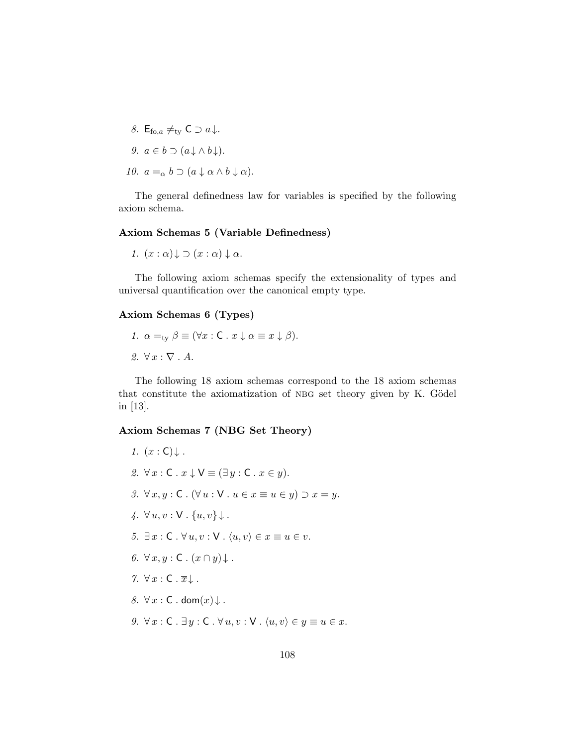8.  $E_{\text{fo},a} \neq_{\text{tv}} C \supset a \downarrow$ .  $9. a \in b \supset (a \cup b \cup b)$ 

$$
9. \, a \in b \supset (a \downarrow \wedge b \downarrow).
$$

10.  $a =_{\alpha} b \supset (a \downarrow \alpha \wedge b \downarrow \alpha).$ 

The general definedness law for variables is specified by the following axiom schema.

# Axiom Schemas 5 (Variable Definedness)

1. 
$$
(x : \alpha) \downarrow \supset (x : \alpha) \downarrow \alpha
$$
.

The following axiom schemas specify the extensionality of types and universal quantification over the canonical empty type.

## Axiom Schemas 6 (Types)

1.  $\alpha =_{\text{tv}} \beta \equiv (\forall x : \mathsf{C} \cdot x \downarrow \alpha \equiv x \downarrow \beta).$  $2. \ \forall x : \nabla . A.$ 

The following 18 axiom schemas correspond to the 18 axiom schemas that constitute the axiomatization of NBG set theory given by K. Gödel in [13].

## Axiom Schemas 7 (NBG Set Theory)

1.  $(x : \mathsf{C})$ . 2.  $\forall x : \mathsf{C} \cdot x \downarrow \mathsf{V} \equiv (\exists y : \mathsf{C} \cdot x \in y).$ 3.  $\forall x, y : C$ .  $(\forall u : V : u \in x \equiv u \in y) \supset x = y$ . 4.  $\forall u, v : \mathsf{V} \cdot \{u, v\} \downarrow$ . 5.  $\exists x : \mathsf{C} \cdot \forall u, v : \mathsf{V} \cdot \langle u, v \rangle \in x \equiv u \in v.$ 6.  $\forall x, y : C \cdot (x \cap y) \downarrow$ .  $7. \ \forall x : C . \overline{x} \downarrow.$ 8.  $\forall x : C$ . dom $(x) \downarrow$ . 9.  $\forall x : \mathsf{C} \cdot \exists y : \mathsf{C} \cdot \forall u, v : \mathsf{V} \cdot \langle u, v \rangle \in y \equiv u \in x.$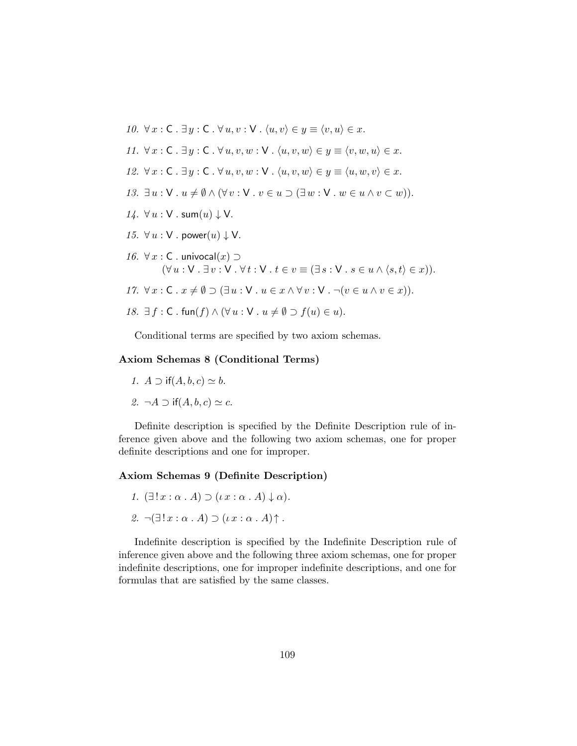

Conditional terms are specified by two axiom schemas.

#### Axiom Schemas 8 (Conditional Terms)

- 1.  $A \supset \text{if}(A, b, c) \simeq b$ .
- 2.  $\neg A \supset \text{if}(A, b, c) \simeq c$ .

Definite description is specified by the Definite Description rule of inference given above and the following two axiom schemas, one for proper definite descriptions and one for improper.

#### Axiom Schemas 9 (Definite Description)

- 1.  $(\exists ! x : \alpha . A) \supset (\iota x : \alpha . A) \downarrow \alpha$ .
- 2.  $\neg \left( \exists ! \, x : \alpha \cdot A \right) \supset (\iota \, x : \alpha \cdot A) \uparrow$ .

Indefinite description is specified by the Indefinite Description rule of inference given above and the following three axiom schemas, one for proper indefinite descriptions, one for improper indefinite descriptions, and one for formulas that are satisfied by the same classes.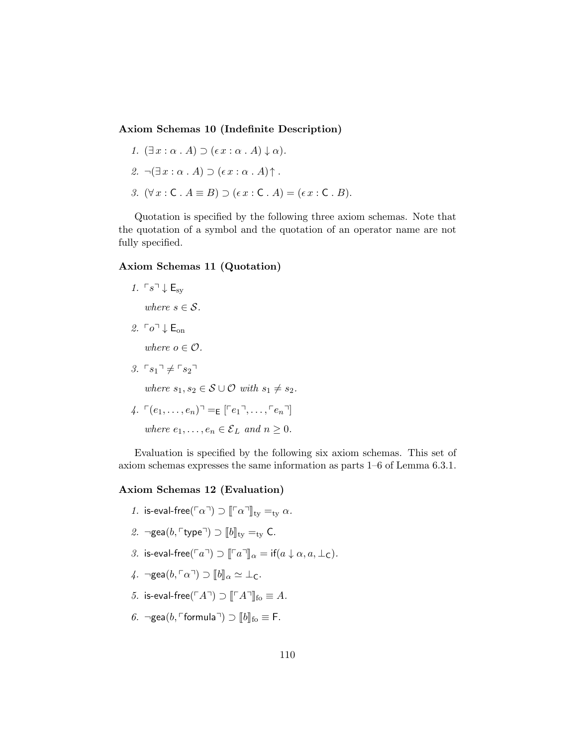#### Axiom Schemas 10 (Indefinite Description)

- 1.  $(\exists x : \alpha \cdot A) \supset (\epsilon x : \alpha \cdot A) \downarrow \alpha$ .
- 2.  $\neg(\exists x : \alpha \cdot A) \supset (\epsilon x : \alpha \cdot A) \uparrow$ .
- 3.  $(\forall x : C \cdot A \equiv B) \supset (\epsilon x : C \cdot A) = (\epsilon x : C \cdot B).$

Quotation is specified by the following three axiom schemas. Note that the quotation of a symbol and the quotation of an operator name are not fully specified.

## Axiom Schemas 11 (Quotation)

1.  $\ulcorner s \urcorner \downarrow \mathsf{E}_{\mathrm{sv}}$ 

where  $s \in \mathcal{S}$ .

2.  $\lceil \rho \rceil \cdot \rceil$  E<sub>on</sub>

where  $o \in \mathcal{O}$ .

3.  $\ulcorner s_1 \urcorner \neq \ulcorner s_2 \urcorner$ 

where  $s_1, s_2 \in \mathcal{S} \cup \mathcal{O}$  with  $s_1 \neq s_2$ .

4. 
$$
\ulcorner (e_1, \ldots, e_n) \urcorner = \varepsilon \ulcorner e_1 \urcorner, \ldots, \ulcorner e_n \urcorner]
$$
  
where  $e_1, \ldots, e_n \in \mathcal{E}_L$  and  $n \geq 0$ .

Evaluation is specified by the following six axiom schemas. This set of axiom schemas expresses the same information as parts 1–6 of Lemma 6.3.1.

#### Axiom Schemas 12 (Evaluation)

- 1. is-eval-free( $\lceil \alpha \rceil$ )  $\lceil \lceil \alpha \rceil \rceil_{\text{tv}} =_{\text{tv}} \alpha$ .
- 2. ¬gea $(b, \ulcorner type \urcorner) \supset [b]_{ty} =_{ty} C$ .
- 3. is-eval-free( $\lceil a \rceil$ )  $\supset \lceil \lceil a \rceil \rceil$  $\alpha = \text{if}(a \downarrow \alpha, a, \perp_C)$ .
- 4. ¬gea $(b, \lceil \alpha \rceil) \supset [b]_{\alpha} \simeq \bot_{\mathsf{C}}$ .
- 5. is-eval-free( $\ulcorner A\urcorner$ )  $\supset \ulcorner\ulcorner A\urcorner\urcorner\urcorner_{\text{fo}} \equiv A$ .
- 6. ¬gea $(b, \ulcorner$ formula $\urcorner)$   $\supset$   $\llbracket b \rrbracket_{\text{fo}} \equiv \mathsf{F}.$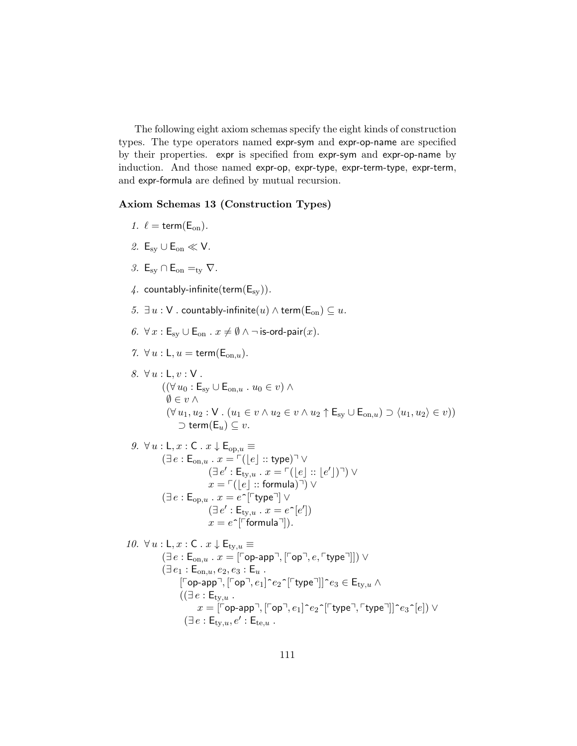The following eight axiom schemas specify the eight kinds of construction types. The type operators named expr-sym and expr-op-name are specified by their properties. expr is specified from expr-sym and expr-op-name by induction. And those named expr-op, expr-type, expr-term-type, expr-term, and expr-formula are defined by mutual recursion.

### Axiom Schemas 13 (Construction Types)

- 1.  $\ell = \text{term}(E_{\text{on}})$ .
- 2.  $E_{\rm sv} \cup E_{\rm on} \ll V$ .
- 3.  $E_{sv} \cap E_{on} =_{tv} \nabla$ .
- 4. countably-infinite(term( $E_{sy}$ )).
- 5.  $\exists u : V$  . countably-infinite(u)  $\wedge$  term( $\mathsf{E}_{on}$ )  $\subseteq u$ .
- 6.  $\forall x : \mathsf{E}_{\text{sv}} \cup \mathsf{E}_{\text{on}} \cdot x \neq \emptyset \land \neg \text{ is-ord-pair}(x)$ .
- 7.  $\forall u : L, u = \text{term}(E_{on, u}).$
- 8.  $\forall u : L, v : V$ .  $((\forall u_0 : \mathsf{E}_{sv} \cup \mathsf{E}_{on,u} : u_0 \in v) \wedge$  $\emptyset \in v \wedge$  $(\forall u_1, u_2 : \mathsf{V} \cdot (u_1 \in v \land u_2 \in v \land u_2 \uparrow \mathsf{E}_{sv} \cup \mathsf{E}_{on,u}) \supset \langle u_1, u_2 \rangle \in v)$  $\supset$  term(E<sub>u</sub>) ⊆ v.

9. 
$$
\forall u : L, x : C. x \downarrow E_{\text{op},u} \equiv
$$

$$
(\exists e : E_{\text{on},u} \cdot x = \ulcorner (\lfloor e \rfloor :: \text{type}) \urcorner \lor
$$

$$
(\exists e' : E_{\text{ty},u} \cdot x = \ulcorner (\lfloor e \rfloor :: \lfloor e' \rfloor) \urcorner) \lor
$$

$$
x = \ulcorner (\lfloor e \rfloor :: \text{formula}) \urcorner) \lor
$$

$$
(\exists e : E_{\text{op},u} \cdot x = e \urcorner [\ulcorner \text{type} \urcorner] \lor
$$

$$
(\exists e' : E_{\text{ty},u} \cdot x = e \urcorner [e'])
$$

$$
x = e \urcorner [\text{formula} \urcorner]).
$$

10.  $\forall u : \mathsf{L}, x : \mathsf{C} \cdot x \downarrow \mathsf{E}_{\text{ty},u} \equiv$  $(\exists e : \mathsf{E}_{\text{on},u} \cdot x = [\ulcorner \text{op-app} \urcorner, \ulcorner \text{op} \urcorner, e, \ulcorner \text{type} \urcorner]]) \vee$  $(\exists e_1 : \mathsf{E}_{\mathrm{on},u}, e_2, e_3 : \mathsf{E}_u$ .  $\lbrack \lbrack \lbrack$   $\lbrack \text{op-app} \rbrack$ ,  $\lbrack \lbrack \text{op} \rbrack$ ,  $e_1$  $\lbrack \lbrack \text{op} \rbrack$   $\lbrack \text{type} \rbrack$  $\rbrack$  $\lbrack e_3 \in \mathsf{E}_{\text{ty},u}$  $((\exists e : \mathsf{E}_{\mathrm{ty},u}).$  $x = \lceil \log_{10} p \rceil, \lceil \log_{10} e_1 \rceil^e e_2 \rceil \lceil \log_{10} \rceil, \lceil \log_{10} e_3 \rceil |e| \rceil$  $(\exists e : \mathsf{E}_{\text{ty},u}, e' : \mathsf{E}_{\text{te},u})$ .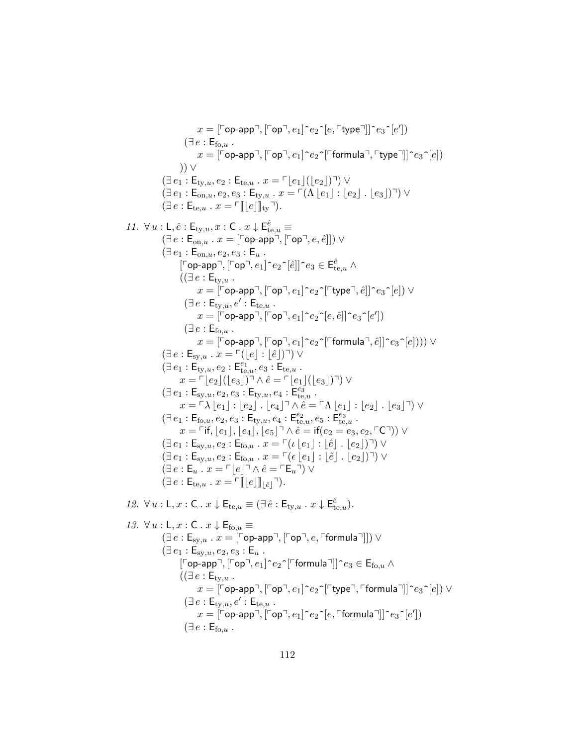$x = [\lceil{\mathsf{op}\text{-}\mathsf{app}}\rceil, \lceil{\mathsf{op}\text{-}\mathsf{eq}}\rceil, e_1] \lceil e_2 \lceil [e, \lceil{\mathsf{type}}\rceil]| \lceil e_3 \lceil [e'] \rceil)$  $(\exists e : \mathsf{E}_{\mathsf{fo},u})$ .  $x = \lceil \text{op-app} \rceil, \lceil \text{op} \rceil, e_1 \rceil \rceil e_2 \rceil \lceil \text{formula} \rceil, \lceil \text{type} \rceil \rceil \lceil e_3 \rceil [e]$ )) ∨  $(\exists e_1 : \mathsf{E}_{\mathsf{ty},u}, e_2 : \mathsf{E}_{\mathsf{te},u} \cdot x = \ulcorner |e_1|(|e_2|) \urcorner) \vee$  $(\exists e_1 : \mathsf{E}_{\text{on},u}, e_2, e_3 : \mathsf{E}_{\text{ty},u} \cdot x = \ulcorner (\Lambda | e_1 | : | e_2 | \cdot | e_3 |) \urcorner) \vee$  $(\exists e : \mathsf{E}_{\mathsf{te},u} \cdot x = \ulcorner \llbracket |e| \rrbracket_{\mathsf{ty}} \urcorner).$ 11.  $\forall u : \mathsf{L}, \hat{e} : \mathsf{E}_{\mathsf{ty},u}, x : \mathsf{C}$ .  $x \downarrow \mathsf{E}_{\mathsf{te},u}^{\hat{e}} \equiv$  $(\exists e : \mathsf{E}_{\text{on},u} \cdot x = [\ulcorner \textsf{op-app} \urcorner, [\ulcorner \textsf{op} \urcorner, e, \hat{e}]]) \vee$  $(\exists e_1 : \mathsf{E}_{\text{on}.u}, e_2, e_3 : \mathsf{E}_u)$ .  $[\ulcorner$ ор-арр $\urcorner, [\ulcorner$ ор $\urcorner, e_1] \urcorner e_2 \urcorner [\hat{e}]] \urcorner e_3 \in \mathsf{E}^{\hat{e}}_{\mathrm{te},u}$   $\wedge$  $((\exists e : \mathsf{E}_{\mathrm{ty},u}).$  $x = \lbrack \ulcorner \mathsf{op}\text{-}\mathsf{app} \urcorner, \lbrack \ulcorner \mathsf{op} \urcorner, e_1 \rbrack \urcorner e_2\urcorner \lbrack \ulcorner \mathsf{type} \urcorner, \hat{e} \rbrack \rbrack \urcorner e_3\urcorner [e]) \vee$  $(\exists e : \mathsf{E}_{\text{ty},u}, e' : \mathsf{E}_{\text{te},u})$ .  $x = \overline{[\mathsf{^{\top}}$ ор-арр $\mathsf{^{\top}}, [\mathsf{^{\top}}$ ор $\mathsf{^{\top}}, e_1] \mathsf{^{\uparrow}} e_2 \mathsf{^{\uparrow}}[e,\hat{e}]] \mathsf{^{\uparrow}} e_3 \mathsf{^{\uparrow}}[e'])$  $(\exists e : \mathsf{E}_{\mathsf{fo},u})$ .  $x = \lceil \text{Top-app} \rceil, \lceil \text{Top} \rceil, e_1 \rceil \rceil e_2 \rceil \lceil \text{formula} \rceil, \hat{e} \rceil \lceil \text{neg} \rceil(\text{el})) \rceil \lor$  $(\exists e : \mathsf{E}_{\mathsf{sv},u} \cdot x = \ulcorner(|e| : |\hat{e}|) \urcorner) \vee$  $(\exists e_1 : \breve{\mathsf{E}}_{\mathsf{ty},u}, e_2 : \mathsf{E}_{\mathsf{te},u}^{e_1}, e_3 : \mathsf{E}_{\mathsf{te},u}$ .  $x = \lceil e_2| (|e_3|)^{\rceil} \wedge \hat{e} = \lceil e_1| (|e_3|)^{\rceil}) \vee$  $(\exists e_1 : \mathsf{E}_{\mathsf{sy},u}, e_2, e_3 : \mathsf{E}_{\mathsf{ty},u}, e_4 : \mathsf{E}_{\mathsf{te},u}^{e_3}$ .  $x = \lceil \lambda |e_1| : |e_2|$  .  $|e_4| \rceil \wedge \hat{e} = \lceil \Lambda |e_1| : |e_2|$  .  $|e_3| \rceil$ ) ∨  $(\exists e_1 : \mathsf{E}_{\mathsf{fo},u}, e_2, e_3 : \mathsf{E}_{\mathsf{ty},u}, e_4 : \mathsf{E}_{\mathsf{te},u}^{e_2}, e_5 : \mathsf{E}_{\mathsf{te},u}^{e_3}.$  $x = \text{if, } |e_1|, |e_4|, |e_5| \geq \hat{e} = \text{if}(e_2 = e_3, e_2, \text{C} \cap \text{)} \vee$  $(\exists e_1 : \mathsf{E}_{\text{sy},u}, e_2 : \mathsf{E}_{\text{fo},u} \cdot x = \ulcorner (\iota \lfloor e_1 \rfloor : \lfloor \hat{e} \rfloor \cdot \lfloor e_2 \rfloor) \urcorner) \vee$  $(\exists e_1 : \mathsf{E}_{\mathsf{sy},u}, e_2 : \mathsf{E}_{\mathsf{fo},u} \cdot x = \ulcorner(\epsilon \lfloor e_1 \rfloor : \lfloor \hat{e} \rfloor \cdot \lfloor e_2 \rfloor) \urcorner) \vee$  $(\exists e : \mathsf{E}_u \cdot x = \ulcorner |e| \urcorner \wedge \hat{e} = \ulcorner \mathsf{E}_u \urcorner) \vee$  $(\exists e : \mathsf{E}_{\text{te},u} \cdot x = \ulcorner \llbracket |e| \rrbracket |e| \urcorner).$ 12.  $\forall u : \mathsf{L}, x : \mathsf{C} \cdot x \downarrow \mathsf{E}_{te,u} \equiv (\exists \hat{e} : \mathsf{E}_{ty,u} \cdot x \downarrow \mathsf{E}_{te,u}^{\hat{e}}).$ 13.  $\forall u : \mathsf{L}, x : \mathsf{C} \cdot x \downarrow \mathsf{E}_{\mathsf{fo}, u} \equiv$  $(\exists e : \mathsf{E}_{\mathsf{sy},u} \cdot x = [\ulcorner \mathsf{op}\text{-}\mathsf{app}\urcorner, [\ulcorner \mathsf{op}\urcorner, e, \ulcorner \mathsf{formula}\urcorner]]) \vee$  $(\exists e_1 : \mathsf{E}_{sv,u}, e_2, e_3 : \mathsf{E}_u)$ .  $\lceil \lceil \mathsf{op}\text{-}\mathsf{app}\rceil, \lceil \lceil \mathsf{op}\rceil, e_1 \rceil\text{-}e_2\text{-}\lceil \lceil \mathsf{formula}\rceil \rceil\text{-}e_3 \in \mathsf{E}_{\mathsf{fo},u} \land$  $((\exists e : \mathsf{E}_{\mathrm{tv},u}).$  $x = \lceil \text{Top-app} \rceil, \lceil \text{Top} \rceil, e_1 \rceil \rceil e_2 \rceil \lceil \text{type} \rceil, \lceil \text{formula} \rceil \rceil \rceil e_3 \rceil e \rceil$ ) ∨  $(\exists e : \mathsf{E}_{\text{ty},u}, e' : \mathsf{E}_{\text{te},u})$ .  $x = \overline{[\ulcorner$ op-app $\urcorner, [\ulcorner$ op $\urcorner, e_1] \urcorner e_2 \urcorner [e, \ulcorner$ formula $\urcorner]] \urcorner e_3 \urcorner [e'])$  $(\exists e : \mathsf{E}_{\mathrm{fo},u})$ .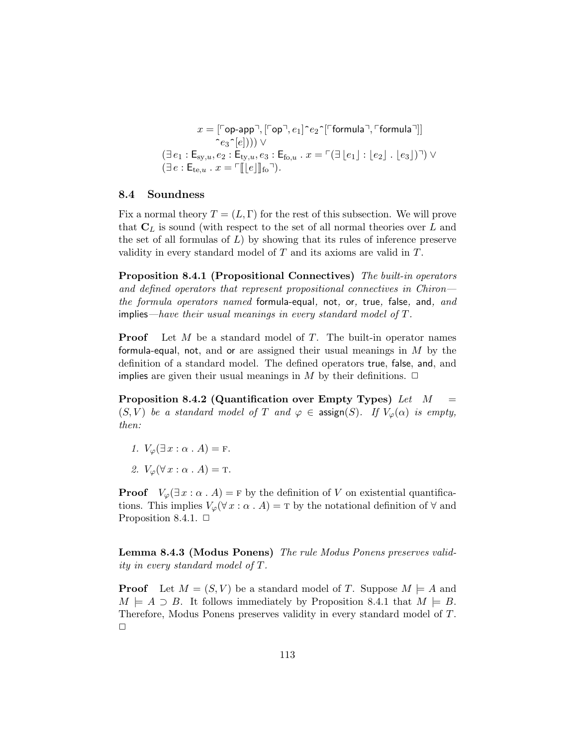$$
x = [\ulcorner \mathsf{op}\text{-}\mathsf{app}\urcorner, [\ulcorner \mathsf{op}\urcorner, e_1] \urcorner e_2 \urcorner [\ulcorner \mathsf{formula}\urcorner, \ulcorner \mathsf{formula}\urcorner]]
$$

$$
\ulcorner e_3 \urcorner [e])) \vee
$$

$$
(\exists \, e_1 : \mathsf{E}_{\mathsf{sy},u}, e_2 : \mathsf{E}_{\mathsf{ty},u}, e_3 : \mathsf{E}_{\mathsf{fo},u} \, . \, x = \ulcorner (\exists \, \lfloor e_1 \rfloor : \lfloor e_2 \rfloor \, . \, \lfloor e_3 \rfloor) \urcorner) \vee (\exists \, e : \mathsf{E}_{\mathsf{te},u} \, . \, x = \ulcorner [\lfloor e \rfloor \rfloor \mathsf{f}_\mathsf{fo}\urcorner).
$$

#### 8.4 Soundness

Fix a normal theory  $T = (L, \Gamma)$  for the rest of this subsection. We will prove that  $C_L$  is sound (with respect to the set of all normal theories over  $L$  and the set of all formulas of  $L$ ) by showing that its rules of inference preserve validity in every standard model of T and its axioms are valid in T.

Proposition 8.4.1 (Propositional Connectives) The built-in operators and defined operators that represent propositional connectives in Chiron the formula operators named formula-equal, not, or, true, false, and, and implies—have their usual meanings in every standard model of  $T$ .

**Proof** Let  $M$  be a standard model of  $T$ . The built-in operator names formula-equal, not, and or are assigned their usual meanings in  $M$  by the definition of a standard model. The defined operators true, false, and, and implies are given their usual meanings in M by their definitions.  $\Box$ 

Proposition 8.4.2 (Quantification over Empty Types) Let  $M =$  $(S, V)$  be a standard model of T and  $\varphi \in \text{assign}(S)$ . If  $V_{\varphi}(\alpha)$  is empty, then:

- 1.  $V_{\varphi}(\exists x : \alpha \cdot A) = F$ .
- 2.  $V_{\varphi}(\forall x : \alpha \cdot A) = \text{T}.$

**Proof**  $V_{\varphi}(\exists x : \alpha \cdot A) = F$  by the definition of V on existential quantifications. This implies  $V_{\varphi}(\forall x : \alpha \cdot A) = \text{T}$  by the notational definition of  $\forall$  and Proposition 8.4.1.  $\Box$ 

Lemma 8.4.3 (Modus Ponens) The rule Modus Ponens preserves validity in every standard model of T.

**Proof** Let  $M = (S, V)$  be a standard model of T. Suppose  $M \models A$  and  $M \models A \supset B$ . It follows immediately by Proposition 8.4.1 that  $M \models B$ . Therefore, Modus Ponens preserves validity in every standard model of T.  $\Box$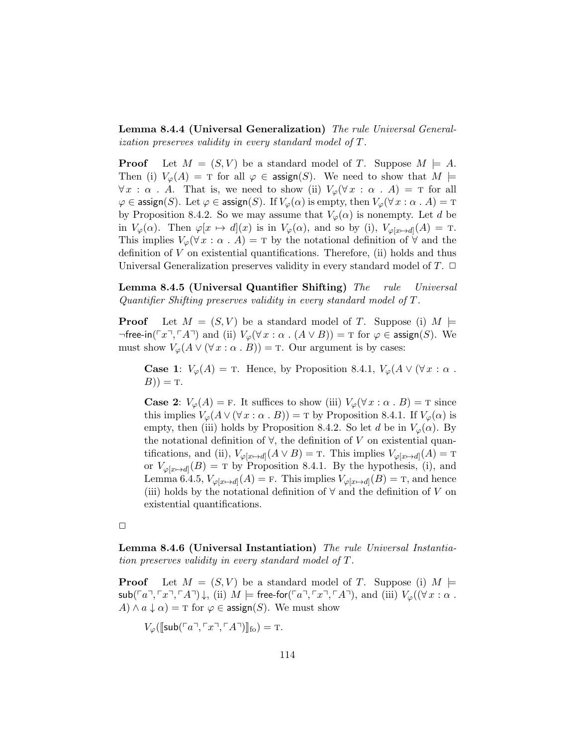Lemma 8.4.4 (Universal Generalization) The rule Universal Generalization preserves validity in every standard model of T.

**Proof** Let  $M = (S, V)$  be a standard model of T. Suppose  $M \models A$ . Then (i)  $V_{\varphi}(A) = \text{T}$  for all  $\varphi \in \text{assign}(S)$ . We need to show that  $M \models$  $\forall x : \alpha \cdot A$ . That is, we need to show (ii)  $V_{\varphi}(\forall x : \alpha \cdot A) = \tau$  for all  $\varphi \in \mathsf{assign}(S)$ . Let  $\varphi \in \mathsf{assign}(S)$ . If  $V_{\varphi}(\alpha)$  is empty, then  $V_{\varphi}(\forall x : \alpha \cdot A) = \texttt{T}$ by Proposition 8.4.2. So we may assume that  $V_{\varphi}(\alpha)$  is nonempty. Let d be in  $V_{\varphi}(\alpha)$ . Then  $\varphi[x \mapsto d](x)$  is in  $V_{\varphi}(\alpha)$ , and so by (i),  $V_{\varphi[x \mapsto d]}(A) = T$ . This implies  $V_{\varphi}(\forall x : \alpha \cdot A) = \tau$  by the notational definition of  $\forall$  and the definition of V on existential quantifications. Therefore, (ii) holds and thus Universal Generalization preserves validity in every standard model of  $T$ .  $\Box$ 

Lemma 8.4.5 (Universal Quantifier Shifting) The rule Universal Quantifier Shifting preserves validity in every standard model of T.

**Proof** Let  $M = (S, V)$  be a standard model of T. Suppose (i)  $M \models$  $\neg$ free-in( $\ulcorner x \urcorner, \ulcorner A \urcorner$ ) and (ii)  $V_{\varphi}(\forall x : \alpha \ldots (A \lor B)) = \urcorner$  for  $\varphi \in \mathsf{assign}(S)$ . We must show  $V_{\varphi}(A \vee (\forall x : \alpha \cdot B)) = \text{T}$ . Our argument is by cases:

**Case 1:**  $V_{\varphi}(A) = \text{T}$ . Hence, by Proposition 8.4.1,  $V_{\varphi}(A \vee (\forall x : \alpha \cdot$  $(B)) = T.$ 

**Case 2:**  $V_{\varphi}(A) = F$ . It suffices to show (iii)  $V_{\varphi}(\forall x : \alpha \cdot B) = T$  since this implies  $V_{\varphi}(A \vee (\forall x : \alpha \cdot B)) = \text{T}$  by Proposition 8.4.1. If  $V_{\varphi}(\alpha)$  is empty, then (iii) holds by Proposition 8.4.2. So let d be in  $V_{\varphi}(\alpha)$ . By the notational definition of  $\forall$ , the definition of V on existential quantifications, and (ii),  $V_{\varphi[x \mapsto d]}(A \vee B) = \text{T}$ . This implies  $V_{\varphi[x \mapsto d]}(A) = \text{T}$ or  $V_{\varphi[x \mapsto d]}(B) = \text{T}$  by Proposition 8.4.1. By the hypothesis, (i), and Lemma 6.4.5,  $V_{\varphi[x \mapsto d]}(A) = \text{F}$ . This implies  $V_{\varphi[x \mapsto d]}(B) = \text{T}$ , and hence (iii) holds by the notational definition of  $\forall$  and the definition of V on existential quantifications.

 $\Box$ 

Lemma 8.4.6 (Universal Instantiation) The rule Universal Instantiation preserves validity in every standard model of T.

**Proof** Let  $M = (S, V)$  be a standard model of T. Suppose (i)  $M \models$  $\mathsf{sub}(\ulcorner a\urcorner, \ulcorner x\urcorner, \ulcorner A\urcorner) \downarrow$ , (ii)  $M \models \mathsf{free\text{-}for}(\ulcorner a\urcorner, \ulcorner x\urcorner, \ulcorner A\urcorner)$ , and (iii)  $V_{\varphi}((\forall x : \alpha \ldots$  $A) \wedge a \downarrow \alpha$  = T for  $\varphi \in \text{assign}(S)$ . We must show

 $V_{\varphi}(\llbracket \mathsf{sub}(\ulcorner a \urcorner, \ulcorner x \urcorner, \ulcorner A \urcorner)\rrbracket_{\mathsf{fo}}) = \mathrm{T}.$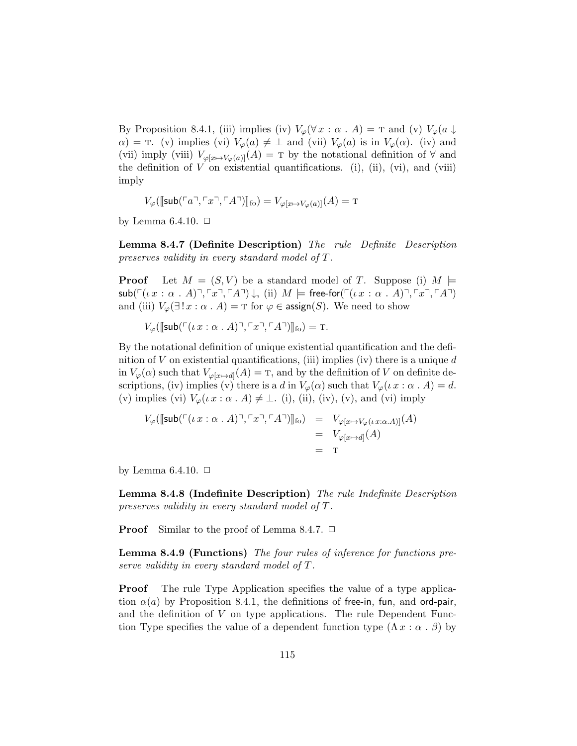By Proposition 8.4.1, (iii) implies (iv)  $V_{\varphi}(\forall x : \alpha \cdot A) = \text{T}$  and (v)  $V_{\varphi}(a \downarrow$  $\alpha$ ) = T. (v) implies (vi)  $V_{\varphi}(a) \neq \perp$  and (vii)  $V_{\varphi}(a)$  is in  $V_{\varphi}(\alpha)$ . (iv) and (vii) imply (viii)  $V_{\varphi[x \mapsto V_{\varphi}(a)]}(A) = T$  by the notational definition of  $\forall$  and the definition of  $V$  on existential quantifications. (i), (ii), (vi), and (viii) imply

$$
V_{\varphi}(\llbracket \mathsf{sub}(\ulcorner a \urcorner, \ulcorner x \urcorner, \ulcorner A \urcorner) \rrbracket_{\mathsf{fo}}) = V_{\varphi[x \mapsto V_{\varphi}(a)]}(A) = \mathrm{T}
$$

by Lemma 6.4.10.  $\Box$ 

Lemma 8.4.7 (Definite Description) The rule Definite Description preserves validity in every standard model of T.

**Proof** Let  $M = (S, V)$  be a standard model of T. Suppose (i)  $M \models$  $\mathsf{sub}(\ulcorner ( \iota x : \alpha \cdot A) \urcorner, \ulcorner x \urcorner, \ulcorner A \urcorner) \downarrow$ , (ii)  $M \models \mathsf{free\text{-}for}(\ulcorner ( \iota x : \alpha \cdot A) \urcorner, \ulcorner x \urcorner, \ulcorner A \urcorner)$ and (iii)  $V_{\varphi}(\exists! x : \alpha \cdot A) = \text{T}$  for  $\varphi \in \text{assign}(S)$ . We need to show

 $V_{\varphi}(\llbracket \mathsf{sub}(\ulcorner ( \iota x : \alpha \cdot A) \urcorner, \ulcorner x \urcorner, \ulcorner A \urcorner) \rrbracket_{\text{fo}}) = \texttt{T}.$ 

By the notational definition of unique existential quantification and the definition of V on existential quantifications, (iii) implies (iv) there is a unique  $d$ in  $V_{\varphi}(\alpha)$  such that  $V_{\varphi[x \mapsto d]}(A) = T$ , and by the definition of V on definite descriptions, (iv) implies (v) there is a d in  $V_{\varphi}(\alpha)$  such that  $V_{\varphi}(\iota x : \alpha \cdot A) = d$ . (v) implies (vi)  $V_{\varphi}(\iota x : \alpha \cdot A) \neq \bot$ . (i), (ii), (iv), (v), and (vi) imply

$$
V_{\varphi}([\text{sub}(\ulcorner \iota x : \alpha \ldots A)\urcorner, \ulcorner x \urcorner, \ulcorner A \urcorner)]_{\text{fo}}) = V_{\varphi[x \mapsto V_{\varphi}(\iota x : \alpha \ldots A)]}(A)
$$
  

$$
= V_{\varphi[x \mapsto d]}(A)
$$
  

$$
= \mathbf{T}
$$

by Lemma 6.4.10.  $\Box$ 

Lemma 8.4.8 (Indefinite Description) The rule Indefinite Description preserves validity in every standard model of T.

**Proof** Similar to the proof of Lemma 8.4.7.  $\Box$ 

Lemma 8.4.9 (Functions) The four rules of inference for functions preserve validity in every standard model of T.

Proof The rule Type Application specifies the value of a type application  $\alpha(a)$  by Proposition 8.4.1, the definitions of free-in, fun, and ord-pair, and the definition of  $V$  on type applications. The rule Dependent Function Type specifies the value of a dependent function type  $(\Lambda x : \alpha \cdot \beta)$  by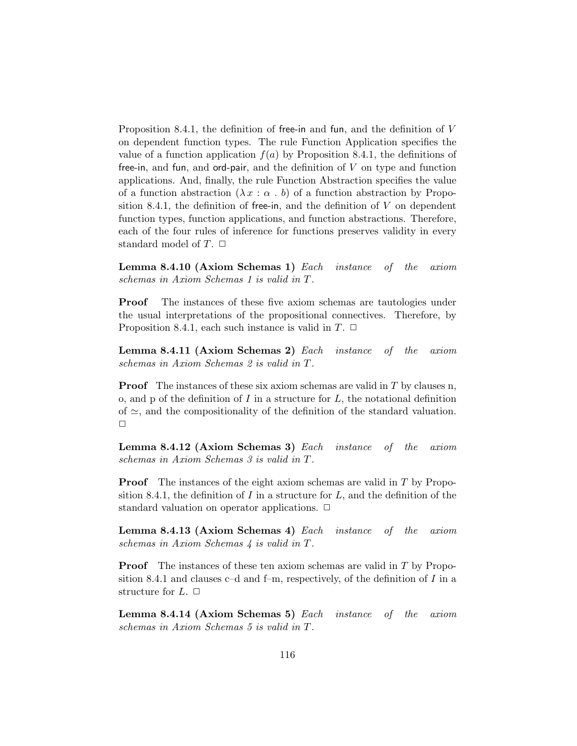Proposition 8.4.1, the definition of free-in and fun, and the definition of V on dependent function types. The rule Function Application specifies the value of a function application  $f(a)$  by Proposition 8.4.1, the definitions of free-in, and fun, and ord-pair, and the definition of  $V$  on type and function applications. And, finally, the rule Function Abstraction specifies the value of a function abstraction  $(\lambda x : \alpha, b)$  of a function abstraction by Proposition 8.4.1, the definition of free-in, and the definition of  $V$  on dependent function types, function applications, and function abstractions. Therefore, each of the four rules of inference for functions preserves validity in every standard model of  $T$ .  $\Box$ 

Lemma 8.4.10 (Axiom Schemas 1) Each instance of the axiom schemas in Axiom Schemas 1 is valid in T.

Proof The instances of these five axiom schemas are tautologies under the usual interpretations of the propositional connectives. Therefore, by Proposition 8.4.1, each such instance is valid in  $T$ .  $\Box$ 

Lemma 8.4.11 (Axiom Schemas 2) Each instance of the axiom schemas in Axiom Schemas 2 is valid in T.

**Proof** The instances of these six axiom schemas are valid in T by clauses n, o, and p of the definition of  $I$  in a structure for  $L$ , the notational definition of  $\approx$ , and the compositionality of the definition of the standard valuation.  $\Box$ 

Lemma 8.4.12 (Axiom Schemas 3) Each instance of the axiom schemas in Axiom Schemas 3 is valid in T.

Proof The instances of the eight axiom schemas are valid in T by Proposition 8.4.1, the definition of I in a structure for  $L$ , and the definition of the standard valuation on operator applications.  $\Box$ 

Lemma 8.4.13 (Axiom Schemas 4) Each instance of the axiom schemas in Axiom Schemas 4 is valid in T.

Proof The instances of these ten axiom schemas are valid in T by Proposition 8.4.1 and clauses c–d and f–m, respectively, of the definition of  $I$  in a structure for  $L$ .  $\Box$ 

Lemma 8.4.14 (Axiom Schemas 5) Each instance of the axiom schemas in Axiom Schemas 5 is valid in T.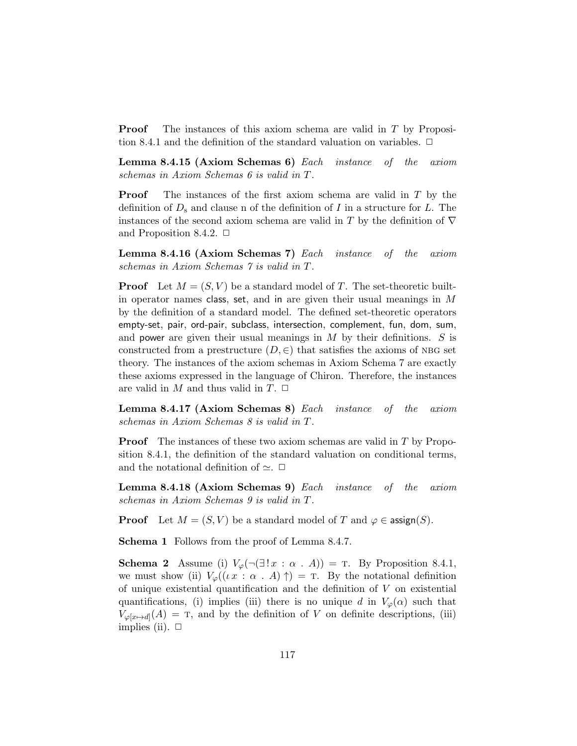**Proof** The instances of this axiom schema are valid in T by Proposition 8.4.1 and the definition of the standard valuation on variables.  $\Box$ 

Lemma 8.4.15 (Axiom Schemas 6) Each instance of the axiom schemas in Axiom Schemas 6 is valid in T.

Proof The instances of the first axiom schema are valid in T by the definition of  $D_s$  and clause n of the definition of I in a structure for L. The instances of the second axiom schema are valid in T by the definition of  $\nabla$ and Proposition 8.4.2.  $\Box$ 

Lemma 8.4.16 (Axiom Schemas 7) Each instance of the axiom schemas in Axiom Schemas 7 is valid in T.

**Proof** Let  $M = (S, V)$  be a standard model of T. The set-theoretic builtin operator names class, set, and in are given their usual meanings in  $M$ by the definition of a standard model. The defined set-theoretic operators empty-set, pair, ord-pair, subclass, intersection, complement, fun, dom, sum, and power are given their usual meanings in  $M$  by their definitions.  $S$  is constructed from a prestructure  $(D, \in)$  that satisfies the axioms of NBG set theory. The instances of the axiom schemas in Axiom Schema 7 are exactly these axioms expressed in the language of Chiron. Therefore, the instances are valid in  $M$  and thus valid in  $T$ .  $\Box$ 

Lemma 8.4.17 (Axiom Schemas 8) Each instance of the axiom schemas in Axiom Schemas 8 is valid in T.

Proof The instances of these two axiom schemas are valid in T by Proposition 8.4.1, the definition of the standard valuation on conditional terms, and the notational definition of  $\simeq$ .  $\Box$ 

Lemma 8.4.18 (Axiom Schemas 9) Each instance of the axiom schemas in Axiom Schemas 9 is valid in T.

**Proof** Let  $M = (S, V)$  be a standard model of T and  $\varphi \in \operatorname{assign}(S)$ .

Schema 1 Follows from the proof of Lemma 8.4.7.

**Schema 2** Assume (i)  $V_{\varphi}(\neg \exists ! x : \alpha : A)) = \text{T}$ . By Proposition 8.4.1, we must show (ii)  $V_{\varphi}((\iota x : \alpha A) \uparrow) = \tau$ . By the notational definition of unique existential quantification and the definition of  $V$  on existential quantifications, (i) implies (iii) there is no unique d in  $V_{\varphi}(\alpha)$  such that  $V_{\varphi[x\mapsto d]}(A) =$  T, and by the definition of V on definite descriptions, (iii) implies (ii).  $\Box$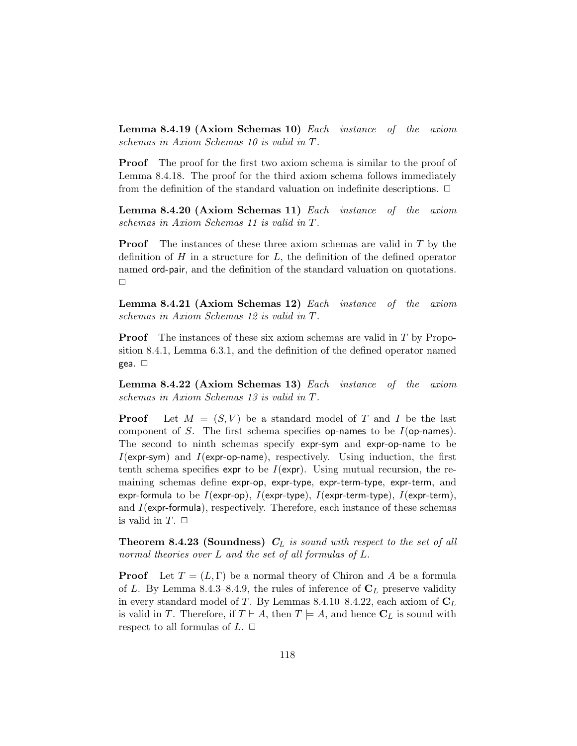Lemma 8.4.19 (Axiom Schemas 10) Each instance of the axiom schemas in Axiom Schemas 10 is valid in T.

**Proof** The proof for the first two axiom schema is similar to the proof of Lemma 8.4.18. The proof for the third axiom schema follows immediately from the definition of the standard valuation on indefinite descriptions.  $\Box$ 

Lemma 8.4.20 (Axiom Schemas 11) Each instance of the axiom schemas in Axiom Schemas 11 is valid in T.

**Proof** The instances of these three axiom schemas are valid in  $T$  by the definition of  $H$  in a structure for  $L$ , the definition of the defined operator named ord-pair, and the definition of the standard valuation on quotations.  $\Box$ 

Lemma 8.4.21 (Axiom Schemas 12) Each instance of the axiom schemas in Axiom Schemas 12 is valid in T.

**Proof** The instances of these six axiom schemas are valid in T by Proposition 8.4.1, Lemma 6.3.1, and the definition of the defined operator named gea.  $\square$ 

Lemma 8.4.22 (Axiom Schemas 13) Each instance of the axiom schemas in Axiom Schemas 13 is valid in T.

**Proof** Let  $M = (S, V)$  be a standard model of T and I be the last component of S. The first schema specifies op-names to be  $I$ (op-names). The second to ninth schemas specify expr-sym and expr-op-name to be  $I$ (expr-sym) and  $I$ (expr-op-name), respectively. Using induction, the first tenth schema specifies expr to be  $I(\exp r)$ . Using mutual recursion, the remaining schemas define expr-op, expr-type, expr-term-type, expr-term, and expr-formula to be  $I(\text{expr-op})$ ,  $I(\text{expr-type})$ ,  $I(\text{expr-term-type})$ ,  $I(\text{expr-term})$ , and  $I$ (expr-formula), respectively. Therefore, each instance of these schemas is valid in  $T$ .  $\Box$ 

**Theorem 8.4.23 (Soundness)**  $C_L$  is sound with respect to the set of all normal theories over L and the set of all formulas of L.

**Proof** Let  $T = (L, \Gamma)$  be a normal theory of Chiron and A be a formula of L. By Lemma 8.4.3–8.4.9, the rules of inference of  $C_L$  preserve validity in every standard model of T. By Lemmas 8.4.10–8.4.22, each axiom of  $C_L$ is valid in T. Therefore, if  $T \vdash A$ , then  $T \models A$ , and hence  $C_L$  is sound with respect to all formulas of  $L$ .  $\Box$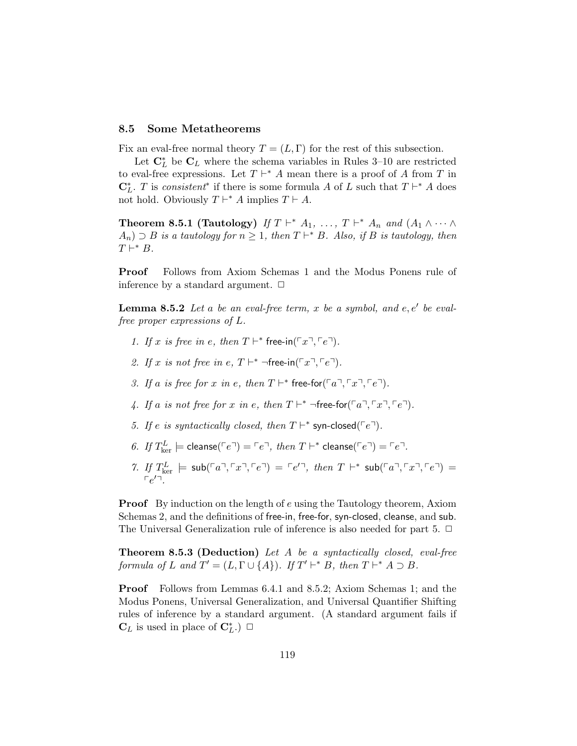### 8.5 Some Metatheorems

Fix an eval-free normal theory  $T = (L, \Gamma)$  for the rest of this subsection.

Let  $\mathbf{C}_{L}^{*}$  be  $\mathbf{C}_{L}$  where the schema variables in Rules 3–10 are restricted to eval-free expressions. Let  $T \vdash^* A$  mean there is a proof of A from T in  $\mathbb{C}_L^*$ . T is consistent<sup>\*</sup> if there is some formula A of L such that  $T \vdash^* A$  does not hold. Obviously  $T \vdash^* A$  implies  $T \vdash A$ .

**Theorem 8.5.1 (Tautology)** If  $T \vdash^* A_1, \ldots, T \vdash^* A_n$  and  $(A_1 \wedge \cdots \wedge$  $A_n$ )  $\supset B$  is a tautology for  $n \geq 1$ , then  $T \vdash^* B$ . Also, if B is tautology, then  $T \vdash^* B$ .

Proof Follows from Axiom Schemas 1 and the Modus Ponens rule of inference by a standard argument.  $\Box$ 

**Lemma 8.5.2** Let a be an eval-free term, x be a symbol, and  $e, e'$  be evalfree proper expressions of L.

- 1. If x is free in e, then  $T \vdash^*$  free-in( $\ulcorner x \urcorner, \ulcorner e \urcorner$ ).
- 2. If x is not free in e,  $T \vdash^* \neg \text{free-in}(\ulcorner x \urcorner, \ulcorner e \urcorner).$
- 3. If a is free for x in e, then  $T \vdash^*$  free-for $(\ulcorner a \urcorner, \ulcorner x \urcorner, \ulcorner e \urcorner).$
- 4. If a is not free for x in e, then  $T \vdash^* \neg$  free-for  $(\ulcorner a \urcorner, \ulcorner x \urcorner, \ulcorner e \urcorner).$
- 5. If e is syntactically closed, then  $T \vdash^*$  syn-closed( $\ulcorner e \urcorner$ ).
- 6. If  $T_{\text{ker}}^L \models \text{cleanse}(\ulcorner e \urcorner) = \ulcorner e \urcorner, \text{ then } T \vdash^* \text{cleanse}(\ulcorner e \urcorner) = \ulcorner e \urcorner.$
- 7. If  $T_{\text{ker}}^L$   $\models$   $\text{sub}(\ulcorner a \urcorner, \ulcorner x \urcorner, \ulcorner e \urcorner) = \ulcorner e' \urcorner$ , then  $T \vdash^* \text{sub}(\ulcorner a \urcorner, \ulcorner x \urcorner, \ulcorner e \urcorner) =$  $\lceil e'^{\tau} \rceil$

**Proof** By induction on the length of e using the Tautology theorem, Axiom Schemas 2, and the definitions of free-in, free-for, syn-closed, cleanse, and sub. The Universal Generalization rule of inference is also needed for part 5.  $\Box$ 

Theorem 8.5.3 (Deduction) Let A be a syntactically closed, eval-free formula of L and  $T' = (L, \Gamma \cup \{A\})$ . If  $T' \vdash^* B$ , then  $T \vdash^* A \supset B$ .

Proof Follows from Lemmas 6.4.1 and 8.5.2; Axiom Schemas 1; and the Modus Ponens, Universal Generalization, and Universal Quantifier Shifting rules of inference by a standard argument. (A standard argument fails if  $\mathbf{C}_L$  is used in place of  $\mathbf{C}_L^*$ .)  $\Box$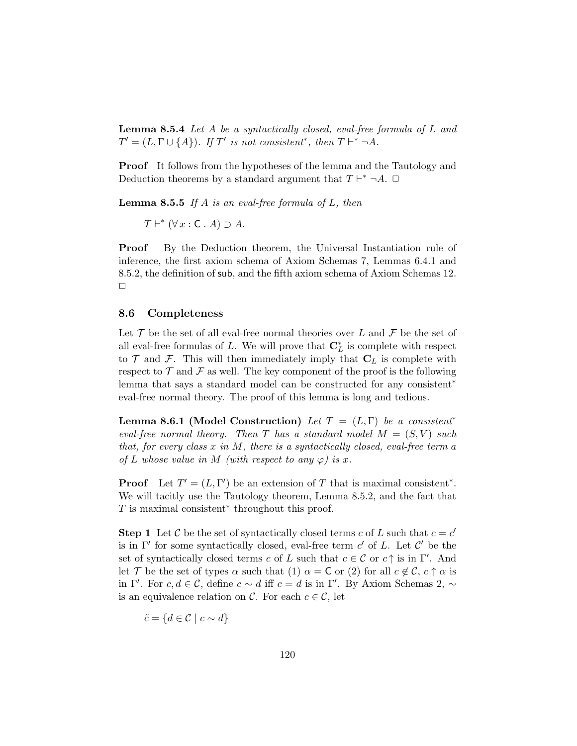Lemma 8.5.4 Let A be a syntactically closed, eval-free formula of L and  $T' = (L, \Gamma \cup \{A\})$ . If T' is not consistent<sup>\*</sup>, then  $T \vdash^* \neg A$ .

Proof It follows from the hypotheses of the lemma and the Tautology and Deduction theorems by a standard argument that  $T \vdash^* \neg A$ .  $\Box$ 

**Lemma 8.5.5** If A is an eval-free formula of L, then

 $T \vdash^* (\forall x : C \cdot A) \supset A$ .

Proof By the Deduction theorem, the Universal Instantiation rule of inference, the first axiom schema of Axiom Schemas 7, Lemmas 6.4.1 and 8.5.2, the definition of sub, and the fifth axiom schema of Axiom Schemas 12.  $\Box$ 

#### 8.6 Completeness

Let  $\mathcal T$  be the set of all eval-free normal theories over L and  $\mathcal F$  be the set of all eval-free formulas of L. We will prove that  $\mathbb{C}_L^*$  is complete with respect to  $\mathcal T$  and  $\mathcal F$ . This will then immediately imply that  $C_L$  is complete with respect to  $\mathcal T$  and  $\mathcal F$  as well. The key component of the proof is the following lemma that says a standard model can be constructed for any consistent<sup>∗</sup> eval-free normal theory. The proof of this lemma is long and tedious.

**Lemma 8.6.1 (Model Construction)** Let  $T = (L, \Gamma)$  be a consistent<sup>\*</sup> eval-free normal theory. Then T has a standard model  $M = (S, V)$  such that, for every class  $x$  in  $M$ , there is a syntactically closed, eval-free term a of L whose value in M (with respect to any  $\varphi$ ) is x.

**Proof** Let  $T' = (L, \Gamma')$  be an extension of T that is maximal consistent<sup>\*</sup>. We will tacitly use the Tautology theorem, Lemma 8.5.2, and the fact that  $T$  is maximal consistent<sup>\*</sup> throughout this proof.

**Step 1** Let C be the set of syntactically closed terms c of L such that  $c = c'$ is in  $\Gamma'$  for some syntactically closed, eval-free term c' of L. Let  $\mathcal{C}'$  be the set of syntactically closed terms c of L such that  $c \in \mathcal{C}$  or  $c \uparrow$  is in  $\Gamma'$ . And let T be the set of types  $\alpha$  such that (1)  $\alpha = C$  or (2) for all  $c \notin C$ ,  $c \uparrow \alpha$  is in Γ'. For  $c, d \in \mathcal{C}$ , define  $c \sim d$  iff  $c = d$  is in Γ'. By Axiom Schemas 2,  $\sim$ is an equivalence relation on C. For each  $c \in \mathcal{C}$ , let

$$
\tilde{c} = \{d \in \mathcal{C} \mid c \sim d\}
$$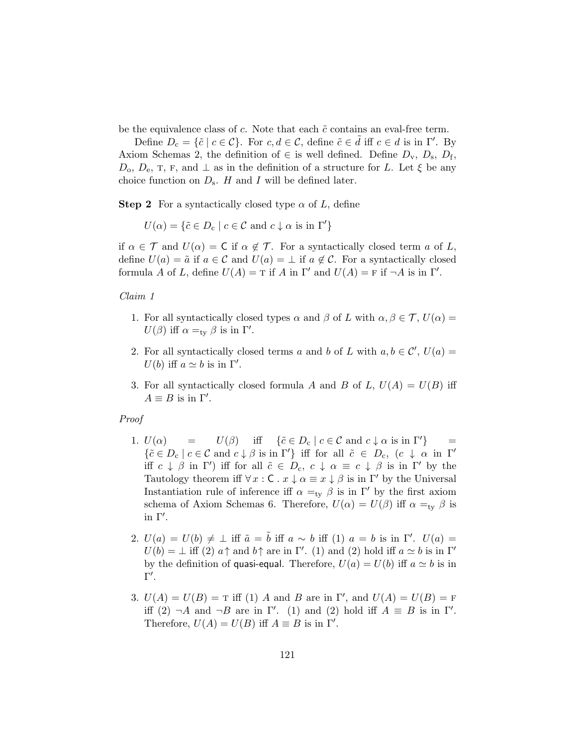be the equivalence class of  $c$ . Note that each  $\tilde{c}$  contains an eval-free term.

Define  $D_c = \{\tilde{c} \mid c \in \mathcal{C}\}\$ . For  $c, d \in \mathcal{C}$ , define  $\tilde{c} \in \tilde{d}$  iff  $c \in d$  is in  $\Gamma'$ . By Axiom Schemas 2, the definition of  $\in$  is well defined. Define  $D_{\rm v}$ ,  $D_{\rm s}$ ,  $D_{\rm f}$ ,  $D_0, D_e, T, F, \text{ and } \perp$  as in the definition of a structure for L. Let  $\xi$  be any choice function on  $D_s$ . H and I will be defined later.

**Step 2** For a syntactically closed type  $\alpha$  of L, define

 $U(\alpha) = \{ \tilde{c} \in D_c \mid c \in \mathcal{C} \text{ and } c \downarrow \alpha \text{ is in } \Gamma' \}$ 

if  $\alpha \in \mathcal{T}$  and  $U(\alpha) = \mathsf{C}$  if  $\alpha \notin \mathcal{T}$ . For a syntactically closed term a of L, define  $U(a) = \tilde{a}$  if  $a \in \mathcal{C}$  and  $U(a) = \perp$  if  $a \notin \mathcal{C}$ . For a syntactically closed formula A of L, define  $U(A) = T$  if A in  $\Gamma'$  and  $U(A) = F$  if  $\neg A$  is in  $\Gamma'$ .

#### Claim 1

- 1. For all syntactically closed types  $\alpha$  and  $\beta$  of L with  $\alpha, \beta \in \mathcal{T}$ ,  $U(\alpha) =$  $U(\beta)$  iff  $\alpha =_{\text{ty}} \beta$  is in  $\Gamma'$ .
- 2. For all syntactically closed terms a and b of L with  $a, b \in \mathcal{C}'$ ,  $U(a) =$  $U(b)$  iff  $a \simeq b$  is in  $\Gamma'.$
- 3. For all syntactically closed formula A and B of L,  $U(A) = U(B)$  iff  $A \equiv B$  is in  $\Gamma'.$

#### Proof

- 1.  $U(\alpha)$  =  $U(\beta)$  iff  $\{\tilde{c} \in D_c \mid c \in \mathcal{C} \text{ and } c \downarrow \alpha \text{ is in } \Gamma'\}\$  $\{\tilde{c} \in D_c \mid c \in \mathcal{C} \text{ and } c \downarrow \beta \text{ is in } \Gamma'\}$  iff for all  $\tilde{c} \in D_c$ ,  $(c \downarrow \alpha \text{ in } \Gamma')$ iff  $c \downarrow \beta$  in  $\Gamma'$ ) iff for all  $\tilde{c} \in D_c$ ,  $c \downarrow \alpha \equiv c \downarrow \beta$  is in  $\Gamma'$  by the Tautology theorem iff  $\forall x : C \cdot x \downarrow \alpha \equiv x \downarrow \beta$  is in  $\Gamma'$  by the Universal Instantiation rule of inference iff  $\alpha =_{\text{ty}} \beta$  is in Γ' by the first axiom schema of Axiom Schemas 6. Therefore,  $U(\alpha) = U(\beta)$  iff  $\alpha =_{\text{tv}} \beta$  is in  $\Gamma'$ .
- 2.  $U(a) = U(b) \neq \bot$  iff  $\tilde{a} = \tilde{b}$  iff  $a \sim b$  iff (1)  $a = b$  is in Γ'.  $U(a) =$  $U(b) = \perp$  iff (2)  $a \uparrow$  and  $b \uparrow$  are in Γ'. (1) and (2) hold iff  $a \simeq b$  is in Γ' by the definition of quasi-equal. Therefore,  $U(a) = U(b)$  iff  $a \simeq b$  is in  $\Gamma'.$
- 3.  $U(A) = U(B) = T$  iff (1) A and B are in  $\Gamma'$ , and  $U(A) = U(B) = F$ iff (2)  $\neg A$  and  $\neg B$  are in Γ'. (1) and (2) hold iff  $A \equiv B$  is in Γ'. Therefore,  $U(A) = U(B)$  iff  $A \equiv B$  is in  $\Gamma'$ .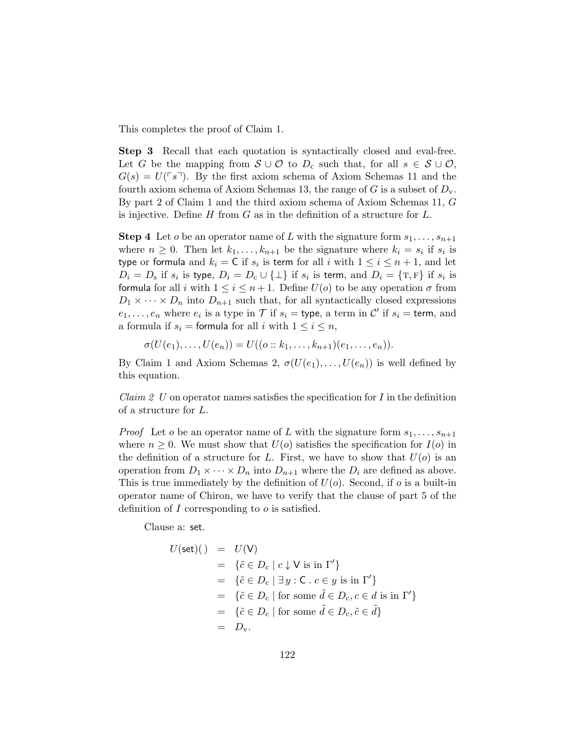This completes the proof of Claim 1.

Step 3 Recall that each quotation is syntactically closed and eval-free. Let G be the mapping from  $S \cup \mathcal{O}$  to  $D_c$  such that, for all  $s \in S \cup \mathcal{O}$ ,  $G(s) = U(\sqrt{\sqrt{s}})$ . By the first axiom schema of Axiom Schemas 11 and the fourth axiom schema of Axiom Schemas 13, the range of G is a subset of  $D_{v}$ . By part 2 of Claim 1 and the third axiom schema of Axiom Schemas 11, G is injective. Define  $H$  from  $G$  as in the definition of a structure for  $L$ .

**Step 4** Let *o* be an operator name of L with the signature form  $s_1, \ldots, s_{n+1}$ where  $n \geq 0$ . Then let  $k_1, \ldots, k_{n+1}$  be the signature where  $k_i = s_i$  if  $s_i$  is type or formula and  $k_i = \mathsf{C}$  if  $s_i$  is term for all i with  $1 \leq i \leq n+1$ , and let  $D_i = D_s$  if  $s_i$  is type,  $D_i = D_c \cup {\{\perp\}}$  if  $s_i$  is term, and  $D_i = {\{\text{T}, \text{F}\}}$  if  $s_i$  is formula for all i with  $1 \leq i \leq n+1$ . Define  $U(o)$  to be any operation  $\sigma$  from  $D_1 \times \cdots \times D_n$  into  $D_{n+1}$  such that, for all syntactically closed expressions  $e_1, \ldots, e_n$  where  $e_i$  is a type in  $\mathcal T$  if  $s_i =$  type, a term in  $\mathcal C'$  if  $s_i =$  term, and a formula if  $s_i =$  formula for all i with  $1 \leq i \leq n$ ,

 $\sigma(U(e_1), \ldots, U(e_n)) = U((o:: k_1, \ldots, k_{n+1})(e_1, \ldots, e_n)).$ 

By Claim 1 and Axiom Schemas 2,  $\sigma(U(e_1), \ldots, U(e_n))$  is well defined by this equation.

*Claim 2 U* on operator names satisfies the specification for I in the definition of a structure for L.

*Proof* Let *o* be an operator name of L with the signature form  $s_1, \ldots, s_{n+1}$ where  $n \geq 0$ . We must show that  $U(o)$  satisfies the specification for  $I(o)$  in the definition of a structure for L. First, we have to show that  $U(o)$  is an operation from  $D_1 \times \cdots \times D_n$  into  $D_{n+1}$  where the  $D_i$  are defined as above. This is true immediately by the definition of  $U(o)$ . Second, if o is a built-in operator name of Chiron, we have to verify that the clause of part 5 of the definition of I corresponding to  $\sigma$  is satisfied.

Clause a: set.

$$
U(\text{set})(\ ) = U(\text{V})
$$
  
=  $\{\tilde{c} \in D_c \mid c \downarrow \text{V} \text{ is in } \Gamma'\}$   
=  $\{\tilde{c} \in D_c \mid \exists y : C \cdot c \in y \text{ is in } \Gamma'\}$   
=  $\{\tilde{c} \in D_c \mid \text{for some } \tilde{d} \in D_c, c \in d \text{ is in } \Gamma'\}$   
=  $\{\tilde{c} \in D_c \mid \text{for some } \tilde{d} \in D_c, \tilde{c} \in \tilde{d}\}$   
=  $D_v$ .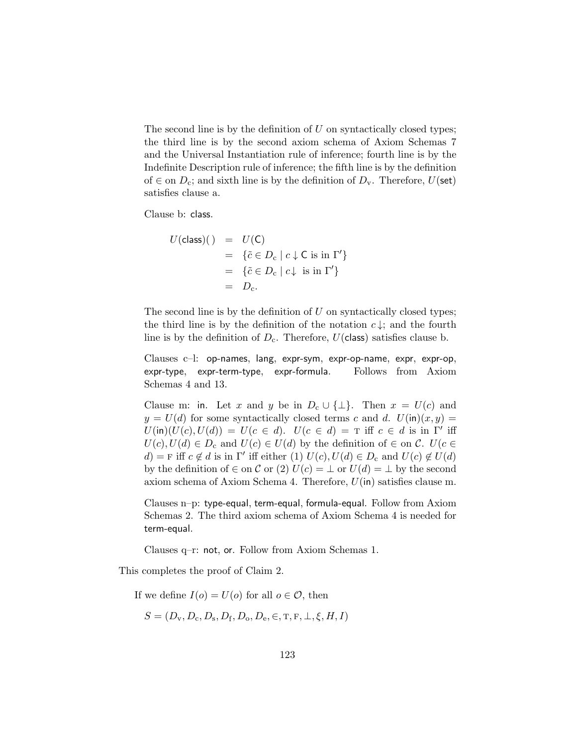The second line is by the definition of  $U$  on syntactically closed types; the third line is by the second axiom schema of Axiom Schemas 7 and the Universal Instantiation rule of inference; fourth line is by the Indefinite Description rule of inference; the fifth line is by the definition of  $\in$  on  $D_c$ ; and sixth line is by the definition of  $D_v$ . Therefore,  $U(\text{set})$ satisfies clause a.

Clause b: class.

$$
U(\text{class})(\ ) = U(\text{C})
$$
  
= \{ \tilde{c} \in D\_{\text{c}} \mid c \downarrow \text{C is in } \Gamma' \}  
= \{ \tilde{c} \in D\_{\text{c}} \mid c \downarrow \text{ is in } \Gamma' \}  
= D\_{\text{c}}.

The second line is by the definition of  $U$  on syntactically closed types; the third line is by the definition of the notation  $c \downarrow$ ; and the fourth line is by the definition of  $D_c$ . Therefore,  $U(\text{class})$  satisfies clause b.

Clauses c–l: op-names, lang, expr-sym, expr-op-name, expr, expr-op, expr-type, expr-term-type, expr-formula. Follows from Axiom Schemas 4 and 13.

Clause m: in. Let x and y be in  $D_c \cup \{\perp\}$ . Then  $x = U(c)$  and  $y = U(d)$  for some syntactically closed terms c and d.  $U(\text{in})(x, y) =$  $U(\text{in})(U(c), U(d)) = U(c \in d)$ .  $U(c \in d) = T$  iff  $c \in d$  is in Γ' iff  $U(c), U(d) \in D_c$  and  $U(c) \in U(d)$  by the definition of  $\in$  on C.  $U(c \in$ d) = F iff  $c \notin d$  is in  $\Gamma'$  iff either (1)  $U(c)$ ,  $U(d) \in D_c$  and  $U(c) \notin U(d)$ by the definition of  $\in$  on C or (2)  $U(c) = \perp$  or  $U(d) = \perp$  by the second axiom schema of Axiom Schema 4. Therefore,  $U(\mathsf{in})$  satisfies clause m.

Clauses n–p: type-equal, term-equal, formula-equal. Follow from Axiom Schemas 2. The third axiom schema of Axiom Schema 4 is needed for term-equal.

Clauses q–r: not, or. Follow from Axiom Schemas 1.

This completes the proof of Claim 2.

If we define  $I(o) = U(o)$  for all  $o \in \mathcal{O}$ , then

$$
S = (D_v, D_c, D_s, D_f, D_o, D_e, \in, \mathbf{T}, \mathbf{F}, \perp, \xi, H, I)
$$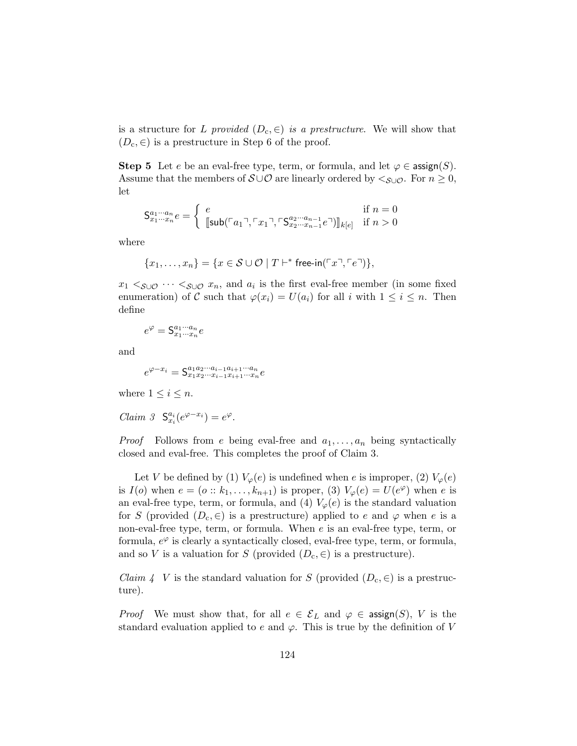is a structure for L provided  $(D_c, \epsilon)$  is a prestructure. We will show that  $(D_c, \in)$  is a prestructure in Step 6 of the proof.

Step 5 Let e be an eval-free type, term, or formula, and let  $\varphi \in \text{assign}(S)$ . Assume that the members of  $S \cup \mathcal{O}$  are linearly ordered by  $\langle S \cup \mathcal{O} \rangle$ . For  $n \geq 0$ , let

$$
\mathsf{S}_{x_1\cdots x_n}^{a_1\cdots a_n}e = \begin{cases} e & \text{if } n = 0\\ [\text{sub}(\ulcorner a_1 \urcorner, \ulcorner x_1 \urcorner, \ulcorner \mathsf{S}_{x_2\cdots x_{n-1}}^{a_2\cdots a_{n-1}} e\urcorner)]_{k[e]} & \text{if } n > 0 \end{cases}
$$

where

$$
\{x_1,\ldots,x_n\}=\{x\in\mathcal{S}\cup\mathcal{O}\mid T\vdash^*\mathsf{free}\text{-}\mathsf{in}(\ulcorner x\urcorner,\ulcorner e\urcorner)\},
$$

 $x_1 \leq_{\mathcal{S}\cup\mathcal{O}} \cdots \leq_{\mathcal{S}\cup\mathcal{O}} x_n$ , and  $a_i$  is the first eval-free member (in some fixed enumeration) of C such that  $\varphi(x_i) = U(a_i)$  for all i with  $1 \leq i \leq n$ . Then define

$$
e^{\varphi} = \mathsf{S}^{a_1 \cdots a_n}_{x_1 \cdots x_n} e
$$

and

$$
e^{\varphi - x_i} = \mathsf{S}^{a_1 a_2 \cdots a_{i-1} a_{i+1} \cdots a_n}_{x_1 x_2 \cdots x_{i-1} x_{i+1} \cdots x_n}e
$$

where  $1 \leq i \leq n$ .

Claim 3  $S_{x_i}^{a_i}(e^{\varphi-x_i})=e^{\varphi}.$ 

*Proof* Follows from e being eval-free and  $a_1, \ldots, a_n$  being syntactically closed and eval-free. This completes the proof of Claim 3.

Let V be defined by (1)  $V_{\varphi}(e)$  is undefined when e is improper, (2)  $V_{\varphi}(e)$ is  $I(o)$  when  $e = (o:: k_1, \ldots, k_{n+1})$  is proper, (3)  $V_{\varphi}(e) = U(e^{\varphi})$  when e is an eval-free type, term, or formula, and (4)  $V_{\varphi}(e)$  is the standard valuation for S (provided  $(D_c, \epsilon)$  is a prestructure) applied to e and  $\varphi$  when e is a non-eval-free type, term, or formula. When e is an eval-free type, term, or formula,  $e^{\varphi}$  is clearly a syntactically closed, eval-free type, term, or formula, and so V is a valuation for S (provided  $(D_c, \in)$  is a prestructure).

*Claim 4* V is the standard valuation for S (provided  $(D_c, \epsilon)$  is a prestructure).

*Proof* We must show that, for all  $e \in \mathcal{E}_L$  and  $\varphi \in \mathsf{assign}(S)$ , V is the standard evaluation applied to e and  $\varphi$ . This is true by the definition of V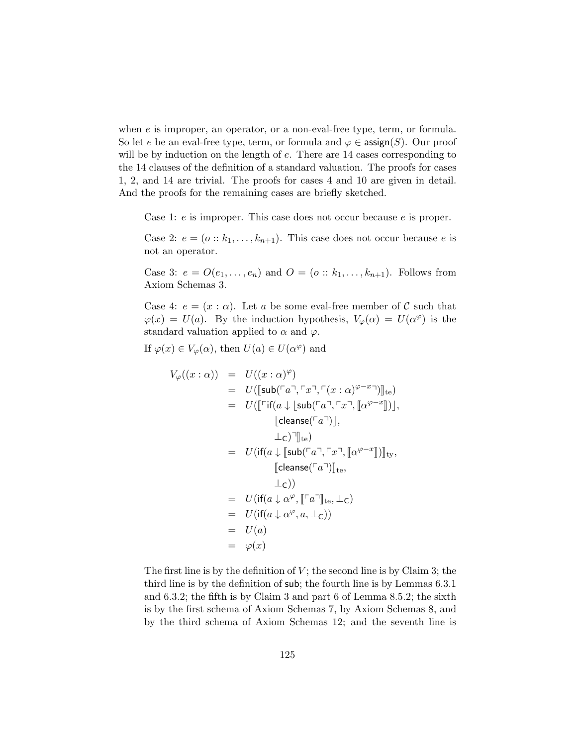when  $e$  is improper, an operator, or a non-eval-free type, term, or formula. So let e be an eval-free type, term, or formula and  $\varphi \in \mathsf{assign}(S)$ . Our proof will be by induction on the length of  $e$ . There are 14 cases corresponding to the 14 clauses of the definition of a standard valuation. The proofs for cases 1, 2, and 14 are trivial. The proofs for cases 4 and 10 are given in detail. And the proofs for the remaining cases are briefly sketched.

Case 1: e is improper. This case does not occur because e is proper.

Case 2:  $e = (o : k_1, \ldots, k_{n+1})$ . This case does not occur because e is not an operator.

Case 3:  $e = O(e_1, ..., e_n)$  and  $O = (o :: k_1, ..., k_{n+1})$ . Follows from Axiom Schemas 3.

Case 4:  $e = (x : \alpha)$ . Let a be some eval-free member of C such that  $\varphi(x) = U(a)$ . By the induction hypothesis,  $V_{\varphi}(\alpha) = U(\alpha^{\varphi})$  is the standard valuation applied to  $\alpha$  and  $\varphi$ .

If  $\varphi(x) \in V_{\varphi}(\alpha)$ , then  $U(a) \in U(\alpha^{\varphi})$  and

$$
V_{\varphi}((x:\alpha)) = U((x:\alpha)^{\varphi})
$$
  
\n
$$
= U([\text{sub}(\ulcorner a \urcorner, \ulcorner x \urcorner, \ulcorner (x:\alpha)^{\varphi-x} \urcorner)]_{te})
$$
  
\n
$$
= U([\ulcorner \text{if}(a \downarrow \lfloor \text{sub}(\ulcorner a \urcorner, \ulcorner x \urcorner, \llbracket \alpha^{\varphi-x} \rrbracket)],
$$
  
\n
$$
\lfloor \text{cleanse}(\ulcorner a \urcorner)],
$$
  
\n
$$
\perp c)^{\urcorner} \rrbracket_{te}
$$
  
\n
$$
= U(\text{if}(a \downarrow \llbracket \text{sub}(\ulcorner a \urcorner, \ulcorner x \urcorner, \llbracket \alpha^{\varphi-x} \rrbracket)) \rrbracket_{ty},
$$
  
\n
$$
\llbracket \text{cleanse}(\ulcorner a \urcorner)]_{te},
$$
  
\n
$$
\perp c))
$$
  
\n
$$
= U(\text{if}(a \downarrow \alpha^{\varphi}, \llbracket \ulcorner a \urcorner]_{te}, \perp c)
$$
  
\n
$$
= U(\text{if}(a \downarrow \alpha^{\varphi}, a, \perp c))
$$
  
\n
$$
= U(a)
$$
  
\n
$$
= \varphi(x)
$$

The first line is by the definition of  $V$ ; the second line is by Claim 3; the third line is by the definition of sub; the fourth line is by Lemmas 6.3.1 and 6.3.2; the fifth is by Claim 3 and part 6 of Lemma 8.5.2; the sixth is by the first schema of Axiom Schemas 7, by Axiom Schemas 8, and by the third schema of Axiom Schemas 12; and the seventh line is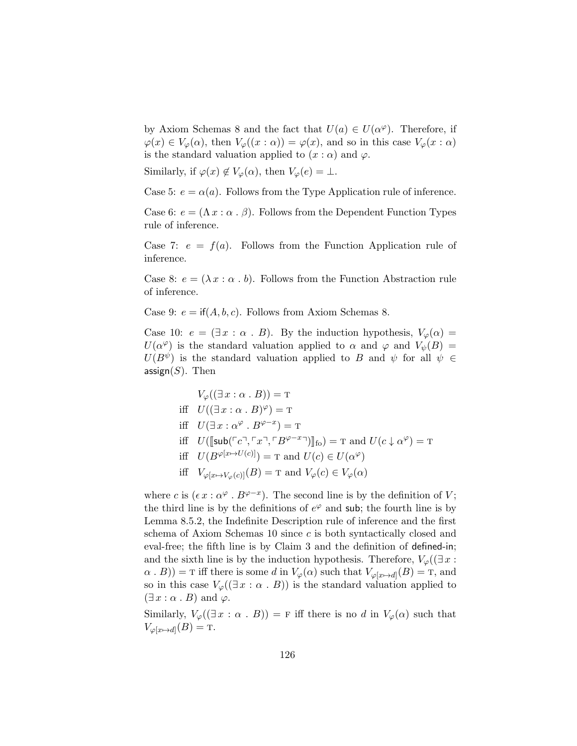by Axiom Schemas 8 and the fact that  $U(a) \in U(\alpha^{\varphi})$ . Therefore, if  $\varphi(x) \in V_{\varphi}(\alpha)$ , then  $V_{\varphi}((x:\alpha)) = \varphi(x)$ , and so in this case  $V_{\varphi}(x:\alpha)$ is the standard valuation applied to  $(x : \alpha)$  and  $\varphi$ .

Similarly, if  $\varphi(x) \notin V_{\varphi}(\alpha)$ , then  $V_{\varphi}(e) = \bot$ .

Case 5:  $e = \alpha(a)$ . Follows from the Type Application rule of inference.

Case 6:  $e = (\Lambda x : \alpha \cdot \beta)$ . Follows from the Dependent Function Types rule of inference.

Case 7:  $e = f(a)$ . Follows from the Function Application rule of inference.

Case 8:  $e = (\lambda x : \alpha : b)$ . Follows from the Function Abstraction rule of inference.

Case 9:  $e = \text{if}(A, b, c)$ . Follows from Axiom Schemas 8.

Case 10:  $e = (\exists x : \alpha \cdot B)$ . By the induction hypothesis,  $V_{\varphi}(\alpha) =$  $U(\alpha^{\varphi})$  is the standard valuation applied to  $\alpha$  and  $\varphi$  and  $V_{\psi}(B) =$  $U(B^{\psi})$  is the standard valuation applied to B and  $\psi$  for all  $\psi \in$ assign $(S)$ . Then

$$
V_{\varphi}((\exists x : \alpha \cdot B)) = \mathrm{T}
$$

$$
\text{iff} \quad U((\exists x : \alpha \cdot B)^{\varphi}) = \text{T}
$$

$$
\text{iff} \quad U(\exists x : \alpha^{\varphi} \cdot B^{\varphi - x}) = \text{T}
$$

- iff  $U([\text{sub}(\ulcorner c \urcorner, \ulcorner x \urcorner, \ulcorner B^{\varphi x} \urcorner)])_{\text{fo}}) = \text{T}$  and  $U(c \downarrow \alpha^{\varphi}) = \text{T}$
- iff  $U(B^{\varphi[x \mapsto U(c)]}) = \text{T}$  and  $U(c) \in U(\alpha^{\varphi})$
- iff  $V_{\varphi[x \mapsto V_{\varphi}(c)]}(B) = \text{T}$  and  $V_{\varphi}(c) \in V_{\varphi}(\alpha)$

where c is  $(\epsilon x : \alpha^{\varphi} \cdot B^{\varphi - x})$ . The second line is by the definition of V; the third line is by the definitions of  $e^{\varphi}$  and sub; the fourth line is by Lemma 8.5.2, the Indefinite Description rule of inference and the first schema of Axiom Schemas 10 since c is both syntactically closed and eval-free; the fifth line is by Claim 3 and the definition of defined-in; and the sixth line is by the induction hypothesis. Therefore,  $V_{\varphi}(\exists x :$  $(\alpha \cdot B)) = \text{T}$  iff there is some d in  $V_{\varphi}(\alpha)$  such that  $V_{\varphi[x \mapsto d]}(B) = \text{T}$ , and so in this case  $V_{\varphi}(\exists x : \alpha \cdot B)$  is the standard valuation applied to  $(\exists x : \alpha \cdot B)$  and  $\varphi$ .

Similarly,  $V_{\varphi}(\exists x : \alpha \cdot B)$  = F iff there is no d in  $V_{\varphi}(\alpha)$  such that  $V_{\varphi[x \mapsto d]}(B) = \text{T}.$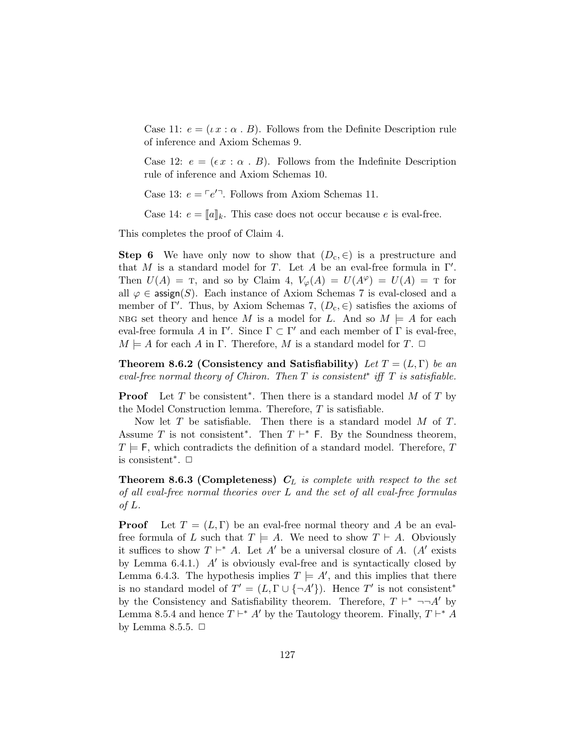Case 11:  $e = (\iota \, x : \alpha \cdot B)$ . Follows from the Definite Description rule of inference and Axiom Schemas 9.

Case 12:  $e = (\epsilon x : \alpha : B)$ . Follows from the Indefinite Description rule of inference and Axiom Schemas 10.

Case 13:  $e = \lceil e'^{\top} \rceil$ . Follows from Axiom Schemas 11.

Case 14:  $e = [a]_k$ . This case does not occur because e is eval-free.

This completes the proof of Claim 4.

**Step 6** We have only now to show that  $(D_c, \in)$  is a prestructure and that M is a standard model for T. Let A be an eval-free formula in  $\Gamma'$ . Then  $U(A) = T$ , and so by Claim 4,  $V_{\varphi}(A) = U(A^{\varphi}) = U(A) = T$  for all  $\varphi \in \text{assign}(S)$ . Each instance of Axiom Schemas 7 is eval-closed and a member of Γ'. Thus, by Axiom Schemas 7,  $(D_c, \in)$  satisfies the axioms of NBG set theory and hence M is a model for L. And so  $M \models A$  for each eval-free formula A in  $\Gamma'$ . Since  $\Gamma \subset \Gamma'$  and each member of  $\Gamma$  is eval-free,  $M \models A$  for each A in Γ. Therefore, M is a standard model for T.  $\Box$ 

Theorem 8.6.2 (Consistency and Satisfiability) Let  $T = (L, \Gamma)$  be an eval-free normal theory of Chiron. Then  $T$  is consistent<sup>\*</sup> iff  $T$  is satisfiable.

**Proof** Let T be consistent<sup>\*</sup>. Then there is a standard model M of T by the Model Construction lemma. Therefore,  $T$  is satisfiable.

Now let  $T$  be satisfiable. Then there is a standard model  $M$  of  $T$ . Assume T is not consistent<sup>\*</sup>. Then  $T \vdash^* F$ . By the Soundness theorem,  $T \models F$ , which contradicts the definition of a standard model. Therefore, T is consistent<sup>\*</sup>.  $□$ 

**Theorem 8.6.3 (Completeness)**  $C_L$  is complete with respect to the set of all eval-free normal theories over L and the set of all eval-free formulas of L.

**Proof** Let  $T = (L, \Gamma)$  be an eval-free normal theory and A be an evalfree formula of L such that  $T \models A$ . We need to show  $T \vdash A$ . Obviously it suffices to show  $T \vdash^* A$ . Let A' be a universal closure of A. (A' exists by Lemma  $6.4.1$ .)  $A'$  is obviously eval-free and is syntactically closed by Lemma 6.4.3. The hypothesis implies  $T \models A'$ , and this implies that there is no standard model of  $T' = (L, \Gamma \cup \{\neg A'\})$ . Hence T' is not consistent<sup>\*</sup> by the Consistency and Satisfiability theorem. Therefore,  $T \vdash^* \neg\neg A'$  by Lemma 8.5.4 and hence  $T \vdash^* A'$  by the Tautology theorem. Finally,  $T \vdash^* A$ by Lemma 8.5.5.  $\Box$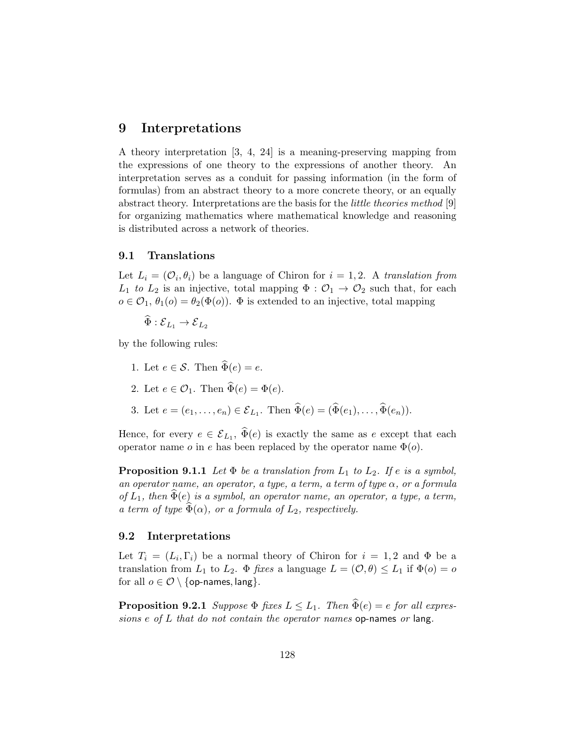## 9 Interpretations

A theory interpretation [3, 4, 24] is a meaning-preserving mapping from the expressions of one theory to the expressions of another theory. An interpretation serves as a conduit for passing information (in the form of formulas) from an abstract theory to a more concrete theory, or an equally abstract theory. Interpretations are the basis for the little theories method [9] for organizing mathematics where mathematical knowledge and reasoning is distributed across a network of theories.

#### 9.1 Translations

Let  $L_i = (\mathcal{O}_i, \theta_i)$  be a language of Chiron for  $i = 1, 2$ . A translation from  $L_1$  to  $L_2$  is an injective, total mapping  $\Phi : \mathcal{O}_1 \to \mathcal{O}_2$  such that, for each  $o \in \mathcal{O}_1$ ,  $\theta_1(o) = \theta_2(\Phi(o))$ .  $\Phi$  is extended to an injective, total mapping

$$
\widehat{\Phi} : {\mathcal E}_{L_1} \to {\mathcal E}_{L_2}
$$

by the following rules:

- 1. Let  $e \in \mathcal{S}$ . Then  $\widehat{\Phi}(e) = e$ .
- 2. Let  $e \in \mathcal{O}_1$ . Then  $\widehat{\Phi}(e) = \Phi(e)$ .
- 3. Let  $e = (e_1, ..., e_n) \in \mathcal{E}_{L_1}$ . Then  $\Phi(e) = (\Phi(e_1), ..., \Phi(e_n))$ .

Hence, for every  $e \in \mathcal{E}_{L_1}$ ,  $\Phi(e)$  is exactly the same as e except that each operator name  $o$  in  $e$  has been replaced by the operator name  $\Phi(o)$ .

**Proposition 9.1.1** Let  $\Phi$  be a translation from  $L_1$  to  $L_2$ . If e is a symbol, an operator name, an operator, a type, a term, a term of type  $\alpha$ , or a formula of  $L_1$ , then  $\Phi(e)$  is a symbol, an operator name, an operator, a type, a term, a term of type  $\widetilde{\Phi}(\alpha)$ , or a formula of  $L_2$ , respectively.

#### 9.2 Interpretations

Let  $T_i = (L_i, \Gamma_i)$  be a normal theory of Chiron for  $i = 1, 2$  and  $\Phi$  be a translation from  $L_1$  to  $L_2$ .  $\Phi$  fixes a language  $L = (\mathcal{O}, \theta) \le L_1$  if  $\Phi(o) = o$ for all  $o \in \mathcal{O} \setminus \{\text{op-names}, \text{lang}\}.$ 

**Proposition 9.2.1** Suppose  $\Phi$  fixes  $L \leq L_1$ . Then  $\widehat{\Phi}(e) = e$  for all expressions e of L that do not contain the operator names op-names or lang.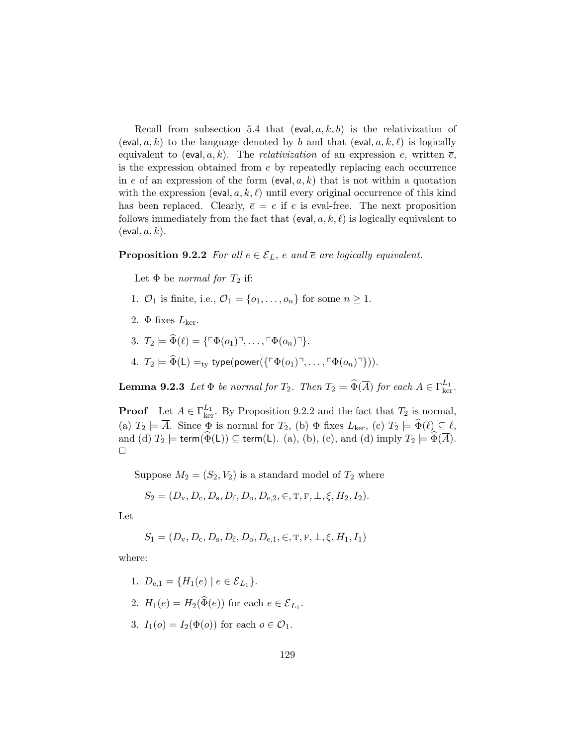Recall from subsection 5.4 that  $(eval, a, k, b)$  is the relativization of (eval, a, k) to the language denoted by b and that (eval,  $a, k, \ell$ ) is logically equivalent to (eval, a, k). The *relativization* of an expression e, written  $\bar{e}$ , is the expression obtained from  $e$  by repeatedly replacing each occurrence in e of an expression of the form  $(eval, a, k)$  that is not within a quotation with the expression (eval,  $a, k, l$ ) until every original occurrence of this kind has been replaced. Clearly,  $\overline{e} = e$  if e is eval-free. The next proposition follows immediately from the fact that (eval,  $a, k, \ell$ ) is logically equivalent to  $(e$ val,  $a, k$ ).

### **Proposition 9.2.2** For all  $e \in \mathcal{E}_L$ , e and  $\overline{e}$  are logically equivalent.

Let  $\Phi$  be normal for  $T_2$  if:

- 1.  $\mathcal{O}_1$  is finite, i.e.,  $\mathcal{O}_1 = \{o_1, \ldots, o_n\}$  for some  $n \geq 1$ .
- 2.  $\Phi$  fixes  $L_{\text{ker}}$ .
- 3.  $T_2 \models \widehat{\Phi}(\ell) = {\sqcap_{\Phi(o_1)} \neg \dots \neg \sqcap_{\Phi(o_n)} \neg}.$
- 4.  $T_2 \models \widehat{\Phi}(\mathsf{L}) =_{\text{ty}} \text{type}(\text{power}(\{\ulcorner \Phi(o_1) \urcorner, \ldots, \ulcorner \Phi(o_n) \urcorner \}))$ .

**Lemma 9.2.3** Let  $\Phi$  be normal for  $T_2$ . Then  $T_2 \models \widehat{\Phi}(\overline{A})$  for each  $A \in \Gamma_{\ker}^{L_1}$ .

**Proof** Let  $A \in \Gamma_{\text{ker}}^{L_1}$ . By Proposition 9.2.2 and the fact that  $T_2$  is normal, (a)  $T_2 \models A$ . Since  $\Phi$  is normal for  $T_2$ , (b)  $\Phi$  fixes  $L_{\text{ker}}$ , (c)  $T_2 \models \Phi(\ell) \subseteq \ell$ , and (d)  $T_2 \models \mathsf{term}(\Phi(\mathsf{L})) \subseteq \mathsf{term}(\mathsf{L}).$  (a), (b), (c), and (d) imply  $T_2 \models \Phi(\overline{A}).$  $\Box$ 

Suppose  $M_2 = (S_2, V_2)$  is a standard model of  $T_2$  where

$$
S_2 = (D_v, D_c, D_s, D_f, D_o, D_{e,2}, \in, \mathbf{T}, \mathbf{F}, \perp, \xi, H_2, I_2).
$$

Let

$$
S_1 = (D_v, D_c, D_s, D_f, D_o, D_{e,1}, \in, T, F, \perp, \xi, H_1, I_1)
$$

where:

- 1.  $D_{e,1} = \{H_1(e) \mid e \in \mathcal{E}_{L_1}\}.$
- 2.  $H_1(e) = H_2(\Phi(e))$  for each  $e \in \mathcal{E}_{L_1}$ .
- 3.  $I_1(o) = I_2(\Phi(o))$  for each  $o \in \mathcal{O}_1$ .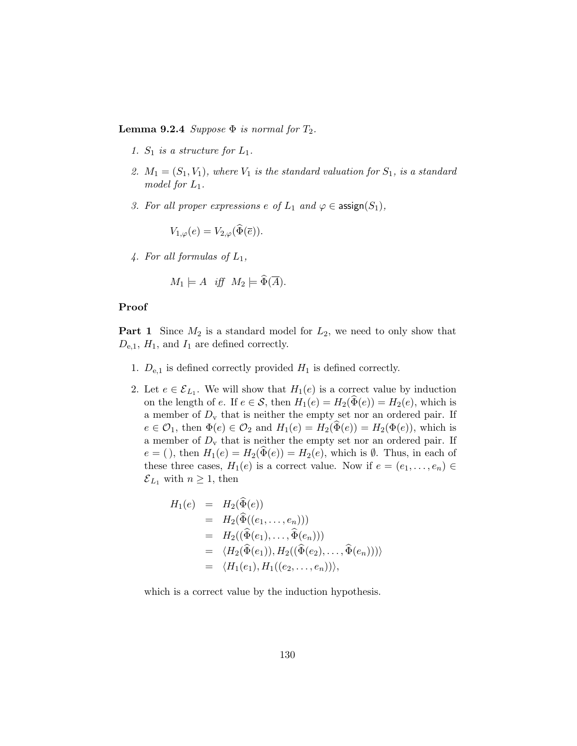**Lemma 9.2.4** Suppose  $\Phi$  is normal for  $T_2$ .

- 1.  $S_1$  is a structure for  $L_1$ .
- 2.  $M_1 = (S_1, V_1)$ , where  $V_1$  is the standard valuation for  $S_1$ , is a standard model for  $L_1$ .
- 3. For all proper expressions e of  $L_1$  and  $\varphi \in \text{assign}(S_1)$ ,

$$
V_{1,\varphi}(e) = V_{2,\varphi}(\tilde{\Phi}(\overline{e})).
$$

4. For all formulas of  $L_1$ ,

$$
M_1 \models A \quad \text{iff} \quad M_2 \models \widetilde{\Phi}(\overline{A}).
$$

#### Proof

**Part 1** Since  $M_2$  is a standard model for  $L_2$ , we need to only show that  $D_{e,1}$ ,  $H_1$ , and  $I_1$  are defined correctly.

- 1.  $D_{e,1}$  is defined correctly provided  $H_1$  is defined correctly.
- 2. Let  $e \in \mathcal{E}_{L_1}$ . We will show that  $H_1(e)$  is a correct value by induction on the length of e. If  $e \in S$ , then  $H_1(e) = H_2(\hat{\Phi}(e)) = H_2(e)$ , which is a member of  $D_{\rm v}$  that is neither the empty set nor an ordered pair. If  $e \in \mathcal{O}_1$ , then  $\Phi(e) \in \mathcal{O}_2$  and  $H_1(e) = H_2(\widehat{\Phi}(e)) = H_2(\Phi(e))$ , which is a member of  $D_{\rm v}$  that is neither the empty set nor an ordered pair. If  $e = ()$ , then  $H_1(e) = H_2(\tilde{\Phi}(e)) = H_2(e)$ , which is  $\emptyset$ . Thus, in each of these three cases,  $H_1(e)$  is a correct value. Now if  $e = (e_1, \ldots, e_n) \in$  $\mathcal{E}_{L_1}$  with  $n \geq 1$ , then

$$
H_1(e) = H_2(\widehat{\Phi}(e))
$$
  
=  $H_2(\widehat{\Phi}((e_1, ..., e_n)))$   
=  $H_2((\widehat{\Phi}(e_1), ..., \widehat{\Phi}(e_n)))$   
=  $\langle H_2(\widehat{\Phi}(e_1)), H_2((\widehat{\Phi}(e_2), ..., \widehat{\Phi}(e_n))) \rangle$   
=  $\langle H_1(e_1), H_1((e_2, ..., e_n)) \rangle$ ,

which is a correct value by the induction hypothesis.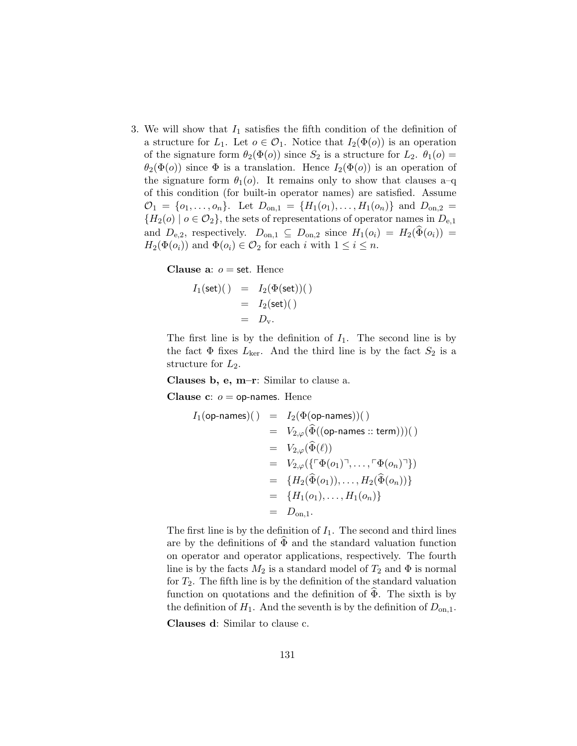3. We will show that  $I_1$  satisfies the fifth condition of the definition of a structure for  $L_1$ . Let  $o \in \mathcal{O}_1$ . Notice that  $I_2(\Phi(o))$  is an operation of the signature form  $\theta_2(\Phi(o))$  since  $S_2$  is a structure for  $L_2$ .  $\theta_1(o)$  =  $\theta_2(\Phi(o))$  since  $\Phi$  is a translation. Hence  $I_2(\Phi(o))$  is an operation of the signature form  $\theta_1(o)$ . It remains only to show that clauses a–q of this condition (for built-in operator names) are satisfied. Assume  $\mathcal{O}_1 = \{o_1, \ldots, o_n\}$ . Let  $D_{\text{on},1} = \{H_1(o_1), \ldots, H_1(o_n)\}$  and  $D_{\text{on},2} =$  ${H_2(o) \mid o \in \mathcal{O}_2}$ , the sets of representations of operator names in  $D_{e,1}$ and  $D_{e,2}$ , respectively.  $D_{on,1} \subseteq D_{on,2}$  since  $H_1(o_i) = H_2(\widehat{\Phi}(o_i)) =$  $H_2(\Phi(o_i))$  and  $\Phi(o_i) \in \mathcal{O}_2$  for each i with  $1 \leq i \leq n$ .

Clause a:  $o =$  set. Hence

$$
I_1(\text{set})(\ )\quad=\quad I_2(\Phi(\text{set}))(\ )\\ \quad=\quad I_2(\text{set})(\ )\\ \quad=\quad D_{\text{v}}.
$$

The first line is by the definition of  $I_1$ . The second line is by the fact  $\Phi$  fixes  $L_{\text{ker}}$ . And the third line is by the fact  $S_2$  is a structure for  $L_2$ .

Clauses b, e, m–r: Similar to clause a.

Clause  $c: o =$  op-names. Hence

$$
I_1(\text{op-names})(\ ) \ = \ I_2(\Phi(\text{op-names}))\text{)}\\ \ = \ \ V_{2,\varphi}(\widehat{\Phi}((\text{op-names}::\text{term})))\text{)}\\ \ = \ \ V_{2,\varphi}(\widehat{\Phi}(\ell))\\ \ = \ \ V_{2,\varphi}(\{\ulcorner\Phi(o_1)\urcorner,\ldots,\ulcorner\Phi(o_n)\urcorner\})\\ \ = \ \{H_2(\widehat{\Phi}(o_1)),\ldots,H_2(\widehat{\Phi}(o_n))\}\\ \ = \ \{H_1(o_1),\ldots,H_1(o_n)\}\\ \ = \ \ D_{\text{on},1}.
$$

The first line is by the definition of  $I_1$ . The second and third lines are by the definitions of  $\widehat{\Phi}$  and the standard valuation function on operator and operator applications, respectively. The fourth line is by the facts  $M_2$  is a standard model of  $T_2$  and  $\Phi$  is normal for  $T_2$ . The fifth line is by the definition of the standard valuation function on quotations and the definition of  $\Phi$ . The sixth is by the definition of  $H_1$ . And the seventh is by the definition of  $D_{on,1}$ .

Clauses d: Similar to clause c.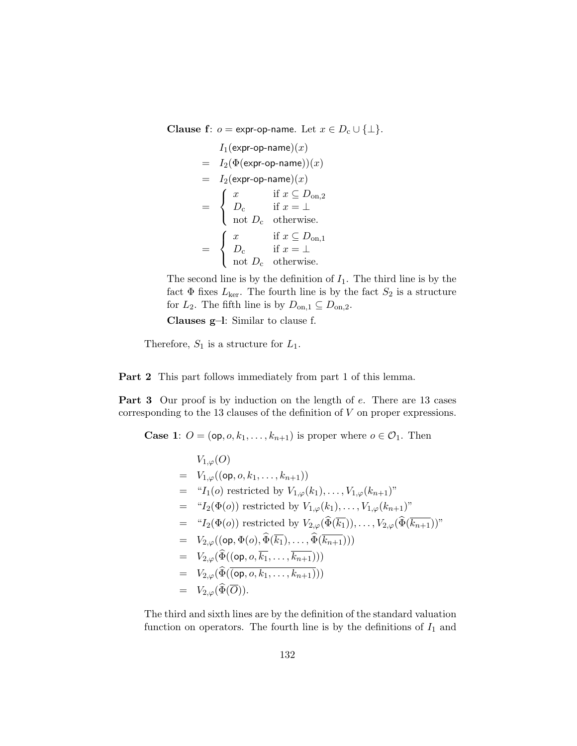Clause f:  $o =$  expr-op-name. Let  $x \in D_c \cup \{\perp\}.$ 

$$
I_1(\text{expr-op-name})(x)
$$
  
=  $I_2(\Phi(\text{expr-op-name}))(x)$   
=  $I_2(\text{expr-op-name})(x)$   
=  $\begin{cases} x & \text{if } x \subseteq D_{\text{on},2} \\ D_c & \text{if } x = \bot \end{cases}$   
=  $\begin{cases} x & \text{if } x \subseteq D_{\text{on},1} \\ D_c & \text{otherwise.} \end{cases}$   
=  $\begin{cases} x & \text{if } x \subseteq D_{\text{on},1} \\ D_c & \text{if } x = \bot \end{cases}$   
not  $D_c$  otherwise.

The second line is by the definition of  $I_1$ . The third line is by the fact  $\Phi$  fixes  $L_{\text{ker}}$ . The fourth line is by the fact  $S_2$  is a structure for  $L_2$ . The fifth line is by  $D_{\text{on},1} \subseteq D_{\text{on},2}$ .

Clauses g–l: Similar to clause f.

Therefore,  $S_1$  is a structure for  $L_1$ .

Part 2 This part follows immediately from part 1 of this lemma.

Part 3 Our proof is by induction on the length of e. There are 13 cases corresponding to the 13 clauses of the definition of V on proper expressions.

**Case 1:**  $O = (\mathsf{op}, o, k_1, \ldots, k_{n+1})$  is proper where  $o \in \mathcal{O}_1$ . Then

$$
V_{1,\varphi}(O)
$$
  
=  $V_{1,\varphi}((\text{op}, o, k_1, \ldots, k_{n+1}))$   
= " $I_1(o)$  restricted by  $V_{1,\varphi}(k_1), \ldots, V_{1,\varphi}(k_{n+1})$ "  
= " $I_2(\Phi(o))$  restricted by  $V_{1,\varphi}(k_1), \ldots, V_{1,\varphi}(k_{n+1})$ "  
= " $I_2(\Phi(o))$  restricted by  $V_{2,\varphi}(\widehat{\Phi}(\overline{k_1})), \ldots, V_{2,\varphi}(\widehat{\Phi}(\overline{k_{n+1}}))$ "  
=  $V_{2,\varphi}((\text{op}, \Phi(o), \widehat{\Phi}(\overline{k_1}), \ldots, \widehat{\Phi}(\overline{k_{n+1}})))$   
=  $V_{2,\varphi}(\widehat{\Phi}((\text{op}, o, \overline{k_1}, \ldots, \overline{k_{n+1}})))$   
=  $V_{2,\varphi}(\widehat{\Phi}(\overline{(op, o, k_1, \ldots, k_{n+1})}))$   
=  $V_{2,\varphi}(\widehat{\Phi}(\overline{O}))$ .

The third and sixth lines are by the definition of the standard valuation function on operators. The fourth line is by the definitions of  $I_1$  and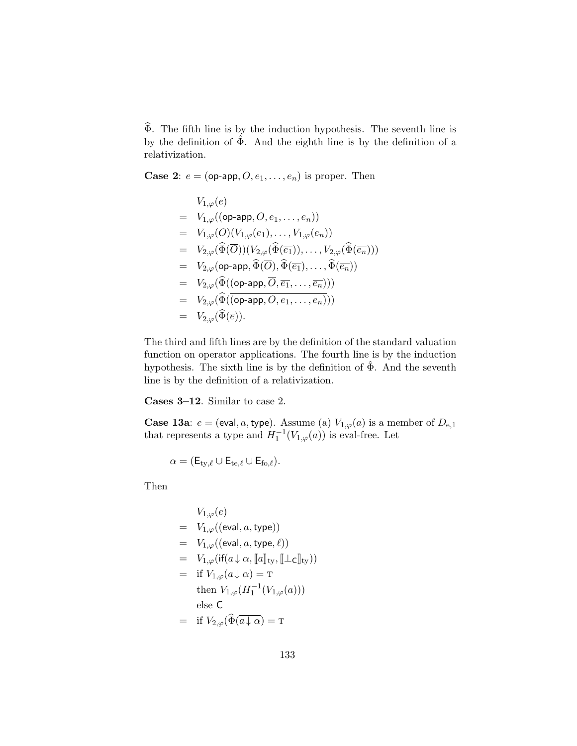$\widehat{\Phi}$ . The fifth line is by the induction hypothesis. The seventh line is by the definition of  $\hat{\Phi}$ . And the eighth line is by the definition of a relativization.

**Case 2:**  $e = (op-app, O, e_1, \ldots, e_n)$  is proper. Then

$$
V_{1,\varphi}(e)
$$
\n
$$
= V_{1,\varphi}((\text{op-app}, O, e_1, \ldots, e_n))
$$
\n
$$
= V_{1,\varphi}(O)(V_{1,\varphi}(e_1), \ldots, V_{1,\varphi}(e_n))
$$
\n
$$
= V_{2,\varphi}(\widehat{\Phi}(\overline{O}))(V_{2,\varphi}(\widehat{\Phi}(\overline{e_1})), \ldots, V_{2,\varphi}(\widehat{\Phi}(\overline{e_n})))
$$
\n
$$
= V_{2,\varphi}(\text{op-app}, \widehat{\Phi}(\overline{O}), \widehat{\Phi}(\overline{e_1}), \ldots, \widehat{\Phi}(\overline{e_n}))
$$
\n
$$
= V_{2,\varphi}(\widehat{\Phi}((\text{op-app}, \overline{O}, \overline{e_1}, \ldots, \overline{e_n})))
$$
\n
$$
= V_{2,\varphi}(\widehat{\Phi}((\text{op-app}, O, e_1, \ldots, e_n)))
$$
\n
$$
= V_{2,\varphi}(\widehat{\Phi}(\overline{e})).
$$

The third and fifth lines are by the definition of the standard valuation function on operator applications. The fourth line is by the induction hypothesis. The sixth line is by the definition of  $\tilde{\Phi}$ . And the seventh line is by the definition of a relativization.

Cases 3–12. Similar to case 2.

**Case 13a**:  $e = (eval, a, type)$ . Assume (a)  $V_{1,\varphi}(a)$  is a member of  $D_{e,1}$ that represents a type and  $H_1^{-1}(V_{1,\varphi}(a))$  is eval-free. Let

$$
\alpha = (E_{\mathrm{ty},\ell} \cup E_{\mathrm{te},\ell} \cup E_{\mathrm{fo},\ell}).
$$

Then

$$
V_{1,\varphi}(e)
$$
  
=  $V_{1,\varphi}((\text{eval}, a, \text{type}))$   
=  $V_{1,\varphi}((\text{eval}, a, \text{type}, \ell))$   
=  $V_{1,\varphi}(\text{if}(a \downarrow \alpha, [a]_{\text{ty}}, [\perp_{\text{C}}]_{\text{ty}}))$   
=  $\text{if } V_{1,\varphi}(a \downarrow \alpha) = \text{T}$   
then  $V_{1,\varphi}(H_1^{-1}(V_{1,\varphi}(a)))$   
else  $\text{C}$   
=  $\text{if } V_{2,\varphi}(\widehat{\Phi}(\overline{a} \downarrow \alpha) = \text{T}$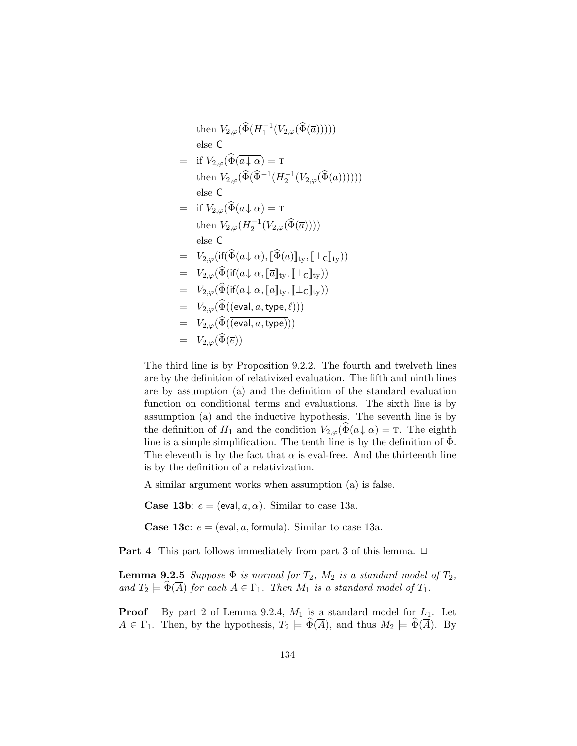then 
$$
V_{2,\varphi}(\widehat{\Phi}(H_1^{-1}(V_{2,\varphi}(\widehat{\Phi}(\overline{a}))))
$$
)  
\nelse C  
\n
$$
= \text{ if } V_{2,\varphi}(\widehat{\Phi}(\overline{a \downarrow \alpha}) = \text{T}
$$
\nthen  $V_{2,\varphi}(\widehat{\Phi}(\widehat{\Phi}^{-1}(H_2^{-1}(V_{2,\varphi}(\widehat{\Phi}(\overline{a}))))))$   
\nelse C  
\n
$$
= \text{ if } V_{2,\varphi}(\widehat{\Phi}(\overline{a \downarrow \alpha}) = \text{T}
$$
\nthen  $V_{2,\varphi}(H_2^{-1}(V_{2,\varphi}(\widehat{\Phi}(\overline{a}))))$   
\nelse C  
\n
$$
= V_{2,\varphi}(\text{if}(\widehat{\Phi}(\overline{a \downarrow \alpha}), [\widehat{\Phi}(\overline{a})]_{\text{ty}}, [\bot_C]_{\text{ty}}))
$$
  
\n
$$
= V_{2,\varphi}(\widehat{\Phi}(\text{if}(\overline{a \downarrow \alpha}, [\overline{a}]_{\text{ty}}, [\bot_C]_{\text{ty}}))
$$
  
\n
$$
= V_{2,\varphi}(\widehat{\Phi}(\text{if}(\overline{a \downarrow \alpha}, [\overline{a}]_{\text{ty}}, [\bot_C]_{\text{ty}}))
$$
  
\n
$$
= V_{2,\varphi}(\widehat{\Phi}((\text{eval}, \overline{a}, \text{type}, \ell)))
$$
  
\n
$$
= V_{2,\varphi}(\widehat{\Phi}((\text{eval}, a, \text{type})))
$$
  
\n
$$
= V_{2,\varphi}(\widehat{\Phi}(\overline{e}))
$$

The third line is by Proposition 9.2.2. The fourth and twelveth lines are by the definition of relativized evaluation. The fifth and ninth lines are by assumption (a) and the definition of the standard evaluation function on conditional terms and evaluations. The sixth line is by assumption (a) and the inductive hypothesis. The seventh line is by the definition of  $H_1$  and the condition  $V_{2,\varphi}(\widetilde{\Phi}(a \downarrow \alpha) = \tau$ . The eighth line is a simple simplification. The tenth line is by the definition of  $\Phi$ . The eleventh is by the fact that  $\alpha$  is eval-free. And the thirteenth line is by the definition of a relativization.

A similar argument works when assumption (a) is false.

**Case 13b:**  $e = (eval, a, \alpha)$ . Similar to case 13a.

**Case 13c**:  $e = (eval, a, formula)$ . Similar to case 13a.

**Part 4** This part follows immediately from part 3 of this lemma.  $\Box$ 

**Lemma 9.2.5** Suppose  $\Phi$  is normal for  $T_2$ ,  $M_2$  is a standard model of  $T_2$ , and  $T_2 \models \Phi(\overline{A})$  for each  $A \in \Gamma_1$ . Then  $M_1$  is a standard model of  $T_1$ .

**Proof** By part 2 of Lemma 9.2.4,  $M_1$  is a standard model for  $L_1$ . Let  $A \in \Gamma_1$ . Then, by the hypothesis,  $T_2 \models \widehat{\Phi}(\overline{A})$ , and thus  $M_2 \models \widehat{\Phi}(\overline{A})$ . By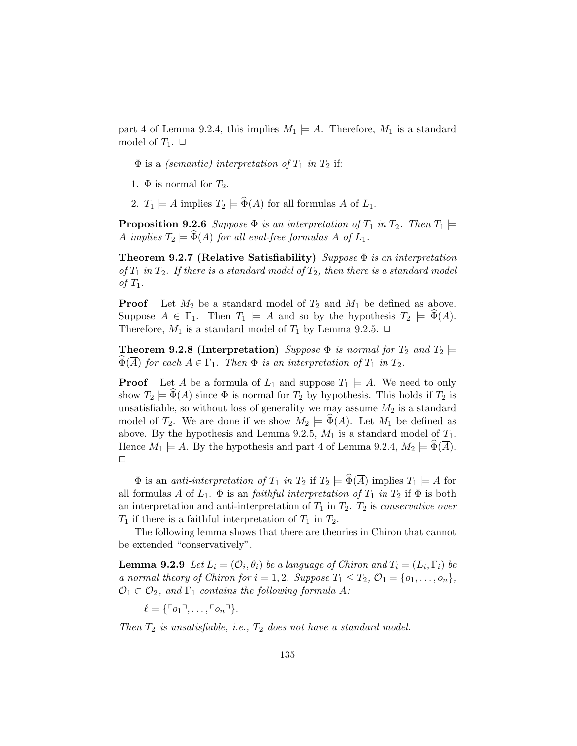part 4 of Lemma 9.2.4, this implies  $M_1 \models A$ . Therefore,  $M_1$  is a standard model of  $T_1$ .  $\Box$ 

 $\Phi$  is a *(semantic)* interpretation of  $T_1$  in  $T_2$  if:

- 1.  $\Phi$  is normal for  $T_2$ .
- 2.  $T_1 \models A$  implies  $T_2 \models \widehat{\Phi}(\overline{A})$  for all formulas A of  $L_1$ .

**Proposition 9.2.6** Suppose  $\Phi$  is an interpretation of  $T_1$  in  $T_2$ . Then  $T_1 \models$ A implies  $T_2 \models \Phi(A)$  for all eval-free formulas A of  $L_1$ .

**Theorem 9.2.7 (Relative Satisfiability)** Suppose  $\Phi$  is an interpretation of  $T_1$  in  $T_2$ . If there is a standard model of  $T_2$ , then there is a standard model of  $T_1$ .

**Proof** Let  $M_2$  be a standard model of  $T_2$  and  $M_1$  be defined as above. Suppose  $A \in \Gamma_1$ . Then  $T_1 \models A$  and so by the hypothesis  $T_2 \models \Phi(\overline{A})$ . Therefore,  $M_1$  is a standard model of  $T_1$  by Lemma 9.2.5.  $\Box$ 

**Theorem 9.2.8 (Interpretation)** Suppose  $\Phi$  is normal for  $T_2$  and  $T_2 \models$  $\widetilde{\Phi}(\overline{A})$  for each  $A \in \Gamma_1$ . Then  $\Phi$  is an interpretation of  $T_1$  in  $T_2$ .

**Proof** Let A be a formula of  $L_1$  and suppose  $T_1 \models A$ . We need to only show  $T_2 \models \Phi(A)$  since  $\Phi$  is normal for  $T_2$  by hypothesis. This holds if  $T_2$  is unsatisfiable, so without loss of generality we may assume  $M_2$  is a standard model of  $T_2$ . We are done if we show  $M_2 \models \Phi(\overline{A})$ . Let  $M_1$  be defined as above. By the hypothesis and Lemma 9.2.5,  $M_1$  is a standard model of  $T_1$ . Hence  $M_1 \models A$ . By the hypothesis and part 4 of Lemma 9.2.4,  $M_2 \models \Phi(A)$ .  $\Box$ 

 $\Phi$  is an *anti-interpretation of*  $T_1$  *in*  $T_2$  if  $T_2 \models \widehat{\Phi}(\overline{A})$  implies  $T_1 \models A$  for all formulas A of  $L_1$ .  $\Phi$  is an *faithful interpretation of*  $T_1$  *in*  $T_2$  if  $\Phi$  is both an interpretation and anti-interpretation of  $T_1$  in  $T_2$ .  $T_2$  is *conservative over*  $T_1$  if there is a faithful interpretation of  $T_1$  in  $T_2$ .

The following lemma shows that there are theories in Chiron that cannot be extended "conservatively".

**Lemma 9.2.9** Let  $L_i = (\mathcal{O}_i, \theta_i)$  be a language of Chiron and  $T_i = (L_i, \Gamma_i)$  be a normal theory of Chiron for  $i = 1, 2$ . Suppose  $T_1 \leq T_2$ ,  $\mathcal{O}_1 = \{o_1, \ldots, o_n\}$ ,  $\mathcal{O}_1 \subset \mathcal{O}_2$ , and  $\Gamma_1$  contains the following formula A:

 $\ell = \{ \ulcorner o_1 \urcorner, \ldots, \ulcorner o_n \urcorner \}.$ 

Then  $T_2$  is unsatisfiable, i.e.,  $T_2$  does not have a standard model.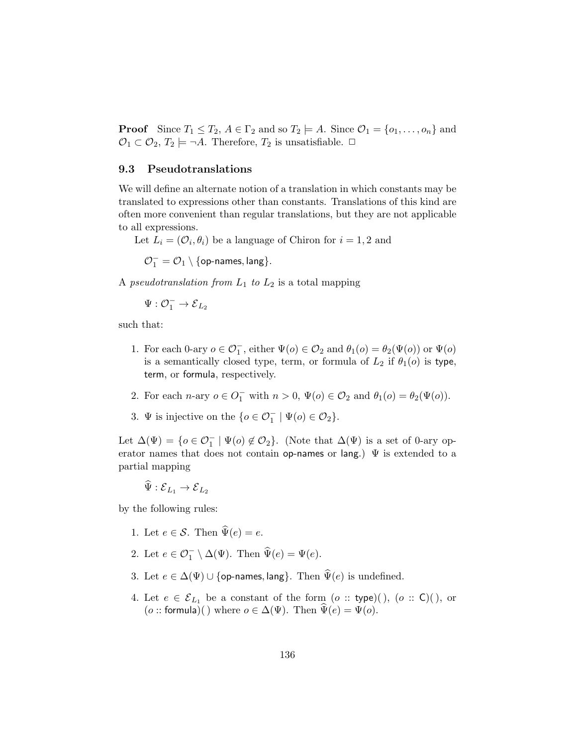**Proof** Since  $T_1 \leq T_2$ ,  $A \in \Gamma_2$  and so  $T_2 \models A$ . Since  $\mathcal{O}_1 = \{o_1, \ldots, o_n\}$  and  $\mathcal{O}_1 \subset \mathcal{O}_2$ ,  $T_2 \models \neg A$ . Therefore,  $T_2$  is unsatisfiable.  $\Box$ 

#### 9.3 Pseudotranslations

We will define an alternate notion of a translation in which constants may be translated to expressions other than constants. Translations of this kind are often more convenient than regular translations, but they are not applicable to all expressions.

Let  $L_i = (\mathcal{O}_i, \theta_i)$  be a language of Chiron for  $i = 1, 2$  and

 $\mathcal{O}_1^-=\mathcal{O}_1\setminus\{\mathsf{op\text{-}names},\mathsf{lang}\}.$ 

A *pseudotranslation from*  $L_1$  to  $L_2$  is a total mapping

$$
\Psi: \mathcal{O}_1^-\to \mathcal{E}_{L_2}
$$

such that:

- 1. For each 0-ary  $o \in \mathcal{O}_1^-$ , either  $\Psi(o) \in \mathcal{O}_2$  and  $\theta_1(o) = \theta_2(\Psi(o))$  or  $\Psi(o)$ is a semantically closed type, term, or formula of  $L_2$  if  $\theta_1(o)$  is type, term, or formula, respectively.
- 2. For each *n*-ary  $o \in O_1^-$  with  $n > 0$ ,  $\Psi(o) \in O_2$  and  $\theta_1(o) = \theta_2(\Psi(o))$ .
- 3.  $\Psi$  is injective on the  $\{o \in \mathcal{O}_1^- \mid \Psi(o) \in \mathcal{O}_2\}.$

Let  $\Delta(\Psi) = \{o \in \mathcal{O}_1^- \mid \Psi(o) \notin \mathcal{O}_2\}$ . (Note that  $\Delta(\Psi)$  is a set of 0-ary operator names that does not contain op-names or lang.)  $\Psi$  is extended to a partial mapping

$$
\Psi : {\mathcal E}_{L_1} \to {\mathcal E}_{L_2}
$$

by the following rules:

 $\overline{a}$ 

- 1. Let  $e \in \mathcal{S}$ . Then  $\widehat{\Psi}(e) = e$ .
- 2. Let  $e \in \mathcal{O}_1^- \setminus \Delta(\Psi)$ . Then  $\widehat{\Psi}(e) = \Psi(e)$ .
- 3. Let  $e \in \Delta(\Psi) \cup \{\text{op-names}, \text{lang}\}\$ . Then  $\widehat{\Psi}(e)$  is undefined.
- 4. Let  $e \in \mathcal{E}_{L_1}$  be a constant of the form  $(o::type)($ ,  $(o::C)($ , or (o :: formula)( ) where  $o \in \Delta(\Psi)$ . Then  $\Psi(e) = \Psi(o)$ .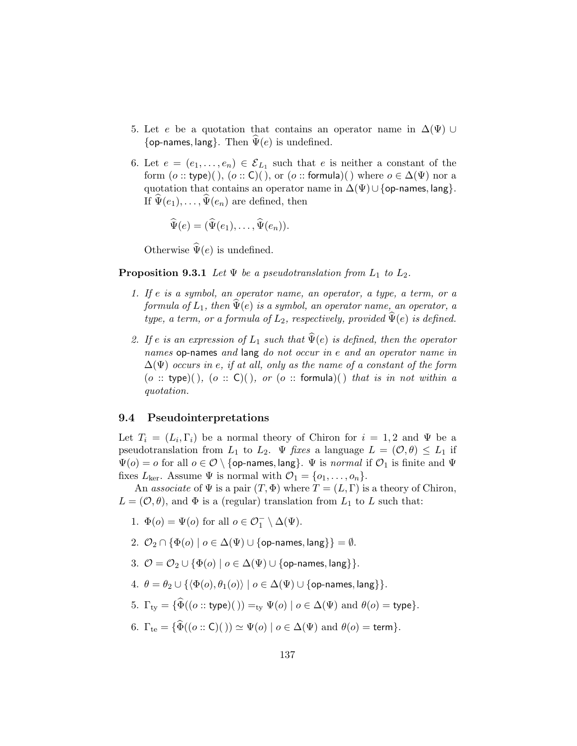- 5. Let e be a quotation that contains an operator name in  $\Delta(\Psi)$  ∪ {op-names, lang}. Then  $\Psi(e)$  is undefined.
- 6. Let  $e = (e_1, \ldots, e_n) \in \mathcal{E}_{L_1}$  such that e is neither a constant of the form  $(o::type)()$ ,  $(o::C)()$ , or  $(o::formula)()$  where  $o \in \Delta(\Psi)$  nor a quotation that contains an operator name in  $\Delta(\Psi) \cup \{\text{op-names}, \text{lang}\}.$ If  $\Psi(e_1), \ldots, \Psi(e_n)$  are defined, then

$$
\widehat{\Psi}(e) = (\widehat{\Psi}(e_1), \ldots, \widehat{\Psi}(e_n)).
$$

Otherwise  $\widehat{\Psi}(e)$  is undefined.

**Proposition 9.3.1** Let  $\Psi$  be a pseudotranslation from  $L_1$  to  $L_2$ .

- 1. If e is a symbol, an operator name, an operator, a type, a term, or a formula of  $L_1$ , then  $\widehat{\Psi}(e)$  is a symbol, an operator name, an operator, a type, a term, or a formula of  $L_2$ , respectively, provided  $\tilde{\Psi}(e)$  is defined.
- 2. If e is an expression of  $L_1$  such that  $\widehat{\Psi}(e)$  is defined, then the operator names op-names and lang do not occur in e and an operator name in  $\Delta(\Psi)$  occurs in e, if at all, only as the name of a constant of the form (o :: type)(), (o :: C)(), or (o :: formula)() that is in not within a quotation.

#### 9.4 Pseudointerpretations

Let  $T_i = (L_i, \Gamma_i)$  be a normal theory of Chiron for  $i = 1, 2$  and  $\Psi$  be a pseudotranslation from  $L_1$  to  $L_2$ .  $\Psi$  fixes a language  $L = (\mathcal{O}, \theta) \leq L_1$  if  $\Psi(o) = o$  for all  $o \in \mathcal{O} \setminus \{$ op-names, lang}.  $\Psi$  is *normal* if  $\mathcal{O}_1$  is finite and  $\Psi$ fixes  $L_{\text{ker}}$ . Assume  $\Psi$  is normal with  $\mathcal{O}_1 = \{o_1, \ldots, o_n\}.$ 

An associate of  $\Psi$  is a pair  $(T, \Phi)$  where  $T = (L, \Gamma)$  is a theory of Chiron,  $L = (\mathcal{O}, \theta)$ , and  $\Phi$  is a (regular) translation from  $L_1$  to L such that:

- 1.  $\Phi(o) = \Psi(o)$  for all  $o \in \mathcal{O}_1^- \setminus \Delta(\Psi)$ .
- 2.  $\mathcal{O}_2 \cap {\Phi(o) | o \in \Delta(\Psi) \cup \{\text{op-names}, \text{lang}\}\} = \emptyset$ .
- 3.  $\mathcal{O} = \mathcal{O}_2 \cup {\Phi(o) | o \in \Delta(\Psi) \cup {\text{op-names, lang}}}.$
- 4.  $\theta = \theta_2 \cup {\{\langle \Phi(o), \theta_1(o) \rangle | o \in \Delta(\Psi) \cup \{\text{op-names, lang}\}\}.$
- 5.  $\Gamma_{\text{tv}} = {\hat{\Phi}((o::\text{type})()) =_{\text{tv}} \Psi(o) \mid o \in \Delta(\Psi) \text{ and } \theta(o) = \text{type}}$ .
- 6.  $\Gamma_{\text{te}} = {\hat{\Phi}((o::\mathsf{C})()) \simeq \Psi(o) | o \in \Delta(\Psi) \text{ and } \theta(o) = \text{term}}$ .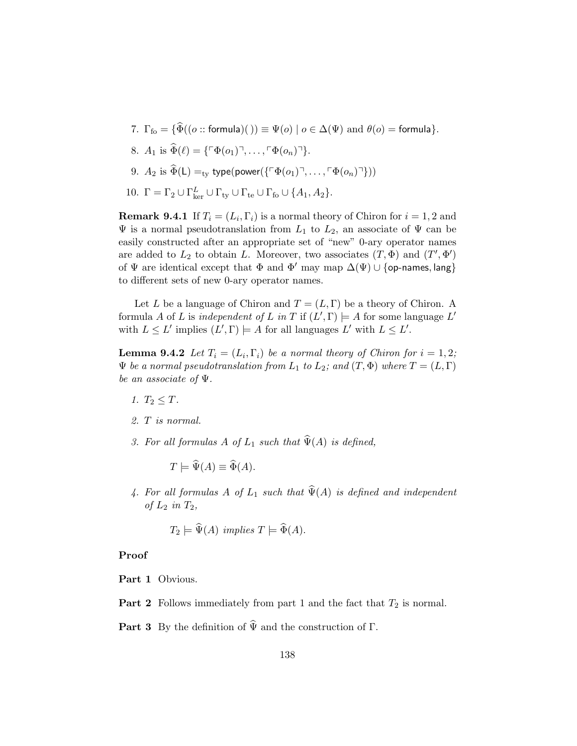- 7.  $\Gamma_{\text{fo}} = \{ \widehat{\Phi}((o::formula)()) \equiv \Psi(o) \mid o \in \Delta(\Psi) \text{ and } \theta(o) = \text{formula} \}.$
- 8.  $A_1$  is  $\widehat{\Phi}(\ell) = {\sigma \Phi(o_1)^{\top}, \ldots, \sigma(o_n)^{\top}}.$
- 9.  $A_2$  is  $\widehat{\Phi}(\mathsf{L}) =_{\text{ty}} \text{type}(\text{power}(\{\ulcorner \Phi(o_1) \urcorner, \ldots, \ulcorner \Phi(o_n) \urcorner \}))$
- 10.  $\Gamma = \Gamma_2 \cup \Gamma_{\text{ker}}^L \cup \Gamma_{\text{ty}} \cup \Gamma_{\text{te}} \cup \Gamma_{\text{fo}} \cup \{A_1, A_2\}.$

**Remark 9.4.1** If  $T_i = (L_i, \Gamma_i)$  is a normal theory of Chiron for  $i = 1, 2$  and  $\Psi$  is a normal pseudotranslation from  $L_1$  to  $L_2$ , an associate of  $\Psi$  can be easily constructed after an appropriate set of "new" 0-ary operator names are added to  $L_2$  to obtain L. Moreover, two associates  $(T, \Phi)$  and  $(T', \Phi')$ of  $\Psi$  are identical except that  $\Phi$  and  $\Phi'$  may map  $\Delta(\Psi) \cup \{\text{op-names, lang}\}\$ to different sets of new 0-ary operator names.

Let L be a language of Chiron and  $T = (L, \Gamma)$  be a theory of Chiron. A formula A of L is independent of L in T if  $(L', \Gamma) \models A$  for some language L' with  $L \leq L'$  implies  $(L', \Gamma) \models A$  for all languages  $L'$  with  $L \leq L'$ .

**Lemma 9.4.2** Let  $T_i = (L_i, \Gamma_i)$  be a normal theory of Chiron for  $i = 1, 2$ ;  $\Psi$  be a normal pseudotranslation from  $L_1$  to  $L_2$ ; and  $(T, \Phi)$  where  $T = (L, \Gamma)$ be an associate of Ψ.

- 1.  $T_2 \leq T$ .
- 2. T is normal.
- 3. For all formulas A of  $L_1$  such that  $\widehat{\Psi}(A)$  is defined,

 $T \models \widehat{\Psi}(A) \equiv \widehat{\Phi}(A).$ 

4. For all formulas A of  $L_1$  such that  $\widehat{\Psi}(A)$  is defined and independent of  $L_2$  in  $T_2$ ,

$$
T_2 \models \widehat{\Psi}(A) \ \ \text{implies} \ T \models \widehat{\Phi}(A).
$$

## Proof

Part 1 Obvious.

- **Part 2** Follows immediately from part 1 and the fact that  $T_2$  is normal.
- **Part 3** By the definition of  $\widehat{\Psi}$  and the construction of  $\Gamma$ .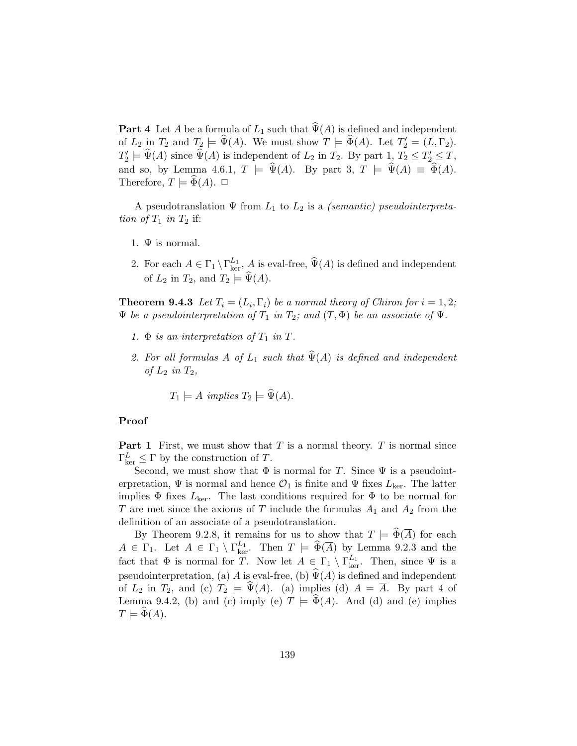**Part 4** Let A be a formula of  $L_1$  such that  $\widehat{\Psi}(A)$  is defined and independent of  $L_2$  in  $T_2$  and  $T_2 \models \widehat{\Psi}(A)$ . We must show  $T \models \widehat{\Phi}(A)$ . Let  $T_2' = (L, \Gamma_2)$ .  $T_2' \models \widehat{\Psi}(A)$  since  $\widehat{\Psi}(A)$  is independent of  $L_2$  in  $T_2$ . By part  $1, T_2 \leq T_2' \leq T$ , and so, by Lemma 4.6.1,  $T \models \hat{\Psi}(A)$ . By part 3,  $T \models \hat{\Psi}(A) \equiv \hat{\Phi}(A)$ . Therefore,  $T \models \Phi(A)$ .  $\Box$ 

A pseudotranslation  $\Psi$  from  $L_1$  to  $L_2$  is a *(semantic) pseudointerpreta*tion of  $T_1$  in  $T_2$  if:

- 1.  $\Psi$  is normal.
- 2. For each  $A \in \Gamma_1 \setminus \Gamma_{\text{ker}}^{L_1}$ , A is eval-free,  $\widehat{\Psi}(A)$  is defined and independent of  $L_2$  in  $T_2$ , and  $T_2 \models \widehat{\Psi}(A)$ .

**Theorem 9.4.3** Let  $T_i = (L_i, \Gamma_i)$  be a normal theory of Chiron for  $i = 1, 2$ ;  $\Psi$  be a pseudointerpretation of  $T_1$  in  $T_2$ ; and  $(T, \Phi)$  be an associate of  $\Psi$ .

- 1.  $\Phi$  is an interpretation of  $T_1$  in  $T$ .
- 2. For all formulas A of  $L_1$  such that  $\widehat{\Psi}(A)$  is defined and independent of  $L_2$  in  $T_2$ ,

$$
T_1 \models A \ implies \ T_2 \models \Psi(A).
$$

#### Proof

**Part 1** First, we must show that  $T$  is a normal theory.  $T$  is normal since  $\Gamma_{\text{ker}}^L \leq \Gamma$  by the construction of T.

Second, we must show that  $\Phi$  is normal for T. Since  $\Psi$  is a pseudointerpretation,  $\Psi$  is normal and hence  $\mathcal{O}_1$  is finite and  $\Psi$  fixes  $L_{\text{ker}}$ . The latter implies  $\Phi$  fixes  $L_{\text{ker}}$ . The last conditions required for  $\Phi$  to be normal for T are met since the axioms of T include the formulas  $A_1$  and  $A_2$  from the definition of an associate of a pseudotranslation.

By Theorem 9.2.8, it remains for us to show that  $T \models \Phi(\overline{A})$  for each  $A \in \Gamma_1$ . Let  $A \in \Gamma_1 \setminus \Gamma_{\text{ker}}^{L_1}$ . Then  $T \models \widehat{\Phi}(\overline{A})$  by Lemma 9.2.3 and the fact that  $\Phi$  is normal for T. Now let  $A \in \Gamma_1 \setminus \Gamma_{\text{ker}}^{L_1}$ . Then, since  $\Psi$  is a pseudointerpretation, (a) A is eval-free, (b)  $\widehat{\Psi}(A)$  is defined and independent of  $L_2$  in  $T_2$ , and (c)  $T_2 \models \hat{\Psi}(A)$ . (a) implies (d)  $A = \overline{A}$ . By part 4 of Lemma 9.4.2, (b) and (c) imply (e)  $T \models \Phi(A)$ . And (d) and (e) implies  $T \models \widetilde{\Phi}(\overline{A}).$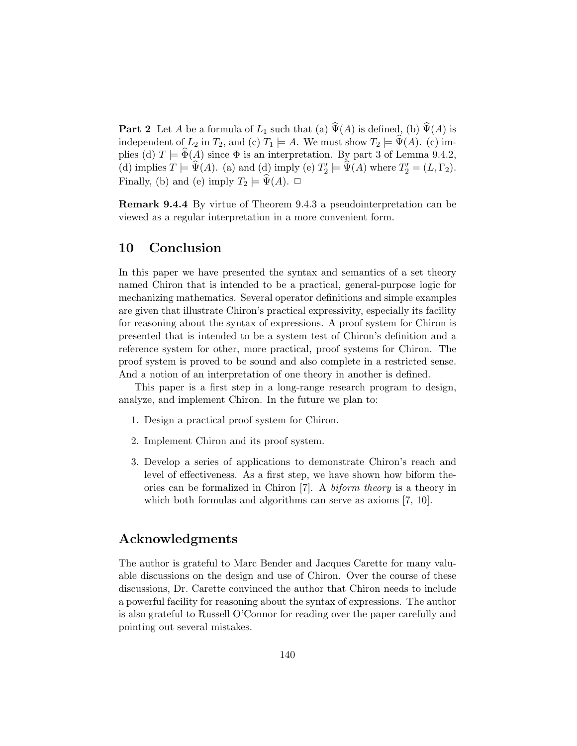**Part 2** Let A be a formula of  $L_1$  such that (a)  $\widehat{\Psi}(A)$  is defined, (b)  $\widehat{\Psi}(A)$  is independent of  $L_2$  in  $T_2$ , and (c)  $T_1 \models A$ . We must show  $T_2 \models \Psi(A)$ . (c) implies (d)  $T \models \Phi(A)$  since  $\Phi$  is an interpretation. By part 3 of Lemma 9.4.2, (d) implies  $T \models \Psi(A)$ . (a) and (d) imply (e)  $T_2' \models \Psi(A)$  where  $T_2' = (L, \Gamma_2)$ . Finally, (b) and (e) imply  $T_2 \models \Psi(A)$ .  $\Box$ 

Remark 9.4.4 By virtue of Theorem 9.4.3 a pseudointerpretation can be viewed as a regular interpretation in a more convenient form.

# 10 Conclusion

In this paper we have presented the syntax and semantics of a set theory named Chiron that is intended to be a practical, general-purpose logic for mechanizing mathematics. Several operator definitions and simple examples are given that illustrate Chiron's practical expressivity, especially its facility for reasoning about the syntax of expressions. A proof system for Chiron is presented that is intended to be a system test of Chiron's definition and a reference system for other, more practical, proof systems for Chiron. The proof system is proved to be sound and also complete in a restricted sense. And a notion of an interpretation of one theory in another is defined.

This paper is a first step in a long-range research program to design, analyze, and implement Chiron. In the future we plan to:

- 1. Design a practical proof system for Chiron.
- 2. Implement Chiron and its proof system.
- 3. Develop a series of applications to demonstrate Chiron's reach and level of effectiveness. As a first step, we have shown how biform theories can be formalized in Chiron [7]. A biform theory is a theory in which both formulas and algorithms can serve as axioms [7, 10].

## Acknowledgments

The author is grateful to Marc Bender and Jacques Carette for many valuable discussions on the design and use of Chiron. Over the course of these discussions, Dr. Carette convinced the author that Chiron needs to include a powerful facility for reasoning about the syntax of expressions. The author is also grateful to Russell O'Connor for reading over the paper carefully and pointing out several mistakes.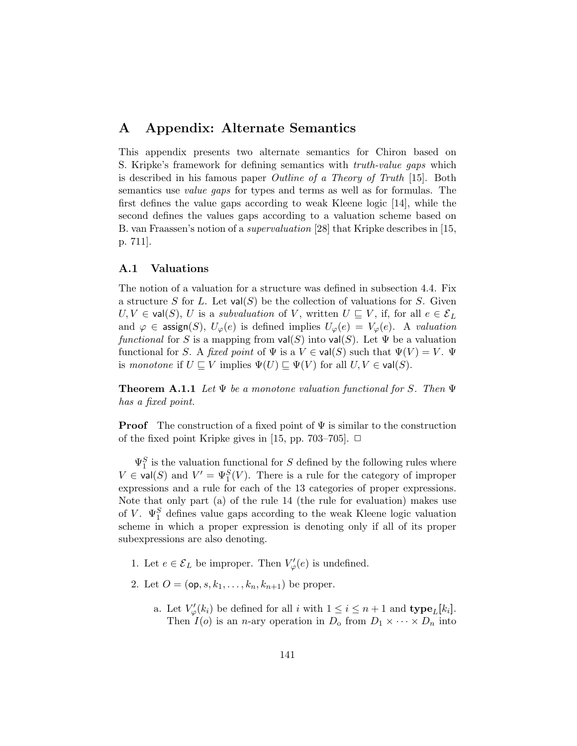# A Appendix: Alternate Semantics

This appendix presents two alternate semantics for Chiron based on S. Kripke's framework for defining semantics with truth-value gaps which is described in his famous paper Outline of a Theory of Truth [15]. Both semantics use value gaps for types and terms as well as for formulas. The first defines the value gaps according to weak Kleene logic [14], while the second defines the values gaps according to a valuation scheme based on B. van Fraassen's notion of a supervaluation [28] that Kripke describes in [15, p. 711].

## A.1 Valuations

The notion of a valuation for a structure was defined in subsection 4.4. Fix a structure S for L. Let  $val(S)$  be the collection of valuations for S. Given  $U, V \in val(S), U$  is a *subvaluation* of V, written  $U \subseteq V$ , if, for all  $e \in \mathcal{E}_L$ and  $\varphi \in \text{assign}(S), U_{\varphi}(e)$  is defined implies  $U_{\varphi}(e) = V_{\varphi}(e)$ . A valuation functional for S is a mapping from  $val(S)$  into  $val(S)$ . Let  $\Psi$  be a valuation functional for S. A fixed point of  $\Psi$  is a  $V \in \text{val}(S)$  such that  $\Psi(V) = V$ .  $\Psi$ is monotone if  $U \subseteq V$  implies  $\Psi(U) \subseteq \Psi(V)$  for all  $U, V \in \text{val}(S)$ .

**Theorem A.1.1** Let  $\Psi$  be a monotone valuation functional for S. Then  $\Psi$ has a fixed point.

**Proof** The construction of a fixed point of  $\Psi$  is similar to the construction of the fixed point Kripke gives in [15, pp. 703–705].  $\Box$ 

 $\Psi_1^S$  is the valuation functional for S defined by the following rules where  $V \in \text{val}(S)$  and  $V' = \Psi_1^S(V)$ . There is a rule for the category of improper expressions and a rule for each of the 13 categories of proper expressions. Note that only part (a) of the rule 14 (the rule for evaluation) makes use of V.  $\Psi_1^S$  defines value gaps according to the weak Kleene logic valuation scheme in which a proper expression is denoting only if all of its proper subexpressions are also denoting.

- 1. Let  $e \in \mathcal{E}_L$  be improper. Then  $V'_{\varphi}(e)$  is undefined.
- 2. Let  $O = (op, s, k_1, \ldots, k_n, k_{n+1})$  be proper.
	- a. Let  $V_{\varphi}'(k_i)$  be defined for all i with  $1 \leq i \leq n+1$  and  $\textbf{type}_L[k_i]$ . Then  $I(o)$  is an *n*-ary operation in  $D_0$  from  $D_1 \times \cdots \times D_n$  into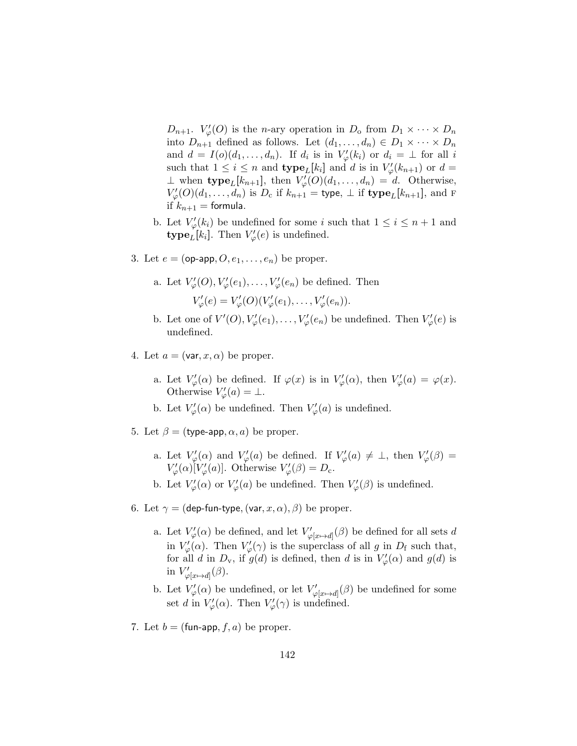$D_{n+1}$ .  $V'_{\varphi}(O)$  is the *n*-ary operation in  $D_0$  from  $D_1 \times \cdots \times D_n$ into  $D_{n+1}$  defined as follows. Let  $(d_1, \ldots, d_n) \in D_1 \times \cdots \times D_n$ and  $d = I(o)(d_1, \ldots, d_n)$ . If  $d_i$  is in  $V'_{\varphi}(k_i)$  or  $d_i = \perp$  for all i such that  $1 \leq i \leq n$  and  $\textbf{type}_L[k_i]$  and d is in  $V'_{\varphi}(k_{n+1})$  or  $d =$  $\perp$  when  $\textbf{type}_L[k_{n+1}]$ , then  $V'_{\varphi}(O)(d_1,\ldots,d_n) = d$ . Otherwise,  $V'_{\varphi}(O)(d_1,\ldots,d_n)$  is  $D_c$  if  $k_{n+1}$  = type,  $\perp$  if type<sub>L</sub>[ $k_{n+1}$ ], and F if  $k_{n+1}$  = formula.

- b. Let  $V'_{\varphi}(k_i)$  be undefined for some i such that  $1 \leq i \leq n+1$  and  $\textbf{type}_L[k_i].$  Then  $V'_{\varphi}(e)$  is undefined.
- 3. Let  $e = (op-app, O, e_1, \ldots, e_n)$  be proper.
	- a. Let  $V'_{\varphi}(O), V'_{\varphi}(e_1), \ldots, V'_{\varphi}(e_n)$  be defined. Then  $V'_{\varphi}(e) = V'_{\varphi}(O)(V'_{\varphi}(e_1), \ldots, V'_{\varphi}(e_n)).$
	- b. Let one of  $V'(O), V'_{\varphi}(e_1), \ldots, V'_{\varphi}(e_n)$  be undefined. Then  $V'_{\varphi}(e)$  is undefined.
- 4. Let  $a = (\text{var}, x, \alpha)$  be proper.
	- a. Let  $V'_{\varphi}(\alpha)$  be defined. If  $\varphi(x)$  is in  $V'_{\varphi}(\alpha)$ , then  $V'_{\varphi}(a) = \varphi(x)$ . Otherwise  $V'_{\varphi}(a) = \bot$ .
	- b. Let  $V'_{\varphi}(\alpha)$  be undefined. Then  $V'_{\varphi}(a)$  is undefined.
- 5. Let  $\beta =$  (type-app,  $\alpha$ , a) be proper.
	- a. Let  $V'_{\varphi}(\alpha)$  and  $V'_{\varphi}(a)$  be defined. If  $V'_{\varphi}(a) \neq \perp$ , then  $V'_{\varphi}(\beta) =$  $V'_{\varphi}(\alpha)[V'_{\varphi}(a)]$ . Otherwise  $V'_{\varphi}(\beta) = D_{c}$ .
	- b. Let  $V'_{\varphi}(\alpha)$  or  $V'_{\varphi}(a)$  be undefined. Then  $V'_{\varphi}(\beta)$  is undefined.
- 6. Let  $\gamma =$  (dep-fun-type,  $(\text{var}, x, \alpha), \beta$ ) be proper.
	- a. Let  $V'_{\varphi}(\alpha)$  be defined, and let  $V'_{\varphi[x \mapsto d]}(\beta)$  be defined for all sets d in  $V'_{\varphi}(\alpha)$ . Then  $V'_{\varphi}(\gamma)$  is the superclass of all g in  $D_f$  such that, for all d in  $D_v$ , if  $g(d)$  is defined, then d is in  $V'_{\varphi}(\alpha)$  and  $g(d)$  is in  $V'_{\varphi[x \mapsto d]}(\beta)$ .
	- b. Let  $V'_{\varphi}(\alpha)$  be undefined, or let  $V'_{\varphi[x \mapsto d]}(\beta)$  be undefined for some set d in  $V'_{\varphi}(\alpha)$ . Then  $V'_{\varphi}(\gamma)$  is undefined.
- 7. Let  $b = (fun-\text{app}, f, a)$  be proper.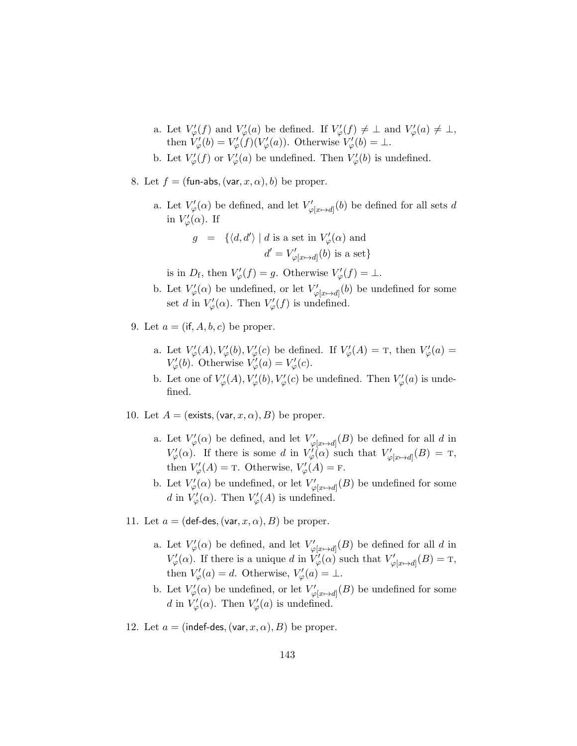- a. Let  $V'_{\varphi}(f)$  and  $V'_{\varphi}(a)$  be defined. If  $V'_{\varphi}(f) \neq \bot$  and  $V'_{\varphi}(a) \neq \bot$ , then  $V'_{\varphi}(b) = V'_{\varphi}(f)(V'_{\varphi}(a))$ . Otherwise  $V'_{\varphi}(b) = \perp$ .
- b. Let  $V'_{\varphi}(f)$  or  $V'_{\varphi}(a)$  be undefined. Then  $V'_{\varphi}(b)$  is undefined.
- 8. Let  $f = (fun-abs, (var, x, \alpha), b)$  be proper.
	- a. Let  $V'_{\varphi}(\alpha)$  be defined, and let  $V'_{\varphi[x \mapsto d]}(b)$  be defined for all sets d in  $V'_{\varphi}(\alpha)$ . If

$$
\begin{array}{lcl} g & = & \{ \langle d, d' \rangle \mid d \text{ is a set in } V'_\varphi(\alpha) \text{ and} \\ & & d' = V'_{\varphi[x \mapsto d]}(b) \text{ is a set} \} \end{array}
$$

is in  $D_f$ , then  $V'_{\varphi}(f) = g$ . Otherwise  $V'_{\varphi}(f) = \bot$ .

- b. Let  $V'_{\varphi}(\alpha)$  be undefined, or let  $V'_{\varphi[x \mapsto d]}(b)$  be undefined for some set d in  $V'_{\varphi}(\alpha)$ . Then  $V'_{\varphi}(f)$  is undefined.
- 9. Let  $a = (if, A, b, c)$  be proper.
	- a. Let  $V'_{\varphi}(A), V'_{\varphi}(b), V'_{\varphi}(c)$  be defined. If  $V'_{\varphi}(A) = T$ , then  $V'_{\varphi}(a) =$  $V'_{\varphi}(b)$ . Otherwise  $V'_{\varphi}(a) = V'_{\varphi}(c)$ .
	- b. Let one of  $V'_{\varphi}(A), V'_{\varphi}(b), V'_{\varphi}(c)$  be undefined. Then  $V'_{\varphi}(a)$  is undefined.
- 10. Let  $A = ($ exists,  $(var, x, \alpha), B)$  be proper.
	- a. Let  $V'_{\varphi}(\alpha)$  be defined, and let  $V'_{\varphi[x \mapsto d]}(B)$  be defined for all d in  $V'_{\varphi}(\alpha)$ . If there is some d in  $V'_{\varphi}(\alpha)$  such that  $V'_{\varphi[x \mapsto d]}(B) = T$ , then  $V'_{\varphi}(A) = \text{t}$ . Otherwise,  $V'_{\varphi}(A) = \text{t}$ .
	- b. Let  $V'_{\varphi}(\alpha)$  be undefined, or let  $V'_{\varphi[x \to d]}(B)$  be undefined for some d in  $V'_{\varphi}(\alpha)$ . Then  $V'_{\varphi}(A)$  is undefined.
- 11. Let  $a = (def-des, (var, x, \alpha), B)$  be proper.
	- a. Let  $V'_{\varphi}(\alpha)$  be defined, and let  $V'_{\varphi[x \mapsto d]}(B)$  be defined for all d in  $V'_{\varphi}(\alpha)$ . If there is a unique d in  $V'_{\varphi}(\alpha)$  such that  $V'_{\varphi[x \mapsto d]}(B) = T$ , then  $V'_{\varphi}(a) = d$ . Otherwise,  $V'_{\varphi}(a) = \perp$ .
	- b. Let  $V'_{\varphi}(\alpha)$  be undefined, or let  $V'_{\varphi[x \to d]}(B)$  be undefined for some d in  $V'_{\varphi}(\alpha)$ . Then  $V'_{\varphi}(a)$  is undefined.
- 12. Let  $a = (index des, (var, x, \alpha), B)$  be proper.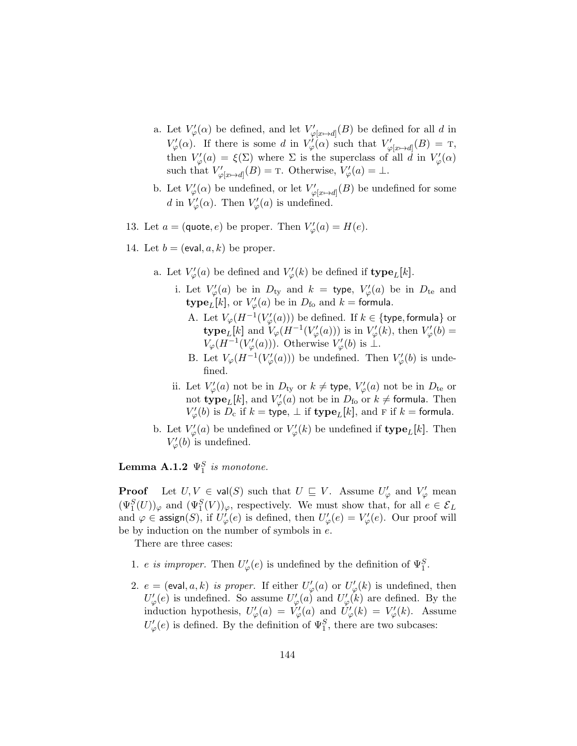- a. Let  $V'_{\varphi}(\alpha)$  be defined, and let  $V'_{\varphi[x \mapsto d]}(B)$  be defined for all d in  $V'_{\varphi}(\alpha)$ . If there is some d in  $V'_{\varphi}(\alpha)$  such that  $V'_{\varphi[x \mapsto d]}(B) = T$ , then  $V'_{\varphi}(a) = \xi(\Sigma)$  where  $\Sigma$  is the superclass of all  $\vec{d}$  in  $V'_{\varphi}(\alpha)$ such that  $V'_{\varphi[x \mapsto d]}(B) = \text{T}$ . Otherwise,  $V'_{\varphi}(a) = \perp$ .
- b. Let  $V'_{\varphi}(\alpha)$  be undefined, or let  $V'_{\varphi[x \to d]}(B)$  be undefined for some d in  $V'_{\varphi}(\alpha)$ . Then  $V'_{\varphi}(a)$  is undefined.
- 13. Let  $a = (\text{quote}, e)$  be proper. Then  $V'_{\varphi}(a) = H(e)$ .
- 14. Let  $b = (eval, a, k)$  be proper.
	- a. Let  $V'_{\varphi}(a)$  be defined and  $V'_{\varphi}(k)$  be defined if  $\mathbf{type}_L[k]$ .
		- i. Let  $V'_{\varphi}(a)$  be in  $D_{\text{ty}}$  and  $k =$  type,  $V'_{\varphi}(a)$  be in  $D_{\text{te}}$  and  $\textbf{type}_L[k], \text{ or } V'_{\varphi}(a) \text{ be in } D_{\text{fo}} \text{ and } k = \textbf{formula}.$ 
			- A. Let  $V_{\varphi}(H^{-1}(V_{\varphi}'(a)))$  be defined. If  $k \in \{\text{type}, \text{formula}\}$  or **type**<sub>L</sub>[k] and  $V_{\varphi}(H^{-1}(V_{\varphi}'(a)))$  is in  $V_{\varphi}'(k)$ , then  $V_{\varphi}'(b)$  =  $V_{\varphi}(H^{-1}(V_{\varphi}'(a)))$ . Otherwise  $V_{\varphi}'(b)$  is  $\perp$ .
			- B. Let  $V_{\varphi}(H^{-1}(V_{\varphi}'(a)))$  be undefined. Then  $V_{\varphi}'(b)$  is undefined.
		- ii. Let  $V'_{\varphi}(a)$  not be in  $D_{\text{ty}}$  or  $k \neq$  type,  $V'_{\varphi}(a)$  not be in  $D_{\text{te}}$  or not type<sub>L</sub>[k], and  $V'_{\varphi}(a)$  not be in  $D_{\text{fo}}$  or  $k \neq$  formula. Then  $V'_{\varphi}(b)$  is  $D_c$  if  $k =$  type,  $\perp$  if  $\textbf{type}_L[k]$ , and  $F$  if  $k =$  formula.
	- b. Let  $V'_{\varphi}(a)$  be undefined or  $V'_{\varphi}(k)$  be undefined if **type**<sub>L</sub>[k]. Then  $V'_{\varphi}(b)$  is undefined.

**Lemma A.1.2**  $\Psi_1^S$  is monotone.

**Proof** Let  $U, V \in \text{val}(S)$  such that  $U \subseteq V$ . Assume  $U'_{\varphi}$  and  $V'_{\varphi}$  mean  $(\Psi_1^S(U))_{\varphi}$  and  $(\Psi_1^S(V))_{\varphi}$ , respectively. We must show that, for all  $e \in \mathcal{E}_L$ and  $\varphi \in \mathsf{assign}(S)$ , if  $U'_{\varphi}(e)$  is defined, then  $U'_{\varphi}(e) = V'_{\varphi}(e)$ . Our proof will be by induction on the number of symbols in e.

There are three cases:

- 1. *e is improper*. Then  $U_{\varphi}'(e)$  is undefined by the definition of  $\Psi_1^S$ .
- 2.  $e = (eval, a, k)$  is proper. If either  $U'_{\varphi}(a)$  or  $U'_{\varphi}(k)$  is undefined, then  $U'_{\varphi}(e)$  is undefined. So assume  $U'_{\varphi}(a)$  and  $U'_{\varphi}(k)$  are defined. By the induction hypothesis,  $U'_{\varphi}(a) = V'_{\varphi}(a)$  and  $U'_{\varphi}(k) = V'_{\varphi}(k)$ . Assume  $U'_{\varphi}(e)$  is defined. By the definition of  $\Psi_1^S$ , there are two subcases: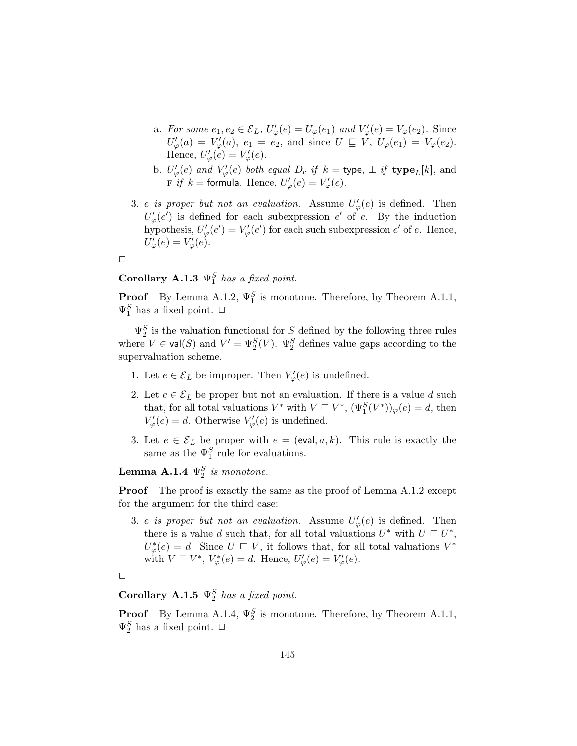- a. For some  $e_1, e_2 \in \mathcal{E}_L$ ,  $U'_{\varphi}(e) = U_{\varphi}(e_1)$  and  $V'_{\varphi}(e) = V_{\varphi}(e_2)$ . Since  $U'_{\varphi}(a) = V'_{\varphi}(a), e_1 = e_2$ , and since  $U \subseteq V$ ,  $U_{\varphi}(e_1) = V_{\varphi}(e_2)$ . Hence,  $U'_{\varphi}(e) = V'_{\varphi}(e)$ .
- b.  $U'_{\varphi}(e)$  and  $V'_{\varphi}(e)$  both equal  $D_c$  if  $k =$  type,  $\perp$  if type<sub>L</sub>[k], and  $\overline{F}$  if  $k =$  formula. Hence,  $U_{\varphi}'(e) = V_{\varphi}'(e)$ .
- 3. e is proper but not an evaluation. Assume  $U_{\varphi}'(e)$  is defined. Then  $U'_{\varphi}(e')$  is defined for each subexpression e' of e. By the induction hypothesis,  $U'_{\varphi}(e') = V'_{\varphi}(e')$  for each such subexpression  $e'$  of  $e$ . Hence,  $U'_{\varphi}(e) = V'_{\varphi}(e).$



# Corollary A.1.3  $\Psi_1^S$  has a fixed point.

**Proof** By Lemma A.1.2,  $\Psi_1^S$  is monotone. Therefore, by Theorem A.1.1,  $\Psi_1^S$  has a fixed point.  $\Box$ 

 $\Psi_2^S$  is the valuation functional for S defined by the following three rules where  $V \in \text{val}(S)$  and  $V' = \Psi_2^S(V)$ .  $\Psi_2^S$  defines value gaps according to the supervaluation scheme.

- 1. Let  $e \in \mathcal{E}_L$  be improper. Then  $V'_{\varphi}(e)$  is undefined.
- 2. Let  $e \in \mathcal{E}_L$  be proper but not an evaluation. If there is a value d such that, for all total valuations  $V^*$  with  $V \sqsubseteq V^*$ ,  $(\Psi_1^S(V^*))_\varphi(e) = d$ , then  $V'_{\varphi}(e) = d.$  Otherwise  $V'_{\varphi}(e)$  is undefined.
- 3. Let  $e \in \mathcal{E}_L$  be proper with  $e = (eval, a, k)$ . This rule is exactly the same as the  $\Psi_1^S$  rule for evaluations.

**Lemma A.1.4**  $\Psi_2^S$  is monotone.

**Proof** The proof is exactly the same as the proof of Lemma A.1.2 except for the argument for the third case:

3. e is proper but not an evaluation. Assume  $U_{\varphi}'(e)$  is defined. Then there is a value d such that, for all total valuations  $U^*$  with  $U \subseteq U^*$ ,  $U^*_{\varphi}(e) = d.$  Since  $U \sqsubseteq V$ , it follows that, for all total valuations  $V^*$ with  $V \sqsubseteq V^*$ ,  $V^*_{\varphi}(e) = d$ . Hence,  $U'_{\varphi}(e) = V'_{\varphi}(e)$ .



# Corollary A.1.5  $\Psi_2^S$  has a fixed point.

**Proof** By Lemma A.1.4,  $\Psi_2^S$  is monotone. Therefore, by Theorem A.1.1,  $\Psi_2^S$  has a fixed point.  $\Box$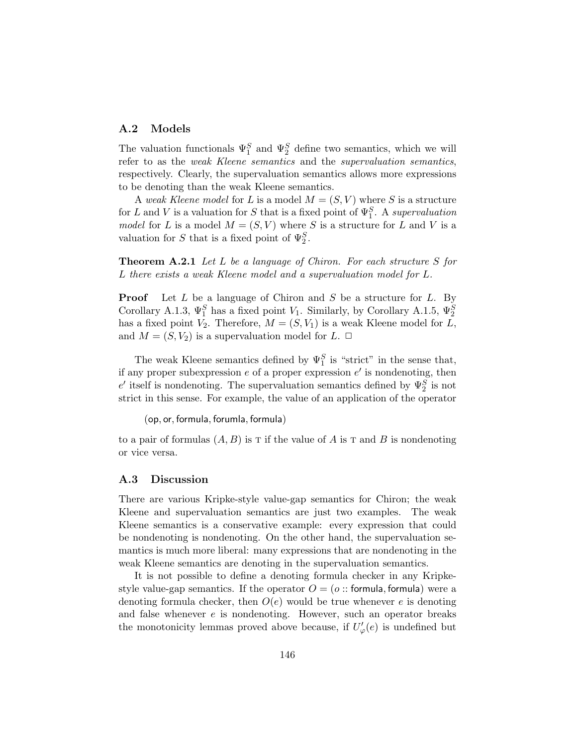#### A.2 Models

The valuation functionals  $\Psi_1^S$  and  $\Psi_2^S$  define two semantics, which we will refer to as the weak Kleene semantics and the supervaluation semantics, respectively. Clearly, the supervaluation semantics allows more expressions to be denoting than the weak Kleene semantics.

A weak Kleene model for L is a model  $M = (S, V)$  where S is a structure for L and V is a valuation for S that is a fixed point of  $\Psi_1^S$ . A supervaluation model for L is a model  $M = (S, V)$  where S is a structure for L and V is a valuation for S that is a fixed point of  $\Psi_2^S$ .

**Theorem A.2.1** Let  $L$  be a language of Chiron. For each structure  $S$  for L there exists a weak Kleene model and a supervaluation model for L.

**Proof** Let  $L$  be a language of Chiron and  $S$  be a structure for  $L$ . By Corollary A.1.3,  $\Psi_1^S$  has a fixed point  $V_1$ . Similarly, by Corollary A.1.5,  $\Psi_2^S$ has a fixed point  $V_2$ . Therefore,  $M = (S, V_1)$  is a weak Kleene model for L, and  $M = (S, V_2)$  is a supervaluation model for  $L$ .  $\Box$ 

The weak Kleene semantics defined by  $\Psi_1^S$  is "strict" in the sense that, if any proper subexpression  $e$  of a proper expression  $e'$  is nondenoting, then e' itself is nondenoting. The supervaluation semantics defined by  $\Psi_2^S$  is not strict in this sense. For example, the value of an application of the operator

(op, or, formula, forumla, formula)

to a pair of formulas  $(A, B)$  is  $T$  if the value of A is  $T$  and B is nondenoting or vice versa.

#### A.3 Discussion

There are various Kripke-style value-gap semantics for Chiron; the weak Kleene and supervaluation semantics are just two examples. The weak Kleene semantics is a conservative example: every expression that could be nondenoting is nondenoting. On the other hand, the supervaluation semantics is much more liberal: many expressions that are nondenoting in the weak Kleene semantics are denoting in the supervaluation semantics.

It is not possible to define a denoting formula checker in any Kripkestyle value-gap semantics. If the operator  $O = (o:: formula, formula)$  were a denoting formula checker, then  $O(e)$  would be true whenever e is denoting and false whenever  $e$  is nondenoting. However, such an operator breaks the monotonicity lemmas proved above because, if  $U'_{\varphi}(e)$  is undefined but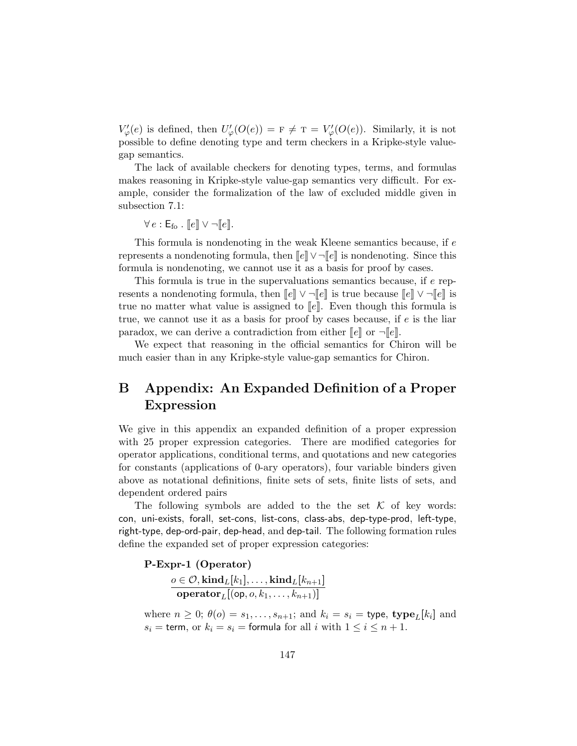$V'_{\varphi}(e)$  is defined, then  $U'_{\varphi}(O(e)) = F \neq T = V'_{\varphi}(O(e))$ . Similarly, it is not possible to define denoting type and term checkers in a Kripke-style valuegap semantics.

The lack of available checkers for denoting types, terms, and formulas makes reasoning in Kripke-style value-gap semantics very difficult. For example, consider the formalization of the law of excluded middle given in subsection 7.1:

 $\forall e : \mathsf{E}_{\mathsf{fo}}$  .  $\llbracket e \rrbracket \vee \neg \llbracket e \rrbracket$ .

This formula is nondenoting in the weak Kleene semantics because, if e represents a nondenoting formula, then  $\llbracket e \rrbracket \vee \neg \llbracket e \rrbracket$  is nondenoting. Since this formula is nondenoting, we cannot use it as a basis for proof by cases.

This formula is true in the supervaluations semantics because, if e represents a nondenoting formula, then  $\llbracket e \rrbracket \vee \neg \llbracket e \rrbracket$  is true because  $\llbracket e \rrbracket \vee \neg \llbracket e \rrbracket$  is true no matter what value is assigned to  $\llbracket e \rrbracket$ . Even though this formula is true, we cannot use it as a basis for proof by cases because, if  $e$  is the liar paradox, we can derive a contradiction from either  $\llbracket e \rrbracket$  or  $\neg \llbracket e \rrbracket$ .

We expect that reasoning in the official semantics for Chiron will be much easier than in any Kripke-style value-gap semantics for Chiron.

# B Appendix: An Expanded Definition of a Proper Expression

We give in this appendix an expanded definition of a proper expression with 25 proper expression categories. There are modified categories for operator applications, conditional terms, and quotations and new categories for constants (applications of 0-ary operators), four variable binders given above as notational definitions, finite sets of sets, finite lists of sets, and dependent ordered pairs

The following symbols are added to the the set  $K$  of key words: con, uni-exists, forall, set-cons, list-cons, class-abs, dep-type-prod, left-type, right-type, dep-ord-pair, dep-head, and dep-tail. The following formation rules define the expanded set of proper expression categories:

P-Expr-1 (Operator)  $o \in \mathcal{O}, \mathbf{kind}_L[k_1], \dots, \mathbf{kind}_L[k_{n+1}]$  $\mathbf{operator}_L[(\mathsf{op}, o, k_1, \dots, k_{n+1})]$ 

where  $n \geq 0$ ;  $\theta(o) = s_1, \ldots, s_{n+1}$ ; and  $k_i = s_i = \text{type}, \text{type}_L[k_i]$  and  $s_i =$  term, or  $k_i = s_i =$  formula for all i with  $1 \leq i \leq n+1$ .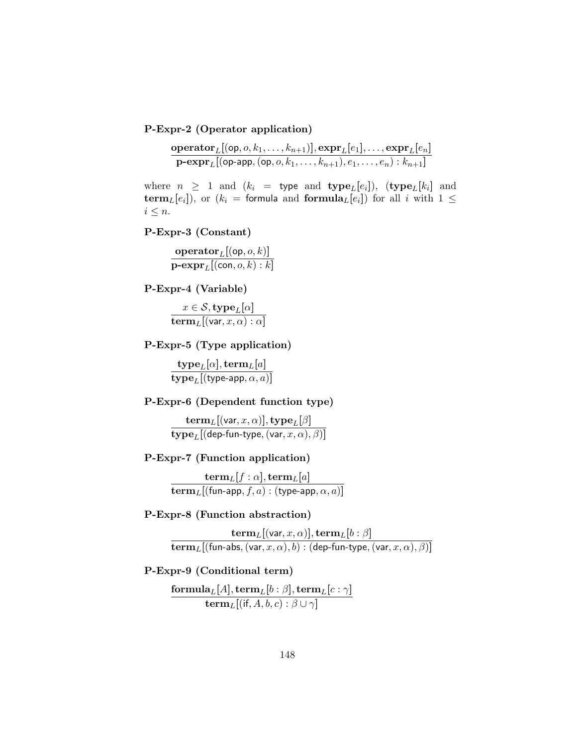P-Expr-2 (Operator application)

$$
\frac{\textbf{operator}_L[(\texttt{op}, o, k_1, \ldots, k_{n+1})], \textbf{expr}_L[e_1], \ldots, \textbf{expr}_L[e_n]}{\textbf{p-expr}_L[(\texttt{op-app}, (\texttt{op}, o, k_1, \ldots, k_{n+1}), e_1, \ldots, e_n): k_{n+1}]}
$$

where  $n \geq 1$  and  $(k_i =$  type and  $\text{type}_L[e_i])$ ,  $(\text{type}_L[k_i]$  and term<sub>L</sub>[e<sub>i</sub>]), or ( $k_i$  = formula and formula<sub>L</sub>[e<sub>i</sub>]) for all i with  $1 \leq$  $i \leq n$ .

### P-Expr-3 (Constant)

 $\mathbf{operator}_L[(\mathsf{op}, o, k)]$  $\textbf{p-expr}_L[(\textsf{con}, o, k) : k]$ 

P-Expr-4 (Variable)

 $x \in \mathcal{S}, \mathbf{type}_L[\alpha]$  $\mathbf{term}_L[(\mathsf{var},x,\alpha):\alpha]$ 

#### P-Expr-5 (Type application)

 $\mathrm{type}_L[\alpha], \mathrm{term}_L[a]$  $\mathbf{type}_L[(\mathsf{type}\text{-}\mathsf{app},\alpha,a)]$ 

#### P-Expr-6 (Dependent function type)

 $\mathbf{term}_L[(\mathsf{var},x,\alpha)],\mathbf{type}_L[\beta]$  $\textbf{type}_L[(\textsf{dep-fun-type},(\textsf{var}, x, \alpha), \beta)]$ 

#### P-Expr-7 (Function application)

 ${\bf term}_L[f:\alpha],{\bf term}_L[a]$  $\mathbf{term}_L[(\mathsf{fun}\text{-}\mathsf{app}, f, a):(\mathsf{type}\text{-}\mathsf{app}, \alpha, a)]$ 

#### P-Expr-8 (Function abstraction)

 ${\bf term}_L[(\mathsf{var},x,\alpha)],{\bf term}_L[b:\beta]$  $\mathbf{term}_L[(\mathsf{fun}\text{-}\mathsf{abs},(\mathsf{var}, x, \alpha), b) : (\mathsf{dep}\text{-}\mathsf{fun}\text{-}\mathsf{type},(\mathsf{var}, x, \alpha), \beta)]$ 

#### P-Expr-9 (Conditional term)

 $\mathbf{formula}_L[A], \mathbf{term}_L[b:\beta], \mathbf{term}_L[c:\gamma]$  $\mathbf{term}_L[(\mathsf{if}, A, b, c):\beta\cup\gamma]$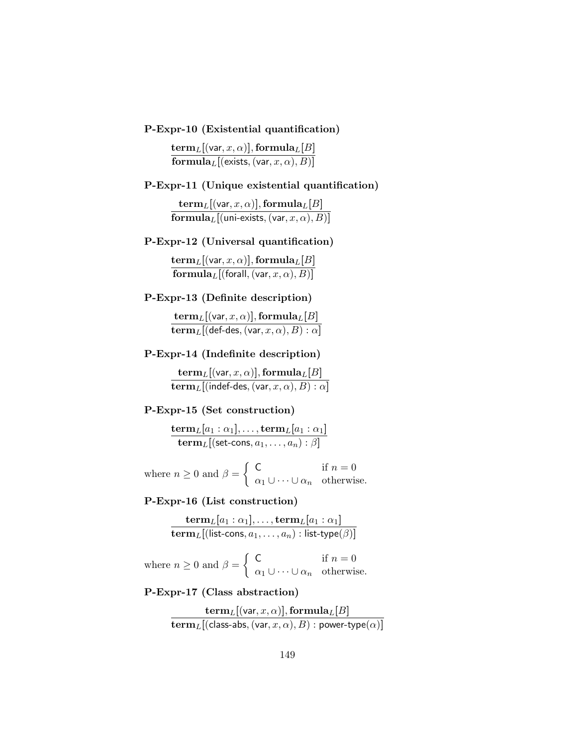P-Expr-10 (Existential quantification)

 ${\bf term}_L[({\sf var}, x, \alpha)], {\bf formula}_L[B]$  ${\bf formula}_L[$ (exists,  $({\sf var}, x, \alpha), B)]$ 

#### P-Expr-11 (Unique existential quantification)

 ${\bf term}_L[({\sf var}, x, \alpha)], {\bf formula}_L[B]$  ${\bf formula}_L[$ (uni-exists, (var,  $x,\alpha), B)]$ 

#### P-Expr-12 (Universal quantification)

 ${\bf term}_L[({\sf var}, x, \alpha)], {\bf formula}_L[B]$  $\mathbf{formula}_{L}[(\mathsf{forall},(\mathsf{var}, x, \alpha), B)]$ 

#### P-Expr-13 (Definite description)

 ${\bf term}_L[({\sf var}, x, \alpha)], {\bf formula}_L[B]$  $\mathbf{term}_L[(\mathsf{def-des},(\mathsf{var},x,\alpha),B):\alpha]$ 

#### P-Expr-14 (Indefinite description)

 ${\bf term}_L[({\sf var}, x, \alpha)], {\bf formula}_L[B]$  $\mathbf{term}_L[$ (indef-des, (var,  $x, \alpha), B) : \alpha]$ 

#### P-Expr-15 (Set construction)

$$
\frac{\mathbf{term}_L[a_1:\alpha_1], \ldots, \mathbf{term}_L[a_1:\alpha_1]}{\mathbf{term}_L[(\mathsf{set-cons},a_1,\ldots,a_n):\beta]}
$$

where  $n \geq 0$  and  $\beta = \begin{cases} C & \text{if } n = 0 \\ 0 & \text{otherwise} \end{cases}$  $\alpha_1 \cup \cdots \cup \alpha_n$  otherwise.

#### P-Expr-16 (List construction)

$$
\frac{\mathbf{term}_L[a_1:\alpha_1],\ldots,\mathbf{term}_L[a_1:\alpha_1]}{\mathbf{term}_L[(\mathsf{list-cons},a_1,\ldots,a_n):\mathsf{list-type}(\beta)]}
$$

where  $n \geq 0$  and  $\beta = \begin{cases} 0 & \text{if } n = 0 \\ 0 & \text{otherwise} \end{cases}$  $\alpha_1 \cup \cdots \cup \alpha_n$  otherwise.

P-Expr-17 (Class abstraction)

$$
\frac{\mathbf{term}_L[(\mathsf{var},x,\alpha)],\mathbf{formula}_L[B]}{\mathbf{term}_L[(\mathsf{class}\text{-} \mathsf{abs},(\mathsf{var},x,\alpha),B):\mathsf{power}\text{-}\mathsf{type}(\alpha)]}
$$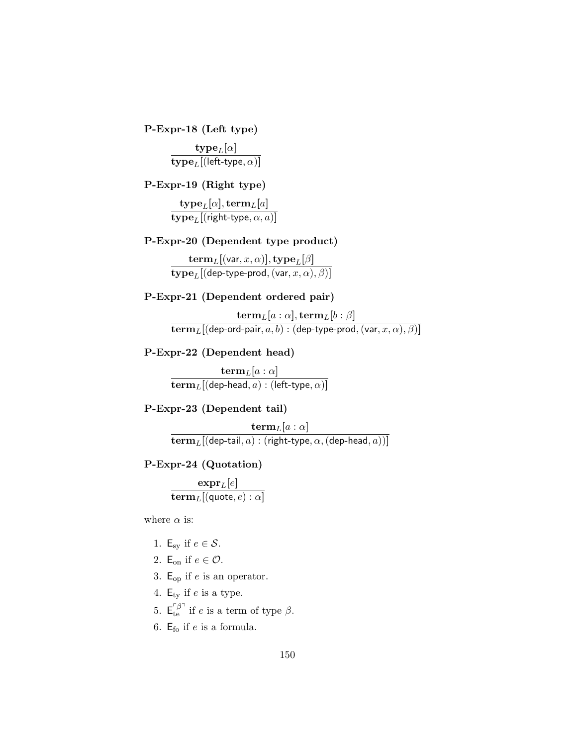P-Expr-18 (Left type)

 $\mathbf{type}_L[\alpha]$  $\mathbf{type}_L[(\mathsf{left-type},\alpha)]$ 

P-Expr-19 (Right type)

 $\mathbf{type}_L[\alpha], \mathbf{term}_L[a]$  $\mathbf{type}_L[(\mathsf{right-type},\alpha,a)]$ 

## P-Expr-20 (Dependent type product)

 $\mathbf{term}_L[(\mathsf{var},x,\alpha)],\mathbf{type}_L[\beta]$  $\textbf{type}_L[(\textsf{dep-type-prod},(\textsf{var}, x, \alpha), \beta)]$ 

### P-Expr-21 (Dependent ordered pair)

 ${\bf term}_L[a:\alpha],{\bf term}_L[b:\beta]$  $\mathbf{term}_L[(\mathsf{dep}\text{-}\mathsf{ord}\text{-}\mathsf{pair},a,b):(\mathsf{dep}\text{-}\mathsf{type}\text{-}\mathsf{prod},(\mathsf{var},x,\alpha),\beta)]$ 

P-Expr-22 (Dependent head)

 ${\bf term}_L[a:\alpha]$  $\mathbf{term}_L[(\mathsf{dep}\text{-}\mathsf{head},a):(\mathsf{left}\text{-}\mathsf{type},\alpha)]$ 

### P-Expr-23 (Dependent tail)

 ${\bf term}_L[a:\alpha]$  $\mathbf{term}_L[(\mathsf{dep}\text{-}\mathsf{tail},a) : (\mathsf{right}\text{-}\mathsf{type},\alpha,(\mathsf{dep}\text{-}\mathsf{head},a))]$ 

#### P-Expr-24 (Quotation)

 $\mathrm{expr}_L[e]$  $\mathbf{term}_L[(\mathsf{quote}, e) : \alpha]$ 

where  $\alpha$  is:

- 1. E<sub>sy</sub> if  $e \in \mathcal{S}$ .
- 2. E<sub>on</sub> if  $e \in \mathcal{O}$ .
- 3.  $E_{op}$  if e is an operator.
- 4.  $E_{ty}$  if e is a type.
- 5.  $E_{te}^{\tau \beta}$  if e is a term of type  $\beta$ .
- 6.  $E_{\text{fo}}$  if e is a formula.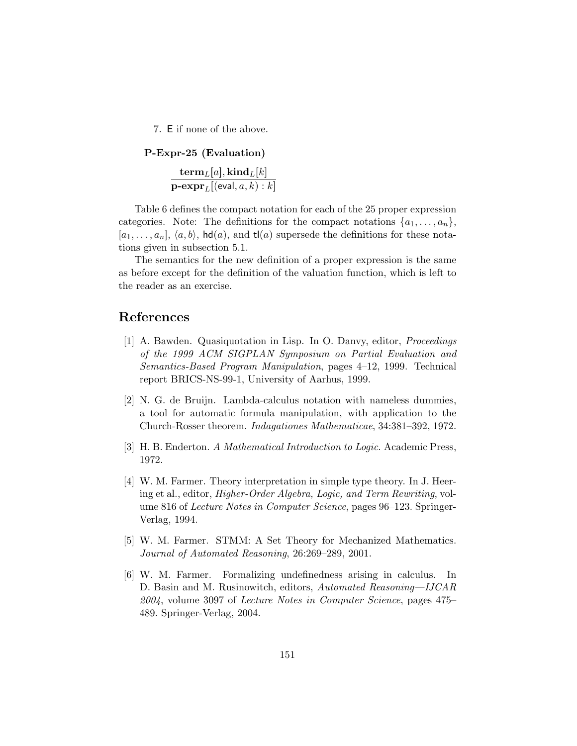7. E if none of the above.

```
P-Expr-25 (Evaluation)
{\bf term}_L[a], {\bf kind}_L[k]\textbf{p-expr}_L[(\textsf{eval}, a, k): k]
```
Table 6 defines the compact notation for each of the 25 proper expression categories. Note: The definitions for the compact notations  $\{a_1, \ldots, a_n\}$ ,  $[a_1, \ldots, a_n], \langle a, b \rangle$ , hd(a), and tl(a) supersede the definitions for these notations given in subsection 5.1.

The semantics for the new definition of a proper expression is the same as before except for the definition of the valuation function, which is left to the reader as an exercise.

## References

- [1] A. Bawden. Quasiquotation in Lisp. In O. Danvy, editor, Proceedings of the 1999 ACM SIGPLAN Symposium on Partial Evaluation and Semantics-Based Program Manipulation, pages 4–12, 1999. Technical report BRICS-NS-99-1, University of Aarhus, 1999.
- [2] N. G. de Bruijn. Lambda-calculus notation with nameless dummies, a tool for automatic formula manipulation, with application to the Church-Rosser theorem. Indagationes Mathematicae, 34:381–392, 1972.
- [3] H. B. Enderton. A Mathematical Introduction to Logic. Academic Press, 1972.
- [4] W. M. Farmer. Theory interpretation in simple type theory. In J. Heering et al., editor, Higher-Order Algebra, Logic, and Term Rewriting, volume 816 of Lecture Notes in Computer Science, pages 96–123. Springer-Verlag, 1994.
- [5] W. M. Farmer. STMM: A Set Theory for Mechanized Mathematics. Journal of Automated Reasoning, 26:269–289, 2001.
- [6] W. M. Farmer. Formalizing undefinedness arising in calculus. In D. Basin and M. Rusinowitch, editors, Automated Reasoning—IJCAR 2004, volume 3097 of Lecture Notes in Computer Science, pages 475– 489. Springer-Verlag, 2004.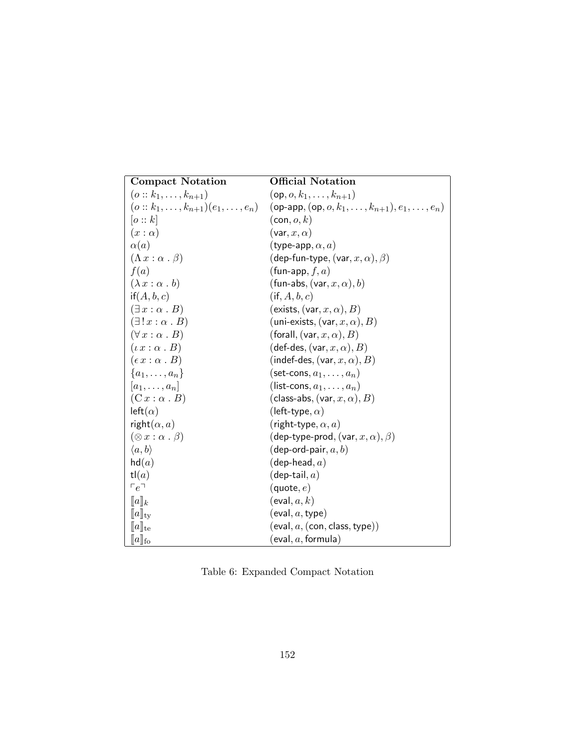| <b>Compact Notation</b>                        | <b>Official Notation</b>                                      |
|------------------------------------------------|---------------------------------------------------------------|
| $(o:: k_1, \ldots, k_{n+1})$                   | $(op, o, k_1, \ldots, k_{n+1})$                               |
| $(o:: k_1, \ldots, k_{n+1})(e_1, \ldots, e_n)$ | (op-app, $(op, o, k_1, \ldots, k_{n+1}), e_1, \ldots, e_n)$ ) |
| o::k                                           | $(\mathsf{con}, o, k)$                                        |
| $(x:\alpha)$                                   | $(\mathsf{var}, x, \alpha)$                                   |
| $\alpha(a)$                                    | (type-app, $\alpha, a$ )                                      |
| $(\Lambda x : \alpha \cdot \beta)$             | (dep-fun-type, (var, $x, \alpha$ ), $\beta$ )                 |
| f(a)                                           | (fun-app, $f, a$ )                                            |
| $(\lambda x : \alpha b)$                       | (fun-abs, $(\text{var}, x, \alpha)$ , b)                      |
| if(A, b, c)                                    | $(i \nvert A, b, c)$                                          |
| $(\exists x : \alpha \cdot B)$                 | (exists, (var, $x, \alpha$ ), $B$ )                           |
| $(\exists ! x : \alpha . B)$                   | (uni-exists, (var, $x, \alpha$ ), $B$ )                       |
| $(\forall x : \alpha \cdot B)$                 | (forall, $(\mathsf{var}, x, \alpha)$ , $B$ )                  |
| $(\iota x : \alpha \cdot B)$                   | def-des, $(\mathsf{var}, x, \alpha)$ , $B)$                   |
| $(\epsilon x : \alpha \cdot B)$                | (indef-des, (var, $x,\alpha$ ), $B$ )                         |
| $\{a_1,\ldots,a_n\}$                           | (set-cons, $a_1, \ldots, a_n$ )                               |
| $[a_1,\ldots,a_n]$                             | (list-cons, $a_1, \ldots, a_n$ )                              |
| $(C x : \alpha B)$                             | (class-abs, (var, $x,\alpha),B)$                              |
| $left(\alpha)$                                 | (left-type, $\alpha$ )                                        |
| right $(\alpha, a)$                            | (right-type, $\alpha$ , $a$ )                                 |
| $(\otimes x : \alpha \cdot \beta)$             | (dep-type-prod, (var, $x, \alpha$ ), $\beta$ )                |
| $\langle a,b\rangle$                           | (dep-ord-pair, $a,b$ )                                        |
| hd(a)                                          | (dep-head, $a)$                                               |
| tl(a)                                          | $(\mathsf{dep\text{-}tail}, a)$                               |
| $r_e$                                          | (quote, $e$ )                                                 |
| $[\![a]\!]_k$                                  | $(\mathsf{eval}, a, k)$                                       |
| $\ a\ _{\rm tv}$                               | (eval, $a$ , type)                                            |
| $\ a\ _{\text{te}}$                            | (eval, a, (con, class, type))                                 |
| $[\![a]\!]_{\mathrm{fo}}$                      | [eval, $a,$ formula)                                          |

Table 6: Expanded Compact Notation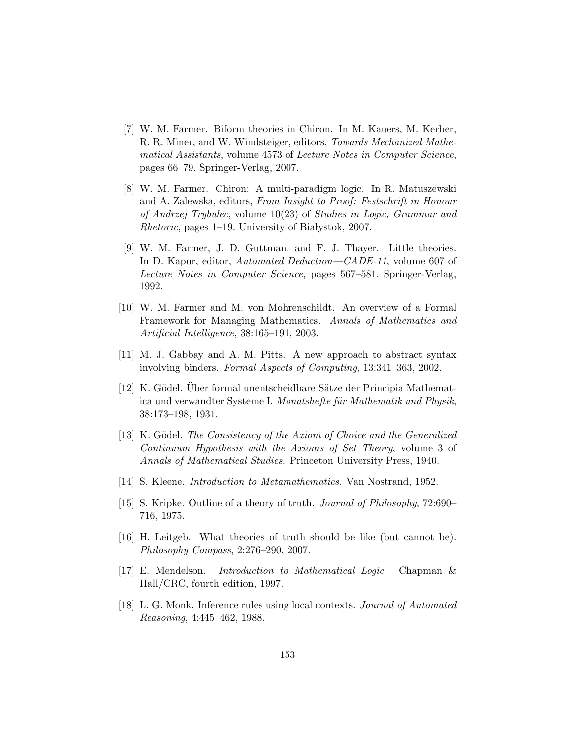- [7] W. M. Farmer. Biform theories in Chiron. In M. Kauers, M. Kerber, R. R. Miner, and W. Windsteiger, editors, Towards Mechanized Mathematical Assistants, volume 4573 of Lecture Notes in Computer Science, pages 66–79. Springer-Verlag, 2007.
- [8] W. M. Farmer. Chiron: A multi-paradigm logic. In R. Matuszewski and A. Zalewska, editors, From Insight to Proof: Festschrift in Honour of Andrzej Trybulec, volume 10(23) of Studies in Logic, Grammar and  $Rhetoric$ , pages 1–19. University of Białystok, 2007.
- [9] W. M. Farmer, J. D. Guttman, and F. J. Thayer. Little theories. In D. Kapur, editor, Automated Deduction—CADE-11, volume 607 of Lecture Notes in Computer Science, pages 567–581. Springer-Verlag, 1992.
- [10] W. M. Farmer and M. von Mohrenschildt. An overview of a Formal Framework for Managing Mathematics. Annals of Mathematics and Artificial Intelligence, 38:165–191, 2003.
- [11] M. J. Gabbay and A. M. Pitts. A new approach to abstract syntax involving binders. Formal Aspects of Computing, 13:341–363, 2002.
- [12] K. Gödel. Über formal unentscheidbare Sätze der Principia Mathematica und verwandter Systeme I. Monatshefte für Mathematik und Physik, 38:173–198, 1931.
- [13] K. Gödel. The Consistency of the Axiom of Choice and the Generalized Continuum Hypothesis with the Axioms of Set Theory, volume 3 of Annals of Mathematical Studies. Princeton University Press, 1940.
- [14] S. Kleene. Introduction to Metamathematics. Van Nostrand, 1952.
- [15] S. Kripke. Outline of a theory of truth. Journal of Philosophy, 72:690– 716, 1975.
- [16] H. Leitgeb. What theories of truth should be like (but cannot be). Philosophy Compass, 2:276–290, 2007.
- [17] E. Mendelson. Introduction to Mathematical Logic. Chapman & Hall/CRC, fourth edition, 1997.
- [18] L. G. Monk. Inference rules using local contexts. Journal of Automated Reasoning, 4:445–462, 1988.